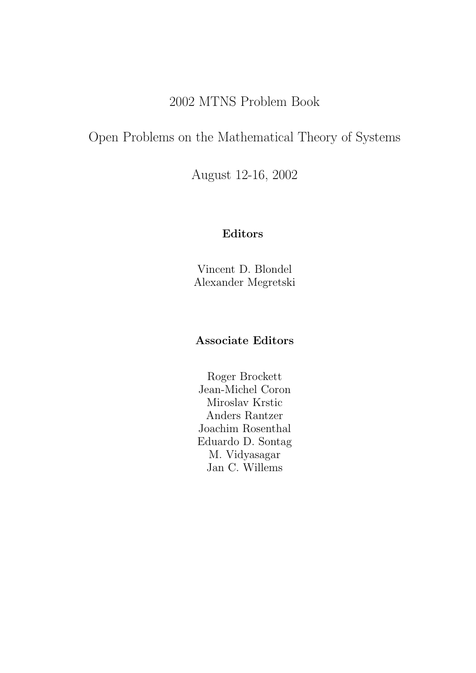## 2002 MTNS Problem Book

# Open Problems on the Mathematical Theory of Systems

August 12-16, 2002

## Editors

Vincent D. Blondel Alexander Megretski

## Associate Editors

Roger Brockett Jean-Michel Coron Miroslav Krstic Anders Rantzer Joachim Rosenthal Eduardo D. Sontag M. Vidyasagar Jan C. Willems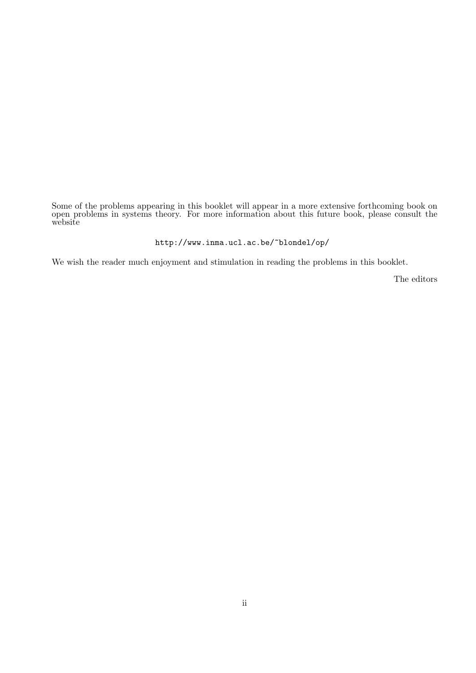Some of the problems appearing in this booklet will appear in a more extensive forthcoming book on open problems in systems theory. For more information about this future book, please consult the website

#### http://www.inma.ucl.ac.be/~blondel/op/

We wish the reader much enjoyment and stimulation in reading the problems in this booklet.

The editors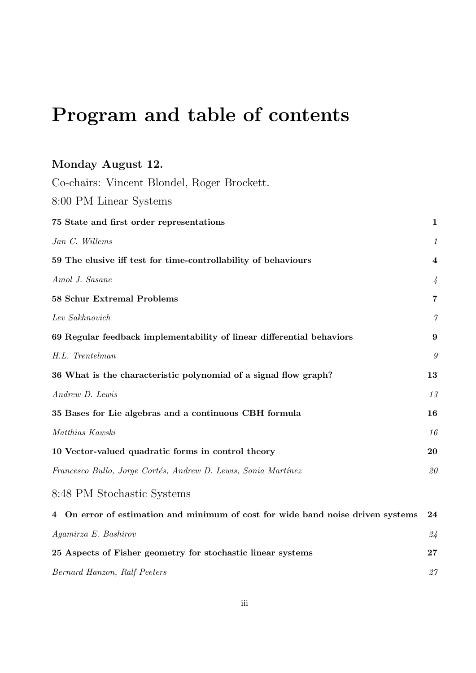# Program and table of contents

| Monday August 12.                                                               |                 |
|---------------------------------------------------------------------------------|-----------------|
| Co-chairs: Vincent Blondel, Roger Brockett.                                     |                 |
| 8:00 PM Linear Systems                                                          |                 |
| 75 State and first order representations                                        | 1               |
| Jan C. Willems                                                                  | 1               |
| 59 The elusive iff test for time-controllability of behaviours                  | $\bf{4}$        |
| Amol J. Sasane                                                                  | 4               |
| 58 Schur Extremal Problems                                                      | $\overline{7}$  |
| Lev Sakhnovich                                                                  | 7               |
| 69 Regular feedback implementability of linear differential behaviors           | $9\phantom{.0}$ |
| H.L. Trentelman                                                                 | $\mathfrak g$   |
| 36 What is the characteristic polynomial of a signal flow graph?                | 13              |
| Andrew D. Lewis                                                                 | 13              |
| 35 Bases for Lie algebras and a continuous CBH formula                          | 16              |
| Matthias Kawski                                                                 | 16              |
| 10 Vector-valued quadratic forms in control theory                              | 20              |
| Francesco Bullo, Jorge Cortés, Andrew D. Lewis, Sonia Martínez                  | 20              |
| 8:48 PM Stochastic Systems                                                      |                 |
| 4 On error of estimation and minimum of cost for wide band noise driven systems | 24              |
| Agamirza E. Bashirov                                                            | 24              |
| 25 Aspects of Fisher geometry for stochastic linear systems                     | 27              |
| Bernard Hanzon, Ralf Peeters                                                    | 27              |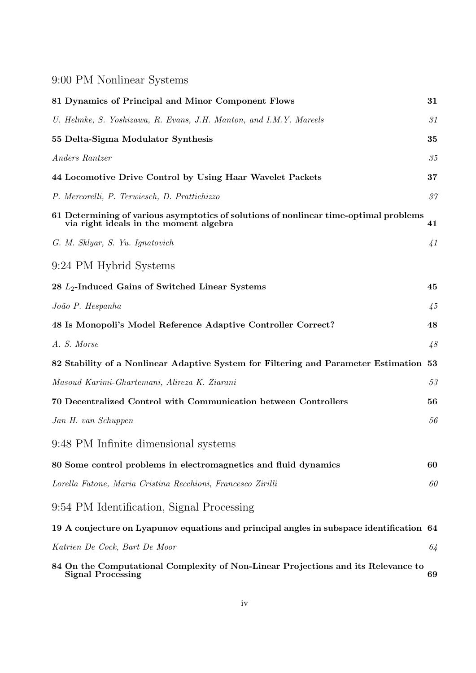# 9:00 PM Nonlinear Systems

| 81 Dynamics of Principal and Minor Component Flows                                                                              | 31            |
|---------------------------------------------------------------------------------------------------------------------------------|---------------|
| U. Helmke, S. Yoshizawa, R. Evans, J.H. Manton, and I.M.Y. Mareels                                                              | 31            |
| 55 Delta-Sigma Modulator Synthesis                                                                                              | 35            |
| Anders Rantzer                                                                                                                  | 35            |
| 44 Locomotive Drive Control by Using Haar Wavelet Packets                                                                       | $37\,$        |
| P. Mercorelli, P. Terwiesch, D. Prattichizzo                                                                                    | 37            |
| 61 Determining of various asymptotics of solutions of nonlinear time-optimal problems<br>via right ideals in the moment algebra | 41            |
| G. M. Sklyar, S. Yu. Ignatovich                                                                                                 | $\frac{1}{4}$ |
| 9:24 PM Hybrid Systems                                                                                                          |               |
| $28 L_2$ -Induced Gains of Switched Linear Systems                                                                              | 45            |
| João P. Hespanha                                                                                                                | $\sqrt{45}$   |
| 48 Is Monopoli's Model Reference Adaptive Controller Correct?                                                                   | 48            |
| A. S. Morse                                                                                                                     | 48            |
| 82 Stability of a Nonlinear Adaptive System for Filtering and Parameter Estimation 53                                           |               |
| Masoud Karimi-Ghartemani, Alireza K. Ziarani                                                                                    | 53            |
| 70 Decentralized Control with Communication between Controllers                                                                 | 56            |
| Jan H. van Schuppen                                                                                                             | 56            |
| 9:48 PM Infinite dimensional systems                                                                                            |               |
| 80 Some control problems in electromagnetics and fluid dynamics                                                                 | 60            |
| Lorella Fatone, Maria Cristina Recchioni, Francesco Zirilli                                                                     | 60            |
| 9:54 PM Identification, Signal Processing                                                                                       |               |
| 19 A conjecture on Lyapunov equations and principal angles in subspace identification 64                                        |               |
| Katrien De Cock, Bart De Moor                                                                                                   | 64            |
| 84 On the Computational Complexity of Non-Linear Projections and its Relevance to<br><b>Signal Processing</b>                   | 69            |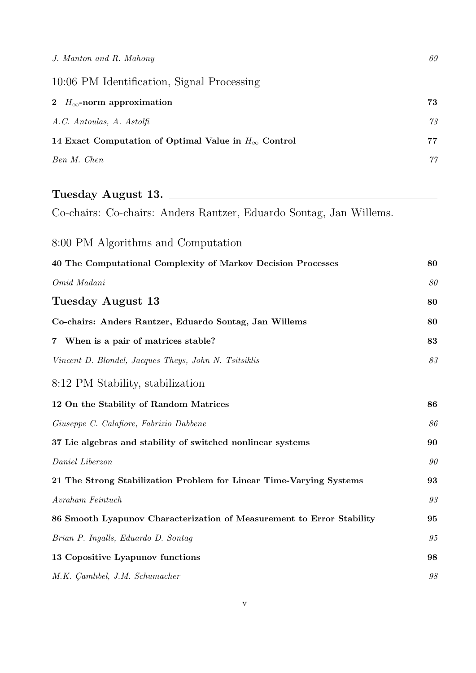| J. Manton and R. Mahony                                               | 69 |
|-----------------------------------------------------------------------|----|
| 10:06 PM Identification, Signal Processing                            |    |
| $H_{\infty}$ -norm approximation<br>$\bf{2}$                          | 73 |
| A.C. Antoulas, A. Astolfi                                             | 73 |
| 14 Exact Computation of Optimal Value in $H_{\infty}$ Control         | 77 |
| Ben M. Chen                                                           | 77 |
| Tuesday August 13.                                                    |    |
| Co-chairs: Co-chairs: Anders Rantzer, Eduardo Sontag, Jan Willems.    |    |
| 8:00 PM Algorithms and Computation                                    |    |
| 40 The Computational Complexity of Markov Decision Processes          | 80 |
| Omid Madani                                                           | 80 |
| Tuesday August 13                                                     | 80 |
| Co-chairs: Anders Rantzer, Eduardo Sontag, Jan Willems                | 80 |
| 7 When is a pair of matrices stable?                                  | 83 |
| Vincent D. Blondel, Jacques Theys, John N. Tsitsiklis                 | 83 |
| 8:12 PM Stability, stabilization                                      |    |
| 12 On the Stability of Random Matrices                                | 86 |
| Giuseppe C. Calafiore, Fabrizio Dabbene                               | 86 |
| 37 Lie algebras and stability of switched nonlinear systems           | 90 |
| Daniel Liberzon                                                       | 90 |
| 21 The Strong Stabilization Problem for Linear Time-Varying Systems   | 93 |
| Avraham Feintuch                                                      | 93 |
| 86 Smooth Lyapunov Characterization of Measurement to Error Stability | 95 |
| Brian P. Ingalls, Eduardo D. Sontag                                   | 95 |
| 13 Copositive Lyapunov functions                                      | 98 |
| M.K. Çamlıbel, J.M. Schumacher                                        | 98 |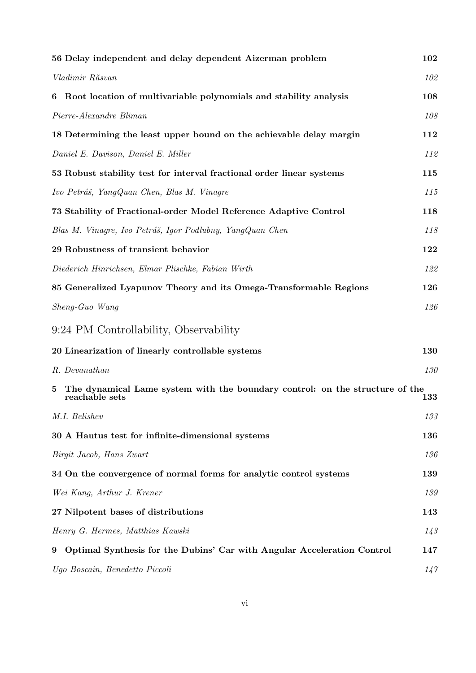| 56 Delay independent and delay dependent Aizerman problem                                           | 102 |
|-----------------------------------------------------------------------------------------------------|-----|
| Vladimir Răsvan                                                                                     | 102 |
| Root location of multivariable polynomials and stability analysis<br>6                              | 108 |
| Pierre-Alexandre Bliman                                                                             | 108 |
| 18 Determining the least upper bound on the achievable delay margin                                 | 112 |
| Daniel E. Davison, Daniel E. Miller                                                                 | 112 |
| 53 Robust stability test for interval fractional order linear systems                               | 115 |
| Ivo Petráš, YangQuan Chen, Blas M. Vinagre                                                          | 115 |
| 73 Stability of Fractional-order Model Reference Adaptive Control                                   | 118 |
| Blas M. Vinagre, Ivo Petráš, Igor Podlubny, YangQuan Chen                                           | 118 |
| 29 Robustness of transient behavior                                                                 | 122 |
| Diederich Hinrichsen, Elmar Plischke, Fabian Wirth                                                  | 122 |
| 85 Generalized Lyapunov Theory and its Omega-Transformable Regions                                  | 126 |
| Sheng-Guo Wang                                                                                      | 126 |
| 9:24 PM Controllability, Observability                                                              |     |
| 20 Linearization of linearly controllable systems                                                   | 130 |
| R. Devanathan                                                                                       | 130 |
| The dynamical Lame system with the boundary control: on the structure of the<br>5<br>reachable sets | 133 |
| M.I. Belishev                                                                                       | 133 |
| 30 A Hautus test for infinite-dimensional systems                                                   | 136 |
| Birgit Jacob, Hans Zwart                                                                            | 136 |
| 34 On the convergence of normal forms for analytic control systems                                  | 139 |
| Wei Kang, Arthur J. Krener                                                                          | 139 |
| 27 Nilpotent bases of distributions                                                                 | 143 |
| Henry G. Hermes, Matthias Kawski                                                                    | 143 |
| Optimal Synthesis for the Dubins' Car with Angular Acceleration Control<br>9                        | 147 |
| Ugo Boscain, Benedetto Piccoli                                                                      | 147 |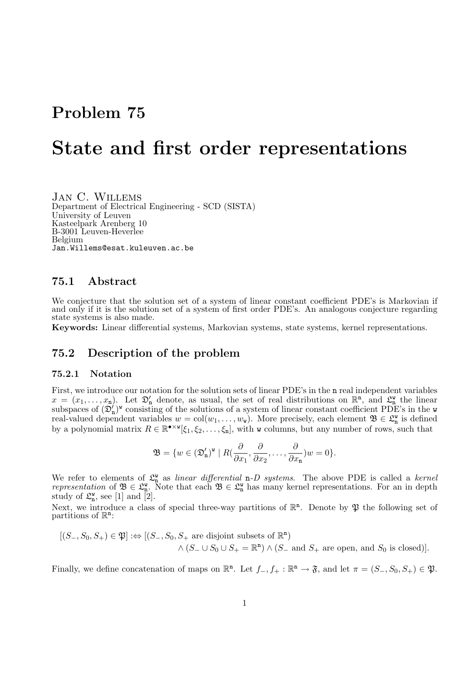# State and first order representations

Jan C. Willems Department of Electrical Engineering - SCD (SISTA) University of Leuven Kasteelpark Arenberg 10 B-3001 Leuven-Heverlee Belgium Jan.Willems@esat.kuleuven.ac.be

#### 75.1 Abstract

We conjecture that the solution set of a system of linear constant coefficient PDE's is Markovian if and only if it is the solution set of a system of first order PDE's. An analogous conjecture regarding state systems is also made.

Keywords: Linear differential systems, Markovian systems, state systems, kernel representations.

#### 75.2 Description of the problem

#### 75.2.1 Notation

First, we introduce our notation for the solution sets of linear PDE's in the n real independent variables  $x = (x_1, \ldots, x_n)$ . Let  $\mathfrak{D}'_n$  denote, as usual, the set of real distributions on  $\mathbb{R}^n$ , and  $\mathfrak{L}^w_n$  the linear subspaces of  $(\mathfrak{D}'_{n})^{\mathbb{W}}$  consisting of the solutions of a system of linear constant coefficient PDE's in the w real-valued dependent variables  $w = col(w_1, \ldots, w_n)$ . More precisely, each element  $\mathfrak{B} \in \mathfrak{L}_{\mathbf{n}}^{\mathbf{w}}$  is defined by a polynomial matrix  $R \in \mathbb{R}^{\bullet \times w}[\xi_1, \xi_2, \ldots, \xi_n]$ , with w columns, but any number of rows, such that

$$
\mathfrak{B} = \{ w \in (\mathfrak{D}'_{\mathbf{n}})^{\mathtt w} \mid R(\frac{\partial}{\partial x_1}, \frac{\partial}{\partial x_2}, \dots, \frac{\partial}{\partial x_{\mathbf{n}}}) w = 0 \}.
$$

We refer to elements of  $\mathfrak{L}_{\mathfrak{n}}^{\mathbf{w}}$  as linear differential  $\mathfrak{n}$ -D systems. The above PDE is called a kernel representation of  $\mathfrak{B} \in \mathfrak{L}_{n}^{\mathbb{W}}$ . Note that each  $\mathfrak{B} \in \mathfrak{L}_{n}^{\mathbb{W}}$  has many kernel representations. For an in depth study of  $\mathfrak{L}_n^w$ , see [1] and [2].

Next, we introduce a class of special three-way partitions of  $\mathbb{R}^n$ . Denote by  $\mathfrak{P}$  the following set of partitions of  $\mathbb{R}^n$ :

$$
[(S_-, S_0, S_+) \in \mathfrak{P}] : \Leftrightarrow [(S_-, S_0, S_+ \text{ are disjoint subsets of } \mathbb{R}^n) \land (S_- \cup S_0 \cup S_+ = \mathbb{R}^n) \land (S_- \text{ and } S_+ \text{ are open, and } S_0 \text{ is closed})].
$$

Finally, we define concatenation of maps on  $\mathbb{R}^n$ . Let  $f_-, f_+ : \mathbb{R}^n \to \mathfrak{F}$ , and let  $\pi = (S_-, S_0, S_+) \in \mathfrak{P}$ .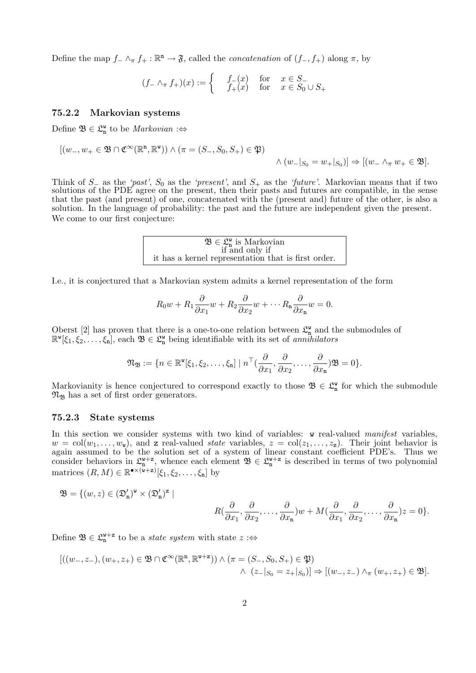Define the map  $f_-\wedge_{\pi} f_+:\mathbb{R}^n\to \mathfrak{F}$ , called the *concatenation* of  $(f_-, f_+)$  along  $\pi$ , by

$$
(f_- \wedge_\pi f_+)(x) := \begin{cases} & f_-(x) \quad \text{for} \quad x \in S_- \\ & f_+(x) \quad \text{for} \quad x \in S_0 \cup S_+ \end{cases}
$$

#### 75.2.2 Markovian systems

Define  $\mathfrak{B} \in \mathfrak{L}_{n}^{\mathsf{w}}$  to be *Markovian* : $\Leftrightarrow$ 

$$
[(w_-, w_+ \in \mathfrak{B} \cap \mathfrak{C}^\infty(\mathbb{R}^n, \mathbb{R}^{\mathsf{w}})) \wedge (\pi = (S_-, S_0, S_+) \in \mathfrak{P}) \wedge (w_-|_{S_0} = w_+|_{S_0})] \Rightarrow [(w_- \wedge_\pi w_+ \in \mathfrak{B}].
$$

Think of  $S_$  as the 'past',  $S_0$  as the 'present', and  $S_+$  as the 'future'. Markovian means that if two solutions of the PDE agree on the present, then their pasts and futures are compatible, in the sense that the past (and present) of one, concatenated with the (present and) future of the other, is also a solution. In the language of probability: the past and the future are independent given the present. We come to our first conjecture:

> $\mathfrak{B} \in \mathfrak{L}_{n}^{\mathsf{w}}$  is Markovian if and only if it has a kernel representation that is first order.

I.e., it is conjectured that a Markovian system admits a kernel representation of the form

$$
R_0w + R_1\frac{\partial}{\partial x_1}w + R_2\frac{\partial}{\partial x_2}w + \cdots R_n\frac{\partial}{\partial x_n}w = 0.
$$

Oberst [2] has proven that there is a one-to-one relation between  $\mathcal{L}_n^{\mathbf{w}}$  and the submodules of  $\mathbb{R}^{\mathbf{w}}[\xi_1, \xi_2, \ldots, \xi_n],$  each  $\mathfrak{B} \in \mathfrak{L}_{\mathbf{n}}^{\mathbf{w}}$  being identifiable with its set of *annihilators* 

$$
\mathfrak{N}_{\mathfrak{B}} := \{ n \in \mathbb{R}^{\mathbf{w}}[\xi_1, \xi_2, \dots, \xi_n] \mid n^{\top}(\frac{\partial}{\partial x_1}, \frac{\partial}{\partial x_2}, \dots, \frac{\partial}{\partial x_n}) \mathfrak{B} = 0 \}.
$$

Markovianity is hence conjectured to correspond exactly to those  $\mathfrak{B} \in \mathfrak{L}_{n}^{\mathbf{w}}$  for which the submodule  $\mathfrak{N}_{\mathfrak{B}}$  has a set of first order generators.

#### 75.2.3 State systems

In this section we consider systems with two kind of variables: w real-valued manifest variables,  $w = col(w_1, \ldots, w_{\mathbf{w}})$ , and z real-valued state variables,  $z = col(z_1, \ldots, z_{\mathbf{z}})$ . Their joint behavior is again assumed to be the solution set of a system of linear constant coefficient PDE's. Thus we consider behaviors in  $\mathfrak{L}_{n}^{\mathbf{w}+\mathbf{z}}$ , whence each element  $\mathfrak{B} \in \mathfrak{L}_{n}^{\mathbf{w}+\mathbf{z}}$  is described in terms of two polynomial matrices  $(R, M) \in \mathbb{R}^{\bullet \times (\overline{\mathbf{w}} + \mathbf{z})}[\xi_1, \xi_2, \dots, \xi_n]$  by

$$
\mathfrak{B} = \{ (w, z) \in (\mathfrak{D}'_{n})^{\mathbf{w}} \times (\mathfrak{D}'_{n})^{\mathbf{z}} \mid R(\frac{\partial}{\partial x_{1}}, \frac{\partial}{\partial x_{2}}, \dots, \frac{\partial}{\partial x_{n}})w + M(\frac{\partial}{\partial x_{1}}, \frac{\partial}{\partial x_{2}}, \dots, \frac{\partial}{\partial x_{n}})z = 0 \}.
$$

Define  $\mathfrak{B} \in \mathfrak{L}_{n}^{\mathbf{w}+\mathbf{z}}$  to be a *state system* with state  $z : \Leftrightarrow$ 

$$
[((w_-, z_-), (w_+, z_+) \in \mathfrak{B} \cap \mathfrak{C}^\infty(\mathbb{R}^n, \mathbb{R}^{\mathbf{w}+\mathbf{z}})) \wedge (\pi = (S_-, S_0, S_+) \in \mathfrak{P})
$$
  

$$
\wedge (z_-|_{S_0} = z_+|_{S_0})] \Rightarrow [(w_-, z_-) \wedge_\pi (w_+, z_+) \in \mathfrak{B}].
$$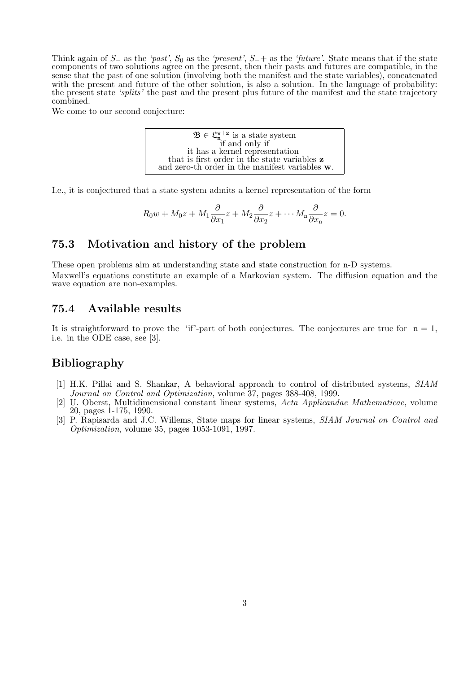Think again of S<sub>−</sub> as the 'past', S<sub>0</sub> as the 'present', S<sub>−</sub>+ as the 'future'. State means that if the state components of two solutions agree on the present, then their pasts and futures are compatible, in the sense that the past of one solution (involving both the manifest and the state variables), concatenated with the present and future of the other solution, is also a solution. In the language of probability: the present state 'splits' the past and the present plus future of the manifest and the state trajectory combined.

We come to our second conjecture:

 $\mathfrak{B} \in \mathfrak{L}_{n,c}^{\mathbf{w}+\mathbf{z}}$  is a state system if and only if it has a kernel representation that is first order in the state variables z and zero-th order in the manifest variables w.

I.e., it is conjectured that a state system admits a kernel representation of the form

$$
R_0w + M_0z + M_1\frac{\partial}{\partial x_1}z + M_2\frac{\partial}{\partial x_2}z + \cdots M_n\frac{\partial}{\partial x_n}z = 0.
$$

### 75.3 Motivation and history of the problem

These open problems aim at understanding state and state construction for n-D systems. Maxwell's equations constitute an example of a Markovian system. The diffusion equation and the wave equation are non-examples.

### 75.4 Available results

It is straightforward to prove the 'if'-part of both conjectures. The conjectures are true for  $n = 1$ , i.e. in the ODE case, see [3].

- [1] H.K. Pillai and S. Shankar, A behavioral approach to control of distributed systems, SIAM Journal on Control and Optimization, volume 37, pages 388-408, 1999.
- [2] U. Oberst, Multidimensional constant linear systems, Acta Applicandae Mathematicae, volume 20, pages 1-175, 1990.
- [3] P. Rapisarda and J.C. Willems, State maps for linear systems, SIAM Journal on Control and Optimization, volume 35, pages 1053-1091, 1997.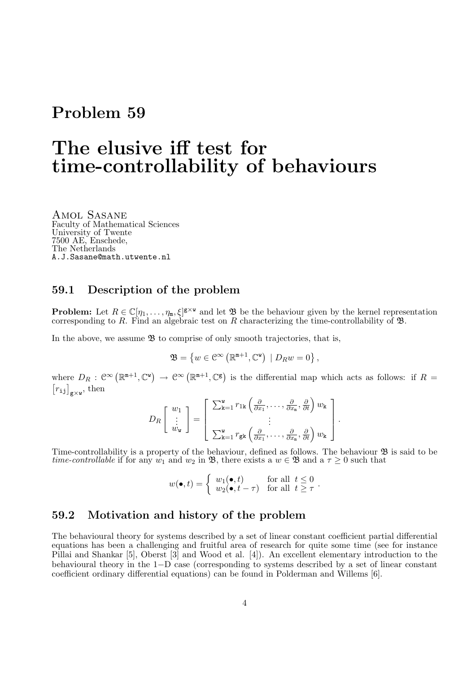# The elusive iff test for time-controllability of behaviours

Amol Sasane Faculty of Mathematical Sciences University of Twente 7500 AE, Enschede, The Netherlands A.J.Sasane@math.utwente.nl

### 59.1 Description of the problem

**Problem:** Let  $R \in \mathbb{C}[\eta_1,\ldots,\eta_m,\xi]^{g\times w}$  and let  $\mathfrak{B}$  be the behaviour given by the kernel representation corresponding to R. Find an algebraic test on R characterizing the time-controllability of  $\mathfrak{B}$ .

In the above, we assume  $\mathfrak B$  to comprise of only smooth trajectories, that is,

$$
\mathfrak{B}=\left\{w\in\mathcal{C}^\infty\left(\mathbb{R}^{\mathfrak{m}+1},\mathbb{C}^{\mathbf{w}}\right)\ |\ D_R w=0\right\},
$$

where  $D_R: \mathbb{C}^\infty(\mathbb{R}^{n+1}, \mathbb{C}^w) \to \mathbb{C}^\infty(\mathbb{R}^{n+1}, \mathbb{C}^g)$  is the differential map which acts as follows: if  $R =$  $[r_{ij}]_{g\times w}$ , then

$$
D_R\left[\begin{array}{c}w_1\\ \vdots\\ w_{w}\end{array}\right]=\left[\begin{array}{c}\sum_{\mathbf{k}=1}^{\mathbf{w}}r_{1\mathbf{k}}\left(\frac{\partial}{\partial x_1},\ldots,\frac{\partial}{\partial x_m},\frac{\partial}{\partial t}\right)w_{\mathbf{k}}\\ \vdots\\ \sum_{\mathbf{k}=1}^{\mathbf{w}}r_{\mathbf{g}\mathbf{k}}\left(\frac{\partial}{\partial x_1},\ldots,\frac{\partial}{\partial x_m},\frac{\partial}{\partial t}\right)w_{\mathbf{k}}\end{array}\right].
$$

Time-controllability is a property of the behaviour, defined as follows. The behaviour  $\mathfrak{B}$  is said to be time-controllable if for any  $w_1$  and  $w_2$  in  $\mathfrak{B}$ , there exists a  $w \in \mathfrak{B}$  and a  $\tau \geq 0$  such that

$$
w(\bullet, t) = \begin{cases} w_1(\bullet, t) & \text{for all } t \le 0\\ w_2(\bullet, t - \tau) & \text{for all } t \ge \tau \end{cases}.
$$

#### 59.2 Motivation and history of the problem

The behavioural theory for systems described by a set of linear constant coefficient partial differential equations has been a challenging and fruitful area of research for quite some time (see for instance Pillai and Shankar [5], Oberst [3] and Wood et al. [4]). An excellent elementary introduction to the behavioural theory in the 1−D case (corresponding to systems described by a set of linear constant coefficient ordinary differential equations) can be found in Polderman and Willems [6].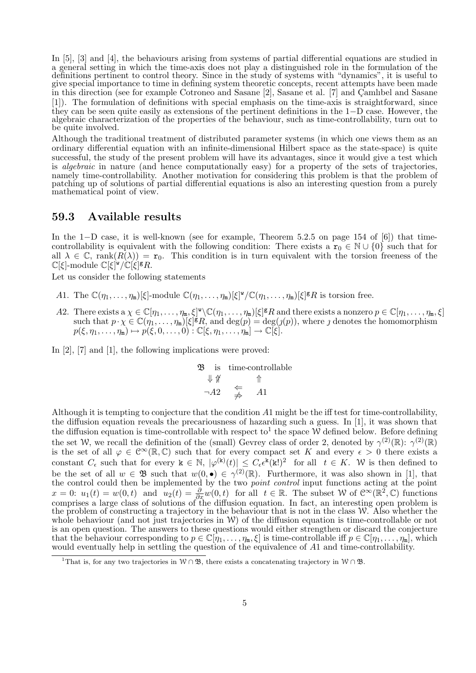In [5], [3] and [4], the behaviours arising from systems of partial differential equations are studied in a general setting in which the time-axis does not play a distinguished role in the formulation of the definitions pertinent to control theory. Since in the study of systems with "dynamics", it is useful to give special importance to time in defining system theoretic concepts, recent attempts have been made in this direction (see for example Cotroneo and Sasane  $[2]$ , Sasane et al.  $[7]$  and Camlibel and Sasane [1]). The formulation of definitions with special emphasis on the time-axis is straightforward, since they can be seen quite easily as extensions of the pertinent definitions in the 1−D case. However, the algebraic characterization of the properties of the behaviour, such as time-controllability, turn out to be quite involved.

Although the traditional treatment of distributed parameter systems (in which one views them as an ordinary differential equation with an infinite-dimensional Hilbert space as the state-space) is quite successful, the study of the present problem will have its advantages, since it would give a test which is algebraic in nature (and hence computationally easy) for a property of the sets of trajectories, namely time-controllability. Another motivation for considering this problem is that the problem of patching up of solutions of partial differential equations is also an interesting question from a purely mathematical point of view.

## 59.3 Available results

In the 1−D case, it is well-known (see for example, Theorem 5.2.5 on page 154 of [6]) that timecontrollability is equivalent with the following condition: There exists a  $r_0 \in \mathbb{N} \cup \{0\}$  such that for all  $\lambda \in \mathbb{C}$ , rank $(R(\lambda)) = \mathbf{r}_0$ . This condition is in turn equivalent with the torsion freeness of the  $\mathbb{C}[\xi]$ -module  $\mathbb{C}[\xi]^{\mathbf{w}}/\mathbb{C}[\xi]^{\mathbf{g}}R$ .

Let us consider the following statements

- A1. The  $\mathbb{C}(\eta_1,\ldots,\eta_m)[\xi]$ -module  $\mathbb{C}(\eta_1,\ldots,\eta_m)[\xi]^{\mathbf{w}}/\mathbb{C}(\eta_1,\ldots,\eta_m)[\xi]^{\mathbf{g}}R$  is torsion free.
- A2. There exists  $a \chi \in \mathbb{C}[\eta_1,\ldots,\eta_m,\xi]^{\mathbf{w}}\backslash \mathbb{C}(\eta_1,\ldots,\eta_m)[\xi]^{\mathbf{g}}R$  and there exists a nonzero  $p \in \mathbb{C}[\eta_1,\ldots,\eta_m,\xi]$ such that  $p \cdot \chi \in \mathbb{C}(\eta_1, \ldots, \eta_m)[\xi]^g R$ , and  $\deg(p) = \deg(j(p))$ , where j denotes the homomorphism  $p(\xi, \eta_1, \ldots, \eta_m) \mapsto p(\xi, 0, \ldots, 0)$  :  $\mathbb{C}[\xi, \eta_1, \ldots, \eta_m] \to \mathbb{C}[\xi].$

In [2], [7] and [1], the following implications were proved:

$$
\begin{array}{ccc}\n\mathfrak{B} & \text{is} & \text{time-controlledable} \\
\Downarrow \uparrow \uparrow & & \uparrow \\
\lnot A2 & \xleftarrow{\Leftarrow} & A1\n\end{array}
$$

Although it is tempting to conjecture that the condition  $A1$  might be the iff test for time-controllability, the diffusion equation reveals the precariousness of hazarding such a guess. In [1], it was shown that the diffusion equation is time-controllable with respect to<sup>1</sup> the space W defined below. Before defining the set W, we recall the definition of the (small) Gevrey class of order 2, denoted by  $\gamma^{(2)}(\mathbb{R})$ :  $\gamma^{(2)}(\mathbb{R})$ is the set of all  $\varphi \in C^{\infty}(\mathbb{R}, \mathbb{C})$  such that for every compact set K and every  $\epsilon > 0$  there exists a constant  $C_{\epsilon}$  such that for every  $k \in \mathbb{N}$ ,  $|\varphi^{(k)}(t)| \leq C_{\epsilon} \epsilon^{k}(k!)^{2}$  for all  $t \in K$ . W is then defined to be the set of all  $w \in \mathfrak{B}$  such that  $w(0, \bullet) \in \gamma^{(2)}(\mathbb{R})$ . Furthermore, it was also shown in [1], that the control could then be implemented by the two *point control* input functions acting at the point  $x = 0$ :  $u_1(t) = w(0, t)$  and  $u_2(t) = \frac{\partial}{\partial x}w(0, t)$  for all  $t \in \mathbb{R}$ . The subset W of  $\mathbb{C}^{\infty}(\mathbb{R}^2, \mathbb{C})$  functions comprises a large class of solutions of the diffusion equation. In fact, an interesting open problem is the problem of constructing a trajectory in the behaviour that is not in the class W. Also whether the whole behaviour (and not just trajectories in  $W$ ) of the diffusion equation is time-controllable or not is an open question. The answers to these questions would either strengthen or discard the conjecture that the behaviour corresponding to  $p \in \mathbb{C}[\eta_1,\ldots,\eta_m,\xi]$  is time-controllable iff  $p \in \mathbb{C}[\eta_1,\ldots,\eta_m]$ , which would eventually help in settling the question of the equivalence of A1 and time-controllability.

<sup>&</sup>lt;sup>1</sup>That is, for any two trajectories in  $W \cap \mathfrak{B}$ , there exists a concatenating trajectory in  $W \cap \mathfrak{B}$ .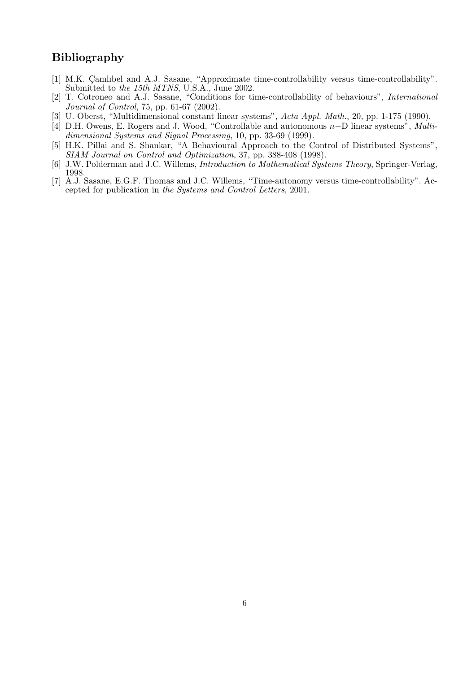- [1] M.K. Camlıbel and A.J. Sasane, "Approximate time-controllability versus time-controllability". Submitted to the 15th MTNS, U.S.A., June 2002.
- [2] T. Cotroneo and A.J. Sasane, "Conditions for time-controllability of behaviours", International Journal of Control, 75, pp. 61-67 (2002).
- [3] U. Oberst, "Multidimensional constant linear systems", Acta Appl. Math., 20, pp. 1-175 (1990).
- [4] D.H. Owens, E. Rogers and J. Wood, "Controllable and autonomous n−D linear systems", Multidimensional Systems and Signal Processing, 10, pp. 33-69 (1999).
- [5] H.K. Pillai and S. Shankar, "A Behavioural Approach to the Control of Distributed Systems", SIAM Journal on Control and Optimization, 37, pp. 388-408 (1998).
- [6] J.W. Polderman and J.C. Willems, Introduction to Mathematical Systems Theory, Springer-Verlag, 1998.
- [7] A.J. Sasane, E.G.F. Thomas and J.C. Willems, "Time-autonomy versus time-controllability". Accepted for publication in the Systems and Control Letters, 2001.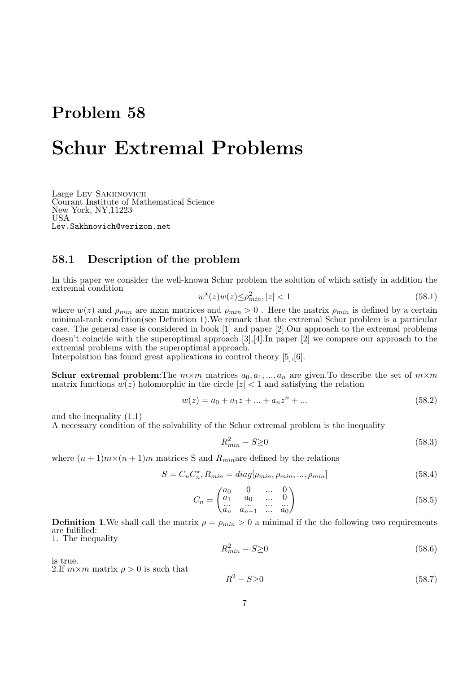# Schur Extremal Problems

Large Lev Sakhnovich Courant Institute of Mathematical Science New York, NY,11223 USA Lev.Sakhnovich@verizon.net

## 58.1 Description of the problem

In this paper we consider the well-known Schur problem the solution of which satisfy in addition the extremal condition

$$
w^*(z)w(z) \le \rho_{min}^2, |z| < 1\tag{58.1}
$$

where  $w(z)$  and  $\rho_{min}$  are mxm matrices and  $\rho_{min} > 0$ . Here the matrix  $\rho_{min}$  is defined by a certain minimal-rank condition(see Definition 1).We remark that the extremal Schur problem is a particular case. The general case is considered in book [1] and paper [2].Our approach to the extremal problems doesn't coincide with the superoptimal approach [3],[4].In paper [2] we compare our approach to the extremal problems with the superoptimal approach.

Interpolation has found great applications in control theory [5],[6].

**Schur extremal problem:** The  $m \times m$  matrices  $a_0, a_1, ..., a_n$  are given. To describe the set of  $m \times m$ matrix functions  $w(z)$  holomorphic in the circle  $|z| < 1$  and satisfying the relation

$$
w(z) = a_0 + a_1 z + \dots + a_n z^n + \dots \tag{58.2}
$$

and the inequality (1.1)

A necessary condition of the solvability of the Schur extremal problem is the inequality

$$
R_{min}^2 - S \ge 0 \tag{58.3}
$$

where  $(n+1)m\times(n+1)m$  matrices S and  $R_{min}$  are defined by the relations

$$
S = C_n C_n^*, R_{min} = diag[\rho_{min}, \rho_{min}, ..., \rho_{min}]
$$
\n(58.4)

$$
C_n = \begin{pmatrix} a_0 & 0 & \dots & 0 \\ a_1 & a_0 & \dots & 0 \\ \dots & \dots & \dots & \dots \\ a_n & a_{n-1} & \dots & a_0 \end{pmatrix}
$$
 (58.5)

**Definition 1.**We shall call the matrix  $\rho = \rho_{min} > 0$  a minimal if the the following two requirements are fulfilled:

1. The inequality

$$
R_{min}^2 - S \ge 0 \tag{58.6}
$$

is true.

2.If  $m \times m$  matrix  $\rho > 0$  is such that

 $R^2 - S \ge 0$  (58.7)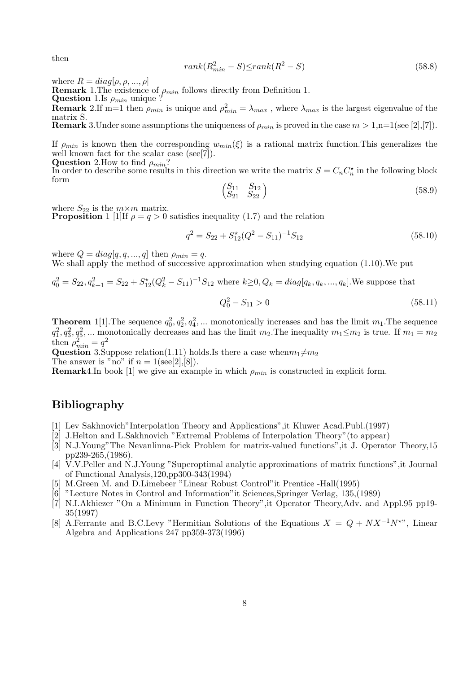then

$$
rank(R_{min}^2 - S) \le rank(R^2 - S)
$$
\n<sup>(58.8)</sup>

where  $R = diag[\rho, \rho, ..., \rho]$ 

**Remark** 1. The existence of  $\rho_{min}$  follows directly from Definition 1. Question 1.Is  $\rho_{min}$  unique ?

**Remark** 2.If m=1 then  $\rho_{min}$  is unique and  $\rho_{min}^2 = \lambda_{max}$ , where  $\lambda_{max}$  is the largest eigenvalue of the matrix S. **Remark** 3. Under some assumptions the uniqueness of  $\rho_{min}$  is proved in the case  $m > 1$ , n=1(see [2], [7]).

If  $\rho_{min}$  is known then the corresponding  $w_{min}(\xi)$  is a rational matrix function. This generalizes the

well known fact for the scalar case (see[7]). **Question** 2.How to find  $\rho_{min}$ ?

In order to describe some results in this direction we write the matrix  $S = C_n C_n^*$  in the following block form

$$
\begin{pmatrix} S_{11} & S_{12} \\ S_{21} & S_{22} \end{pmatrix} \tag{58.9}
$$

where  $S_{22}$  is the  $m \times m$  matrix.

**Proposition** 1 [1]If  $\rho = q > 0$  satisfies inequality (1.7) and the relation

$$
q^2 = S_{22} + S_{12}^*(Q^2 - S_{11})^{-1}S_{12}
$$
\n(58.10)

where  $Q = diag[q, q, ..., q]$  then  $\rho_{min} = q$ .

We shall apply the method of successive approximation when studying equation  $(1.10)$ . We put

$$
q_0^2 = S_{22}, q_{k+1}^2 = S_{22} + S_{12}^*(Q_k^2 - S_{11})^{-1}S_{12} \text{ where } k \ge 0, Q_k = diag[q_k, q_k, ..., q_k].\text{We suppose that}
$$
\n
$$
Q_0^2 - S_{11} > 0 \tag{58.11}
$$

$$
Q_0^2 - S_{11} > 0 \tag{58.11}
$$

**Theorem** 1[1]. The sequence  $q_0^2, q_2^2, q_4^2, ...$  monotonically increases and has the limit  $m_1$ . The sequence  $q_1^2, q_3^2, q_5^2, \dots$  monotonically decreases and has the limit  $m_2$ . The inequality  $m_1 \leq m_2$  is true. If  $m_1 = m_2$ then  $\rho_{min}^2 = q^2$ 

**Question** 3.Suppose relation(1.11) holds. Is there a case when  $m_1 \neq m_2$ The answer is "no" if  $n = 1$ (see[2],[8]).

**Remark**4.In book [1] we give an example in which  $\rho_{min}$  is constructed in explicit form.

- [1] Lev Sakhnovich"Interpolation Theory and Applications",it Kluwer Acad.Publ.(1997)
- [2] J.Helton and L.Sakhnovich "Extremal Problems of Interpolation Theory"(to appear)
- [3] N.J.Young"The Nevanlinna-Pick Problem for matrix-valued functions",it J. Operator Theory,15 pp239-265,(1986).
- [4] V.V.Peller and N.J.Young "Superoptimal analytic approximations of matrix functions",it Journal of Functional Analysis,120,pp300-343(1994)
- [5] M.Green M. and D.Limebeer "Linear Robust Control"it Prentice -Hall(1995)
- [6] "Lecture Notes in Control and Information"it Sciences,Springer Verlag, 135,(1989)
- [7] N.I.Akhiezer "On a Minimum in Function Theory",it Operator Theory,Adv. and Appl.95 pp19- 35(1997)
- [8] A.Ferrante and B.C.Levy "Hermitian Solutions of the Equations  $X = Q + N X^{-1} N^{**}$ , Linear Algebra and Applications 247 pp359-373(1996)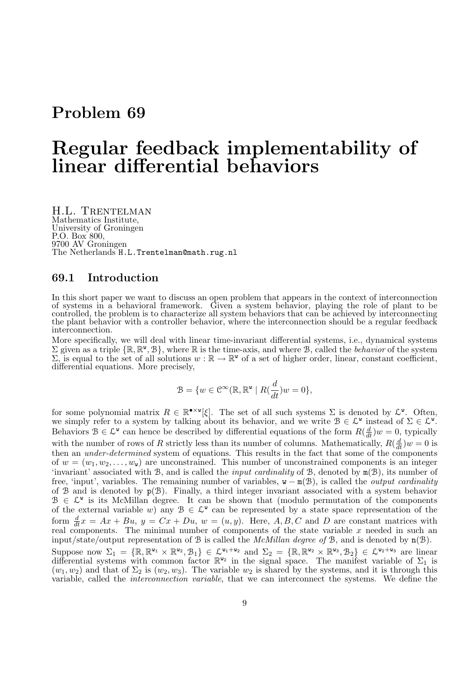# Regular feedback implementability of linear differential behaviors

H.L. Trentelman Mathematics Institute, University of Groningen P.O. Box 800, 9700 AV Groningen The Netherlands H.L.Trentelman@math.rug.nl

## 69.1 Introduction

In this short paper we want to discuss an open problem that appears in the context of interconnection of systems in a behavioral framework. Given a system behavior, playing the role of plant to be controlled, the problem is to characterize all system behaviors that can be achieved by interconnecting the plant behavior with a controller behavior, where the interconnection should be a regular feedback interconnection.

More specifically, we will deal with linear time-invariant differential systems, i.e., dynamical systems  $\Sigma$  given as a triple  $\{\mathbb{R}, \mathbb{R}^{\mathbf{w}}, \mathcal{B}\}$ , where  $\mathbb{R}$  is the time-axis, and where  $\mathcal{B}$ , called the *behavior* of the system  $\Sigma$ , is equal to the set of all solutions  $w : \mathbb{R} \to \mathbb{R}^w$  of a set of higher order, linear, constant coefficient, differential equations. More precisely,

$$
\mathcal{B} = \{ w \in \mathcal{C}^{\infty}(\mathbb{R}, \mathbb{R}^{\mathbf{w}} \mid R(\frac{d}{dt})w = 0 \},\
$$

for some polynomial matrix  $R \in \mathbb{R}^{\bullet \times w}[\xi]$ . The set of all such systems  $\Sigma$  is denoted by  $\mathcal{L}^w$ . Often, we simply refer to a system by talking about its behavior, and we write  $\mathcal{B} \in \mathcal{L}^{\mathbf{w}}$  instead of  $\Sigma \in \mathcal{L}^{\mathbf{w}}$ . Behaviors  $\mathcal{B} \in \mathcal{L}^w$  can hence be described by differential equations of the form  $R(\frac{d}{dt})w = 0$ , typically with the number of rows of R strictly less than its number of columns. Mathematically,  $R(\frac{d}{dt})w = 0$  is then an *under-determined* system of equations. This results in the fact that some of the components of  $w = (w_1, w_2, \dots, w_w)$  are unconstrained. This number of unconstrained components is an integer 'invariant' associated with B, and is called the *input cardinality* of B, denoted by  $m(\mathcal{B})$ , its number of free, 'input', variables. The remaining number of variables,  $w - m(B)$ , is called the *output cardinality* of  $\mathcal B$  and is denoted by  $p(\mathcal B)$ . Finally, a third integer invariant associated with a system behavior  $B \in \mathcal{L}^{\mathbf{w}}$  is its McMillan degree. It can be shown that (modulo permutation of the components of the external variable w) any  $\mathcal{B} \in \mathcal{L}^{\mathbf{w}}$  can be represented by a state space representation of the form  $\frac{d}{dt}x = Ax + Bu$ ,  $y = Cx + Du$ ,  $w = (u, y)$ . Here, A, B, C and D are constant matrices with real components. The minimal number of components of the state variable  $x$  needed in such an input/state/output representation of B is called the *McMillan degree of* B, and is denoted by  $n(\mathcal{B})$ .

Suppose now  $\Sigma_1 = \{ \mathbb{R}, \mathbb{R}^{w_1} \times \mathbb{R}^{w_2}, \mathcal{B}_1 \} \in \mathcal{L}^{w_1 + w_2}$  and  $\Sigma_2 = \{ \mathbb{R}, \mathbb{R}^{w_2} \times \mathbb{R}^{w_3}, \mathcal{B}_2 \} \in \mathcal{L}^{w_2 + w_3}$  are linear differential systems with common factor  $\mathbb{R}^{w_2}$  in the signal space. The manifest variable of  $\Sigma_1$  is  $(w_1, w_2)$  and that of  $\Sigma_2$  is  $(w_2, w_3)$ . The variable  $w_2$  is shared by the systems, and it is through this variable, called the interconnection variable, that we can interconnect the systems. We define the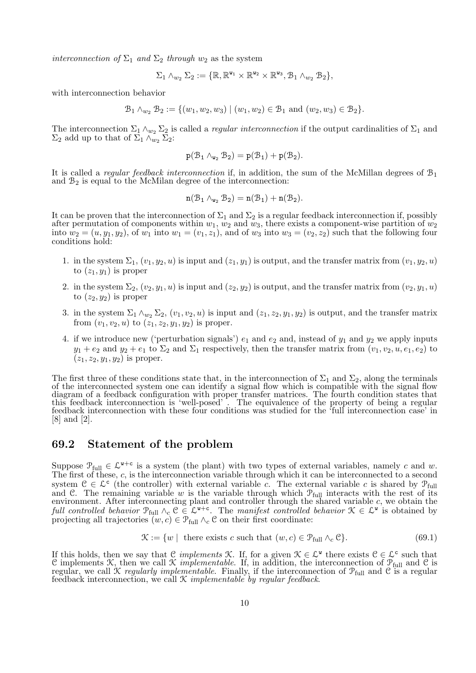interconnection of  $\Sigma_1$  and  $\Sigma_2$  through  $w_2$  as the system

 $\Sigma_1 \wedge_{w_2} \Sigma_2 := \{ \mathbb{R}, \mathbb{R}^{\mathsf{w}_1} \times \mathbb{R}^{\mathsf{w}_2} \times \mathbb{R}^{\mathsf{w}_3}, \mathcal{B}_1 \wedge_{w_2} \mathcal{B}_2 \},$ 

with interconnection behavior

$$
\mathcal{B}_1 \wedge_{w_2} \mathcal{B}_2 := \{ (w_1, w_2, w_3) \mid (w_1, w_2) \in \mathcal{B}_1 \text{ and } (w_2, w_3) \in \mathcal{B}_2 \}.
$$

The interconnection  $\Sigma_1 \wedge_{w_2} \Sigma_2$  is called a *regular interconnection* if the output cardinalities of  $\Sigma_1$  and  $\Sigma_2$  add up to that of  $\Sigma_1 \wedge_{w_2}^{\infty} \tilde{\Sigma}_2$ :

$$
p(\mathcal{B}_1 \wedge_{\mathtt{w}_2} \mathcal{B}_2) = p(\mathcal{B}_1) + p(\mathcal{B}_2).
$$

It is called a *regular feedback interconnection* if, in addition, the sum of the McMillan degrees of  $B_1$ and  $\mathcal{B}_2$  is equal to the McMilan degree of the interconnection:

$$
n(\mathcal{B}_1 \wedge_{w_2} \mathcal{B}_2) = n(\mathcal{B}_1) + n(\mathcal{B}_2).
$$

It can be proven that the interconnection of  $\Sigma_1$  and  $\Sigma_2$  is a regular feedback interconnection if, possibly after permutation of components within  $w_1$ ,  $w_2$  and  $w_3$ , there exists a component-wise partition of  $w_2$ into  $w_2 = (u, y_1, y_2)$ , of  $w_1$  into  $w_1 = (v_1, z_1)$ , and of  $w_3$  into  $w_3 = (v_2, z_2)$  such that the following four conditions hold:

- 1. in the system  $\Sigma_1$ ,  $(v_1, y_2, u)$  is input and  $(z_1, y_1)$  is output, and the transfer matrix from  $(v_1, y_2, u)$ to  $(z_1, y_1)$  is proper
- 2. in the system  $\Sigma_2$ ,  $(v_2, y_1, u)$  is input and  $(z_2, y_2)$  is output, and the transfer matrix from  $(v_2, y_1, u)$ to  $(z_2, y_2)$  is proper
- 3. in the system  $\Sigma_1 \wedge_{w_2} \Sigma_2$ ,  $(v_1, v_2, u)$  is input and  $(z_1, z_2, y_1, y_2)$  is output, and the transfer matrix from  $(v_1, v_2, u)$  to  $(z_1, z_2, y_1, y_2)$  is proper.
- 4. if we introduce new ('perturbation signals')  $e_1$  and  $e_2$  and, instead of  $y_1$  and  $y_2$  we apply inputs  $y_1 + e_2$  and  $y_2 + e_1$  to  $\Sigma_2$  and  $\Sigma_1$  respectively, then the transfer matrix from  $(v_1, v_2, u, e_1, e_2)$  to  $(z_1, z_2, y_1, y_2)$  is proper.

The first three of these conditions state that, in the interconnection of  $\Sigma_1$  and  $\Sigma_2$ , along the terminals of the interconnected system one can identify a signal flow which is compatible with the signal flow diagram of a feedback configuration with proper transfer matrices. The fourth condition states that this feedback interconnection is 'well-posed' . The equivalence of the property of being a regular feedback interconnection with these four conditions was studied for the 'full interconnection case' in [8] and [2].

#### 69.2 Statement of the problem

Suppose  $\mathcal{P}_{full} \in \mathcal{L}^{w+c}$  is a system (the plant) with two types of external variables, namely c and w. The first of these, c, is the interconnection variable through which it can be interconnected to a second system  $C \in \mathcal{L}^c$  (the controller) with external variable c. The external variable c is shared by  $\mathcal{P}_{\text{full}}$ and C. The remaining variable w is the variable through which  $\mathcal{P}_{\text{full}}$  interacts with the rest of its environment. After interconnecting plant and controller through the shared variable  $c$ , we obtain the full controlled behavior  $\mathcal{P}_{full} \wedge_c \mathcal{C} \in \mathcal{L}^{w+c}$ . The manifest controlled behavior  $\mathcal{K} \in \mathcal{L}^w$  is obtained by projecting all trajectories  $(w, c) \in \mathcal{P}_{full} \wedge_c \mathcal{C}$  on their first coordinate:

$$
\mathcal{K} := \{ w \mid \text{ there exists } c \text{ such that } (w, c) \in \mathcal{P}_{\text{full}} \wedge_c \mathcal{C} \}. \tag{69.1}
$$

If this holds, then we say that  $C$  *implements*  $K$ . If, for a given  $K \in \mathcal{L}^{\mathbf{w}}$  there exists  $C \in \mathcal{L}^{\mathbf{c}}$  such that C implements X, then we call X *implementable*. If, in addition, the interconnection of  $P_{full}$  and C is regular, we call  $\mathcal K$  *regularly implementable.* Finally, if the interconnection of  $\mathcal P_{\text{full}}$  and  $\mathcal C$  is a regular feedback interconnection, we call  $\mathcal K$  *implementable by regular feedback*.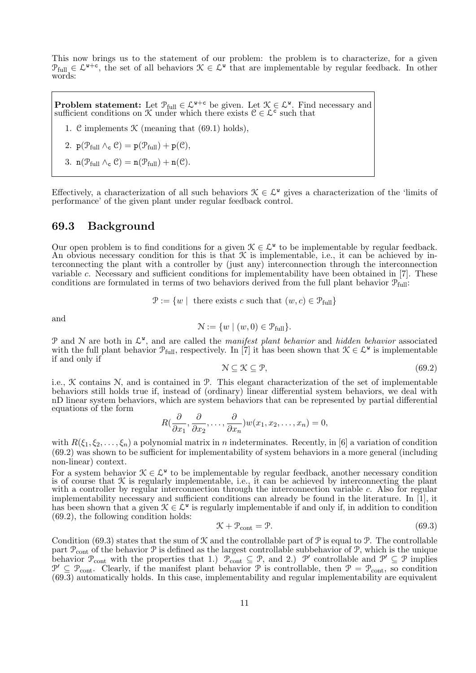This now brings us to the statement of our problem: the problem is to characterize, for a given  $\mathcal{P}_{full} \in \mathcal{L}^{\mathbf{w}+\mathbf{c}}$ , the set of all behaviors  $\mathcal{K} \in \mathcal{L}^{\mathbf{w}}$  that are implementable by regular feedback. In other words:

**Problem statement:** Let  $\mathcal{P}_{full} \in \mathcal{L}^{w+c}$  be given. Let  $\mathcal{K} \in \mathcal{L}^w$ . Find necessary and sufficient conditions on  $\mathcal{K}$  under which there exists  $\mathcal{C} \in \mathcal{L}^c$  such that

- 1. C implements  $K$  (meaning that (69.1) holds),
- 2.  $p(\mathcal{P}_{full} \wedge_{\mathbf{c}} \mathbf{C}) = p(\mathcal{P}_{full}) + p(\mathbf{C}),$
- 3.  $n(\mathcal{P}_{\text{full}} \wedge_{\text{c}} \mathcal{C}) = n(\mathcal{P}_{\text{full}}) + n(\mathcal{C}).$

Effectively, a characterization of all such behaviors  $\mathcal{K} \in \mathcal{L}^{\mathbf{w}}$  gives a characterization of the 'limits of performance' of the given plant under regular feedback control.

## 69.3 Background

Our open problem is to find conditions for a given  $\mathcal{K} \in \mathcal{L}^{\mathbf{w}}$  to be implementable by regular feedback. An obvious necessary condition for this is that  $\mathcal K$  is implementable, i.e., it can be achieved by interconnecting the plant with a controller by (just any) interconnection through the interconnection variable c. Necessary and sufficient conditions for implementability have been obtained in [7]. These conditions are formulated in terms of two behaviors derived from the full plant behavior  $\mathcal{P}_{full}$ :

$$
\mathcal{P} := \{ w \mid \text{ there exists } c \text{ such that } (w, c) \in \mathcal{P}_{\text{full}} \}
$$

and

$$
\mathcal{N} := \{ w \mid (w, 0) \in \mathcal{P}_{\text{full}} \}.
$$

P and N are both in  $\mathcal{L}^{\mathbf{v}}$ , and are called the manifest plant behavior and hidden behavior associated with the full plant behavior  $\mathcal{P}_{full}$ , respectively. In [7] it has been shown that  $\mathcal{K} \in \mathcal{L}^{\mathbf{w}}$  is implementable if and only if

$$
\mathcal{N} \subseteq \mathcal{K} \subseteq \mathcal{P},\tag{69.2}
$$

i.e., K contains N, and is contained in P. This elegant characterization of the set of implementable behaviors still holds true if, instead of (ordinary) linear differential system behaviors, we deal with nD linear system behaviors, which are system behaviors that can be represented by partial differential equations of the form

$$
R(\frac{\partial}{\partial x_1}, \frac{\partial}{\partial x_2}, \dots, \frac{\partial}{\partial x_n})w(x_1, x_2, \dots, x_n) = 0,
$$

with  $R(\xi_1, \xi_2, \ldots, \xi_n)$  a polynomial matrix in n indeterminates. Recently, in [6] a variation of condition  $(69.2)$  was shown to be sufficient for implementability of system behaviors in a more general (including non-linear) context.

For a system behavior  $\mathcal{K} \in \mathcal{L}^{\mathbf{w}}$  to be implementable by regular feedback, another necessary condition is of course that  $K$  is regularly implementable, i.e., it can be achieved by interconnecting the plant with a controller by regular interconnection through the interconnection variable c. Also for regular implementability necessary and sufficient conditions can already be found in the literature. In [1], it has been shown that a given  $\mathcal{K} \in \mathcal{L}^w$  is regularly implementable if and only if, in addition to condition (69.2), the following condition holds:

$$
\mathcal{K} + \mathcal{P}_{\text{cont}} = \mathcal{P}.\tag{69.3}
$$

Condition (69.3) states that the sum of  $\mathcal K$  and the controllable part of  $\mathcal P$  is equal to  $\mathcal P$ . The controllable part  $\mathcal{P}_{\text{cont}}$  of the behavior  $\mathcal P$  is defined as the largest controllable subbehavior of  $\mathcal P$ , which is the unique behavior  $\mathcal{P}_{\text{cont}}$  with the properties that 1.)  $\mathcal{P}_{\text{cont}} \subseteq \mathcal{P}$ , and 2.)  $\mathcal{P}'$  controllable and  $\mathcal{P}' \subseteq \mathcal{P}$  implies  $\mathcal{P}' \subseteq \mathcal{P}_{cont}$ . Clearly, if the manifest plant behavior  $\mathcal{P}$  is controllable, then  $\mathcal{P} = \mathcal{P}_{cont}$ , so condition (69.3) automatically holds. In this case, implementability and regular implementability are equivalent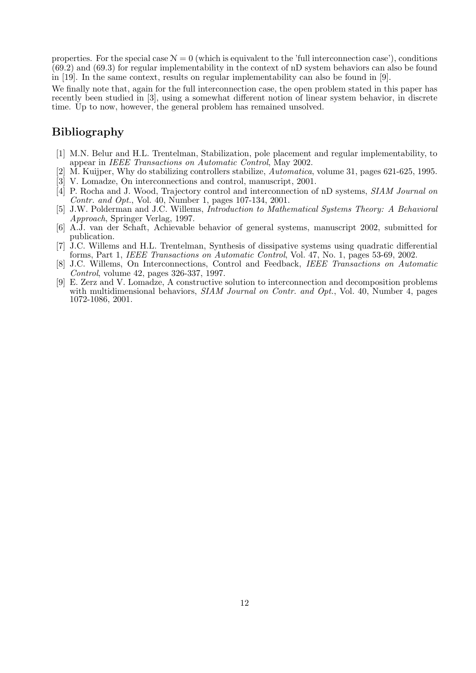properties. For the special case  $\mathcal{N} = 0$  (which is equivalent to the 'full interconnection case'), conditions (69.2) and (69.3) for regular implementability in the context of nD system behaviors can also be found in [19]. In the same context, results on regular implementability can also be found in [9].

We finally note that, again for the full interconnection case, the open problem stated in this paper has recently been studied in [3], using a somewhat different notion of linear system behavior, in discrete time. Up to now, however, the general problem has remained unsolved.

- [1] M.N. Belur and H.L. Trentelman, Stabilization, pole placement and regular implementability, to appear in IEEE Transactions on Automatic Control, May 2002.
- [2] M. Kuijper, Why do stabilizing controllers stabilize, Automatica, volume 31, pages 621-625, 1995.
- [3] V. Lomadze, On interconnections and control, manuscript, 2001.
- [4] P. Rocha and J. Wood, Trajectory control and interconnection of nD systems, SIAM Journal on Contr. and Opt., Vol. 40, Number 1, pages 107-134, 2001.
- [5] J.W. Polderman and J.C. Willems, Introduction to Mathematical Systems Theory: A Behavioral Approach, Springer Verlag, 1997.
- [6] A.J. van der Schaft, Achievable behavior of general systems, manuscript 2002, submitted for publication.
- [7] J.C. Willems and H.L. Trentelman, Synthesis of dissipative systems using quadratic differential forms, Part 1, IEEE Transactions on Automatic Control, Vol. 47, No. 1, pages 53-69, 2002.
- [8] J.C. Willems, On Interconnections, Control and Feedback, IEEE Transactions on Automatic Control, volume 42, pages 326-337, 1997.
- [9] E. Zerz and V. Lomadze, A constructive solution to interconnection and decomposition problems with multidimensional behaviors, *SIAM Journal on Contr. and Opt.*, Vol. 40, Number 4, pages 1072-1086, 2001.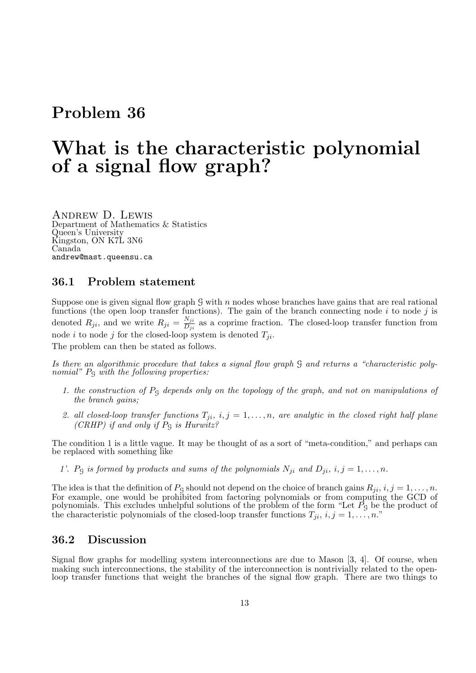# What is the characteristic polynomial of a signal flow graph?

Andrew D. Lewis Department of Mathematics & Statistics Queen's University Kingston, ON K7L 3N6 Canada andrew@mast.queensu.ca

#### 36.1 Problem statement

Suppose one is given signal flow graph  $\beta$  with n nodes whose branches have gains that are real rational functions (the open loop transfer functions). The gain of the branch connecting node  $i$  to node  $j$  is denoted  $R_{ji}$ , and we write  $R_{ji} = \frac{N_{ji}}{D_{ji}}$  $\frac{N_{ji}}{D_{ji}}$  as a coprime fraction. The closed-loop transfer function from node *i* to node *j* for the closed-loop system is denoted  $T_{ji}$ .

The problem can then be stated as follows.

Is there an algorithmic procedure that takes a signal flow graph G and returns a "characteristic polynomial"  $P<sub>G</sub>$  with the following properties:

- 1. the construction of  $P<sub>G</sub>$  depends only on the topology of the graph, and not on manipulations of the branch gains;
- 2. all closed-loop transfer functions  $T_{ji}$ ,  $i, j = 1, \ldots, n$ , are analytic in the closed right half plane (CRHP) if and only if  $P<sub>G</sub>$  is Hurwitz?

The condition 1 is a little vague. It may be thought of as a sort of "meta-condition," and perhaps can be replaced with something like

1'. Pg is formed by products and sums of the polynomials  $N_{ji}$  and  $D_{ji}$ ,  $i, j = 1, ..., n$ .

The idea is that the definition of  $P_g$  should not depend on the choice of branch gains  $R_{ji}$ ,  $i, j = 1, ..., n$ . For example, one would be prohibited from factoring polynomials or from computing the GCD of polynomials. This excludes unhelpful solutions of the problem of the form "Let  $P<sub>g</sub>$  be the product of the characteristic polynomials of the closed-loop transfer functions  $T_{ji}$ ,  $i, j = 1, \ldots, n$ ."

#### 36.2 Discussion

Signal flow graphs for modelling system interconnections are due to Mason [3, 4]. Of course, when making such interconnections, the stability of the interconnection is nontrivially related to the openloop transfer functions that weight the branches of the signal flow graph. There are two things to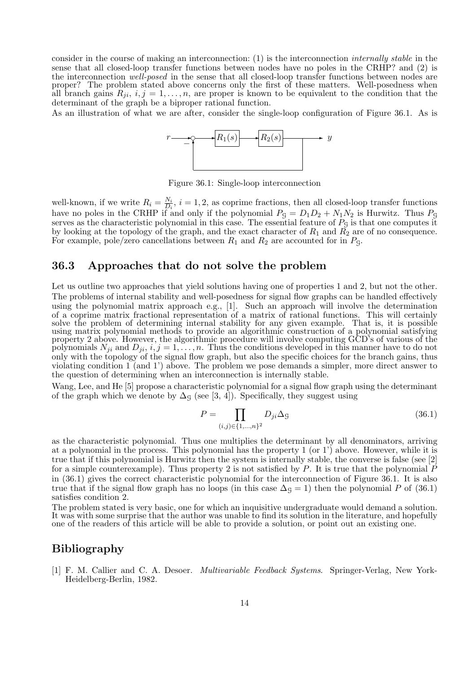consider in the course of making an interconnection: (1) is the interconnection internally stable in the sense that all closed-loop transfer functions between nodes have no poles in the CRHP? and (2) is the interconnection well-posed in the sense that all closed-loop transfer functions between nodes are proper? The problem stated above concerns only the first of these matters. Well-posedness when all branch gains  $R_{ji}$ ,  $i, j = 1, \ldots, n$ , are proper is known to be equivalent to the condition that the determinant of the graph be a biproper rational function.

As an illustration of what we are after, consider the single-loop configuration of Figure 36.1. As is



Figure 36.1: Single-loop interconnection

well-known, if we write  $R_i = \frac{N_i}{D_i}$  $\frac{N_i}{D_i}$ ,  $i = 1, 2$ , as coprime fractions, then all closed-loop transfer functions have no poles in the CRHP if and only if the polynomial  $P_g = D_1D_2 + N_1N_2$  is Hurwitz. Thus  $P_g$ serves as the characteristic polynomial in this case. The essential feature of  $P<sub>G</sub>$  is that one computes it by looking at the topology of the graph, and the exact character of  $R_1$  and  $R_2$  are of no consequence. For example, pole/zero cancellations between  $R_1$  and  $R_2$  are accounted for in  $P_3$ .

#### 36.3 Approaches that do not solve the problem

Let us outline two approaches that yield solutions having one of properties 1 and 2, but not the other. The problems of internal stability and well-posedness for signal flow graphs can be handled effectively using the polynomial matrix approach e.g., [1]. Such an approach will involve the determination of a coprime matrix fractional representation of a matrix of rational functions. This will certainly solve the problem of determining internal stability for any given example. That is, it is possible using matrix polynomial methods to provide an algorithmic construction of a polynomial satisfying property 2 above. However, the algorithmic procedure will involve computing GCD's of various of the polynomials  $N_{ji}$  and  $D_{ji}$ ,  $i, j = 1, \ldots, n$ . Thus the conditions developed in this manner have to do not only with the topology of the signal flow graph, but also the specific choices for the branch gains, thus violating condition 1 (and 1') above. The problem we pose demands a simpler, more direct answer to the question of determining when an interconnection is internally stable.

Wang, Lee, and He [5] propose a characteristic polynomial for a signal flow graph using the determinant of the graph which we denote by  $\Delta_{\mathcal{G}}$  (see [3, 4]). Specifically, they suggest using

$$
P = \prod_{(i,j)\in\{1,\dots,n\}^2} D_{ji} \Delta_{\mathcal{G}}
$$
\n(36.1)

as the characteristic polynomial. Thus one multiplies the determinant by all denominators, arriving at a polynomial in the process. This polynomial has the property 1 (or 1') above. However, while it is true that if this polynomial is Hurwitz then the system is internally stable, the converse is false (see [2] for a simple counterexample). Thus property 2 is not satisfied by P. It is true that the polynomial  $\tilde{P}$ in (36.1) gives the correct characteristic polynomial for the interconnection of Figure 36.1. It is also true that if the signal flow graph has no loops (in this case  $\Delta$ g = 1) then the polynomial P of (36.1) satisfies condition 2.

The problem stated is very basic, one for which an inquisitive undergraduate would demand a solution. It was with some surprise that the author was unable to find its solution in the literature, and hopefully one of the readers of this article will be able to provide a solution, or point out an existing one.

#### Bibliography

[1] F. M. Callier and C. A. Desoer. Multivariable Feedback Systems. Springer-Verlag, New York-Heidelberg-Berlin, 1982.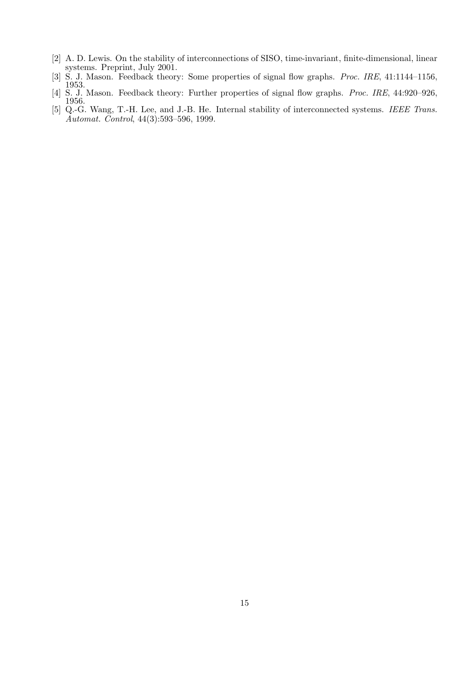- [2] A. D. Lewis. On the stability of interconnections of SISO, time-invariant, finite-dimensional, linear systems. Preprint, July 2001.
- [3] S. J. Mason. Feedback theory: Some properties of signal flow graphs. Proc. IRE, 41:1144-1156, 1953.
- [4] S. J. Mason. Feedback theory: Further properties of signal flow graphs. *Proc. IRE*, 44:920–926, 1956.
- [5] Q.-G. Wang, T.-H. Lee, and J.-B. He. Internal stability of interconnected systems. IEEE Trans. Automat. Control, 44(3):593–596, 1999.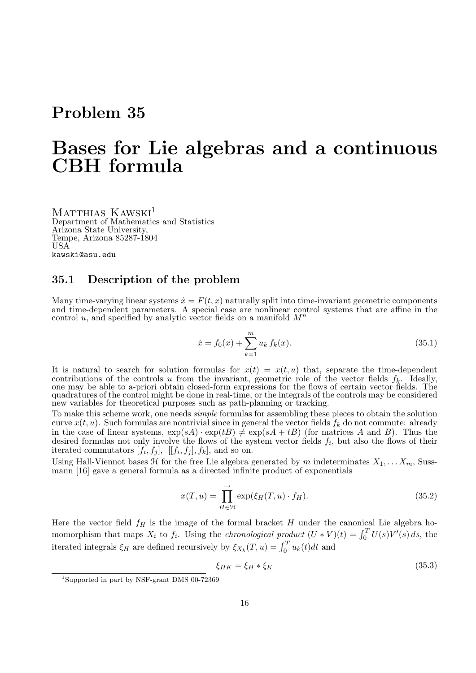# Bases for Lie algebras and a continuous CBH formula

 $M$ ATTHIAS  $K$ AWSKI<sup>1</sup> Department of Mathematics and Statistics Arizona State University, Tempe, Arizona 85287-1804 USA kawski@asu.edu

### 35.1 Description of the problem

Many time-varying linear systems  $\dot{x} = F(t, x)$  naturally split into time-invariant geometric components and time-dependent parameters. A special case are nonlinear control systems that are affine in the control u, and specified by analytic vector fields on a manifold  $M^n$ 

$$
\dot{x} = f_0(x) + \sum_{k=1}^{m} u_k f_k(x). \tag{35.1}
$$

It is natural to search for solution formulas for  $x(t) = x(t, u)$  that, separate the time-dependent contributions of the controls u from the invariant, geometric role of the vector fields  $f_k$ . Ideally, one may be able to a-priori obtain closed-form expressions for the flows of certain vector fields. The quadratures of the control might be done in real-time, or the integrals of the controls may be considered new variables for theoretical purposes such as path-planning or tracking.

To make this scheme work, one needs simple formulas for assembling these pieces to obtain the solution curve  $x(t, u)$ . Such formulas are nontrivial since in general the vector fields  $f_k$  do not commute: already in the case of linear systems,  $\exp(sA) \cdot \exp(tB) \neq \exp(sA + tB)$  (for matrices A and B). Thus the desired formulas not only involve the flows of the system vector fields  $f_i$ , but also the flows of their iterated commutators  $[f_i, f_j], [[f_i, f_j], f_k],$  and so on.

Using Hall-Viennot bases  $\mathcal H$  for the free Lie algebra generated by m indeterminates  $X_1, \ldots, X_m$ , Sussmann [16] gave a general formula as a directed infinite product of exponentials

$$
x(T, u) = \prod_{H \in \mathcal{H}}^{\rightarrow} \exp(\xi_H(T, u) \cdot f_H). \tag{35.2}
$$

Here the vector field  $f_H$  is the image of the formal bracket H under the canonical Lie algebra homomorphism that maps  $X_i$  to  $f_i$ . Using the *chronological product*  $(U * V)(t) = \int_0^T U(s)V'(s) ds$ , the iterated integrals  $\xi_H$  are defined recursively by  $\xi_{X_k}(T, u) = \int_0^T u_k(t)dt$  and

$$
\xi_{HK} = \xi_H * \xi_K \tag{35.3}
$$

<sup>1</sup>Supported in part by NSF-grant DMS 00-72369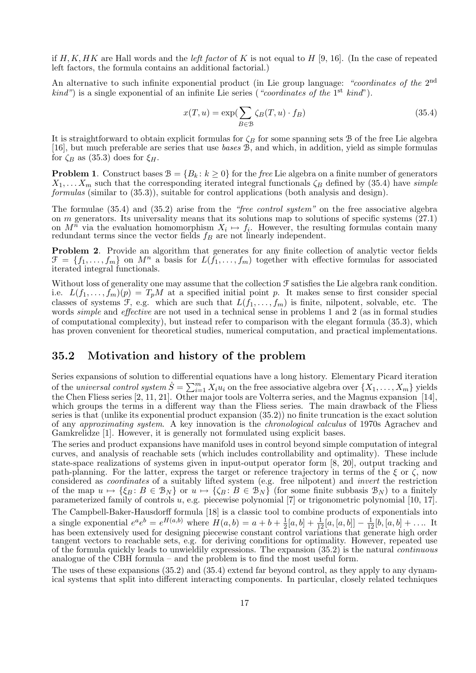if H, K, HK are Hall words and the *left factor* of K is not equal to H [9, 16]. (In the case of repeated left factors, the formula contains an additional factorial.)

An alternative to such infinite exponential product (in Lie group language: "coordinates of the 2<sup>nd</sup>  $kind$ ") is a single exponential of an infinite Lie series ("coordinates of the 1<sup>st</sup> kind").

$$
x(T, u) = \exp\left(\sum_{B \in \mathcal{B}} \zeta_B(T, u) \cdot f_B\right) \tag{35.4}
$$

It is straightforward to obtain explicit formulas for  $\zeta_B$  for some spanning sets B of the free Lie algebra [16], but much preferable are series that use bases B, and which, in addition, yield as simple formulas for  $\zeta_B$  as (35.3) does for  $\xi_H$ .

**Problem 1.** Construct bases  $\mathcal{B} = \{B_k : k \geq 0\}$  for the free Lie algebra on a finite number of generators  $X_1, \ldots, X_m$  such that the corresponding iterated integral functionals  $\zeta_B$  defined by (35.4) have simple formulas (similar to (35.3)), suitable for control applications (both analysis and design).

The formulae (35.4) and (35.2) arise from the "free control system" on the free associative algebra on  $m$  generators. Its universality means that its solutions map to solutions of specific systems  $(27.1)$ on  $M^{n}$  via the evaluation homomorphism  $X_i \mapsto f_i$ . However, the resulting formulas contain many redundant terms since the vector fields  $f_B$  are not linearly independent.

**Problem 2.** Provide an algorithm that generates for any finite collection of analytic vector fields  $\mathcal{F} = \{f_1, \ldots, f_m\}$  on  $M^n$  a basis for  $L(\tilde{f_1}, \ldots, f_m)$  together with effective formulas for associated iterated integral functionals.

Without loss of generality one may assume that the collection  $\mathcal F$  satisfies the Lie algebra rank condition. i.e.  $L(f_1, \ldots, f_m)(p) = T_pM$  at a specified initial point p. It makes sense to first consider special classes of systems F, e.g. which are such that  $L(f_1, \ldots, f_m)$  is finite, nilpotent, solvable, etc. The words simple and effective are not used in a technical sense in problems 1 and 2 (as in formal studies of computational complexity), but instead refer to comparison with the elegant formula (35.3), which has proven convenient for theoretical studies, numerical computation, and practical implementations.

#### 35.2 Motivation and history of the problem

Series expansions of solution to differential equations have a long history. Elementary Picard iteration of the *universal control system*  $S = \sum_{i=1}^{m} X_i u_i$  on the free associative algebra over  $\{X_1, \ldots, X_m\}$  yields the Chen Fliess series [2, 11, 21]. Other major tools are Volterra series, and the Magnus expansion [14], which groups the terms in a different way than the Fliess series. The main drawback of the Fliess series is that (unlike its exponential product expansion (35.2)) no finite truncation is the exact solution of any approximating system. A key innovation is the chronological calculus of 1970s Agrachev and Gamkrelidze [1]. However, it is generally not formulated using explicit bases.

The series and product expansions have manifold uses in control beyond simple computation of integral curves, and analysis of reachable sets (which includes controllability and optimality). These include state-space realizations of systems given in input-output operator form [8, 20], output tracking and path-planning. For the latter, express the target or reference trajectory in terms of the  $\xi$  or  $\zeta$ , now considered as coordinates of a suitably lifted system (e.g. free nilpotent) and invert the restriction of the map  $u \mapsto {\{\xi_B \colon B \in \mathcal{B}_N\}}$  or  $u \mapsto {\{\zeta_B \colon B \in \mathcal{B}_N\}}$  (for some finite subbasis  $\mathcal{B}_N$ ) to a finitely parameterized family of controls u, e.g. piecewise polynomial [7] or trigonometric polynomial [10, 17].

The Campbell-Baker-Hausdorff formula [18] is a classic tool to combine products of exponentials into a single exponential  $e^a e^b = e^{H(a,b)}$  where  $H(a,b) = a + b + \frac{1}{2}$  $\frac{1}{2}[a,b] + \frac{1}{12}[a,[a,b]] - \frac{1}{12}[b,[a,b] + \dots]$  It has been extensively used for designing piecewise constant control variations that generate high order tangent vectors to reachable sets, e.g. for deriving conditions for optimality. However, repeated use of the formula quickly leads to unwieldily expressions. The expansion (35.2) is the natural continuous analogue of the CBH formula – and the problem is to find the most useful form.

The uses of these expansions (35.2) and (35.4) extend far beyond control, as they apply to any dynamical systems that split into different interacting components. In particular, closely related techniques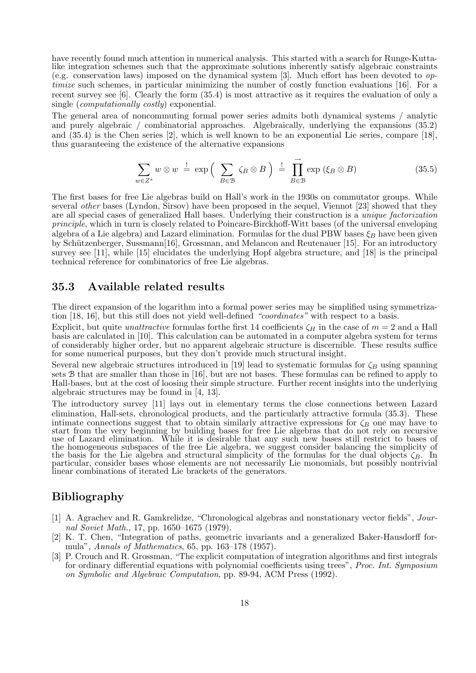have recently found much attention in numerical analysis. This started with a search for Runge-Kuttalike integration schemes such that the approximate solutions inherently satisfy algebraic constraints (e.g. conservation laws) imposed on the dynamical system [3]. Much effort has been devoted to optimize such schemes, in particular minimizing the number of costly function evaluations [16]. For a recent survey see [6]. Clearly the form (35.4) is most attractive as it requires the evaluation of only a single (computationally costly) exponential.

The general area of noncommuting formal power series admits both dynamical systems / analytic and purely algebraic / combinatorial approaches. Algebraically, underlying the expansions (35.2) and (35.4) is the Chen series [2], which is well known to be an exponential Lie series, compare [18], thus guaranteeing the existence of the alternative expansions

$$
\sum_{w \in Z^*} w \otimes w \stackrel{!}{=} \exp\left(\sum_{B \in \mathcal{B}} \zeta_B \otimes B\right) \stackrel{!}{=} \prod_{B \in \mathcal{B}}^{\rightarrow} \exp\left(\xi_B \otimes B\right) \tag{35.5}
$$

The first bases for free Lie algebras build on Hall's work in the 1930s on commutator groups. While several *other* bases (Lyndon, Sirsov) have been proposed in the sequel, Viennot [23] showed that they are all special cases of generalized Hall bases. Underlying their construction is a unique factorization principle, which in turn is closely related to Poincare-Birckhoff-Witt bases (of the universal enveloping algebra of a Lie algebra) and Lazard elimination. Formulas for the dual PBW bases  $\xi_B$  have been given by Schützenberger, Sussmann[16], Grossman, and Melancon and Reutenauer [15]. For an introductory survey see [11], while [15] elucidates the underlying Hopf algebra structure, and [18] is the principal technical reference for combinatorics of free Lie algebras.

### 35.3 Available related results

The direct expansion of the logarithm into a formal power series may be simplified using symmetrization [18, 16], but this still does not yield well-defined "coordinates" with respect to a basis.

Explicit, but quite *unattractive* formulas for the first 14 coefficients  $\zeta_H$  in the case of  $m = 2$  and a Hall basis are calculated in [10]. This calculation can be automated in a computer algebra system for terms of considerably higher order, but no apparent algebraic structure is discernible. These results suffice for some numerical purposes, but they don't provide much structural insight.

Several new algebraic structures introduced in [19] lead to systematic formulas for  $\zeta_B$  using spanning sets B that are smaller than those in [16], but are not bases. These formulas can be refined to apply to Hall-bases, but at the cost of loosing their simple structure. Further recent insights into the underlying algebraic structures may be found in [4, 13].

The introductory survey [11] lays out in elementary terms the close connections between Lazard elimination, Hall-sets, chronological products, and the particularly attractive formula (35.3). These intimate connections suggest that to obtain similarly attractive expressions for  $\zeta_B$  one may have to start from the very beginning by building bases for free Lie algebras that do not rely on recursive use of Lazard elimination. While it is desirable that any such new bases still restrict to bases of the homogeneous subspaces of the free Lie algebra, we suggest consider balancing the simplicity of the basis for the Lie algebra and structural simplicity of the formulas for the dual objects  $\zeta_B$ . In particular, consider bases whose elements are not necessarily Lie monomials, but possibly nontrivial linear combinations of iterated Lie brackets of the generators.

- [1] A. Agrachev and R. Gamkrelidze, "Chronological algebras and nonstationary vector fields", Journal Soviet Math., 17, pp. 1650–1675 (1979).
- [2] K. T. Chen, "Integration of paths, geometric invariants and a generalized Baker-Hausdorff formula", Annals of Mathematics, 65, pp. 163–178 (1957).
- [3] P. Crouch and R. Grossman, "The explicit computation of integration algorithms and first integrals for ordinary differential equations with polynomial coefficients using trees", Proc. Int. Symposium on Symbolic and Algebraic Computation, pp. 89-94, ACM Press (1992).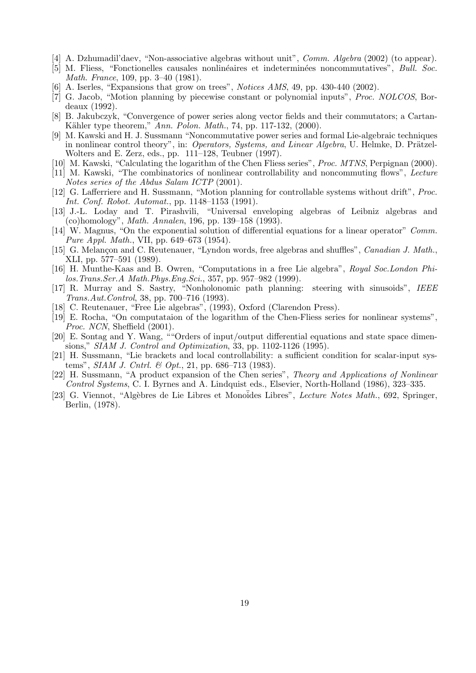- [4] A. Dzhumadil'daev, "Non-associative algebras without unit", Comm. Algebra (2002) (to appear).
- [5] M. Fliess, "Fonctionelles causales nonlinéaires et indeterminées noncommutatives", Bull. Soc. Math. France, 109, pp. 3–40 (1981).
- [6] A. Iserles, "Expansions that grow on trees", Notices AMS, 49, pp. 430-440 (2002).
- [7] G. Jacob, "Motion planning by piecewise constant or polynomial inputs", Proc. NOLCOS, Bordeaux (1992).
- [8] B. Jakubczyk, "Convergence of power series along vector fields and their commutators; a Cartan-Kähler type theorem," Ann. Polon. Math., 74, pp. 117-132, (2000).
- [9] M. Kawski and H. J. Sussmann "Noncommutative power series and formal Lie-algebraic techniques in nonlinear control theory", in: Operators, Systems, and Linear Algebra, U. Helmke, D. Prätzel-Wolters and E. Zerz, eds., pp. 111–128, Teubner (1997).
- [10] M. Kawski, "Calculating the logarithm of the Chen Fliess series", Proc. MTNS, Perpignan (2000).
- [11] M. Kawski, "The combinatorics of nonlinear controllability and noncommuting flows", Lecture Notes series of the Abdus Salam ICTP (2001).
- [12] G. Lafferriere and H. Sussmann, "Motion planning for controllable systems without drift", Proc. Int. Conf. Robot. Automat., pp. 1148–1153 (1991).
- [13] J.-L. Loday and T. Pirashvili, "Universal enveloping algebras of Leibniz algebras and (co)homology", Math. Annalen, 196, pp. 139–158 (1993).
- [14] W. Magnus, "On the exponential solution of differential equations for a linear operator" Comm. Pure Appl. Math., VII, pp. 649–673 (1954).
- [15] G. Melançon and C. Reutenauer, "Lyndon words, free algebras and shuffles", *Canadian J. Math.*, XLI, pp. 577–591 (1989).
- [16] H. Munthe-Kaas and B. Owren, "Computations in a free Lie algebra", Royal Soc.London Philos.Trans.Ser.A Math.Phys.Eng.Sci., 357, pp. 957–982 (1999).
- [17] R. Murray and S. Sastry, "Nonholonomic path planning: steering with sinusoids", IEEE Trans.Aut.Control, 38, pp. 700–716 (1993).
- [18] C. Reutenauer, "Free Lie algebras", (1993), Oxford (Clarendon Press).
- [19] E. Rocha, "On computataion of the logarithm of the Chen-Fliess series for nonlinear systems", Proc. NCN, Sheffield (2001).
- [20] E. Sontag and Y. Wang, ""Orders of input/output differential equations and state space dimensions," SIAM J. Control and Optimization, 33, pp. 1102-1126 (1995).
- [21] H. Sussmann, "Lie brackets and local controllability: a sufficient condition for scalar-input systems", *SIAM J. Cntrl. & Opt.*, 21, pp. 686–713 (1983).
- [22] H. Sussmann, "A product expansion of the Chen series", Theory and Applications of Nonlinear Control Systems, C. I. Byrnes and A. Lindquist eds., Elsevier, North-Holland (1986), 323–335.
- [23] G. Viennot, "Algèbres de Lie Libres et Monoïdes Libres", Lecture Notes Math., 692, Springer, Berlin, (1978).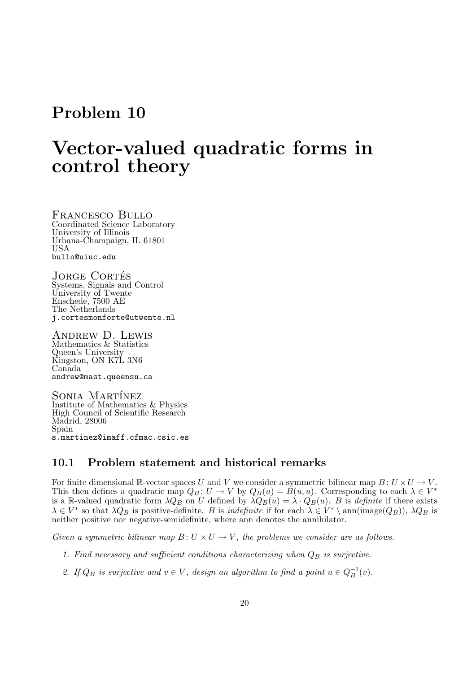# Vector-valued quadratic forms in control theory

Francesco Bullo Coordinated Science Laboratory University of Illinois Urbana-Champaign, IL 61801 USA bullo@uiuc.edu

JORGE CORTÉS Systems, Signals and Control University of Twente Enschede, 7500 AE The Netherlands j.cortesmonforte@utwente.nl

Andrew D. Lewis Mathematics & Statistics Queen's University Kingston, ON K7L 3N6 Canada andrew@mast.queensu.ca

SONIA MARTÍNEZ Institute of Mathematics & Physics High Council of Scientific Research Madrid, 28006 Spain s.martinez@imaff.cfmac.csic.es

#### 10.1 Problem statement and historical remarks

For finite dimensional R-vector spaces U and V we consider a symmetric bilinear map  $B: U \times U \to V$ . This then defines a quadratic map  $Q_B: U \to V$  by  $Q_B(u) = B(u, u)$ . Corresponding to each  $\lambda \in V^*$ is a R-valued quadratic form  $\lambda Q_B$  on U defined by  $\lambda Q_B(u) = \lambda \cdot Q_B(u)$ . B is definite if there exists  $\lambda \in V^*$  so that  $\lambda Q_B$  is positive-definite. B is *indefinite* if for each  $\lambda \in V^* \setminus \text{ann}(\text{image}(Q_B))$ ,  $\lambda Q_B$  is neither positive nor negative-semidefinite, where ann denotes the annihilator.

Given a symmetric bilinear map  $B: U \times U \rightarrow V$ , the problems we consider are as follows.

- 1. Find necessary and sufficient conditions characterizing when  $Q_B$  is surjective.
- 2. If  $Q_B$  is surjective and  $v \in V$ , design an algorithm to find a point  $u \in Q_B^{-1}$  $B^{-1}(v).$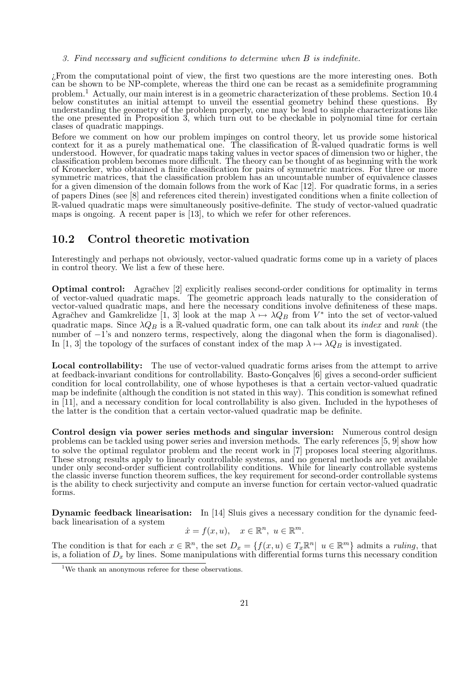#### 3. Find necessary and sufficient conditions to determine when B is indefinite.

¿From the computational point of view, the first two questions are the more interesting ones. Both can be shown to be NP-complete, whereas the third one can be recast as a semidefinite programming problem.<sup>1</sup> Actually, our main interest is in a geometric characterization of these problems. Section  $10.4$ below constitutes an initial attempt to unveil the essential geometry behind these questions. By understanding the geometry of the problem properly, one may be lead to simple characterizations like the one presented in Proposition 3, which turn out to be checkable in polynomial time for certain clases of quadratic mappings.

Before we comment on how our problem impinges on control theory, let us provide some historical context for it as a purely mathematical one. The classification of  $\mathbb{R}$ -valued quadratic forms is well understood. However, for quadratic maps taking values in vector spaces of dimension two or higher, the classification problem becomes more difficult. The theory can be thought of as beginning with the work of Kronecker, who obtained a finite classification for pairs of symmetric matrices. For three or more symmetric matrices, that the classification problem has an uncountable number of equivalence classes for a given dimension of the domain follows from the work of Kac [12]. For quadratic forms, in a series of papers Dines (see [8] and references cited therein) investigated conditions when a finite collection of R-valued quadratic maps were simultaneously positive-definite. The study of vector-valued quadratic maps is ongoing. A recent paper is [13], to which we refer for other references.

#### 10.2 Control theoretic motivation

Interestingly and perhaps not obviously, vector-valued quadratic forms come up in a variety of places in control theory. We list a few of these here.

**Optimal control:** Agračhev [2] explicitly realises second-order conditions for optimality in terms of vector-valued quadratic maps. The geometric approach leads naturally to the consideration of vector-valued quadratic maps, and here the necessary conditions involve definiteness of these maps. Agračhev and Gamkrelidze  $[1, 3]$  look at the map  $\lambda \mapsto \lambda Q_B$  from  $V^*$  into the set of vector-valued quadratic maps. Since  $\lambda Q_B$  is a R-valued quadratic form, one can talk about its *index* and *rank* (the number of −1's and nonzero terms, respectively, along the diagonal when the form is diagonalised). In [1, 3] the topology of the surfaces of constant index of the map  $\lambda \mapsto \lambda Q_B$  is investigated.

Local controllability: The use of vector-valued quadratic forms arises from the attempt to arrive at feedback-invariant conditions for controllability. Basto-Gonçalves [6] gives a second-order sufficient condition for local controllability, one of whose hypotheses is that a certain vector-valued quadratic map be indefinite (although the condition is not stated in this way). This condition is somewhat refined in [11], and a necessary condition for local controllability is also given. Included in the hypotheses of the latter is the condition that a certain vector-valued quadratic map be definite.

Control design via power series methods and singular inversion: Numerous control design problems can be tackled using power series and inversion methods. The early references [5, 9] show how to solve the optimal regulator problem and the recent work in [7] proposes local steering algorithms. These strong results apply to linearly controllable systems, and no general methods are yet available under only second-order sufficient controllability conditions. While for linearly controllable systems the classic inverse function theorem suffices, the key requirement for second-order controllable systems is the ability to check surjectivity and compute an inverse function for certain vector-valued quadratic forms.

**Dynamic feedback linearisation:** In [14] Sluis gives a necessary condition for the dynamic feedback linearisation of a system

$$
\dot{x} = f(x, u), \quad x \in \mathbb{R}^n, \ u \in \mathbb{R}^m.
$$

The condition is that for each  $x \in \mathbb{R}^n$ , the set  $D_x = \{f(x, u) \in T_x \mathbb{R}^n | u \in \mathbb{R}^m\}$  admits a *ruling*, that is, a foliation of  $D_x$  by lines. Some manipulations with differential forms turns this necessary condition

 $^1\rm{We}$  thank an anonymous referee for these observations.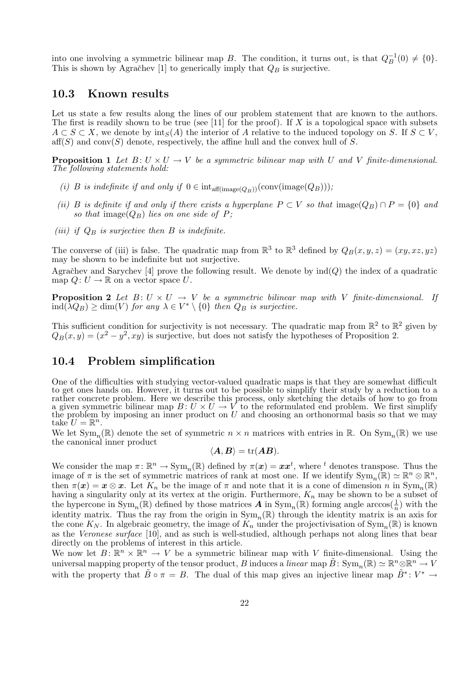into one involving a symmetric bilinear map B. The condition, it turns out, is that  $Q_R^{-1}$  $B^{-1}(0) \neq \{0\}.$ This is shown by Agračhev [1] to generically imply that  $Q_B$  is surjective.

#### 10.3 Known results

Let us state a few results along the lines of our problem statement that are known to the authors. The first is readily shown to be true (see [11] for the proof). If X is a topological space with subsets  $A \subset S \subset X$ , we denote by  $\text{int}_S(A)$  the interior of A relative to the induced topology on S. If  $S \subset V$ ,  $aff(S)$  and conv(S) denote, respectively, the affine hull and the convex hull of S.

**Proposition 1** Let  $B: U \times U \rightarrow V$  be a symmetric bilinear map with U and V finite-dimensional. The following statements hold:

- (i) B is indefinite if and only if  $0 \in \text{int}_{\text{aff}(\text{image}(O_B))}(\text{conv}(\text{image}(Q_B)))$ ;
- (ii) B is definite if and only if there exists a hyperplane  $P \subset V$  so that image( $Q_B$ )  $\cap P = \{0\}$  and so that image( $Q_B$ ) lies on one side of P;
- (iii) if  $Q_B$  is surjective then B is indefinite.

The converse of (iii) is false. The quadratic map from  $\mathbb{R}^3$  to  $\mathbb{R}^3$  defined by  $Q_B(x, y, z) = (xy, xz, yz)$ may be shown to be indefinite but not surjective.

Agračhev and Sarychev [4] prove the following result. We denote by  $\text{ind}(Q)$  the index of a quadratic map  $Q: U \to \mathbb{R}$  on a vector space U.

**Proposition 2** Let  $B: U \times U \rightarrow V$  be a symmetric bilinear map with V finite-dimensional. If  $\text{ind}(\lambda Q_B) \geq \dim(V)$  for any  $\lambda \in V^* \setminus \{0\}$  then  $Q_B$  is surjective.

This sufficient condition for surjectivity is not necessary. The quadratic map from  $\mathbb{R}^2$  to  $\mathbb{R}^2$  given by  $Q_B(x, y) = (x^2 - y^2, xy)$  is surjective, but does not satisfy the hypotheses of Proposition 2.

#### 10.4 Problem simplification

One of the difficulties with studying vector-valued quadratic maps is that they are somewhat difficult to get ones hands on. However, it turns out to be possible to simplify their study by a reduction to a rather concrete problem. Here we describe this process, only sketching the details of how to go from<br>a given symmetric bilinear map  $B: U \times U \to V$  to the reformulated end problem. We first simplify the problem by imposing an inner product on  $U$  and choosing an orthonormal basis so that we may take  $U = \mathbb{R}^n$ .

We let  $\text{Sym}_n(\mathbb{R})$  denote the set of symmetric  $n \times n$  matrices with entries in  $\mathbb{R}$ . On  $\text{Sym}_n(\mathbb{R})$  we use the canonical inner product

$$
\langle \mathbf{A}, \mathbf{B} \rangle = \text{tr}(\mathbf{A}\mathbf{B}).
$$

We consider the map  $\pi: \mathbb{R}^n \to \text{Sym}_n(\mathbb{R})$  defined by  $\pi(\bm{x}) = \bm{x} \bm{x}^t$ , where <sup>t</sup> denotes transpose. Thus the image of  $\pi$  is the set of symmetric matrices of rank at most one. If we identify  $Sym_n(\mathbb{R}) \simeq \mathbb{R}^n \otimes \mathbb{R}^n$ , then  $\pi(x) = x \otimes x$ . Let  $K_n$  be the image of  $\pi$  and note that it is a cone of dimension n in  $\text{Sym}_n(\mathbb{R})$ having a singularity only at its vertex at the origin. Furthermore,  $K_n$  may be shown to be a subset of the hypercone in  $Sym_n(\mathbb{R})$  defined by those matrices  $A$  in  $Sym_n(\mathbb{R})$  forming angle  $arccos(\frac{1}{n})$  with the identity matrix. Thus the ray from the origin in  $Sym_n(\mathbb{R})$  through the identity matrix is an axis for the cone  $K_N$ . In algebraic geometry, the image of  $K_n$  under the projectivisation of  $\text{Sym}_n(\mathbb{R})$  is known as the Veronese surface [10], and as such is well-studied, although perhaps not along lines that bear directly on the problems of interest in this article.

We now let  $B: \mathbb{R}^n \times \mathbb{R}^n \to V$  be a symmetric bilinear map with V finite-dimensional. Using the universal mapping property of the tensor product, B induces a linear map  $\tilde{B}$ : Sym<sub>n</sub>( $\mathbb{R}$ )  $\simeq \mathbb{R}^n \otimes \mathbb{R}^n \to V$ with the property that  $\tilde{B} \circ \pi = B$ . The dual of this map gives an injective linear map  $\tilde{B}^* \colon V^* \to$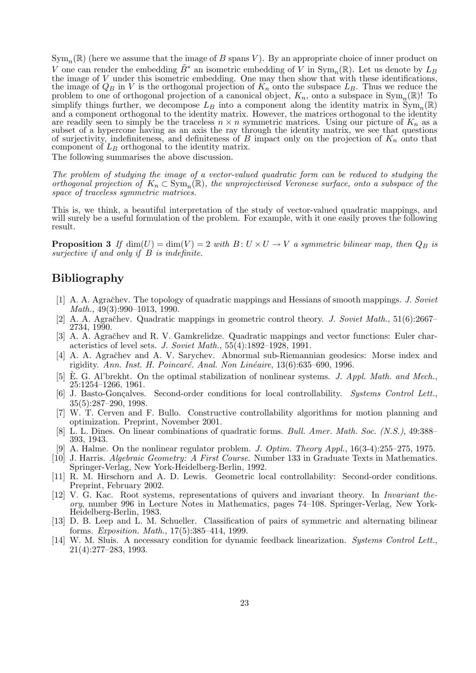$\text{Sym}_n(\mathbb{R})$  (here we assume that the image of B spans V). By an appropriate choice of inner product on V one can render the embedding  $\tilde{B}^*$  an isometric embedding of V in  $\text{Sym}_n(\mathbb{R})$ . Let us denote by  $L_B$ the image of V under this isometric embedding. One may then show that with these identifications, the image of  $Q_B$  in V is the orthogonal projection of  $K_n$  onto the subspace  $L_B$ . Thus we reduce the problem to one of orthogonal projection of a canonical object,  $K_n$ , onto a subspace in  $Sym_n(\mathbb{R})!$  To simplify things further, we decompose  $L_B$  into a component along the identity matrix in  $Sym_n(\mathbb{R})$ and a component orthogonal to the identity matrix. However, the matrices orthogonal to the identity are readily seen to simply be the traceless  $n \times n$  symmetric matrices. Using our picture of  $K_n$  as a subset of a hypercone having as an axis the ray through the identity matrix, we see that questions of surjectivity, indefiniteness, and definiteness of  $B$  impact only on the projection of  $K_n$  onto that component of  $L_B$  orthogonal to the identity matrix.

The following summarises the above discussion.

The problem of studying the image of a vector-valued quadratic form can be reduced to studying the orthogonal projection of  $K_n \subset \text{Sym}_n(\mathbb{R})$ , the unprojectivised Veronese surface, onto a subspace of the space of traceless symmetric matrices.

This is, we think, a beautiful interpretation of the study of vector-valued quadratic mappings, and will surely be a useful formulation of the problem. For example, with it one easily proves the following result.

**Proposition 3** If  $dim(U) = dim(V) = 2$  with B:  $U \times U \rightarrow V$  a symmetric bilinear map, then  $Q_B$  is surjective if and only if B is indefinite.

- [1] A. A. Agračhev. The topology of quadratic mappings and Hessians of smooth mappings. J. Soviet Math., 49(3):990–1013, 1990.
- [2] A. A. Agračhev. Quadratic mappings in geometric control theory. *J. Soviet Math.*, 51(6):2667– 2734, 1990.
- [3] A. A. Agračhev and R. V. Gamkrelidze. Quadratic mappings and vector functions: Euler characteristics of level sets. J. Soviet Math., 55(4):1892–1928, 1991.
- [4] A. A. Agračhev and A. V. Sarychev. Abnormal sub-Riemannian geodesics: Morse index and rigidity. Ann. Inst. H. Poincaré. Anal. Non Linéaire,  $13(6)$ :635–690, 1996.
- [5] E. G. Al'brekht. On the optimal stabilization of nonlinear systems. J. Appl. Math. and Mech., 25:1254–1266, 1961.
- [6] J. Basto-Gonçalves. Second-order conditions for local controllability. Systems Control Lett., 35(5):287–290, 1998.
- [7] W. T. Cerven and F. Bullo. Constructive controllability algorithms for motion planning and optimization. Preprint, November 2001.
- [8] L. L. Dines. On linear combinations of quadratic forms. Bull. Amer. Math. Soc. (N.S.), 49:388– 393, 1943.
- [9] A. Halme. On the nonlinear regulator problem. *J. Optim. Theory Appl.*,  $16(3-4):255-275$ , 1975.
- [10] J. Harris. Algebraic Geometry: A First Course. Number 133 in Graduate Texts in Mathematics. Springer-Verlag, New York-Heidelberg-Berlin, 1992.
- [11] R. M. Hirschorn and A. D. Lewis. Geometric local controllability: Second-order conditions. Preprint, February 2002.
- [12] V. G. Kac. Root systems, representations of quivers and invariant theory. In Invariant theory, number 996 in Lecture Notes in Mathematics, pages 74–108. Springer-Verlag, New York-Heidelberg-Berlin, 1983.
- [13] D. B. Leep and L. M. Schueller. Classification of pairs of symmetric and alternating bilinear forms. Exposition. Math., 17(5):385–414, 1999.
- [14] W. M. Sluis. A necessary condition for dynamic feedback linearization. Systems Control Lett., 21(4):277–283, 1993.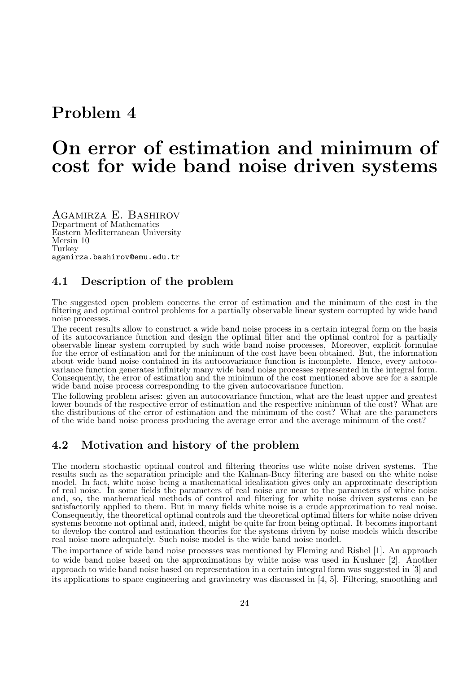# On error of estimation and minimum of cost for wide band noise driven systems

Agamirza E. Bashirov Department of Mathematics Eastern Mediterranean University Mersin 10 Turkey agamirza.bashirov@emu.edu.tr

## 4.1 Description of the problem

The suggested open problem concerns the error of estimation and the minimum of the cost in the filtering and optimal control problems for a partially observable linear system corrupted by wide band noise processes.

The recent results allow to construct a wide band noise process in a certain integral form on the basis of its autocovariance function and design the optimal filter and the optimal control for a partially observable linear system corrupted by such wide band noise processes. Moreover, explicit formulae for the error of estimation and for the minimum of the cost have been obtained. But, the information about wide band noise contained in its autocovariance function is incomplete. Hence, every autocovariance function generates infinitely many wide band noise processes represented in the integral form. Consequently, the error of estimation and the minimum of the cost mentioned above are for a sample wide band noise process corresponding to the given autocovariance function.

The following problem arises: given an autocovariance function, what are the least upper and greatest lower bounds of the respective error of estimation and the respective minimum of the cost? What are the distributions of the error of estimation and the minimum of the cost? What are the parameters of the wide band noise process producing the average error and the average minimum of the cost?

## 4.2 Motivation and history of the problem

The modern stochastic optimal control and filtering theories use white noise driven systems. The results such as the separation principle and the Kalman-Bucy filtering are based on the white noise model. In fact, white noise being a mathematical idealization gives only an approximate description of real noise. In some fields the parameters of real noise are near to the parameters of white noise and, so, the mathematical methods of control and filtering for white noise driven systems can be satisfactorily applied to them. But in many fields white noise is a crude approximation to real noise. Consequently, the theoretical optimal controls and the theoretical optimal filters for white noise driven systems become not optimal and, indeed, might be quite far from being optimal. It becomes important to develop the control and estimation theories for the systems driven by noise models which describe real noise more adequately. Such noise model is the wide band noise model.

The importance of wide band noise processes was mentioned by Fleming and Rishel [1]. An approach to wide band noise based on the approximations by white noise was used in Kushner [2]. Another approach to wide band noise based on representation in a certain integral form was suggested in [3] and its applications to space engineering and gravimetry was discussed in [4, 5]. Filtering, smoothing and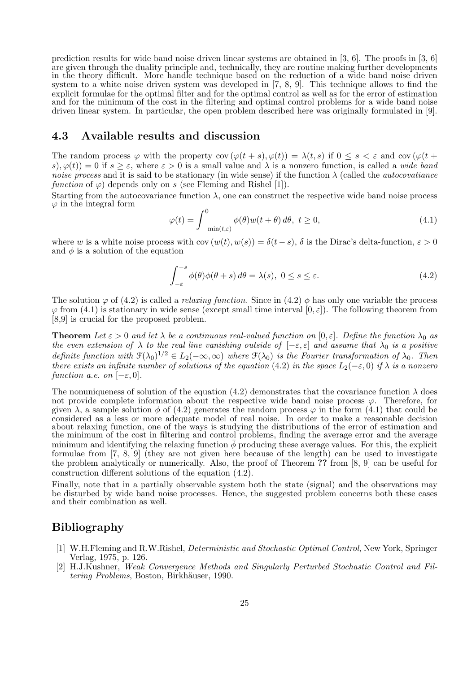prediction results for wide band noise driven linear systems are obtained in [3, 6]. The proofs in [3, 6] are given through the duality principle and, technically, they are routine making further developments in the theory difficult. More handle technique based on the reduction of a wide band noise driven system to a white noise driven system was developed in [7, 8, 9]. This technique allows to find the explicit formulae for the optimal filter and for the optimal control as well as for the error of estimation and for the minimum of the cost in the filtering and optimal control problems for a wide band noise driven linear system. In particular, the open problem described here was originally formulated in [9].

#### 4.3 Available results and discussion

The random process  $\varphi$  with the property cov  $(\varphi(t+s), \varphi(t)) = \lambda(t,s)$  if  $0 \le s < \varepsilon$  and cov  $(\varphi(t+s), \varphi(t))$  $(s), \varphi(t) = 0$  if  $s \geq \varepsilon$ , where  $\varepsilon > 0$  is a small value and  $\lambda$  is a nonzero function, is called a *wide band* noise process and it is said to be stationary (in wide sense) if the function  $\lambda$  (called the *autocovatiance* function of  $\varphi$ ) depends only on s (see Fleming and Rishel [1]).

Starting from the autocovariance function  $\lambda$ , one can construct the respective wide band noise process  $\varphi$  in the integral form

$$
\varphi(t) = \int_{-\min(t,\varepsilon)}^{0} \phi(\theta) w(t+\theta) d\theta, \ t \ge 0,
$$
\t(4.1)

where w is a white noise process with  $\text{cov}(w(t), w(s)) = \delta(t - s)$ ,  $\delta$  is the Dirac's delta-function,  $\varepsilon > 0$ and  $\phi$  is a solution of the equation

$$
\int_{-\varepsilon}^{-s} \phi(\theta)\phi(\theta+s) \, d\theta = \lambda(s), \ 0 \le s \le \varepsilon. \tag{4.2}
$$

The solution  $\varphi$  of (4.2) is called a *relaxing function*. Since in (4.2)  $\phi$  has only one variable the process  $\varphi$  from (4.1) is stationary in wide sense (except small time interval  $[0, \varepsilon]$ ). The following theorem from [8,9] is crucial for the proposed problem.

**Theorem** Let  $\varepsilon > 0$  and let  $\lambda$  be a continuous real-valued function on  $[0, \varepsilon]$ . Define the function  $\lambda_0$  as the even extension of  $\lambda$  to the real line vanishing outside of  $[-\varepsilon, \varepsilon]$  and assume that  $\lambda_0$  is a positive definite function with  $\mathfrak{F}(\lambda_0)^{1/2} \in L_2(-\infty,\infty)$  where  $\mathfrak{F}(\lambda_0)$  is the Fourier transformation of  $\lambda_0$ . Then there exists an infinite number of solutions of the equation (4.2) in the space  $L_2(-\varepsilon,0)$  if  $\lambda$  is a nonzero function a.e. on  $[-\varepsilon, 0]$ .

The nonuniqueness of solution of the equation (4.2) demonstrates that the covariance function  $\lambda$  does not provide complete information about the respective wide band noise process  $\varphi$ . Therefore, for given  $\lambda$ , a sample solution  $\phi$  of (4.2) generates the random process  $\varphi$  in the form (4.1) that could be considered as a less or more adequate model of real noise. In order to make a reasonable decision about relaxing function, one of the ways is studying the distributions of the error of estimation and the minimum of the cost in filtering and control problems, finding the average error and the average minimum and identifying the relaxing function  $\phi$  producing these average values. For this, the explicit formulae from [7, 8, 9] (they are not given here because of the length) can be used to investigate the problem analytically or numerically. Also, the proof of Theorem ?? from [8, 9] can be useful for construction different solutions of the equation (4.2).

Finally, note that in a partially observable system both the state (signal) and the observations may be disturbed by wide band noise processes. Hence, the suggested problem concerns both these cases and their combination as well.

- [1] W.H.Fleming and R.W.Rishel, Deterministic and Stochastic Optimal Control, New York, Springer Verlag, 1975, p. 126.
- [2] H.J.Kushner, Weak Convergence Methods and Singularly Perturbed Stochastic Control and Filtering Problems, Boston, Birkhäuser, 1990.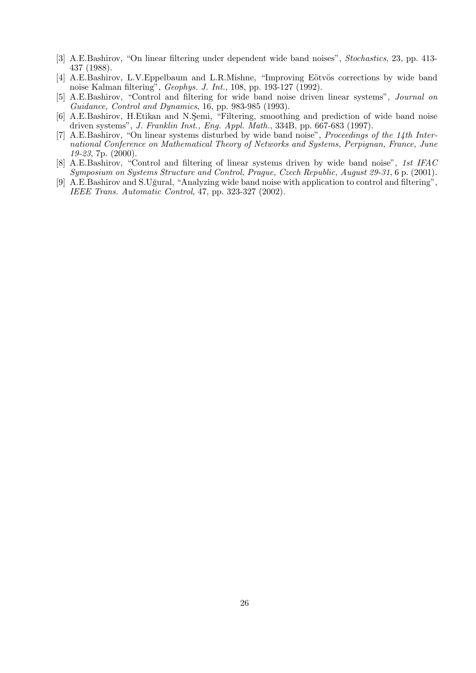- [3] A.E.Bashirov, "On linear filtering under dependent wide band noises", Stochastics, 23, pp. 413- 437 (1988).
- [4] A.E.Bashirov, L.V.Eppelbaum and L.R.Mishne, "Improving Eötvös corrections by wide band noise Kalman filtering", Geophys. J. Int., 108, pp. 193-127 (1992).
- [5] A.E.Bashirov, "Control and filtering for wide band noise driven linear systems", *Journal on* Guidance, Control and Dynamics, 16, pp. 983-985 (1993).
- [6] A.E.Bashirov, H.Etikan and N.Şemi, "Filtering, smoothing and prediction of wide band noise driven systems", J. Franklin Inst., Eng. Appl. Math., 334B, pp. 667-683 (1997).
- [7] A.E.Bashirov, "On linear systems disturbed by wide band noise", Proceedings of the 14th International Conference on Mathematical Theory of Networks and Systems, Perpignan, France, June 19-23, 7p. (2000).
- [8] A.E.Bashirov, "Control and filtering of linear systems driven by wide band noise", 1st IFAC Symposium on Systems Structure and Control, Prague, Czech Republic, August 29-31, 6 p. (2001).
- [9] A.E.Bashirov and S.Uğural, "Analyzing wide band noise with application to control and filtering", IEEE Trans. Automatic Control, 47, pp. 323-327 (2002).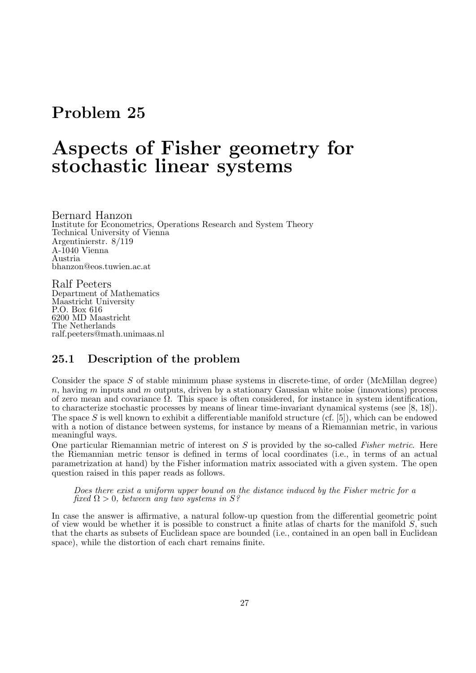# Aspects of Fisher geometry for stochastic linear systems

Bernard Hanzon Institute for Econometrics, Operations Research and System Theory Technical University of Vienna Argentinierstr. 8/119 A-1040 Vienna Austria bhanzon@eos.tuwien.ac.at

Ralf Peeters Department of Mathematics Maastricht University P.O. Box 616 6200 MD Maastricht The Netherlands ralf.peeters@math.unimaas.nl

## 25.1 Description of the problem

Consider the space S of stable minimum phase systems in discrete-time, of order (McMillan degree) n, having m inputs and m outputs, driven by a stationary Gaussian white noise (innovations) process of zero mean and covariance  $\Omega$ . This space is often considered, for instance in system identification, to characterize stochastic processes by means of linear time-invariant dynamical systems (see [8, 18]). The space S is well known to exhibit a differentiable manifold structure (cf.  $[5]$ ), which can be endowed with a notion of distance between systems, for instance by means of a Riemannian metric, in various meaningful ways.

One particular Riemannian metric of interest on  $S$  is provided by the so-called Fisher metric. Here the Riemannian metric tensor is defined in terms of local coordinates (i.e., in terms of an actual parametrization at hand) by the Fisher information matrix associated with a given system. The open question raised in this paper reads as follows.

Does there exist a uniform upper bound on the distance induced by the Fisher metric for a fixed  $\Omega > 0$ , between any two systems in S?

In case the answer is affirmative, a natural follow-up question from the differential geometric point of view would be whether it is possible to construct a finite atlas of charts for the manifold  $S$ , such that the charts as subsets of Euclidean space are bounded (i.e., contained in an open ball in Euclidean space), while the distortion of each chart remains finite.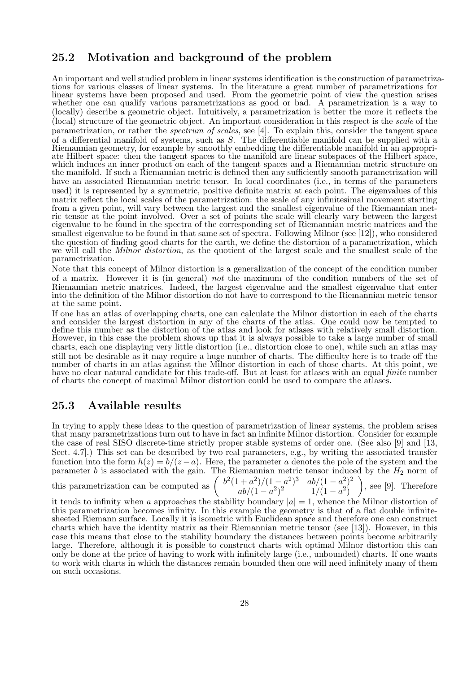## 25.2 Motivation and background of the problem

An important and well studied problem in linear systems identification is the construction of parametrizations for various classes of linear systems. In the literature a great number of parametrizations for linear systems have been proposed and used. From the geometric point of view the question arises whether one can qualify various parametrizations as good or bad. A parametrization is a way to (locally) describe a geometric object. Intuitively, a parametrization is better the more it reflects the (local) structure of the geometric object. An important consideration in this respect is the scale of the parametrization, or rather the *spectrum of scales*, see [4]. To explain this, consider the tangent space of a differential manifold of systems, such as S. The differentiable manifold can be supplied with a Riemannian geometry, for example by smoothly embedding the differentiable manifold in an appropriate Hilbert space: then the tangent spaces to the manifold are linear subspaces of the Hilbert space, which induces an inner product on each of the tangent spaces and a Riemannian metric structure on the manifold. If such a Riemannian metric is defined then any sufficiently smooth parametrization will have an associated Riemannian metric tensor. In local coordinates (i.e., in terms of the parameters used) it is represented by a symmetric, positive definite matrix at each point. The eigenvalues of this matrix reflect the local scales of the parametrization: the scale of any infinitesimal movement starting from a given point, will vary between the largest and the smallest eigenvalue of the Riemannian metric tensor at the point involved. Over a set of points the scale will clearly vary between the largest eigenvalue to be found in the spectra of the corresponding set of Riemannian metric matrices and the smallest eigenvalue to be found in that same set of spectra. Following Milnor (see [12]), who considered the question of finding good charts for the earth, we define the distortion of a parametrization, which we will call the *Milnor distortion*, as the quotient of the largest scale and the smallest scale of the parametrization.

Note that this concept of Milnor distortion is a generalization of the concept of the condition number of a matrix. However it is (in general) not the maximum of the condition numbers of the set of Riemannian metric matrices. Indeed, the largest eigenvalue and the smallest eigenvalue that enter into the definition of the Milnor distortion do not have to correspond to the Riemannian metric tensor at the same point.

If one has an atlas of overlapping charts, one can calculate the Milnor distortion in each of the charts and consider the largest distortion in any of the charts of the atlas. One could now be tempted to define this number as the distortion of the atlas and look for atlases with relatively small distortion. However, in this case the problem shows up that it is always possible to take a large number of small charts, each one displaying very little distortion (i.e., distortion close to one), while such an atlas may still not be desirable as it may require a huge number of charts. The difficulty here is to trade off the number of charts in an atlas against the Milnor distortion in each of those charts. At this point, we have no clear natural candidate for this trade-off. But at least for atlases with an equal *finite* number of charts the concept of maximal Milnor distortion could be used to compare the atlases.

## 25.3 Available results

In trying to apply these ideas to the question of parametrization of linear systems, the problem arises that many parametrizations turn out to have in fact an infinite Milnor distortion. Consider for example the case of real SISO discrete-time strictly proper stable systems of order one. (See also [9] and [13, Sect. 4.7].) This set can be described by two real parameters, e.g., by writing the associated transfer function into the form  $h(z) = b/(z-a)$ . Here, the parameter a denotes the pole of the system and the parameter b is associated with the gain. The Riemannian metric tensor induced by the  $H_2$  norm of this parametrization can be computed as  $\left(\begin{array}{cc} b^2(1+a^2)/(1-a^2)^3 & ab/(1-a^2)^2 \\ \frac{1}{2}(1-a^2)^2 & 1/(1-a^2)^2 \end{array}\right)$  $ab/(1-a^2)^2$   $1/(1-a^2)$  $\Big)$ , see [9]. Therefore

it tends to infinity when a approaches the stability boundary  $|a|=1$ , whence the Milnor distortion of this parametrization becomes infinity. In this example the geometry is that of a flat double infinitesheeted Riemann surface. Locally it is isometric with Euclidean space and therefore one can construct charts which have the identity matrix as their Riemannian metric tensor (see [13]). However, in this case this means that close to the stability boundary the distances between points become arbitrarily large. Therefore, although it is possible to construct charts with optimal Milnor distortion this can only be done at the price of having to work with infinitely large (i.e., unbounded) charts. If one wants to work with charts in which the distances remain bounded then one will need infinitely many of them on such occasions.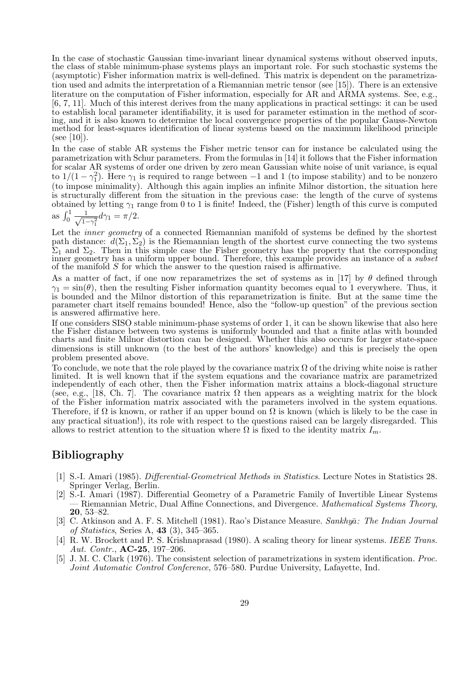In the case of stochastic Gaussian time-invariant linear dynamical systems without observed inputs, the class of stable minimum-phase systems plays an important role. For such stochastic systems the (asymptotic) Fisher information matrix is well-defined. This matrix is dependent on the parametrization used and admits the interpretation of a Riemannian metric tensor (see [15]). There is an extensive literature on the computation of Fisher information, especially for AR and ARMA systems. See, e.g., [6, 7, 11]. Much of this interest derives from the many applications in practical settings: it can be used to establish local parameter identifiability, it is used for parameter estimation in the method of scoring, and it is also known to determine the local convergence properties of the popular Gauss-Newton method for least-squares identification of linear systems based on the maximum likelihood principle (see [10]).

In the case of stable AR systems the Fisher metric tensor can for instance be calculated using the parametrization with Schur parameters. From the formulas in [14] it follows that the Fisher information for scalar AR systems of order one driven by zero mean Gaussian white noise of unit variance, is equal to  $1/(1 - \gamma_1^2)$ . Here  $\gamma_1$  is required to range between -1 and 1 (to impose stability) and to be nonzero (to impose minimality). Although this again implies an infinite Milnor distortion, the situation here is structurally different from the situation in the previous case: the length of the curve of systems obtained by letting  $\gamma_1$  range from 0 to 1 is finite! Indeed, the (Fisher) length of this curve is computed √ 1

as 
$$
\int_0^1 \frac{1}{\sqrt{1-\gamma_1^2}} d\gamma_1 = \pi/2
$$
.

Let the *inner geometry* of a connected Riemannian manifold of systems be defined by the shortest path distance:  $d(\Sigma_1, \Sigma_2)$  is the Riemannian length of the shortest curve connecting the two systems  $\Sigma_1$  and  $\Sigma_2$ . Then in this simple case the Fisher geometry has the property that the corresponding inner geometry has a uniform upper bound. Therefore, this example provides an instance of a *subset* of the manifold S for which the answer to the question raised is affirmative.

As a matter of fact, if one now reparametrizes the set of systems as in [17] by  $\theta$  defined through  $\gamma_1 = \sin(\theta)$ , then the resulting Fisher information quantity becomes equal to 1 everywhere. Thus, it is bounded and the Milnor distortion of this reparametrization is finite. But at the same time the parameter chart itself remains bounded! Hence, also the "follow-up question" of the previous section is answered affirmative here.

If one considers SISO stable minimum-phase systems of order 1, it can be shown likewise that also here the Fisher distance between two systems is uniformly bounded and that a finite atlas with bounded charts and finite Milnor distortion can be designed. Whether this also occurs for larger state-space dimensions is still unknown (to the best of the authors' knowledge) and this is precisely the open problem presented above.

To conclude, we note that the role played by the covariance matrix  $\Omega$  of the driving white noise is rather limited. It is well known that if the system equations and the covariance matrix are parametrized independently of each other, then the Fisher information matrix attains a block-diagonal structure (see, e.g., [18, Ch. 7]. The covariance matrix  $\Omega$  then appears as a weighting matrix for the block of the Fisher information matrix associated with the parameters involved in the system equations. Therefore, if  $\Omega$  is known, or rather if an upper bound on  $\Omega$  is known (which is likely to be the case in any practical situation!), its role with respect to the questions raised can be largely disregarded. This allows to restrict attention to the situation where  $\Omega$  is fixed to the identity matrix  $I_m$ .

- [1] S.-I. Amari (1985). Differential-Geometrical Methods in Statistics. Lecture Notes in Statistics 28. Springer Verlag, Berlin.
- [2] S.-I. Amari (1987). Differential Geometry of a Parametric Family of Invertible Linear Systems - Riemannian Metric, Dual Affine Connections, and Divergence. *Mathematical Systems Theory*, 20, 53–82.
- [3] C. Atkinson and A. F. S. Mitchell (1981). Rao's Distance Measure. Sankhyā: The Indian Journal of Statistics, Series A, 43 (3), 345–365.
- [4] R. W. Brockett and P. S. Krishnaprasad (1980). A scaling theory for linear systems. IEEE Trans. Aut. Contr., AC-25, 197–206.
- [5] J. M. C. Clark (1976). The consistent selection of parametrizations in system identification. Proc. Joint Automatic Control Conference, 576–580. Purdue University, Lafayette, Ind.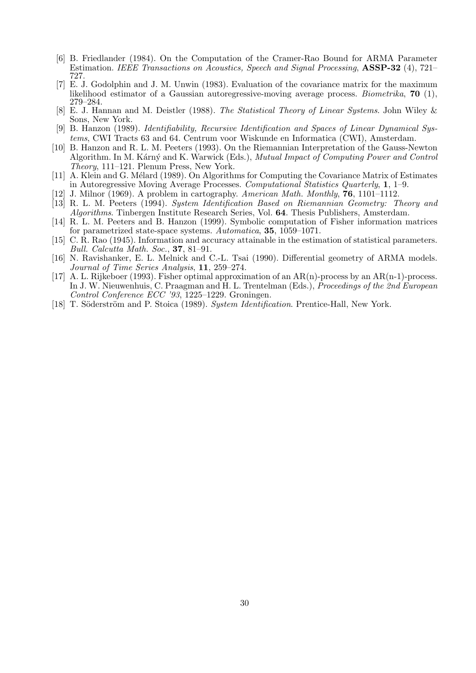- [6] B. Friedlander (1984). On the Computation of the Cramer-Rao Bound for ARMA Parameter Estimation. IEEE Transactions on Acoustics, Speech and Signal Processing, ASSP-32 (4), 721– 727.
- [7] E. J. Godolphin and J. M. Unwin (1983). Evaluation of the covariance matrix for the maximum likelihood estimator of a Gaussian autoregressive-moving average process. *Biometrika*, **70** (1), 279–284.
- [8] E. J. Hannan and M. Deistler (1988). The Statistical Theory of Linear Systems. John Wiley & Sons, New York.
- [9] B. Hanzon (1989). Identifiability, Recursive Identification and Spaces of Linear Dynamical Systems, CWI Tracts 63 and 64. Centrum voor Wiskunde en Informatica (CWI), Amsterdam.
- [10] B. Hanzon and R. L. M. Peeters (1993). On the Riemannian Interpretation of the Gauss-Newton Algorithm. In M. Kárný and K. Warwick (Eds.), *Mutual Impact of Computing Power and Control* Theory, 111–121. Plenum Press, New York.
- [11] A. Klein and G. Mélard (1989). On Algorithms for Computing the Covariance Matrix of Estimates in Autoregressive Moving Average Processes. Computational Statistics Quarterly, 1, 1–9.
- [12] J. Milnor (1969). A problem in cartography. American Math. Monthly, **76**, 1101–1112.
- [13] R. L. M. Peeters (1994). System Identification Based on Riemannian Geometry: Theory and Algorithms. Tinbergen Institute Research Series, Vol. 64. Thesis Publishers, Amsterdam.
- [14] R. L. M. Peeters and B. Hanzon (1999). Symbolic computation of Fisher information matrices for parametrized state-space systems. Automatica, 35, 1059–1071.
- [15] C. R. Rao (1945). Information and accuracy attainable in the estimation of statistical parameters. Bull. Calcutta Math. Soc., 37, 81–91.
- [16] N. Ravishanker, E. L. Melnick and C.-L. Tsai (1990). Differential geometry of ARMA models. Journal of Time Series Analysis, 11, 259–274.
- [17] A. L. Rijkeboer (1993). Fisher optimal approximation of an AR(n)-process by an AR(n-1)-process. In J. W. Nieuwenhuis, C. Praagman and H. L. Trentelman (Eds.), *Proceedings of the 2nd European* Control Conference ECC '93, 1225–1229. Groningen.
- [18] T. Söderström and P. Stoica (1989). System Identification. Prentice-Hall, New York.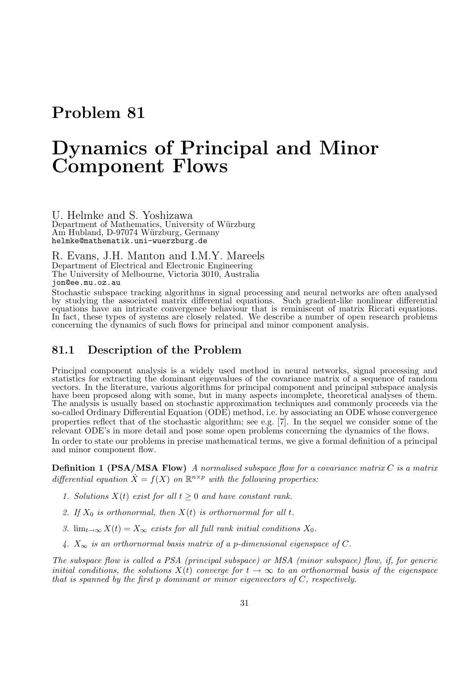# Dynamics of Principal and Minor Component Flows

U. Helmke and S. Yoshizawa Department of Mathematics, University of Würzburg Am Hubland, D-97074 Würzburg, Germany helmke@mathematik.uni-wuerzburg.de

R. Evans, J.H. Manton and I.M.Y. Mareels Department of Electrical and Electronic Engineering The University of Melbourne, Victoria 3010, Australia jon@ee.mu.oz.au

Stochastic subspace tracking algorithms in signal processing and neural networks are often analysed by studying the associated matrix differential equations. Such gradient-like nonlinear differential equations have an intricate convergence behaviour that is reminiscent of matrix Riccati equations. In fact, these types of systems are closely related. We describe a number of open research problems concerning the dynamics of such flows for principal and minor component analysis.

## 81.1 Description of the Problem

Principal component analysis is a widely used method in neural networks, signal processing and statistics for extracting the dominant eigenvalues of the covariance matrix of a sequence of random vectors. In the literature, various algorithms for principal component and principal subspace analysis have been proposed along with some, but in many aspects incomplete, theoretical analyses of them. The analysis is usually based on stochastic approximation techniques and commonly proceeds via the so-called Ordinary Differential Equation (ODE) method, i.e. by associating an ODE whose convergence properties reflect that of the stochastic algorithm; see e.g. [7]. In the sequel we consider some of the relevant ODE's in more detail and pose some open problems concerning the dynamics of the flows. In order to state our problems in precise mathematical terms, we give a formal definition of a principal and minor component flow.

**Definition 1 (PSA/MSA Flow)** A normalised subspace flow for a covariance matrix  $C$  is a matrix differential equation  $\dot{X} = f(X)$  on  $\mathbb{R}^{n \times p}$  with the following properties:

- 1. Solutions  $X(t)$  exist for all  $t \geq 0$  and have constant rank.
- 2. If  $X_0$  is orthonormal, then  $X(t)$  is orthornormal for all t.
- 3.  $\lim_{t\to\infty} X(t) = X_{\infty}$  exists for all full rank initial conditions  $X_0$ .
- 4.  $X_{\infty}$  is an orthornormal basis matrix of a p-dimensional eigenspace of C.

The subspace flow is called a PSA (principal subspace) or MSA (minor subspace) flow, if, for generic initial conditions, the solutions  $X(t)$  converge for  $t \to \infty$  to an orthonormal basis of the eigenspace that is spanned by the first p dominant or minor eigenvectors of  $C$ , respectively.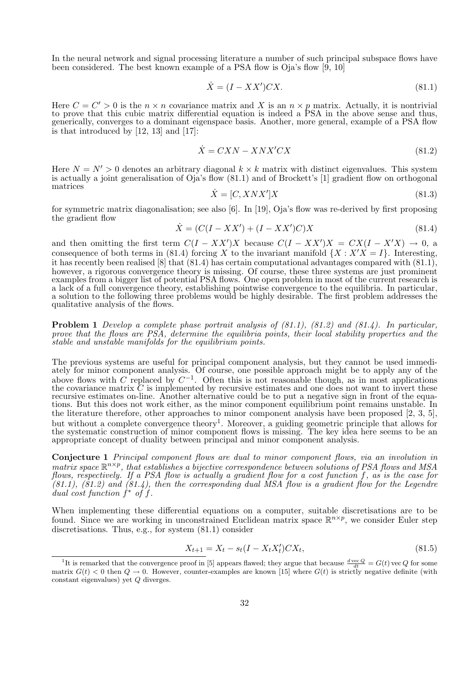In the neural network and signal processing literature a number of such principal subspace flows have been considered. The best known example of a PSA flow is Oja's flow [9, 10]

$$
\dot{X} = (I - XX')CX.\tag{81.1}
$$

Here  $C = C' > 0$  is the  $n \times n$  covariance matrix and X is an  $n \times p$  matrix. Actually, it is nontrivial to prove that this cubic matrix differential equation is indeed a PSA in the above sense and thus, generically, converges to a dominant eigenspace basis. Another, more general, example of a PSA flow is that introduced by [12, 13] and [17]:

$$
\dot{X} = C X N - X N X' C X \tag{81.2}
$$

Here  $N = N' > 0$  denotes an arbitrary diagonal  $k \times k$  matrix with distinct eigenvalues. This system is actually a joint generalisation of  $\mathrm{O}$ ja's flow  $(81.1)$  and of Brockett's [1] gradient flow on orthogonal matrices

$$
\dot{X} = [C, XNX']X \tag{81.3}
$$

for symmetric matrix diagonalisation; see also [6]. In [19], Oja's flow was re-derived by first proposing the gradient flow

$$
\dot{X} = (C(I - XX') + (I - XX')C)X
$$
\n(81.4)

and then omitting the first term  $C(I - XX')X$  because  $C(I - XX')X = CX(I - X'X) \rightarrow 0$ , a consequence of both terms in (81.4) forcing X to the invariant manifold  $\{X : X'X = I\}$ . Interesting, it has recently been realised [8] that (81.4) has certain computational advantages compared with (81.1), however, a rigorous convergence theory is missing. Of course, these three systems are just prominent examples from a bigger list of potential PSA flows. One open problem in most of the current research is a lack of a full convergence theory, establishing pointwise convergence to the equilibria. In particular, a solution to the following three problems would be highly desirable. The first problem addresses the qualitative analysis of the flows.

**Problem 1** Develop a complete phase portrait analysis of  $(81.1)$ ,  $(81.2)$  and  $(81.4)$ . In particular, prove that the flows are PSA, determine the equilibria points, their local stability properties and the stable and unstable manifolds for the equilibrium points.

The previous systems are useful for principal component analysis, but they cannot be used immediately for minor component analysis. Of course, one possible approach might be to apply any of the above flows with C replaced by  $C^{-1}$ . Often this is not reasonable though, as in most applications the covariance matrix  $\ddot{C}$  is implemented by recursive estimates and one does not want to invert these recursive estimates on-line. Another alternative could be to put a negative sign in front of the equations. But this does not work either, as the minor component equilibrium point remains unstable. In the literature therefore, other approaches to minor component analysis have been proposed [2, 3, 5], but without a complete convergence theory<sup>1</sup>. Moreover, a guiding geometric principle that allows for the systematic construction of minor component flows is missing. The key idea here seems to be an appropriate concept of duality between principal and minor component analysis.

Conjecture 1 Principal component flows are dual to minor component flows, via an involution in matrix space  $\mathbb{R}^{n \times p}$ , that establishes a bijective correspondence between solutions of PSA flows and MSA flows, respectively. If a PSA flow is actually a gradient flow for a cost function f, as is the case for  $(81.1), (81.2)$  and  $(81.4),$  then the corresponding dual MSA flow is a gradient flow for the Legendre  $dual cost function f^* of f.$ 

When implementing these differential equations on a computer, suitable discretisations are to be found. Since we are working in unconstrained Euclidean matrix space  $\mathbb{R}^{n \times p}$ , we consider Euler step discretisations. Thus, e.g., for system (81.1) consider

$$
X_{t+1} = X_t - s_t(I - X_t X_t')CX_t,
$$
\n(81.5)

<sup>&</sup>lt;sup>1</sup>It is remarked that the convergence proof in [5] appears flawed; they argue that because  $\frac{d \text{vec } Q}{dt} = G(t) \text{vec } Q$  for some matrix  $G(t) < 0$  then  $Q \to 0$ . However, counter-examples are known [15] where  $G(t)$  is strictly negative definite (with constant eigenvalues) yet Q diverges.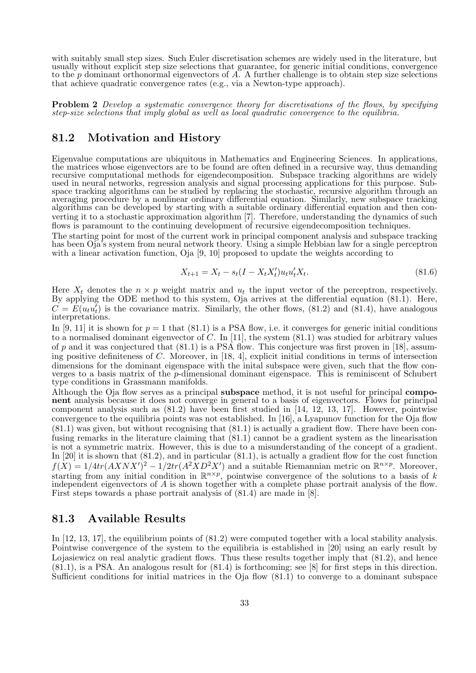with suitably small step sizes. Such Euler discretisation schemes are widely used in the literature, but usually without explicit step size selections that guarantee, for generic initial conditions, convergence to the  $p$  dominant orthonormal eigenvectors of  $A$ . A further challenge is to obtain step size selections that achieve quadratic convergence rates (e.g., via a Newton-type approach).

**Problem 2** Develop a systematic convergence theory for discretisations of the flows, by specifying step-size selections that imply global as well as local quadratic convergence to the equilibria.

## 81.2 Motivation and History

Eigenvalue computations are ubiquitous in Mathematics and Engineering Sciences. In applications, the matrices whose eigenvectors are to be found are often defined in a recursive way, thus demanding recursive computational methods for eigendecomposition. Subspace tracking algorithms are widely used in neural networks, regression analysis and signal processing applications for this purpose. Subspace tracking algorithms can be studied by replacing the stochastic, recursive algorithm through an averaging procedure by a nonlinear ordinary differential equation. Similarly, new subspace tracking algorithms can be developed by starting with a suitable ordinary differential equation and then converting it to a stochastic approximation algorithm [7]. Therefore, understanding the dynamics of such flows is paramount to the continuing development of recursive eigendecomposition techniques.

The starting point for most of the current work in principal component analysis and subspace tracking has been Oja's system from neural network theory. Using a simple Hebbian law for a single perceptron with a linear activation function, Oja [9, 10] proposed to update the weights according to

$$
X_{t+1} = X_t - s_t(I - X_t X_t') u_t u_t' X_t.
$$
\n(81.6)

Here  $X_t$  denotes the  $n \times p$  weight matrix and  $u_t$  the input vector of the perceptron, respectively. By applying the ODE method to this system, Oja arrives at the differential equation (81.1). Here,  $C = E(u_t u_t)$  $t<sub>t</sub>$  is the covariance matrix. Similarly, the other flows, (81.2) and (81.4), have analogous interpretations.

In [9, 11] it is shown for  $p = 1$  that (81.1) is a PSA flow, i.e. it converges for generic initial conditions to a normalised dominant eigenvector of  $C$ . In [11], the system  $(81.1)$  was studied for arbitrary values of p and it was conjectured that  $(81.1)$  is a PSA flow. This conjecture was first proven in [18], assuming positive definiteness of C. Moreover, in [18, 4], explicit initial conditions in terms of intersection dimensions for the dominant eigenspace with the inital subspace were given, such that the flow converges to a basis matrix of the  $\overline{p}$ -dimensional dominant eigenspace. This is reminiscent of Schubert type conditions in Grassmann manifolds.

Although the Oja flow serves as a principal **subspace** method, it is not useful for principal **compo**nent analysis because it does not converge in general to a basis of eigenvectors. Flows for principal component analysis such as  $(81.2)$  have been first studied in [14, 12, 13, 17]. However, pointwise convergence to the equilibria points was not established. In [16], a Lyapunov function for the Oja flow (81.1) was given, but without recognising that (81.1) is actually a gradient flow. There have been confusing remarks in the literature claiming that (81.1) cannot be a gradient system as the linearisation is not a symmetric matrix. However, this is due to a misunderstanding of the concept of a gradient. In [20] it is shown that (81.2), and in particular (81.1), is actually a gradient flow for the cost function  $f(X) = 1/4tr(AXNX')^2 - 1/2tr(A^2XD^2X')$  and a suitable Riemannian metric on  $\mathbb{R}^{n \times p}$ . Moreover, starting from any initial condition in  $\mathbb{R}^{n \times p}$ , pointwise convergence of the solutions to a basis of k independent eigenvectors of A is shown together with a complete phase portrait analysis of the flow. First steps towards a phase portrait analysis of (81.4) are made in [8].

### 81.3 Available Results

In [12, 13, 17], the equilibrium points of  $(81.2)$  were computed together with a local stability analysis. Pointwise convergence of the system to the equilibria is established in [20] using an early result by Lojasiewicz on real analytic gradient flows. Thus these results together imply that  $(81.2)$ , and hence (81.1), is a PSA. An analogous result for (81.4) is forthcoming; see [8] for first steps in this direction. Sufficient conditions for initial matrices in the Oja flow (81.1) to converge to a dominant subspace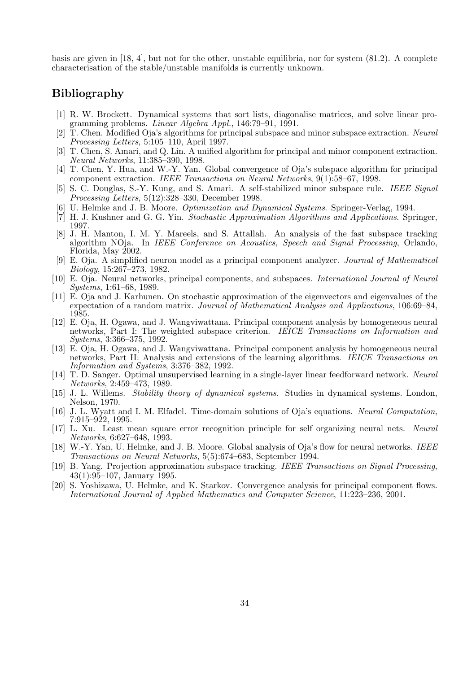basis are given in [18, 4], but not for the other, unstable equilibria, nor for system (81.2). A complete characterisation of the stable/unstable manifolds is currently unknown.

- [1] R. W. Brockett. Dynamical systems that sort lists, diagonalise matrices, and solve linear programming problems. Linear Algebra Appl., 146:79–91, 1991.
- [2] T. Chen. Modified Oja's algorithms for principal subspace and minor subspace extraction. Neural Processing Letters, 5:105–110, April 1997.
- [3] T. Chen, S. Amari, and Q. Lin. A unified algorithm for principal and minor component extraction. Neural Networks, 11:385–390, 1998.
- [4] T. Chen, Y. Hua, and W.-Y. Yan. Global convergence of Oja's subspace algorithm for principal component extraction. IEEE Transactions on Neural Networks, 9(1):58–67, 1998.
- [5] S. C. Douglas, S.-Y. Kung, and S. Amari. A self-stabilized minor subspace rule. IEEE Signal Processing Letters, 5(12):328–330, December 1998.
- [6] U. Helmke and J. B. Moore. Optimization and Dynamical Systems. Springer-Verlag, 1994.
- [7] H. J. Kushner and G. G. Yin. Stochastic Approximation Algorithms and Applications. Springer, 1997.
- [8] J. H. Manton, I. M. Y. Mareels, and S. Attallah. An analysis of the fast subspace tracking algorithm NOja. In IEEE Conference on Acoustics, Speech and Signal Processing, Orlando, Florida, May 2002.
- [9] E. Oja. A simplified neuron model as a principal component analyzer. Journal of Mathematical Biology, 15:267–273, 1982.
- [10] E. Oja. Neural networks, principal components, and subspaces. International Journal of Neural Systems, 1:61–68, 1989.
- [11] E. Oja and J. Karhunen. On stochastic approximation of the eigenvectors and eigenvalues of the expectation of a random matrix. Journal of Mathematical Analysis and Applications, 106:69–84, 1985.
- [12] E. Oja, H. Ogawa, and J. Wangviwattana. Principal component analysis by homogeneous neural networks, Part I: The weighted subspace criterion. IEICE Transactions on Information and Systems, 3:366–375, 1992.
- [13] E. Oja, H. Ogawa, and J. Wangviwattana. Principal component analysis by homogeneous neural networks, Part II: Analysis and extensions of the learning algorithms. IEICE Transactions on Information and Systems, 3:376–382, 1992.
- [14] T. D. Sanger. Optimal unsupervised learning in a single-layer linear feedforward network. Neural Networks, 2:459–473, 1989.
- [15] J. L. Willems. Stability theory of dynamical systems. Studies in dynamical systems. London, Nelson, 1970.
- [16] J. L. Wyatt and I. M. Elfadel. Time-domain solutions of Oja's equations. Neural Computation, 7:915–922, 1995.
- [17] L. Xu. Least mean square error recognition principle for self organizing neural nets. Neural Networks, 6:627–648, 1993.
- [18] W.-Y. Yan, U. Helmke, and J. B. Moore. Global analysis of Oja's flow for neural networks. IEEE Transactions on Neural Networks, 5(5):674–683, September 1994.
- [19] B. Yang. Projection approximation subspace tracking. IEEE Transactions on Signal Processing, 43(1):95–107, January 1995.
- [20] S. Yoshizawa, U. Helmke, and K. Starkov. Convergence analysis for principal component flows. International Journal of Applied Mathematics and Computer Science, 11:223–236, 2001.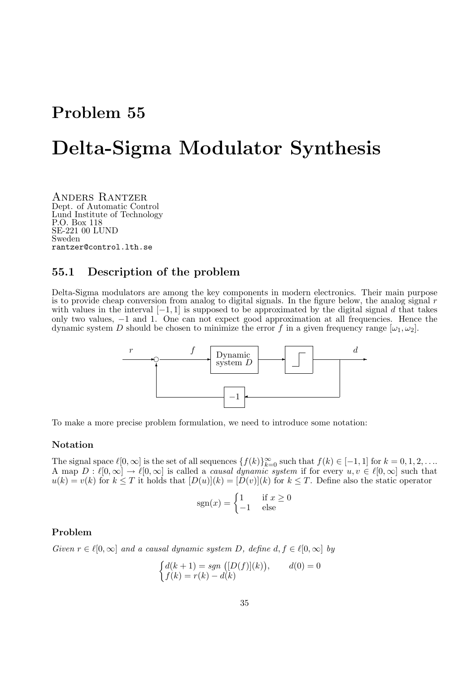# Delta-Sigma Modulator Synthesis

Anders Rantzer Dept. of Automatic Control Lund Institute of Technology P.O. Box 118 SE-221 00 LUND Sweden rantzer@control.lth.se

## 55.1 Description of the problem

Delta-Sigma modulators are among the key components in modern electronics. Their main purpose is to provide cheap conversion from analog to digital signals. In the figure below, the analog signal  $r$ with values in the interval  $[-1, 1]$  is supposed to be approximated by the digital signal d that takes only two values, −1 and 1. One can not expect good approximation at all frequencies. Hence the dynamic system D should be chosen to minimize the error f in a given frequency range  $[\omega_1, \omega_2]$ .



To make a more precise problem formulation, we need to introduce some notation:

#### Notation

The signal space  $\ell[0,\infty]$  is the set of all sequences  $\{f(k)\}_{k=0}^{\infty}$  such that  $f(k) \in [-1,1]$  for  $k=0,1,2,...$ A map  $D: \ell[0,\infty] \to \ell[0,\infty]$  is called a *causal dynamic system* if for every  $u, v \in \ell[0,\infty]$  such that  $u(k) = v(k)$  for  $k \leq T$  it holds that  $[D(u)](k) = [D(v)](k)$  for  $k \leq T$ . Define also the static operator

$$
sgn(x) = \begin{cases} 1 & \text{if } x \ge 0\\ -1 & \text{else} \end{cases}
$$

#### Problem

Given  $r \in \ell[0,\infty]$  and a causal dynamic system D, define d,  $f \in \ell[0,\infty]$  by

$$
\begin{cases} d(k+1) = sgn ([D(f)](k)), & d(0) = 0 \\ f(k) = r(k) - d(k) \end{cases}
$$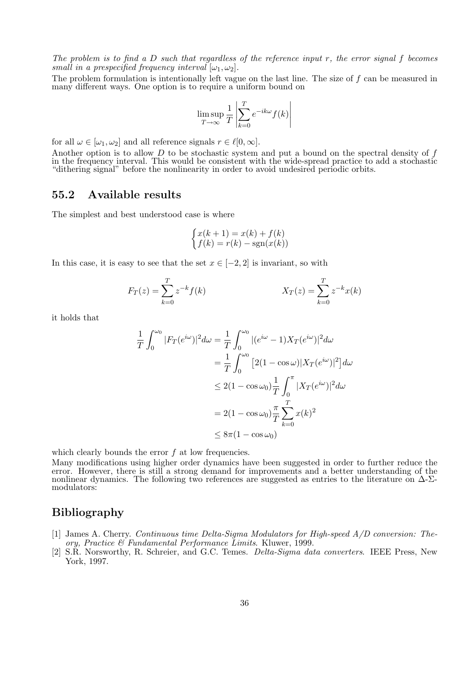The problem is to find a  $D$  such that regardless of the reference input  $r$ , the error signal  $f$  becomes small in a prespecified frequency interval  $[\omega_1, \omega_2]$ .

The problem formulation is intentionally left vague on the last line. The size of f can be measured in many different ways. One option is to require a uniform bound on

$$
\limsup_{T \to \infty} \frac{1}{T} \left| \sum_{k=0}^{T} e^{-ik\omega} f(k) \right|
$$

for all  $\omega \in [\omega_1, \omega_2]$  and all reference signals  $r \in \ell[0,\infty]$ .

Another option is to allow  $D$  to be stochastic system and put a bound on the spectral density of  $f$ in the frequency interval. This would be consistent with the wide-spread practice to add a stochastic "dithering signal" before the nonlinearity in order to avoid undesired periodic orbits.

### 55.2 Available results

The simplest and best understood case is where

$$
\begin{cases} x(k+1) = x(k) + f(k) \\ f(k) = r(k) - \text{sgn}(x(k)) \end{cases}
$$

In this case, it is easy to see that the set  $x \in [-2, 2]$  is invariant, so with

$$
F_T(z) = \sum_{k=0}^{T} z^{-k} f(k)
$$
 
$$
X_T(z) = \sum_{k=0}^{T} z^{-k} x(k)
$$

it holds that

$$
\frac{1}{T} \int_0^{\omega_0} |F_T(e^{i\omega})|^2 d\omega = \frac{1}{T} \int_0^{\omega_0} |(e^{i\omega} - 1)X_T(e^{i\omega})|^2 d\omega
$$

$$
= \frac{1}{T} \int_0^{\omega_0} [2(1 - \cos \omega)|X_T(e^{i\omega})|^2] d\omega
$$

$$
\leq 2(1 - \cos \omega_0) \frac{1}{T} \int_0^{\pi} |X_T(e^{i\omega})|^2 d\omega
$$

$$
= 2(1 - \cos \omega_0) \frac{\pi}{T} \sum_{k=0}^T x(k)^2
$$

$$
\leq 8\pi (1 - \cos \omega_0)
$$

which clearly bounds the error  $f$  at low frequencies.

Many modifications using higher order dynamics have been suggested in order to further reduce the error. However, there is still a strong demand for improvements and a better understanding of the nonlinear dynamics. The following two references are suggested as entries to the literature on  $\Delta$ - $\Sigma$ modulators:

- [1] James A. Cherry. Continuous time Delta-Sigma Modulators for High-speed A/D conversion: Theory, Practice & Fundamental Performance Limits. Kluwer, 1999.
- [2] S.R. Norsworthy, R. Schreier, and G.C. Temes. *Delta-Sigma data converters*. IEEE Press, New York, 1997.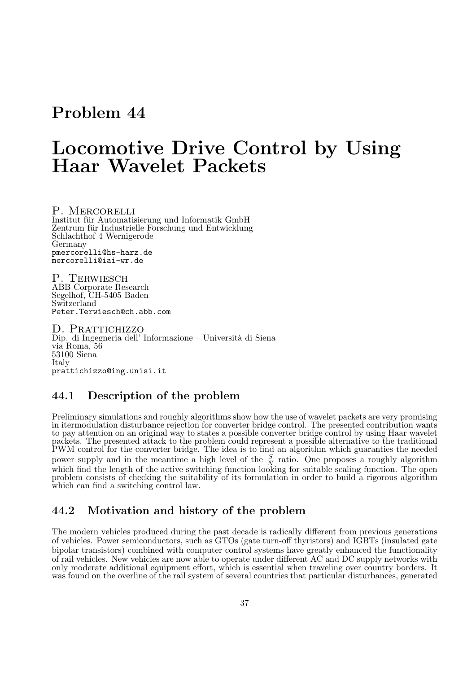# Locomotive Drive Control by Using Haar Wavelet Packets

P. MERCORELLI Institut für Automatisierung und Informatik GmbH Zentrum für Industrielle Forschung und Entwicklung Schlachthof 4 Wernigerode Germany pmercorelli@hs-harz.de mercorelli@iai-wr.de

P. TERWIESCH ABB Corporate Research Segelhof, CH-5405 Baden Switzerland Peter.Terwiesch@ch.abb.com

D. PRATTICHIZZO Dip. di Ingegneria dell' Informazione – Università di Siena via Roma, 56 53100 Siena Italy prattichizzo@ing.unisi.it

## 44.1 Description of the problem

Preliminary simulations and roughly algorithms show how the use of wavelet packets are very promising in itermodulation disturbance rejection for converter bridge control. The presented contribution wants to pay attention on an original way to states a possible converter bridge control by using Haar wavelet packets. The presented attack to the problem could represent a possible alternative to the traditional PWM control for the converter bridge. The idea is to find an algorithm which guaranties the needed power supply and in the meantime a high level of the  $\frac{S}{N}$  ratio. One proposes a roughly algorithm which find the length of the active switching function looking for suitable scaling function. The open problem consists of checking the suitability of its formulation in order to build a rigorous algorithm which can find a switching control law.

## 44.2 Motivation and history of the problem

The modern vehicles produced during the past decade is radically different from previous generations of vehicles. Power semiconductors, such as GTOs (gate turn-off thyristors) and IGBTs (insulated gate bipolar transistors) combined with computer control systems have greatly enhanced the functionality of rail vehicles. New vehicles are now able to operate under different AC and DC supply networks with only moderate additional equipment effort, which is essential when traveling over country borders. It was found on the overline of the rail system of several countries that particular disturbances, generated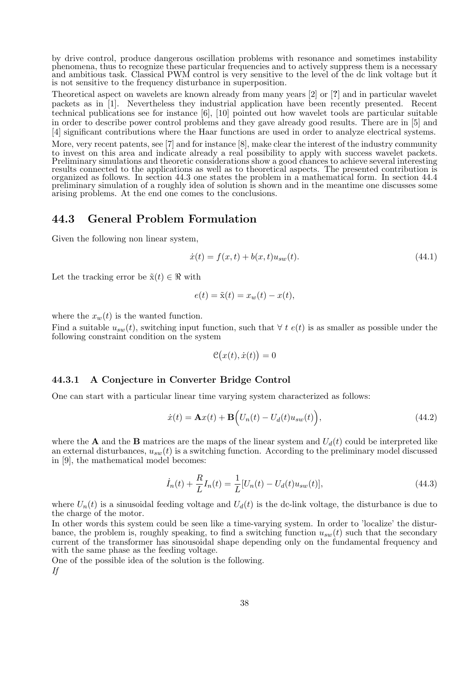by drive control, produce dangerous oscillation problems with resonance and sometimes instability phenomena, thus to recognize these particular frequencies and to actively suppress them is a necessary and ambitious task. Classical PWM control is very sensitive to the level of the dc link voltage but it is not sensitive to the frequency disturbance in superposition.

Theoretical aspect on wavelets are known already from many years [2] or [?] and in particular wavelet packets as in [1]. Nevertheless they industrial application have been recently presented. Recent technical publications see for instance [6], [10] pointed out how wavelet tools are particular suitable in order to describe power control problems and they gave already good results. There are in [5] and [4] significant contributions where the Haar functions are used in order to analyze electrical systems.

More, very recent patents, see [7] and for instance [8], make clear the interest of the industry community to invest on this area and indicate already a real possibility to apply with success wavelet packets. Preliminary simulations and theoretic considerations show a good chances to achieve several interesting results connected to the applications as well as to theoretical aspects. The presented contribution is organized as follows. In section 44.3 one states the problem in a mathematical form. In section 44.4 preliminary simulation of a roughly idea of solution is shown and in the meantime one discusses some arising problems. At the end one comes to the conclusions.

### 44.3 General Problem Formulation

Given the following non linear system,

$$
\dot{x}(t) = f(x, t) + b(x, t)u_{sw}(t). \tag{44.1}
$$

Let the tracking error be  $\tilde{x}(t) \in \Re$  with

$$
e(t) = \tilde{\mathbf{x}}(t) = x_w(t) - x(t),
$$

where the  $x_w(t)$  is the wanted function.

Find a suitable  $u_{sw}(t)$ , switching input function, such that  $\forall t e(t)$  is as smaller as possible under the following constraint condition on the system

$$
\mathcal{C}\big(x(t), \dot{x}(t)\big) = 0
$$

#### 44.3.1 A Conjecture in Converter Bridge Control

One can start with a particular linear time varying system characterized as follows:

$$
\dot{x}(t) = \mathbf{A}x(t) + \mathbf{B}\Big(U_n(t) - U_d(t)u_{sw}(t)\Big),\tag{44.2}
$$

where the **A** and the **B** matrices are the maps of the linear system and  $U_d(t)$  could be interpreted like an external disturbances,  $u_{sw}(t)$  is a switching function. According to the preliminary model discussed in [9], the mathematical model becomes:

$$
\dot{I}_n(t) + \frac{R}{L}I_n(t) = \frac{1}{L}[U_n(t) - U_d(t)u_{sw}(t)],
$$
\n(44.3)

where  $U_n(t)$  is a sinusoidal feeding voltage and  $U_d(t)$  is the dc-link voltage, the disturbance is due to the charge of the motor.

In other words this system could be seen like a time-varying system. In order to 'localize' the disturbance, the problem is, roughly speaking, to find a switching function  $u_{sw}(t)$  such that the secondary current of the transformer has sinousoidal shape depending only on the fundamental frequency and with the same phase as the feeding voltage.

One of the possible idea of the solution is the following.

If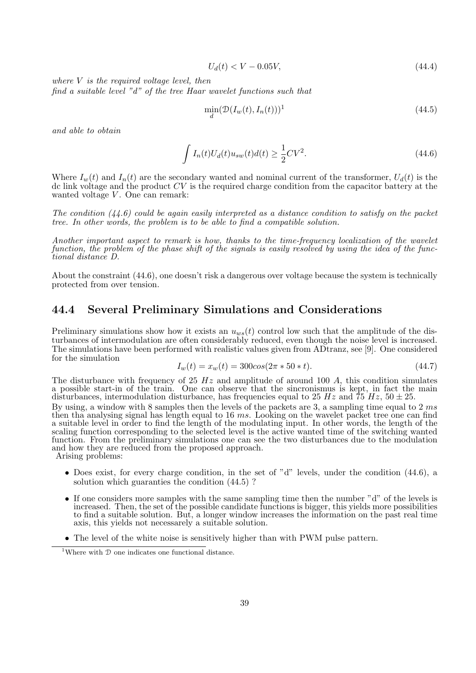$$
U_d(t) < V - 0.05V,\tag{44.4}
$$

where  $V$  is the required voltage level, then

find a suitable level "d" of the tree Haar wavelet functions such that

$$
\min_{d} (\mathcal{D}(I_w(t), I_n(t)))^1 \tag{44.5}
$$

and able to obtain

$$
\int I_n(t)U_d(t)u_{sw}(t)d(t) \ge \frac{1}{2}CV^2.
$$
\n(44.6)

Where  $I_w(t)$  and  $I_n(t)$  are the secondary wanted and nominal current of the transformer,  $U_d(t)$  is the dc link voltage and the product  $CV$  is the required charge condition from the capacitor battery at the wanted voltage  $V$ . One can remark:

The condition  $(44.6)$  could be again easily interpreted as a distance condition to satisfy on the packet tree. In other words, the problem is to be able to find a compatible solution.

Another important aspect to remark is how, thanks to the time-frequency localization of the wavelet function, the problem of the phase shift of the signals is easily resolved by using the idea of the functional distance D.

About the constraint (44.6), one doesn't risk a dangerous over voltage because the system is technically protected from over tension.

## 44.4 Several Preliminary Simulations and Considerations

Preliminary simulations show how it exists an  $u_{ws}(t)$  control low such that the amplitude of the disturbances of intermodulation are often considerably reduced, even though the noise level is increased. The simulations have been performed with realistic values given from ADtranz, see [9]. One considered for the simulation

$$
I_w(t) = x_w(t) = 300\cos(2\pi \times 50 \times t). \tag{44.7}
$$

The disturbance with frequency of 25  $Hz$  and amplitude of around 100 A, this condition simulates a possible start-in of the train. One can observe that the sincronismus is kept, in fact the main disturbances, intermodulation disturbance, has frequencies equal to 25 Hz and  $75$  Hz,  $50 \pm 25$ .

By using, a window with 8 samples then the levels of the packets are 3, a sampling time equal to 2 ms then tha analysing signal has length equal to 16 ms. Looking on the wavelet packet tree one can find a suitable level in order to find the length of the modulating input. In other words, the length of the scaling function corresponding to the selected level is the active wanted time of the switching wanted function. From the preliminary simulations one can see the two disturbances due to the modulation and how they are reduced from the proposed approach.

Arising problems:

- Does exist, for every charge condition, in the set of "d" levels, under the condition  $(44.6)$ , a solution which guaranties the condition (44.5) ?
- If one considers more samples with the same sampling time then the number "d" of the levels is increased. Then, the set of the possible candidate functions is bigger, this yields more possibilities to find a suitable solution. But, a longer window increases the information on the past real time axis, this yields not necessarely a suitable solution.
- The level of the white noise is sensitively higher than with PWM pulse pattern.

<sup>&</sup>lt;sup>1</sup>Where with  $\mathcal D$  one indicates one functional distance.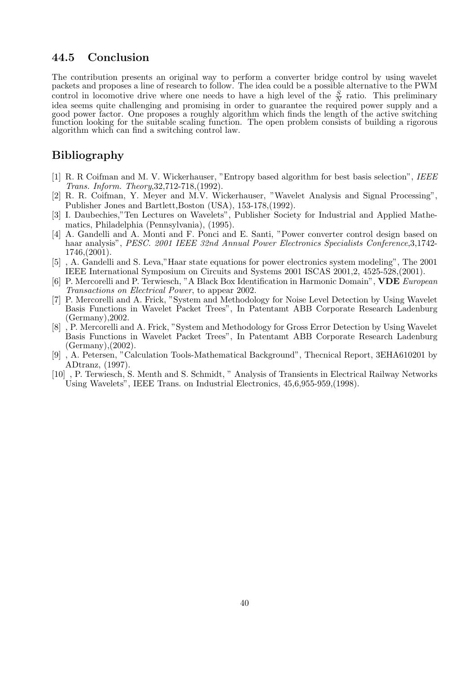## 44.5 Conclusion

The contribution presents an original way to perform a converter bridge control by using wavelet packets and proposes a line of research to follow. The idea could be a possible alternative to the PWM control in locomotive drive where one needs to have a high level of the  $\frac{S}{N}$  ratio. This preliminary idea seems quite challenging and promising in order to guarantee the required power supply and a good power factor. One proposes a roughly algorithm which finds the length of the active switching function looking for the suitable scaling function. The open problem consists of building a rigorous algorithm which can find a switching control law.

- [1] R. R Coifman and M. V. Wickerhauser, "Entropy based algorithm for best basis selection", IEEE Trans. Inform. Theory,32,712-718,(1992).
- [2] R. R. Coifman, Y. Meyer and M.V. Wickerhauser, "Wavelet Analysis and Signal Processing", Publisher Jones and Bartlett,Boston (USA), 153-178,(1992).
- [3] I. Daubechies,"Ten Lectures on Wavelets", Publisher Society for Industrial and Applied Mathematics, Philadelphia (Pennsylvania), (1995).
- [4] A. Gandelli and A. Monti and F. Ponci and E. Santi, "Power converter control design based on haar analysis", PESC. 2001 IEEE 32nd Annual Power Electronics Specialists Conference,3,1742- 1746,(2001).
- [5] , A. Gandelli and S. Leva,"Haar state equations for power electronics system modeling", The 2001 IEEE International Symposium on Circuits and Systems 2001 ISCAS 2001,2, 4525-528,(2001).
- [6] P. Mercorelli and P. Terwiesch, "A Black Box Identification in Harmonic Domain", VDE European Transactions on Electrical Power, to appear 2002.
- [7] P. Mercorelli and A. Frick, "System and Methodology for Noise Level Detection by Using Wavelet Basis Functions in Wavelet Packet Trees", In Patentamt ABB Corporate Research Ladenburg (Germany),2002.
- [8] , P. Mercorelli and A. Frick, "System and Methodology for Gross Error Detection by Using Wavelet Basis Functions in Wavelet Packet Trees", In Patentamt ABB Corporate Research Ladenburg (Germany),(2002).
- [9] , A. Petersen, "Calculation Tools-Mathematical Background", Thecnical Report, 3EHA610201 by ADtranz, (1997).
- [10] , P. Terwiesch, S. Menth and S. Schmidt, " Analysis of Transients in Electrical Railway Networks Using Wavelets", IEEE Trans. on Industrial Electronics, 45,6,955-959,(1998).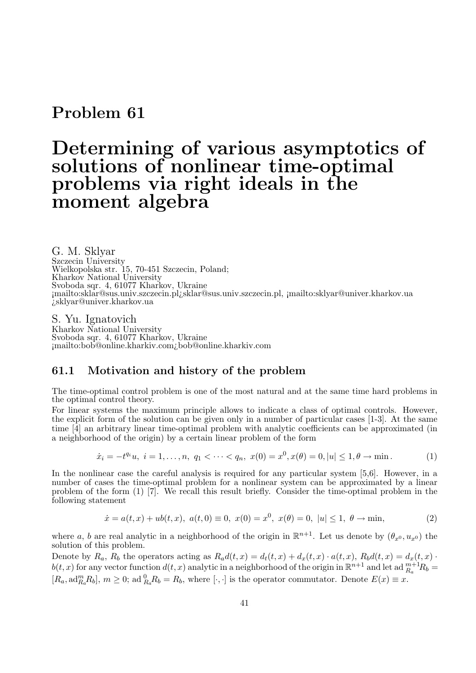# Determining of various asymptotics of solutions of nonlinear time-optimal problems via right ideals in the moment algebra

G. M. Sklyar Szczecin University Wielkopolska str. 15, 70-451 Szczecin, Poland; Kharkov National University Svoboda sqr. 4, 61077 Kharkov, Ukraine ¡mailto:sklar@sus.univ.szczecin.pl¿sklar@sus.univ.szczecin.pl, ¡mailto:sklyar@univer.kharkov.ua ¿sklyar@univer.kharkov.ua

S. Yu. Ignatovich Kharkov National University Svoboda sqr. 4, 61077 Kharkov, Ukraine ¡mailto:bob@online.kharkiv.com¿bob@online.kharkiv.com

## 61.1 Motivation and history of the problem

The time-optimal control problem is one of the most natural and at the same time hard problems in the optimal control theory.

For linear systems the maximum principle allows to indicate a class of optimal controls. However, the explicit form of the solution can be given only in a number of particular cases [1-3]. At the same time [4] an arbitrary linear time-optimal problem with analytic coefficients can be approximated (in a neighborhood of the origin) by a certain linear problem of the form

$$
\dot{x}_i = -t^{q_i}u, \ i = 1, \dots, n, \ q_1 < \dots < q_n, \ x(0) = x^0, x(\theta) = 0, |u| \le 1, \theta \to \min. \tag{1}
$$

In the nonlinear case the careful analysis is required for any particular system [5,6]. However, in a number of cases the time-optimal problem for a nonlinear system can be approximated by a linear problem of the form (1) [7]. We recall this result briefly. Consider the time-optimal problem in the following statement

$$
\dot{x} = a(t, x) + ub(t, x), \ a(t, 0) \equiv 0, \ x(0) = x^0, \ x(\theta) = 0, \ |u| \le 1, \ \theta \to \min,
$$
 (2)

where a, b are real analytic in a neighborhood of the origin in  $\mathbb{R}^{n+1}$ . Let us denote by  $(\theta_{x^0}, u_{x^0})$  the solution of this problem.

Denote by  $R_a$ ,  $R_b$  the operators acting as  $R_a d(t, x) = d_t(t, x) + d_x(t, x) \cdot a(t, x)$ ,  $R_b d(t, x) = d_x(t, x) \cdot a(t, x)$ .  $b(t, x)$  for any vector function  $d(t, x)$  analytic in a neighborhood of the origin in  $\mathbb{R}^{n+1}$  and let ad  $\frac{m+1}{R_a}R_b =$  $[R_a, \text{ad}_{R_a}^m R_b], m \geq 0; \text{ad}_{R_a}^0 R_b = R_b$ , where  $[\cdot, \cdot]$  is the operator commutator. Denote  $E(x) \equiv x$ .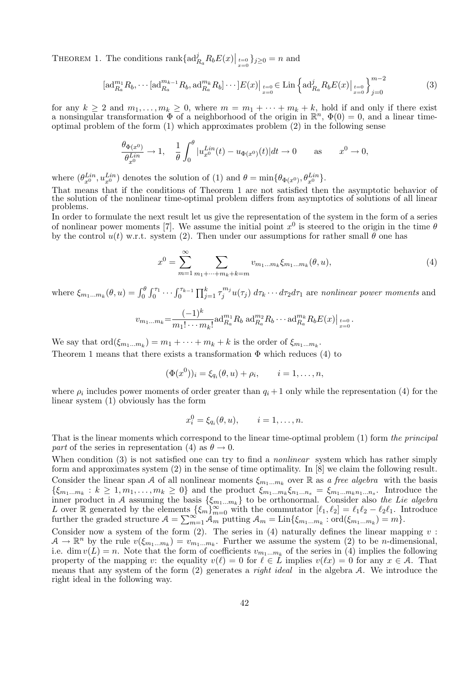THEOREM 1. The conditions rank $\{\mathrm{ad}_{R_a}^j R_b E(x) |_{x=0} \}_{j\geq 0} = n$  and

$$
\left[\mathrm{ad}_{R_a}^{m_1} R_b, \cdots \left[\mathrm{ad}_{R_a}^{m_{k-1}} R_b, \mathrm{ad}_{R_a}^{m_k} R_b\right] \cdots \left] E(x) \right|_{x=0} \in \mathrm{Lin}\left\{\mathrm{ad}_{R_a}^{j} R_b E(x) \right|_{x=0} \right\}_{j=0}^{m-2}
$$
(3)

for any  $k \geq 2$  and  $m_1, \ldots, m_k \geq 0$ , where  $m = m_1 + \cdots + m_k + k$ , hold if and only if there exist a nonsingular transformation  $\Phi$  of a neighborhood of the origin in  $\mathbb{R}^n$ ,  $\Phi(0) = 0$ , and a linear timeoptimal problem of the form (1) which approximates problem (2) in the following sense

$$
\frac{\theta_{\Phi(x^0)}}{\theta_{x^0}^{Lin}} \to 1, \quad \frac{1}{\theta} \int_0^{\theta} |u_{x^0}^{Lin}(t) - u_{\Phi(x^0)}(t)| dt \to 0 \quad \text{as} \quad x^0 \to 0,
$$

where  $(\theta_{x_0}^{Lin}, u_{x_0}^{Lin})$  denotes the solution of (1) and  $\theta = \min{\{\theta_{\Phi(x_0)}, \theta_{x_0}^{Lin}\}}$ .

That means that if the conditions of Theorem 1 are not satisfied then the asymptotic behavior of the solution of the nonlinear time-optimal problem differs from asymptotics of solutions of all linear problems.

In order to formulate the next result let us give the representation of the system in the form of a series of nonlinear power moments [7]. We assume the initial point  $x^0$  is steered to the origin in the time  $\theta$ by the control  $u(t)$  w.r.t. system (2). Then under our assumptions for rather small  $\theta$  one has

$$
x^{0} = \sum_{m=1}^{\infty} \sum_{m_{1}+\dots+m_{k}+k=m} v_{m_{1}...m_{k}} \xi_{m_{1}...m_{k}}(\theta, u), \qquad (4)
$$

where  $\xi_{m_1...m_k}(\theta, u) = \int_0^{\theta} \int_0^{\tau_1} \cdots \int_0^{\tau_{k-1}} \prod_{j=1}^k \tau_j^{m_j}$  $\int_j^{m_j} u(\tau_j) \ d\tau_k \cdots d\tau_2 d\tau_1$  are nonlinear power moments and

$$
v_{m_1...m_k} = \frac{(-1)^k}{m_1! \cdots m_k!} \mathrm{ad}_{R_a}^{m_1} R_b \mathrm{ad}_{R_a}^{m_2} R_b \cdots \mathrm{ad}_{R_a}^{m_k} R_b E(x) \Big|_{\substack{t=0 \\ x=0}}.
$$

We say that  $\text{ord}(\xi_{m_1...m_k}) = m_1 + \cdots + m_k + k$  is the order of  $\xi_{m_1...m_k}$ . Theorem 1 means that there exists a transformation  $\Phi$  which reduces (4) to

$$
(\Phi(x^0))_i = \xi_{q_i}(\theta, u) + \rho_i, \qquad i = 1, \dots, n,
$$

where  $\rho_i$  includes power moments of order greater than  $q_i + 1$  only while the representation (4) for the linear system (1) obviously has the form

$$
x_i^0 = \xi_{q_i}(\theta, u), \qquad i = 1, \dots, n.
$$

That is the linear moments which correspond to the linear time-optimal problem (1) form the principal part of the series in representation (4) as  $\theta \rightarrow 0$ .

When condition (3) is not satisfied one can try to find a *nonlinear* system which has rather simply form and approximates system (2) in the sense of time optimality. In [8] we claim the following result. Consider the linear span A of all nonlinear moments  $\xi_{m_1...m_k}$  over R as a free algebra with the basis  $\{\xi_{m_1...m_k}: k \geq 1, m_1, \ldots, m_k \geq 0\}$  and the product  $\xi_{m_1...m_k}\xi_{n_1...n_s} = \xi_{m_1...m_kn_1...n_s}$ . Introduce the inner product in A assuming the basis  $\{\xi_{m_1...m_k}\}\$  to be orthonormal. Consider also the Lie algebra L over R generated by the elements  $\{\xi_m\}_{m=0}^{\infty}$  with the commutator  $[\ell_1, \ell_2] = \ell_1 \ell_2 - \ell_2 \ell_1$ . Introduce further the graded structure  $A = \sum_{m=1}^{\infty} A_m$  putting  $A_m = \text{Lin}\{\xi_{m_1...m_k} : \text{ord}(\xi_{m_1...m_k}) = m\}.$ 

Consider now a system of the form  $(2)$ . The series in  $(4)$  naturally defines the linear mapping  $v$ :  $A \to \mathbb{R}^n$  by the rule  $v(\xi_{m_1...m_k}) = v_{m_1...m_k}$ . Further we assume the system (2) to be *n*-dimensional, i.e. dim  $v(L) = n$ . Note that the form of coefficients  $v_{m_1...m_k}$  of the series in (4) implies the following property of the mapping v: the equality  $v(\ell) = 0$  for  $\ell \in L$  implies  $v(\ell x) = 0$  for any  $x \in A$ . That means that any system of the form  $(2)$  generates a *right ideal* in the algebra A. We introduce the right ideal in the following way.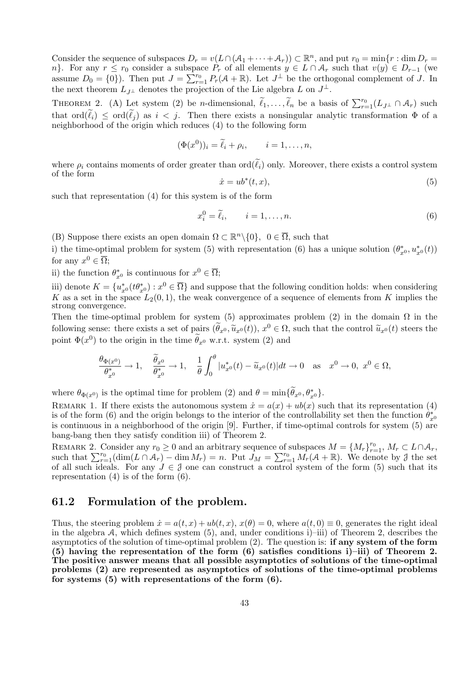Consider the sequence of subspaces  $D_r = v(L \cap (A_1 + \cdots + A_r)) \subset \mathbb{R}^n$ , and put  $r_0 = \min\{r : \dim D_r = \min\{r : \dim D_r\}$ n}. For any  $r \leq r_0$  consider a subspace  $P_r$  of all elements  $y \in L \cap A_r$  such that  $v(y) \in D_{r-1}$  (we assume  $D_0 = \{0\}$ ). Then put  $J = \sum_{r=1}^{r_0} P_r(\mathcal{A} + \mathbb{R})$ . Let  $J^{\perp}$  be the orthogonal complement of J. In the next theorem  $L_{J^{\perp}}$  denotes the projection of the Lie algebra L on  $J^{\perp}$ .

THEOREM 2. (A) Let system (2) be n-dimensional,  $\tilde{\ell}_1, \ldots, \tilde{\ell}_n$  be a basis of  $\sum_{r=1}^{r_0} (L_J \perp \cap \mathcal{A}_r)$  such that  $\text{ord}(\tilde{\ell}_i) \leq \text{ord}(\tilde{\ell}_j)$  as  $i < j$ . Then there exists a nonsingular analytic transformation  $\Phi$  of a neighborhood of the origin which reduces (4) to the following form

$$
(\Phi(x^0))_i = \widetilde{\ell}_i + \rho_i, \qquad i = 1, \ldots, n,
$$

where  $\rho_i$  contains moments of order greater than ord $(\tilde{\ell}_i)$  only. Moreover, there exists a control system of the form

$$
\dot{x} = ub^*(t, x),\tag{5}
$$

such that representation (4) for this system is of the form

$$
x_i^0 = \tilde{\ell}_i, \qquad i = 1, \dots, n. \tag{6}
$$

(B) Suppose there exists an open domain  $\Omega \subset \mathbb{R}^n \setminus \{0\}$ ,  $0 \in \overline{\Omega}$ , such that

i) the time-optimal problem for system (5) with representation (6) has a unique solution  $(\theta_{x^0}^*, u_{x^0}^*(t))$ for any  $x^0 \in \overline{\Omega}$ ;

ii) the function  $\theta_{x^0}^*$  is continuous for  $x^0 \in \overline{\Omega}$ ;

iii) denote  $K = \{u_{x^0}^*(t\theta_{x^0}^*) : x^0 \in \overline{\Omega}\}\$ and suppose that the following condition holds: when considering K as a set in the space  $L_2(0,1)$ , the weak convergence of a sequence of elements from K implies the strong convergence.

Then the time-optimal problem for system (5) approximates problem (2) in the domain  $\Omega$  in the following sense: there exists a set of pairs  $(\tilde{\theta}_x, \tilde{u}_{x0}(t)), x^0 \in \Omega$ , such that the control  $\tilde{u}_{x0}(t)$  steers the point  $\Phi(x^0)$  to the origin in the time  $\hat{\theta}_{x^0}$  w.r.t. system (2) and

$$
\frac{\theta_{\Phi(x^0)}}{\theta_{x^0}^*} \to 1, \quad \frac{\tilde{\theta}_{x^0}}{\theta_{x^0}^*} \to 1, \quad \frac{1}{\theta} \int_0^{\theta} |u_{x^0}^*(t) - \tilde{u}_{x^0}(t)| dt \to 0 \quad \text{as} \quad x^0 \to 0, \ x^0 \in \Omega,
$$

where  $\theta_{\Phi(x^0)}$  is the optimal time for problem (2) and  $\theta = \min{\{\widetilde{\theta}_{x^0}, \theta_{x^0}^*\}}$ .

REMARK 1. If there exists the autonomous system  $\dot{x} = a(x) + ub(x)$  such that its representation (4) is of the form (6) and the origin belongs to the interior of the controllability set then the function  $\hat{\theta}^*$  $x^0$ is continuous in a neighborhood of the origin [9]. Further, if time-optimal controls for system (5) are bang-bang then they satisfy condition iii) of Theorem 2.

REMARK 2. Consider any  $r_0 \geq 0$  and an arbitrary sequence of subspaces  $M = \{M_r\}_{r=1}^{r_0}$ ,  $M_r \subset L \cap \mathcal{A}_r$ , such that  $\sum_{r=1}^{r_0}(\dim(L \cap \mathcal{A}_r) - \dim M_r) = n$ . Put  $J_M = \sum_{r=1}^{r_0} M_r(\mathcal{A} + \mathbb{R})$ . We denote by  $\mathcal{J}$  the set of all such ideals. For any  $J \in \mathcal{J}$  one can construct a control system of the form (5) such that its representation  $(4)$  is of the form  $(6)$ .

## 61.2 Formulation of the problem.

Thus, the steering problem  $\dot{x} = a(t, x) + ub(t, x)$ ,  $x(\theta) = 0$ , where  $a(t, 0) \equiv 0$ , generates the right ideal in the algebra  $A$ , which defines system  $(5)$ , and, under conditions i)–iii) of Theorem 2, describes the asymptotics of the solution of time-optimal problem (2). The question is: if any system of the form (5) having the representation of the form (6) satisfies conditions i)–iii) of Theorem 2. The positive answer means that all possible asymptotics of solutions of the time-optimal problems (2) are represented as asymptotics of solutions of the time-optimal problems for systems (5) with representations of the form (6).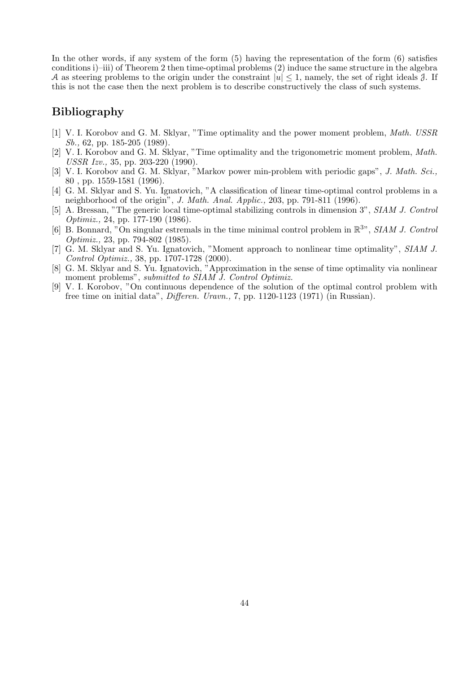In the other words, if any system of the form (5) having the representation of the form (6) satisfies conditions i)–iii) of Theorem 2 then time-optimal problems (2) induce the same structure in the algebra A as steering problems to the origin under the constraint  $|u| \leq 1$ , namely, the set of right ideals  $\mathcal{J}$ . If this is not the case then the next problem is to describe constructively the class of such systems.

- [1] V. I. Korobov and G. M. Sklyar, "Time optimality and the power moment problem, Math. USSR Sb., 62, pp. 185-205 (1989).
- [2] V. I. Korobov and G. M. Sklyar, "Time optimality and the trigonometric moment problem, Math. USSR Izv., 35, pp. 203-220 (1990).
- [3] V. I. Korobov and G. M. Sklyar, "Markov power min-problem with periodic gaps", J. Math. Sci., 80 , pp. 1559-1581 (1996).
- [4] G. M. Sklyar and S. Yu. Ignatovich, "A classification of linear time-optimal control problems in a neighborhood of the origin", J. Math. Anal. Applic., 203, pp. 791-811 (1996).
- [5] A. Bressan, "The generic local time-optimal stabilizing controls in dimension 3", SIAM J. Control Optimiz., 24, pp. 177-190 (1986).
- [6] B. Bonnard, "On singular estremals in the time minimal control problem in  $\mathbb{R}^{3}$ ", SIAM J. Control Optimiz., 23, pp. 794-802 (1985).
- [7] G. M. Sklyar and S. Yu. Ignatovich, "Moment approach to nonlinear time optimality", SIAM J. Control Optimiz., 38, pp. 1707-1728 (2000).
- [8] G. M. Sklyar and S. Yu. Ignatovich, "Approximation in the sense of time optimality via nonlinear moment problems", submitted to SIAM J. Control Optimiz.
- [9] V. I. Korobov, "On continuous dependence of the solution of the optimal control problem with free time on initial data", Differen. Uravn., 7, pp. 1120-1123 (1971) (in Russian).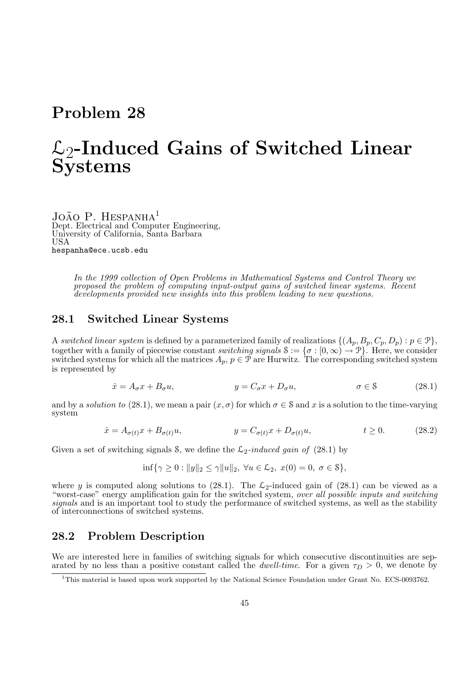# $\mathcal{L}_2$ -Induced Gains of Switched Linear Systems

JOÃO P. HESPANHA<sup>1</sup> Dept. Electrical and Computer Engineering, University of California, Santa Barbara USA hespanha@ece.ucsb.edu

> In the 1999 collection of Open Problems in Mathematical Systems and Control Theory we proposed the problem of computing input-output gains of switched linear systems. Recent developments provided new insights into this problem leading to new questions.

## 28.1 Switched Linear Systems

A switched linear system is defined by a parameterized family of realizations  $\{(A_p, B_p, C_p, D_p) : p \in \mathcal{P}\},\$ together with a family of piecewise constant switching signals  $S := \{\sigma : [0, \infty) \to \mathcal{P}\}\$ . Here, we consider switched systems for which all the matrices  $A_p$ ,  $p \in \tilde{\mathcal{P}}$  are Hurwitz. The corresponding switched system is represented by

$$
\dot{x} = A_{\sigma}x + B_{\sigma}u, \qquad y = C_{\sigma}x + D_{\sigma}u, \qquad \sigma \in \mathcal{S} \qquad (28.1)
$$

and by a solution to (28.1), we mean a pair  $(x, \sigma)$  for which  $\sigma \in \mathcal{S}$  and x is a solution to the time-varying system

$$
\dot{x} = A_{\sigma(t)}x + B_{\sigma(t)}u, \qquad y = C_{\sigma(t)}x + D_{\sigma(t)}u, \qquad t \ge 0. \qquad (28.2)
$$

Given a set of switching signals S, we define the  $\mathcal{L}_2$ -induced gain of (28.1) by

$$
\inf \{ \gamma \ge 0 : ||y||_2 \le \gamma ||u||_2, \ \forall u \in \mathcal{L}_2, \ x(0) = 0, \ \sigma \in \mathcal{S} \},
$$

where y is computed along solutions to (28.1). The  $\mathcal{L}_2$ -induced gain of (28.1) can be viewed as a "worst-case" energy amplification gain for the switched system, over all possible inputs and switching signals and is an important tool to study the performance of switched systems, as well as the stability of interconnections of switched systems.

## 28.2 Problem Description

We are interested here in families of switching signals for which consecutive discontinuities are separated by no less than a positive constant called the *dwell-time*. For a given  $\tau_D > 0$ , we denote by

<sup>&</sup>lt;sup>1</sup>This material is based upon work supported by the National Science Foundation under Grant No. ECS-0093762.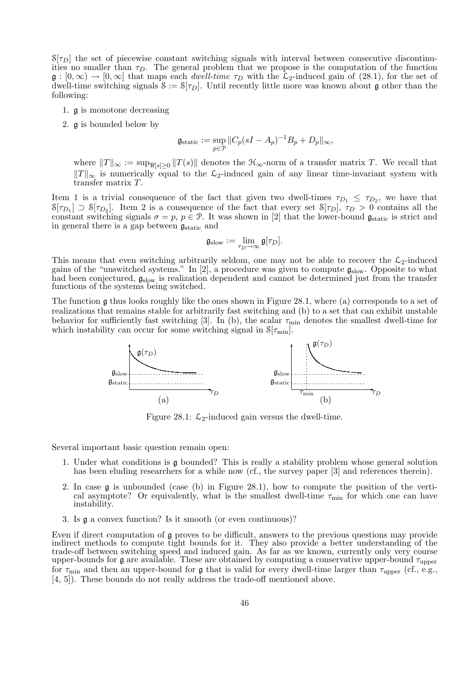$S[\tau_D]$  the set of piecewise constant switching signals with interval between consecutive discontinuities no smaller than  $\tau_D$ . The general problem that we propose is the computation of the function  $\mathfrak{g} : [0,\infty) \to [0,\infty]$  that maps each *dwell-time*  $\tau_D$  with the  $\mathcal{L}_2$ -induced gain of (28.1), for the set of dwell-time switching signals  $S := S[\tau_D]$ . Until recently little more was known about g other than the following:

- 1. g is monotone decreasing
- 2. g is bounded below by

$$
\mathfrak{g}_{static} := \sup_{p \in \mathcal{P}} \|C_p(sI - A_p)^{-1}B_p + D_p\|_{\infty},
$$

where  $||T||_{\infty} := \sup_{\Re[s] \geq 0} ||T(s)||$  denotes the  $\mathcal{H}_{\infty}$ -norm of a transfer matrix T. We recall that  $||T||_{\infty}$  is numerically equal to the L<sub>2</sub>-induced gain of any linear time-invariant system with transfer matrix T.

Item 1 is a trivial consequence of the fact that given two dwell-times  $\tau_{D_1} \leq \tau_{D_2}$ , we have that  $\mathcal{S}[\tau_{D_1}] \supset \mathcal{S}[\tau_{D_2}]$ . Item 2 is a consequence of the fact that every set  $\mathcal{S}[\tau_D], \tau_D > 0$  contains all the constant switching signals  $\sigma = p$ ,  $p \in \mathcal{P}$ . It was shown in [2] that the lower-bound  $\mathfrak{g}_{static}$  is strict and in general there is a gap between  $\mathfrak{g}_{static}$  and

$$
\mathfrak{g}_{\mathrm{slow}}:=\lim_{\tau_D\to\infty}\mathfrak{g}[\tau_D].
$$

This means that even switching arbitrarily seldom, one may not be able to recover the  $\mathcal{L}_2$ -induced gains of the "unswitched systems." In [2], a procedure was given to compute  $\mathfrak{g}_{slow}$ . Opposite to what had been conjectured,  $g_{slow}$  is realization dependent and cannot be determined just from the transfer functions of the systems being switched.

The function g thus looks roughly like the ones shown in Figure 28.1, where (a) corresponds to a set of realizations that remains stable for arbitrarily fast switching and (b) to a set that can exhibit unstable behavior for sufficiently fast switching [3]. In (b), the scalar  $\tau_{\rm min}$  denotes the smallest dwell-time for which instability can occur for some switching signal in  $S[\tau_{min}]$ .



Figure 28.1:  $\mathcal{L}_2$ -induced gain versus the dwell-time.

Several important basic question remain open:

- 1. Under what conditions is g bounded? This is really a stability problem whose general solution has been eluding researchers for a while now (cf., the survey paper [3] and references therein).
- 2. In case g is unbounded (case (b) in Figure 28.1), how to compute the position of the vertical asymptote? Or equivalently, what is the smallest dwell-time  $\tau_{\text{min}}$  for which one can have instability.
- 3. Is g a convex function? Is it smooth (or even continuous)?

Even if direct computation of g proves to be difficult, answers to the previous questions may provide indirect methods to compute tight bounds for it. They also provide a better understanding of the trade-off between switching speed and induced gain. As far as we known, currently only very course upper-bounds for g are available. These are obtained by computing a conservative upper-bound  $\tau_{\text{upper}}$ for  $\tau_{\rm min}$  and then an upper-bound for g that is valid for every dwell-time larger than  $\tau_{\rm upper}$  (cf., e.g., [4, 5]). These bounds do not really address the trade-off mentioned above.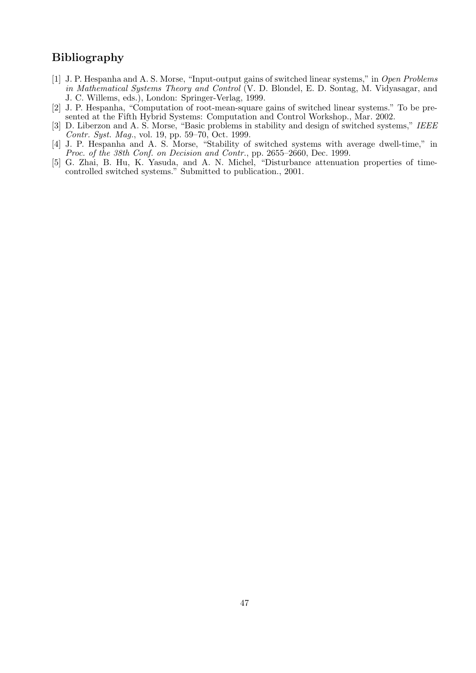- [1] J. P. Hespanha and A. S. Morse, "Input-output gains of switched linear systems," in Open Problems in Mathematical Systems Theory and Control (V. D. Blondel, E. D. Sontag, M. Vidyasagar, and J. C. Willems, eds.), London: Springer-Verlag, 1999.
- [2] J. P. Hespanha, "Computation of root-mean-square gains of switched linear systems." To be presented at the Fifth Hybrid Systems: Computation and Control Workshop., Mar. 2002.
- [3] D. Liberzon and A. S. Morse, "Basic problems in stability and design of switched systems," IEEE Contr. Syst. Mag., vol. 19, pp. 59–70, Oct. 1999.
- [4] J. P. Hespanha and A. S. Morse, "Stability of switched systems with average dwell-time," in Proc. of the 38th Conf. on Decision and Contr., pp. 2655–2660, Dec. 1999.
- [5] G. Zhai, B. Hu, K. Yasuda, and A. N. Michel, "Disturbance attenuation properties of timecontrolled switched systems." Submitted to publication., 2001.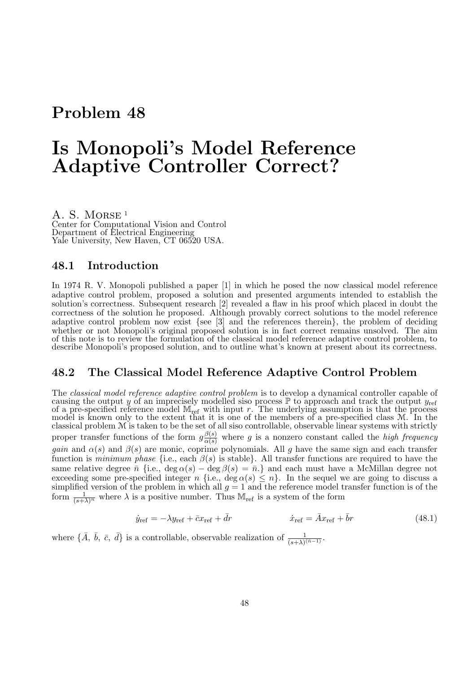# Is Monopoli's Model Reference Adaptive Controller Correct?

A. S. MORSE<sup>1</sup> Center for Computational Vision and Control Department of Electrical Engineering Yale University, New Haven, CT 06520 USA.

## 48.1 Introduction

In 1974 R. V. Monopoli published a paper [1] in which he posed the now classical model reference adaptive control problem, proposed a solution and presented arguments intended to establish the solution's correctness. Subsequent research [2] revealed a flaw in his proof which placed in doubt the correctness of the solution he proposed. Although provably correct solutions to the model reference adaptive control problem now exist {see [3] and the references therein}, the problem of deciding whether or not Monopoli's original proposed solution is in fact correct remains unsolved. The aim of this note is to review the formulation of the classical model reference adaptive control problem, to describe Monopoli's proposed solution, and to outline what's known at present about its correctness.

## 48.2 The Classical Model Reference Adaptive Control Problem

The classical model reference adaptive control problem is to develop a dynamical controller capable of causing the output y of an imprecisely modelled siso process  $\mathbb P$  to approach and track the output  $y_{\text{ref}}$ of a pre-specified reference model  $\mathbb{M}_{\text{ref}}$  with input r. The underlying assumption is that the process model is known only to the extent that it is one of the members of a pre-specified class M. In the classical problem M is taken to be the set of all siso controllable, observable linear systems with strictly proper transfer functions of the form  $g\frac{\beta(s)}{\alpha(s)}$  where g is a nonzero constant called the *high frequency* gain and  $\alpha(s)$  and  $\beta(s)$  are monic, coprime polynomials. All g have the same sign and each transfer function is *minimum phase* {i.e., each  $\beta(s)$  is stable}. All transfer functions are required to have the same relative degree  $\bar{n}$  {i.e., deg  $\alpha(s) - \deg \beta(s) = \bar{n}$ } and each must have a McMillan degree not exceeding some pre-specified integer n {i.e., deg  $\alpha(s) \leq n$ }. In the sequel we are going to discuss a simplified version of the problem in which all  $g = 1$  and the reference model transfer function is of the form  $\frac{1}{(s+\lambda)^n}$  where  $\lambda$  is a positive number. Thus  $\mathbb{M}_{\text{ref}}$  is a system of the form

$$
\dot{y}_{\text{ref}} = -\lambda y_{\text{ref}} + \bar{c}x_{\text{ref}} + \bar{d}r \qquad \dot{x}_{\text{ref}} = \bar{A}x_{\text{ref}} + \bar{b}r \qquad (48.1)
$$

where  $\{\overline{A}, \overline{b}, \overline{c}, \overline{d}\}$  is a controllable, observable realization of  $\frac{1}{(s+\lambda)^{(\overline{n}-1)}}$ .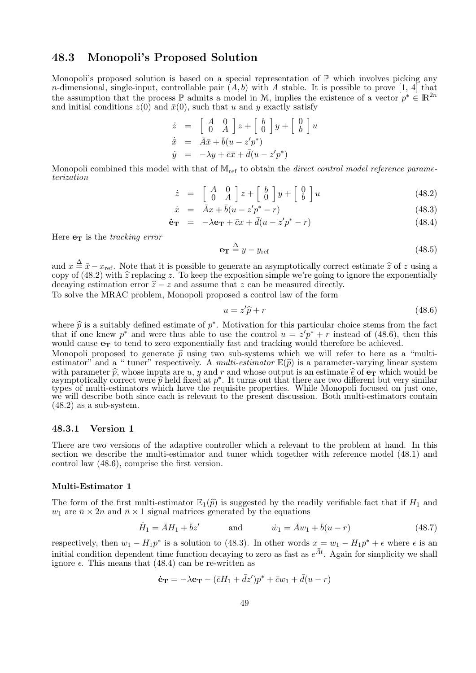## 48.3 Monopoli's Proposed Solution

Monopoli's proposed solution is based on a special representation of  $\mathbb{P}$  which involves picking any *n*-dimensional, single-input, controllable pair  $(A, b)$  with A stable. It is possible to prove [1, 4] that the assumption that the process  $\mathbb P$  admits a model in M, implies the existence of a vector  $p^* \in \mathbb R^{2n}$ and initial conditions  $z(0)$  and  $\bar{x}(0)$ , such that u and y exactly satisfy

$$
\dot{z} = \begin{bmatrix} A & 0 \\ 0 & A \end{bmatrix} z + \begin{bmatrix} b \\ 0 \end{bmatrix} y + \begin{bmatrix} 0 \\ b \end{bmatrix} u
$$

$$
\dot{\bar{x}} = \bar{A}\bar{x} + \bar{b}(u - z'p^*)
$$

$$
\dot{y} = -\lambda y + \bar{c}\bar{x} + \bar{d}(u - z'p^*)
$$

Monopoli combined this model with that of  $\mathbb{M}_{ref}$  to obtain the *direct control model reference parame*terization

$$
\dot{z} = \begin{bmatrix} A & 0 \\ 0 & A \end{bmatrix} z + \begin{bmatrix} b \\ 0 \end{bmatrix} y + \begin{bmatrix} 0 \\ b \end{bmatrix} u \tag{48.2}
$$

$$
\dot{x} = \bar{A}x + \bar{b}(u - z'p^* - r) \tag{48.3}
$$

$$
\dot{\mathbf{e}}_{\mathbf{T}} = -\lambda \mathbf{e}_{\mathbf{T}} + \bar{c}x + \bar{d}(u - z'p^* - r) \tag{48.4}
$$

Here  $e_T$  is the tracking error

$$
\mathbf{e_T} \stackrel{\Delta}{=} y - y_{\text{ref}} \tag{48.5}
$$

and  $x \stackrel{\Delta}{=} \bar{x} - x_{\text{ref}}$ . Note that it is possible to generate an asymptotically correct estimate  $\hat{z}$  of z using a copy of (48.2) with  $\hat{z}$  replacing z. To keep the exposition simple we're going to ignore the exp copy of (48.2) with  $\hat{z}$  replacing z. To keep the exposition simple we're going to ignore the exponentially decaying estimation error  $\hat{z} - z$  and assume that z can be measured directly.

To solve the MRAC problem, Monopoli proposed a control law of the form

$$
u = z'\hat{p} + r \tag{48.6}
$$

where  $\hat{p}$  is a suitably defined estimate of  $p^*$ . Motivation for this particular choice stems from the fact that if one knew  $p^*$  and were thus able to use the control  $u = z'n^* + r$  instead of (48.6), then this that if one knew  $p^*$  and were thus able to use the control  $u = z'p^* + r$  instead of (48.6), then this would cause  $e_T$  to tend to zero exponentially fast and tracking would therefore be achieved.

Monopoli proposed to generate  $\hat{p}$  using two sub-systems which we will refer to here as a "multi-estimator" and a " tuner" respectively. A *multi-estimator*  $\mathbb{E}(\hat{p})$  is a parameter-varying linear system estimator" and a " tuner" respectively. A *multi-estimator*  $\mathbb{E}(\hat{p})$  is a parameter-varying linear system<br>with parameter  $\hat{n}$  whose inputs are u u and r and whose output is an estimate  $\hat{e}$  of  $e_{\text{T}}$  which wou with parameter  $\hat{p}$ , whose inputs are u, y and r and whose output is an estimate  $\hat{e}$  of  $\mathbf{e}_{\mathbf{T}}$  which would be asymptotically correct were  $\hat{p}$  held fixed at  $p^*$ . It turns out that there are two differen asymptotically correct were  $\hat{p}$  held fixed at  $p^*$ . It turns out that there are two different but very similar types of multi-estimators which have the requisite properties. While Monopoli focused on just one. types of multi-estimators which have the requisite properties. While Monopoli focused on just one, we will describe both since each is relevant to the present discussion. Both multi-estimators contain (48.2) as a sub-system.

#### 48.3.1 Version 1

There are two versions of the adaptive controller which a relevant to the problem at hand. In this section we describe the multi-estimator and tuner which together with reference model (48.1) and control law (48.6), comprise the first version.

#### Multi-Estimator 1

The form of the first multi-estimator  $\mathbb{E}_1(\hat{p})$  is suggested by the readily verifiable fact that if  $H_1$  and  $w_1$  are  $\bar{n} \times 2n$  and  $\bar{n} \times 1$  signal matrices generated by the equations

$$
\dot{H}_1 = \bar{A}H_1 + \bar{b}z' \quad \text{and} \quad \dot{w}_1 = \bar{A}w_1 + \bar{b}(u - r) \tag{48.7}
$$

respectively, then  $w_1 - H_1 p^*$  is a solution to (48.3). In other words  $x = w_1 - H_1 p^* + \epsilon$  where  $\epsilon$  is an initial condition dependent time function decaying to zero as fast as  $e^{\bar{A}t}$ . Again for simplicity we shall ignore  $\epsilon$ . This means that (48.4) can be re-written as

$$
\dot{\mathbf{e}}_{\mathbf{T}} = -\lambda \mathbf{e}_{\mathbf{T}} - (\bar{c}H_1 + \bar{d}z')p^* + \bar{c}w_1 + \bar{d}(u - r)
$$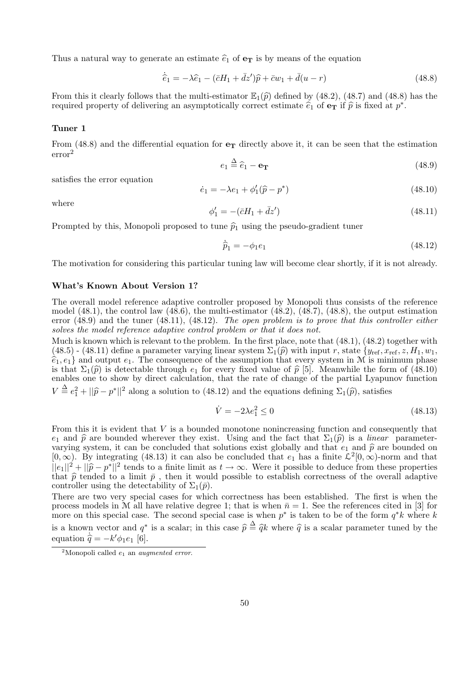Thus a natural way to generate an estimate  $\hat{e}_1$  of  $\mathbf{e}_T$  is by means of the equation

$$
\dot{\hat{e}}_1 = -\lambda \hat{e}_1 - (\bar{c}H_1 + \bar{d}z')\hat{p} + \bar{c}w_1 + \bar{d}(u - r)
$$
\n(48.8)

From this it clearly follows that the multi-estimator  $\mathbb{E}_1(\hat{p})$  defined by (48.2), (48.7) and (48.8) has the required property of delivering an asymptotically correct estimate  $\hat{e}_1$  of  $\mathbf{e}_T$  if  $\hat{p}$  is fixed at  $p^*$ .

#### Tuner 1

From (48.8) and the differential equation for  $e_T$  directly above it, it can be seen that the estimation error<sup>2</sup>

$$
e_1 \stackrel{\Delta}{=} \hat{e}_1 - \mathbf{e_T} \tag{48.9}
$$

satisfies the error equation

$$
\dot{e}_1 = -\lambda e_1 + \phi_1'(\hat{p} - p^*)
$$
\n(48.10)

where

$$
\phi_1' = -(\bar{c}H_1 + \bar{d}z')\tag{48.11}
$$

Prompted by this, Monopoli proposed to tune  $\hat{p}_1$  using the pseudo-gradient tuner

$$
\dot{\hat{p}}_1 = -\phi_1 e_1 \tag{48.12}
$$

The motivation for considering this particular tuning law will become clear shortly, if it is not already.

#### What's Known About Version 1?

The overall model reference adaptive controller proposed by Monopoli thus consists of the reference model  $(48.1)$ , the control law  $(48.6)$ , the multi-estimator  $(48.2)$ ,  $(48.7)$ ,  $(48.8)$ , the output estimation error  $(48.9)$  and the tuner  $(48.11)$ ,  $(48.12)$ . The open problem is to prove that this controller either solves the model reference adaptive control problem or that it does not.

Much is known which is relevant to the problem. In the first place, note that (48.1), (48.2) together with (48.5) - (48.11) define a parameter varying linear system  $\Sigma_1(\hat{p})$  with input r, state { $y_{\text{ref}}, x_{\text{ref}}, z, H_1, w_1$ ,  $\{e_1, e_1\}$  and output  $e_1$ . The consequence of the assumption that every system in M is minimum phase is that  $\Sigma_1(\hat{p})$  is detectable through  $e_1$  for every fixed value of  $\hat{p}$  [5]. Meanwhile the form of (48.10) enables one to show by direct calculation, that the rate of change of the partial Lyapunov function  $V \stackrel{\Delta}{=} e_1^2 + ||\hat{p} - p^*||^2$  along a solution to (48.12) and the equations defining  $\Sigma_1(\hat{p})$ , satisfies

$$
\dot{V} = -2\lambda e_1^2 \le 0\tag{48.13}
$$

From this it is evident that  $V$  is a bounded monotone nonincreasing function and consequently that  $e_1$  and  $\hat{p}$  are bounded wherever they exist. Using and the fact that  $\Sigma_1(\hat{p})$  is a *linear* parametervarying system, it can be concluded that solutions exist globally and that  $e_1$  and  $\hat{p}$  are bounded on  $[0, \infty)$ . By integrating (48.13) it can also be concluded that  $e_1$  has a finite  $\mathcal{L}^2[0, \infty)$ -norm and that  $\|\vec{e}_1\|^2 + \|\hat{p}-p^*\|^2$  tends to a finite limit as  $t \to \infty$ . Were it possible to deduce from these properties that  $\hat{p}$  tended to a limit  $\bar{p}$  then it would possible to establish correctness of the overall adaptive that  $\hat{p}$  tended to a limit  $\bar{p}$ , then it would possible to establish correctness of the overall adaptive controller using the detectability of  $\Sigma_1(\bar{p})$ .

There are two very special cases for which correctness has been established. The first is when the process models in M all have relative degree 1; that is when  $\bar{n} = 1$ . See the references cited in [3] for more on this special case. The second special case is when  $p^*$  is taken to be of the form  $q^*k$  where k is a known vector and  $q^*$  is a scalar; in this case  $\hat{p} \triangleq \hat{q}k$  where  $\hat{q}$  is a scalar parameter tuned by the equation  $\hat{\hat{q}} = -k'\hat{q}k$ . equation  $\dot{\hat{q}} = -k'\phi_1e_1$  [6].

<sup>&</sup>lt;sup>2</sup>Monopoli called  $e_1$  an *augmented error*.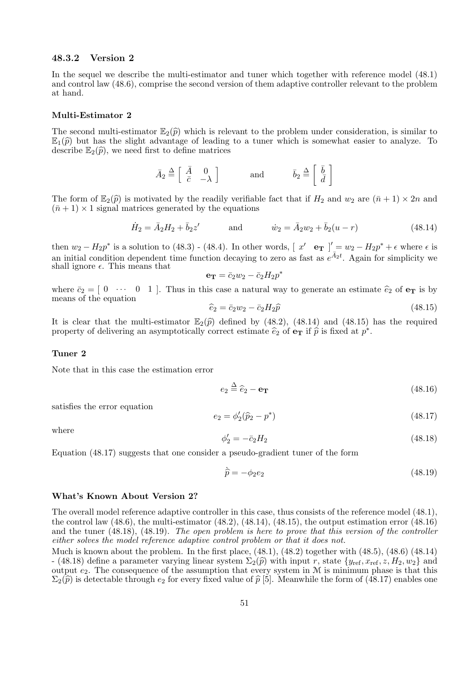#### 48.3.2 Version 2

In the sequel we describe the multi-estimator and tuner which together with reference model (48.1) and control law (48.6), comprise the second version of them adaptive controller relevant to the problem at hand.

#### Multi-Estimator 2

The second multi-estimator  $\mathbb{E}_2(\widehat{p})$  which is relevant to the problem under consideration, is similar to  $\mathbb{E}_1(\widehat{p})$  but has the slight advantage of leading to a tuner which is somewhat easier to analyze. To describe  $\mathbb{E}_2(\widehat{p})$ , we need first to define matrices

$$
\bar{A}_2 \stackrel{\Delta}{=} \left[ \begin{array}{cc} \bar{A} & 0 \\ \bar{c} & -\lambda \end{array} \right] \quad \text{and} \quad \bar{b}_2 \stackrel{\Delta}{=} \left[ \begin{array}{c} \bar{b} \\ \bar{d} \end{array} \right]
$$

The form of  $\mathbb{E}_2(\hat{p})$  is motivated by the readily verifiable fact that if  $H_2$  and  $w_2$  are  $(\bar{n} + 1) \times 2n$  and  $(\bar{n} + 1) \times 1$  signal matrices generated by the equations

$$
\dot{H}_2 = \bar{A}_2 H_2 + \bar{b}_2 z'
$$
 and 
$$
\dot{w}_2 = \bar{A}_2 w_2 + \bar{b}_2 (u - r)
$$
 (48.14)

then  $w_2 - H_2p^*$  is a solution to (48.3) - (48.4). In other words,  $[x' \mathbf{e_T}]' = w_2 - H_2p^* + \epsilon$  where  $\epsilon$  is an initial condition dependent time function decaying to zero as fast as  $e^{\bar{A}_2 t}$ . Again for simplicity we shall ignore  $\epsilon$ . This means that ∗

$$
\mathbf{e_T} = \bar{c}_2 w_2 - \bar{c}_2 H_2 p^*
$$

where  $\bar{c}_2 = [0 \cdots 0 \ 1]$ . Thus in this case a natural way to generate an estimate  $\hat{e}_2$  of  $\mathbf{e}_T$  is by means of the equation

$$
\widehat{e}_2 = \overline{c}_2 w_2 - \overline{c}_2 H_2 \widehat{p} \tag{48.15}
$$

It is clear that the multi-estimator  $\mathbb{E}_2(\hat{p})$  defined by (48.2), (48.14) and (48.15) has the required property of delivering an asymptotically correct estimate  $\hat{e}_2$  of  $\mathbf{e}_T$  if  $\hat{p}$  is fixed at  $p^*$ .

#### Tuner 2

Note that in this case the estimation error

$$
e_2 \stackrel{\Delta}{=} \hat{e}_2 - \mathbf{e}_T \tag{48.16}
$$

satisfies the error equation

$$
e_2 = \phi'_2(\hat{p}_2 - p^*)
$$
\n(48.17)

where

$$
\phi_2' = -\bar{c}_2 H_2 \tag{48.18}
$$

Equation (48.17) suggests that one consider a pseudo-gradient tuner of the form

$$
\dot{\widehat{p}} = -\phi_2 e_2 \tag{48.19}
$$

#### What's Known About Version 2?

The overall model reference adaptive controller in this case, thus consists of the reference model (48.1), the control law  $(48.6)$ , the multi-estimator  $(48.2)$ ,  $(48.14)$ ,  $(48.15)$ , the output estimation error  $(48.16)$ and the tuner  $(48.18)$ ,  $(48.19)$ . The open problem is here to prove that this version of the controller either solves the model reference adaptive control problem or that it does not.

Much is known about the problem. In the first place, (48.1), (48.2) together with (48.5), (48.6) (48.14) - (48.18) define a parameter varying linear system  $\Sigma_2(\hat{p})$  with input r, state  $\{y_{\text{ref}}, x_{\text{ref}}, z, H_2, w_2\}$  and output  $e_2$ . The consequence of the assumption that every system in  $M$  is minimum phase is that this  $\Sigma_2(\hat{p})$  is detectable through  $e_2$  for every fixed value of  $\hat{p}$  [5]. Meanwhile the form of (48.17) enables one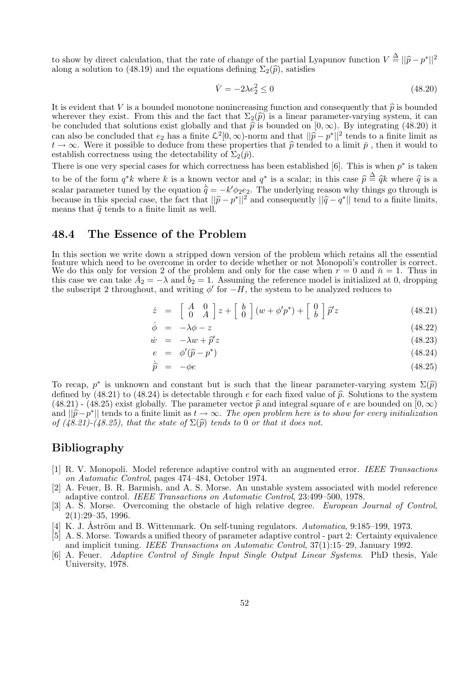to show by direct calculation, that the rate of change of the partial Lyapunov function  $V \triangleq ||\hat{p} - p^*||^2$ <br>along a solution to (48.19) and the equations defining  $\Sigma_2(\hat{p})$  satisfies along a solution to (48.19) and the equations defining  $\Sigma_2(\hat{p})$ , satisfies

$$
\dot{V} = -2\lambda e_2^2 \le 0\tag{48.20}
$$

It is evident that V is a bounded monotone nonincreasing function and consequently that  $\hat{p}$  is bounded wherever they exist. From this and the fact that  $\Sigma_2(\hat{p})$  is a linear parameter-varying system, it can be concluded that solutions exist globally and that  $\hat{p}$  is bounded on [0, $\infty$ ). By integrating (48.20) it can also be concluded that  $e_2$  has a finite  $\mathcal{L}^2[0,\infty)$ -norm and that  $||\hat{p}-p^*||^2$  tends to a finite limit as  $t \to \infty$ . Were it possible to deduce from these properties that  $\hat{p}$  tended to a limit  $\bar{p}$  then  $t \to \infty$ . Were it possible to deduce from these properties that  $\hat{p}$  tended to a limit  $\bar{p}$ , then it would to establish correctness using the detectability of  $\Sigma_2(\bar{p})$ . establish correctness using the detectability of  $\Sigma_2(\bar{p})$ .

There is one very special cases for which correctness has been established [6]. This is when  $p^*$  is taken to be of the form  $q^*k$  where k is a known vector and  $q^*$  is a scalar; in this case  $\hat{p} \stackrel{\Delta}{=} \hat{q}k$  where  $\hat{q}$  is a scalar parameter tuned by the equation  $\hat{q} = -k' \phi_0 q_0$ . The underlying reason why things go scalar parameter tuned by the equation  $\dot{\hat{q}} = -k'\phi_2 e_2$ . The underlying reason why things go through is<br>because in this special case, the fact that  $||\hat{\rho} - n^*||^2$  and consequently  $||\hat{\rho} - n^*||$  tend to a finite limits because in this special case, the fact that  $||\hat{p} - p^*||^2$  and consequently  $||\hat{q} - q^*||$  tend to a finite limits, means that  $\hat{q}$  tends to a finite limit as well.

### 48.4 The Essence of the Problem

In this section we write down a stripped down version of the problem which retains all the essential feature which need to be overcome in order to decide whether or not Monopoli's controller is correct. We do this only for version 2 of the problem and only for the case when  $r = 0$  and  $\bar{n} = 1$ . Thus in this case we can take  $\bar{A}_2 = -\lambda$  and  $\bar{b}_2 = 1$ . Assuming the reference model is initialized at 0, dropping the subscript 2 throughout, and writing  $\phi'$  for  $-H$ , the system to be analyzed reduces to

$$
\dot{z} = \begin{bmatrix} A & 0 \\ 0 & A \end{bmatrix} z + \begin{bmatrix} b \\ 0 \end{bmatrix} (w + \phi' p^*) + \begin{bmatrix} 0 \\ b \end{bmatrix} \hat{p}' z \tag{48.21}
$$

$$
\dot{\phi} = -\lambda \phi - z \tag{48.22}
$$

$$
\dot{w} = -\lambda w + \hat{p}' z \tag{48.23}
$$
\n
$$
\begin{array}{rcl}\n\sqrt{(\hat{z} - \hat{z})^2} & & & \\
\hline\n\sqrt{(\hat{z} - \hat{z})^2} & & & \\
\hline\n\sqrt{(\hat{z} - \hat{z})^2} & & & \\
\hline\n\sqrt{(\hat{z} - \hat{z})^2} & & & \\
\hline\n\sqrt{(\hat{z} - \hat{z})^2} & & & \\
\hline\n\end{array}
$$

$$
e = \phi'(\hat{p} - p^*) \tag{48.24}
$$

$$
\dot{\widehat{p}} = -\phi e \tag{48.25}
$$

To recap,  $p^*$  is unknown and constant but is such that the linear parameter-varying system  $\Sigma(\hat{p})$ <br>defined by (48.21) to (48.24) is detectable through e for each fixed value of  $\hat{p}$ . Solutions to the system defined by (48.21) to (48.24) is detectable through e for each fixed value of  $\hat{p}$ . Solutions to the system (48.21) - (48.25) exist globally. The parameter vector  $\hat{p}$  and integral square of e are bounded on  $[0,\infty)$ and  $||\hat{p}-p^*||$  tends to a finite limit as  $t \to \infty$ . The open problem here is to show for every initialization of  $((8, 2.1)-(1.8, 2.5))$  that the state of  $\Sigma(\hat{p})$  tends to 0 or that it does not of (48.21)-(48.25), that the state of  $\Sigma(\hat{p})$  tends to 0 or that it does not.

- [1] R. V. Monopoli. Model reference adaptive control with an augmented error. IEEE Transactions on Automatic Control, pages 474–484, October 1974.
- [2] A. Feuer, B. R. Barmish, and A. S. Morse. An unstable system associated with model reference adaptive control. IEEE Transactions on Automatic Control, 23:499–500, 1978.
- [3] A. S. Morse. Overcoming the obstacle of high relative degree. European Journal of Control, 2(1):29–35, 1996.
- [4] K. J. Aström and B. Wittenmark. On self-tuning regulators.  $Automatica$ , 9:185–199, 1973.
- [5] A. S. Morse. Towards a unified theory of parameter adaptive control part 2: Certainty equivalence and implicit tuning. IEEE Transactions on Automatic Control, 37(1):15–29, January 1992.
- [6] A. Feuer. Adaptive Control of Single Input Single Output Linear Systems. PhD thesis, Yale University, 1978.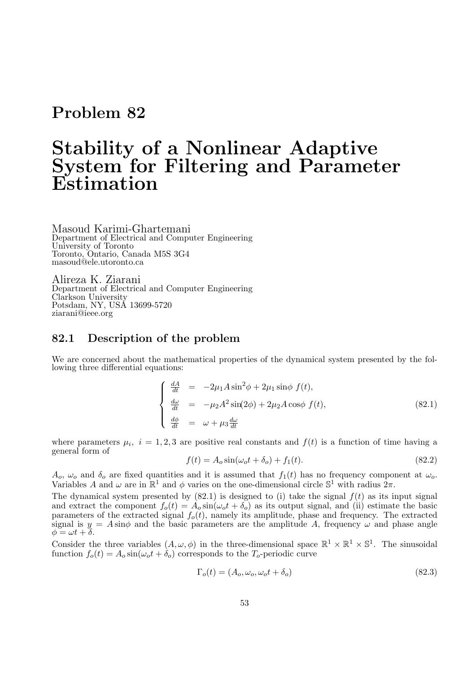# Stability of a Nonlinear Adaptive System for Filtering and Parameter **Estimation**

Masoud Karimi-Ghartemani Department of Electrical and Computer Engineering University of Toronto Toronto, Ontario, Canada M5S 3G4 masoud@ele.utoronto.ca

Alireza K. Ziarani Department of Electrical and Computer Engineering Clarkson University Potsdam, NY, USA 13699-5720 ziarani@ieee.org

## 82.1 Description of the problem

We are concerned about the mathematical properties of the dynamical system presented by the following three differential equations:

$$
\begin{cases}\n\frac{dA}{dt} = -2\mu_1 A \sin^2 \phi + 2\mu_1 \sin \phi f(t), \n\frac{d\omega}{dt} = -\mu_2 A^2 \sin(2\phi) + 2\mu_2 A \cos \phi f(t), \n\frac{d\phi}{dt} = \omega + \mu_3 \frac{d\omega}{dt}\n\end{cases}
$$
\n(82.1)

where parameters  $\mu_i$ ,  $i = 1, 2, 3$  are positive real constants and  $f(t)$  is a function of time having a general form of

$$
f(t) = A_o \sin(\omega_o t + \delta_o) + f_1(t). \tag{82.2}
$$

 $A_0, \omega_0$  and  $\delta_0$  are fixed quantities and it is assumed that  $f_1(t)$  has no frequency component at  $\omega_0$ . Variables A and  $\omega$  are in  $\mathbb{R}^1$  and  $\phi$  varies on the one-dimensional circle  $\mathbb{S}^1$  with radius  $2\pi$ .

The dynamical system presented by  $(82.1)$  is designed to (i) take the signal  $f(t)$  as its input signal and extract the component  $f_o(t) = A_o \sin(\omega_o t + \delta_o)$  as its output signal, and (ii) estimate the basic parameters of the extracted signal  $f<sub>o</sub>(t)$ , namely its amplitude, phase and frequency. The extracted signal is  $y = A \sin \phi$  and the basic parameters are the amplitude A, frequency  $\omega$  and phase angle  $\phi = \omega t + \delta.$ 

Consider the three variables  $(A, \omega, \phi)$  in the three-dimensional space  $\mathbb{R}^1 \times \mathbb{R}^1 \times \mathbb{S}^1$ . The sinusoidal function  $f_o(t) = A_o \sin(\omega_o t + \delta_o)$  corresponds to the  $T_o$ -periodic curve

$$
\Gamma_o(t) = (A_o, \omega_o, \omega_o t + \delta_o) \tag{82.3}
$$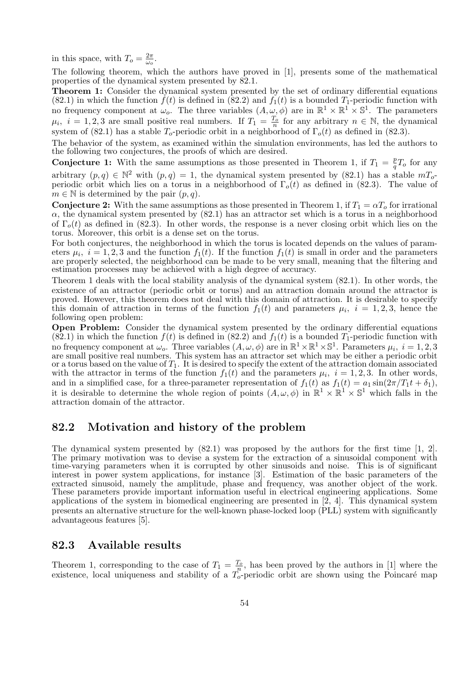in this space, with  $T_o = \frac{2\pi}{\omega_o}$  $\frac{2\pi}{\omega_o}$ .

The following theorem, which the authors have proved in [1], presents some of the mathematical properties of the dynamical system presented by 82.1.

Theorem 1: Consider the dynamical system presented by the set of ordinary differential equations (82.1) in which the function  $\tilde{f}(t)$  is defined in (82.2) and  $f_1(t)$  is a bounded  $T_1$ -periodic function with no frequency component at  $\omega_o$ . The three variables  $(A, \omega, \phi)$  are in  $\mathbb{R}^1 \times \mathbb{R}^1 \times \mathbb{S}^1$ . The parameters  $\mu_i$ ,  $i = 1, 2, 3$  are small positive real numbers. If  $T_1 = \frac{T_o}{n}$  for any arbitrary  $n \in \mathbb{N}$ , the dynamical system of (82.1) has a stable  $T_o$ -periodic orbit in a neighborhood of  $\Gamma_o(t)$  as defined in (82.3).

The behavior of the system, as examined within the simulation environments, has led the authors to the following two conjectures, the proofs of which are desired.

**Conjecture 1:** With the same assumptions as those presented in Theorem 1, if  $T_1 = \frac{p}{q}$  $\frac{p}{q}T_o$  for any arbitrary  $(p, q) \in \mathbb{N}^2$  with  $(p, q) = 1$ , the dynamical system presented by (82.1) has a stable  $mT_o$ periodic orbit which lies on a torus in a neighborhood of  $\Gamma_o(t)$  as defined in (82.3). The value of  $m \in \mathbb{N}$  is determined by the pair  $(p, q)$ .

**Conjecture 2:** With the same assumptions as those presented in Theorem 1, if  $T_1 = \alpha T_0$  for irrational  $\alpha$ , the dynamical system presented by (82.1) has an attractor set which is a torus in a neighborhood of  $\Gamma$ <sub>o</sub>(t) as defined in (82.3). In other words, the response is a never closing orbit which lies on the torus. Moreover, this orbit is a dense set on the torus.

For both conjectures, the neighborhood in which the torus is located depends on the values of parameters  $\mu_i$ ,  $i = 1, 2, 3$  and the function  $f_1(t)$ . If the function  $f_1(t)$  is small in order and the parameters are properly selected, the neighborhood can be made to be very small, meaning that the filtering and estimation processes may be achieved with a high degree of accuracy.

Theorem 1 deals with the local stability analysis of the dynamical system (82.1). In other words, the existence of an attractor (periodic orbit or torus) and an attraction domain around the attractor is proved. However, this theorem does not deal with this domain of attraction. It is desirable to specify this domain of attraction in terms of the function  $f_1(t)$  and parameters  $\mu_i$ ,  $i = 1, 2, 3$ , hence the following open problem:

Open Problem: Consider the dynamical system presented by the ordinary differential equations (82.1) in which the function  $f(t)$  is defined in (82.2) and  $f_1(t)$  is a bounded  $T_1$ -periodic function with no frequency component at  $\omega_o$ . Three variables  $(A, \omega, \phi)$  are in  $\mathbb{R}^1 \times \mathbb{R}^1 \times \mathbb{S}^1$ . Parameters  $\mu_i$ ,  $i = 1, 2, 3$ are small positive real numbers. This system has an attractor set which may be either a periodic orbit or a torus based on the value of  $T_1$ . It is desired to specify the extent of the attraction domain associated with the attractor in terms of the function  $f_1(t)$  and the parameters  $\mu_i$ ,  $i = 1, 2, 3$ . In other words, and in a simplified case, for a three-parameter representation of  $f_1(t)$  as  $f_1(t) = a_1 \sin(2\pi/T_1 t + \delta_1)$ , it is desirable to determine the whole region of points  $(A, \omega, \phi)$  in  $\mathbb{R}^1 \times \mathbb{R}^1 \times \mathbb{S}^1$  which falls in the attraction domain of the attractor.

## 82.2 Motivation and history of the problem

The dynamical system presented by (82.1) was proposed by the authors for the first time [1, 2]. The primary motivation was to devise a system for the extraction of a sinusoidal component with time-varying parameters when it is corrupted by other sinusoids and noise. This is of significant interest in power system applications, for instance [3]. Estimation of the basic parameters of the extracted sinusoid, namely the amplitude, phase and frequency, was another object of the work. These parameters provide important information useful in electrical engineering applications. Some applications of the system in biomedical engineering are presented in  $[2, 4]$ . This dynamical system presents an alternative structure for the well-known phase-locked loop (PLL) system with significantly advantageous features [5].

## 82.3 Available results

Theorem 1, corresponding to the case of  $T_1 = \frac{T_o}{n}$ , has been proved by the authors in [1] where the existence, local uniqueness and stability of a  $T_o$ -periodic orbit are shown using the Poincaré map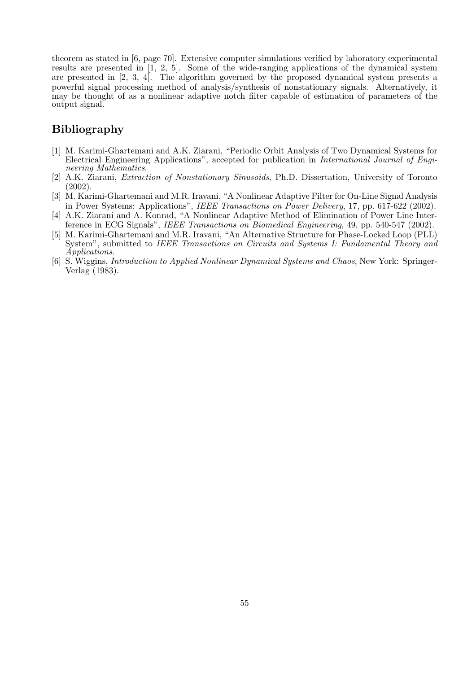theorem as stated in [6, page 70]. Extensive computer simulations verified by laboratory experimental results are presented in [1, 2, 5]. Some of the wide-ranging applications of the dynamical system are presented in [2, 3, 4]. The algorithm governed by the proposed dynamical system presents a powerful signal processing method of analysis/synthesis of nonstationary signals. Alternatively, it may be thought of as a nonlinear adaptive notch filter capable of estimation of parameters of the output signal.

- [1] M. Karimi-Ghartemani and A.K. Ziarani, "Periodic Orbit Analysis of Two Dynamical Systems for Electrical Engineering Applications", accepted for publication in International Journal of Engineering Mathematics.
- [2] A.K. Ziarani, Extraction of Nonstationary Sinusoids, Ph.D. Dissertation, University of Toronto (2002).
- [3] M. Karimi-Ghartemani and M.R. Iravani, "A Nonlinear Adaptive Filter for On-Line Signal Analysis in Power Systems: Applications", IEEE Transactions on Power Delivery, 17, pp. 617-622 (2002).
- [4] A.K. Ziarani and A. Konrad, "A Nonlinear Adaptive Method of Elimination of Power Line Interference in ECG Signals", IEEE Transactions on Biomedical Engineering, 49, pp. 540-547 (2002).
- [5] M. Karimi-Ghartemani and M.R. Iravani, "An Alternative Structure for Phase-Locked Loop (PLL) System", submitted to IEEE Transactions on Circuits and Systems I: Fundamental Theory and Applications.
- [6] S. Wiggins, Introduction to Applied Nonlinear Dynamical Systems and Chaos, New York: Springer-Verlag (1983).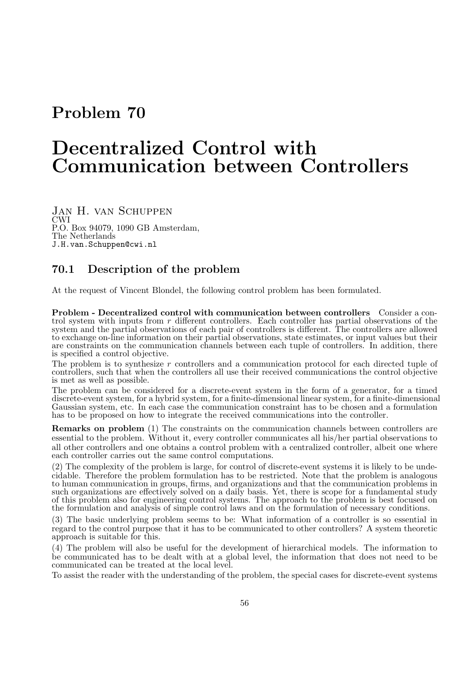# Decentralized Control with Communication between Controllers

JAN H. VAN SCHUPPEN CWI P.O. Box 94079, 1090 GB Amsterdam, The Netherlands J.H.van.Schuppen@cwi.nl

## 70.1 Description of the problem

At the request of Vincent Blondel, the following control problem has been formulated.

Problem - Decentralized control with communication between controllers Consider a control system with inputs from  $r$  different controllers. Each controller has partial observations of the system and the partial observations of each pair of controllers is different. The controllers are allowed to exchange on-line information on their partial observations, state estimates, or input values but their are constraints on the communication channels between each tuple of controllers. In addition, there is specified a control objective.

The problem is to synthesize r controllers and a communication protocol for each directed tuple of controllers, such that when the controllers all use their received communications the control objective is met as well as possible.

The problem can be considered for a discrete-event system in the form of a generator, for a timed discrete-event system, for a hybrid system, for a finite-dimensional linear system, for a finite-dimensional Gaussian system, etc. In each case the communication constraint has to be chosen and a formulation has to be proposed on how to integrate the received communications into the controller.

Remarks on problem (1) The constraints on the communication channels between controllers are essential to the problem. Without it, every controller communicates all his/her partial observations to all other controllers and one obtains a control problem with a centralized controller, albeit one where each controller carries out the same control computations.

(2) The complexity of the problem is large, for control of discrete-event systems it is likely to be undecidable. Therefore the problem formulation has to be restricted. Note that the problem is analogous to human communication in groups, firms, and organizations and that the communication problems in such organizations are effectively solved on a daily basis. Yet, there is scope for a fundamental study of this problem also for engineering control systems. The approach to the problem is best focused on the formulation and analysis of simple control laws and on the formulation of necessary conditions.

(3) The basic underlying problem seems to be: What information of a controller is so essential in regard to the control purpose that it has to be communicated to other controllers? A system theoretic approach is suitable for this.

(4) The problem will also be useful for the development of hierarchical models. The information to be communicated has to be dealt with at a global level, the information that does not need to be communicated can be treated at the local level.

To assist the reader with the understanding of the problem, the special cases for discrete-event systems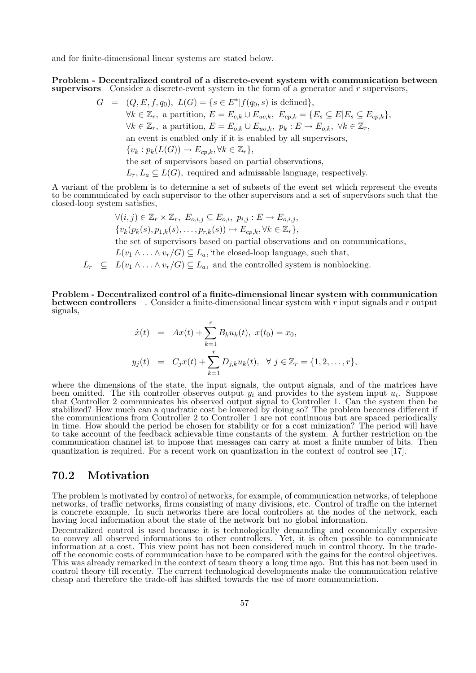and for finite-dimensional linear systems are stated below.

Problem - Decentralized control of a discrete-event system with communication between supervisors Consider a discrete-event system in the form of a generator and r supervisors,

$$
G = (Q, E, f, q_0), L(G) = \{s \in E^* | f(q_0, s) \text{ is defined}\},
$$
  
\n
$$
\forall k \in \mathbb{Z}_r, \text{ a partition, } E = E_{c,k} \cup E_{uc,k}, E_{cp,k} = \{E_s \subseteq E | E_s \subseteq E_{cp,k}\},
$$
  
\n
$$
\forall k \in \mathbb{Z}_r, \text{ a partition, } E = E_{o,k} \cup E_{uo,k}, p_k : E \to E_{o,k}, \forall k \in \mathbb{Z}_r,
$$
  
\nan event is enabled only if it is enabled by all supervisors,  
\n
$$
\{v_k : p_k(L(G)) \to E_{cp,k}, \forall k \in \mathbb{Z}_r\},
$$
  
\nthe set of supervisors based on partial observations,  
\n
$$
L_r, L_a \subseteq L(G), \text{ required and admissible language, respectively.}
$$

A variant of the problem is to determine a set of subsets of the event set which represent the events to be communicated by each supervisor to the other supervisors and a set of supervisors such that the closed-loop system satisfies,

$$
\forall (i,j) \in \mathbb{Z}_r \times \mathbb{Z}_r, E_{o,i,j} \subseteq E_{o,i}, p_{i,j} : E \to E_{o,i,j},
$$
  

$$
\{v_k(p_k(s), p_{1,k}(s), \dots, p_{r,k}(s)) \mapsto E_{cp,k}, \forall k \in \mathbb{Z}_r\},
$$

the set of supervisors based on partial observations and on communications,

 $L(v_1 \wedge \ldots \wedge v_r/G) \subseteq L_a$ , 'the closed-loop language, such that,

 $L_r \subseteq L(v_1 \wedge \ldots \wedge v_r/G) \subseteq L_a$ , and the controlled system is nonblocking.

Problem - Decentralized control of a finite-dimensional linear system with communication **between controllers** . Consider a finite-dimensional linear system with r input signals and r output signals,

$$
\dot{x}(t) = Ax(t) + \sum_{k=1}^{r} B_k u_k(t), \ x(t_0) = x_0,
$$
  

$$
y_j(t) = C_j x(t) + \sum_{k=1}^{r} D_{j,k} u_k(t), \ \ \forall \ j \in \mathbb{Z}_r = \{1, 2, \dots, r\},
$$

where the dimensions of the state, the input signals, the output signals, and of the matrices have been omitted. The *i*th controller observes output  $y_i$  and provides to the system input  $u_i$ . Suppose that Controller 2 communicates his observed output signal to Controller 1. Can the system then be stabilized? How much can a quadratic cost be lowered by doing so? The problem becomes different if the communications from Controller 2 to Controller 1 are not continuous but are spaced periodically in time. How should the period be chosen for stability or for a cost minization? The period will have to take account of the feedback achievable time constants of the system. A further restriction on the communication channel ist to impose that messages can carry at most a finite number of bits. Then quantization is required. For a recent work on quantization in the context of control see [17].

### 70.2 Motivation

The problem is motivated by control of networks, for example, of communication networks, of telephone networks, of traffic networks, firms consisting of many divisions, etc. Control of traffic on the internet is concrete example. In such networks there are local controllers at the nodes of the network, each having local information about the state of the network but no global information.

Decentralized control is used because it is technologically demanding and economically expensive to convey all observed informations to other controllers. Yet, it is often possible to communicate information at a cost. This view point has not been considered much in control theory. In the tradeoff the economic costs of communication have to be compared with the gains for the control objectives. This was already remarked in the context of team theory a long time ago. But this has not been used in control theory till recently. The current technological developments make the communication relative cheap and therefore the trade-off has shifted towards the use of more communciation.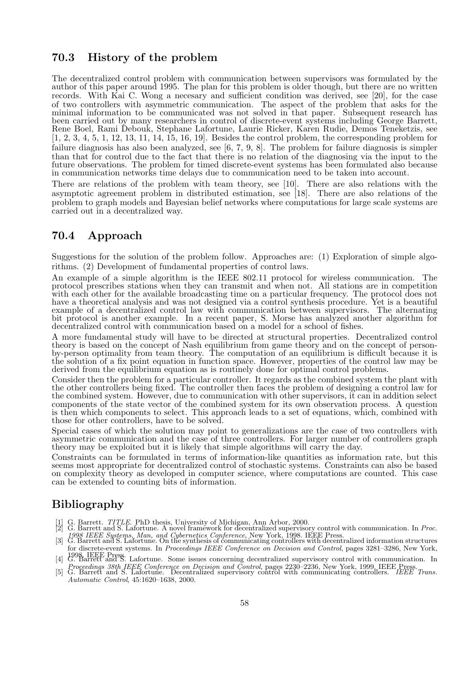## 70.3 History of the problem

The decentralized control problem with communication between supervisors was formulated by the author of this paper around 1995. The plan for this problem is older though, but there are no written records. With Kai C. Wong a necesary and sufficient condition was derived, see [20], for the case of two controllers with asymmetric communication. The aspect of the problem that asks for the minimal information to be communicated was not solved in that paper. Subsequent research has been carried out by many researchers in control of discrete-event systems including George Barrett, Rene Boel, Rami Debouk, Stephane Lafortune, Laurie Ricker, Karen Rudie, Demos Teneketzis, see [1, 2, 3, 4, 5, 1, 12, 13, 11, 14, 15, 16, 19]. Besides the control problem, the corresponding problem for failure diagnosis has also been analyzed, see [6, 7, 9, 8]. The problem for failure diagnosis is simpler than that for control due to the fact that there is no relation of the diagnosing via the input to the future observations. The problem for timed discrete-event systems has been formulated also because in communication networks time delays due to communication need to be taken into account.

There are relations of the problem with team theory, see [10]. There are also relations with the asymptotic agreement problem in distributed estimation, see [18]. There are also relations of the problem to graph models and Bayesian belief networks where computations for large scale systems are carried out in a decentralized way.

## 70.4 Approach

Suggestions for the solution of the problem follow. Approaches are: (1) Exploration of simple algorithms. (2) Development of fundamental properties of control laws.

An example of a simple algorithm is the IEEE 802.11 protocol for wireless communication. The protocol prescribes stations when they can transmit and when not. All stations are in competition with each other for the available broadcasting time on a particular frequency. The protocol does not have a theoretical analysis and was not designed via a control synthesis procedure. Yet is a beautiful example of a decentralized control law with communication between supervisors. The alternating bit protocol is another example. In a recent paper, S. Morse has analyzed another algorithm for decentralized control with communication based on a model for a school of fishes.

A more fundamental study will have to be directed at structural properties. Decentralized control theory is based on the concept of Nash equilibrium from game theory and on the concept of personby-person optimality from team theory. The computation of an equilibrium is difficult because it is the solution of a fix point equation in function space. However, properties of the control law may be derived from the equilibrium equation as is routinely done for optimal control problems.

Consider then the problem for a particular controller. It regards as the combined system the plant with the other controllers being fixed. The controller then faces the problem of designing a control law for the combined system. However, due to communication with other supervisors, it can in addition select components of the state vector of the combined system for its own observation process. A question is then which components to select. This approach leads to a set of equations, which, combined with those for other controllers, have to be solved.

Special cases of which the solution may point to generalizations are the case of two controllers with asymmetric communication and the case of three controllers. For larger number of controllers graph theory may be exploited but it is likely that simple algorithms will carry the day.

Constraints can be formulated in terms of information-like quantities as information rate, but this seems most appropriate for decentralized control of stochastic systems. Constraints can also be based on complexity theory as developed in computer science, where computations are counted. This case can be extended to counting bits of information.

- 
- [1] G. Barrett. TITLE. PhD thesis, University of Michigan, Ann Arbor, 2000. [2] G. Barrett and S. Lafortune. A novel framework for decentralized supervisory control with communication. In Proc. 1998 IEEE Systems, Man, and Cybernetics Conference, New York, 1998. IEEE Press. [3] G. Barrett and S. Lafortune. On the synthesis of communicating controllers with decentralized information structures
- for discrete-event systems. In Proceedings IEEE Conference on Decision and Control, pages 3281–3286, New York, 1998. IEEE Press. [4] G. Barrett and S. Lafortune. Some issues concerning decentralized supervisory control with communication. In
- Proceedings 38th IEEE Conference on Decision and Control, pages 2230–2236, New York, 1999. IEEE Press. [5] G. Barrett and S. Lafortune. Decentralized supervisory control with communicating controllers. IEEE Trans.
- Automatic Control, 45:1620–1638, 2000.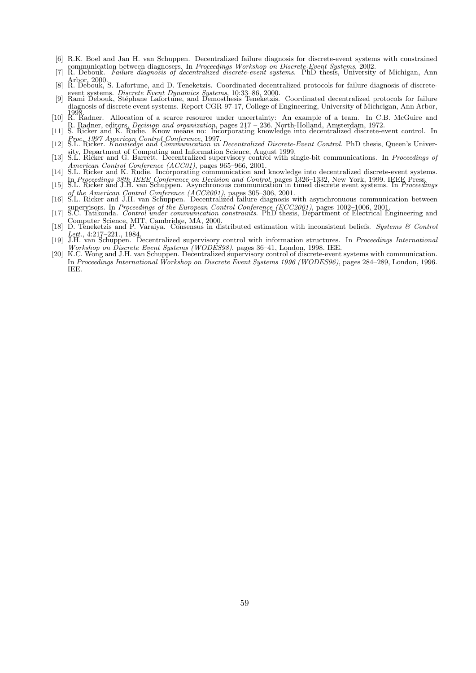- [6] R.K. Boel and Jan H. van Schuppen. Decentralized failure diagnosis for discrete-event systems with constrained
- communication between diagnosers. In Proceedings Workshop on Discrete-Event Systems, 2002. [7] R. Debouk. Failure diagnosis of decentralized discrete-event systems. PhD thesis, University of Michigan, Ann
- Arbor, 2000. [8] R. Debouk, S. Lafortune, and D. Teneketzis. Coordinated decentralized protocols for failure diagnosis of discrete-
- event systems. *Discrete Event Dynamics Systems*, 10:33–86, 2000.<br>[9] Rami Debouk, Stéphane Lafortune, and Demosthesis Teneketzis. Coordinated decentralized protocols for failure diagnosis of discrete event systems. Report CGR-97-17, College of Engineering, University of Michcigan, Ann Arbor, 1998. [10] R. Radner. Allocation of a scarce resource under uncertainty: An example of a team. In C.B. McGuire and
- R. Radner, editors, *Decision and organization*, pages  $217 236$ . North-Holland, Amsterdam, 1972.<br>[11] S. Ricker and K. Rudie. Know means no: Incorporating knowledge into decentralized discrete-event control. In
- Proc. 1997 American Control Conference, 1997. [12] S.L. Ricker. Knowledge and Communication in Decentralized Discrete-Event Control. PhD thesis, Queen's Univer-
- sity, Department of Computing and Information Science, August 1999.<br>[13] S.L. Ricker and G. Barrett. Decentralized supervisory control with single-bit communications. In Proceedings of
- American Control Conference (ACC01), pages 965–966, 2001.
- [14] S.L. Ricker and K. Rudie. Incorporating communication and knowledge into decentralized discrete-event systems. In Proceedings 38th IEEE Conference on Decision and Control, pages 1326–1332, New York, 1999. IEEE Press. [15] S.L. Ricker and J.H. van Schuppen. Asynchronous communication in timed discrete event systems. In Proceedings
- of the American Control Conference (ACC2001), pages 305–306, 2001. [16] S.L. Ricker and J.H. van Schuppen. Decentralized failure diagnosis with asynchronuous communication between
- supervisors. In Proceedings of the European Control Conference (ECC2001), pages 1002–1006, 2001.<br>[17] S.C. Tatikonda. Control under communication constraints. PhD thesis, Department of Electrical Engineering and
- Computer Science, MIT, Cambridge, MA, 2000.<br>
[18] D. Teneketzis and P. Varaiya. Consensus in distributed estimation with inconsistent beliefs. Systems & Control
- Lett., 4:217–221., 1984.<br>[19] J.H. van Schuppen. Decentralized supervisory control with information structures. In Proceedings International
- Workshop on Discrete Event Systems (WODES98), pages 36–41, London, 1998. IEE. [20] K.C. Wong and J.H. van Schuppen. Decentralized supervisory control of discrete-event systems with communication.
- In Proceedings International Workshop on Discrete Event Systems 1996 (WODES96), pages 284–289, London, 1996. IEE.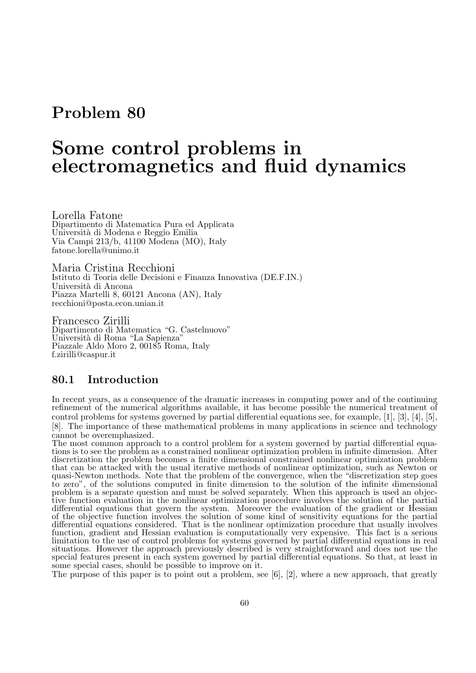# Some control problems in electromagnetics and fluid dynamics

Lorella Fatone Dipartimento di Matematica Pura ed Applicata Universit`a di Modena e Reggio Emilia Via Campi 213/b, 41100 Modena (MO), Italy fatone.lorella@unimo.it

Maria Cristina Recchioni Istituto di Teoria delle Decisioni e Finanza Innovativa (DE.F.IN.) Università di Ancona Piazza Martelli 8, 60121 Ancona (AN), Italy recchioni@posta.econ.unian.it

Francesco Zirilli Dipartimento di Matematica "G. Castelnuovo" Università di Roma "La Sapienza" Piazzale Aldo Moro 2, 00185 Roma, Italy f.zirilli@caspur.it

## 80.1 Introduction

In recent years, as a consequence of the dramatic increases in computing power and of the continuing refinement of the numerical algorithms available, it has become possible the numerical treatment of control problems for systems governed by partial differential equations see, for example, [1], [3], [4], [5], [8]. The importance of these mathematical problems in many applications in science and technology cannot be overemphasized.

The most common approach to a control problem for a system governed by partial differential equations is to see the problem as a constrained nonlinear optimization problem in infinite dimension. After discretization the problem becomes a finite dimensional constrained nonlinear optimization problem that can be attacked with the usual iterative methods of nonlinear optimization, such as Newton or quasi-Newton methods. Note that the problem of the convergence, when the "discretization step goes to zero", of the solutions computed in finite dimension to the solution of the infinite dimensional problem is a separate question and must be solved separately. When this approach is used an objective function evaluation in the nonlinear optimization procedure involves the solution of the partial differential equations that govern the system. Moreover the evaluation of the gradient or Hessian of the objective function involves the solution of some kind of sensitivity equations for the partial differential equations considered. That is the nonlinear optimization procedure that usually involves function, gradient and Hessian evaluation is computationally very expensive. This fact is a serious limitation to the use of control problems for systems governed by partial differential equations in real situations. However the approach previously described is very straightforward and does not use the special features present in each system governed by partial differential equations. So that, at least in some special cases, should be possible to improve on it.

The purpose of this paper is to point out a problem, see [6], [2], where a new approach, that greatly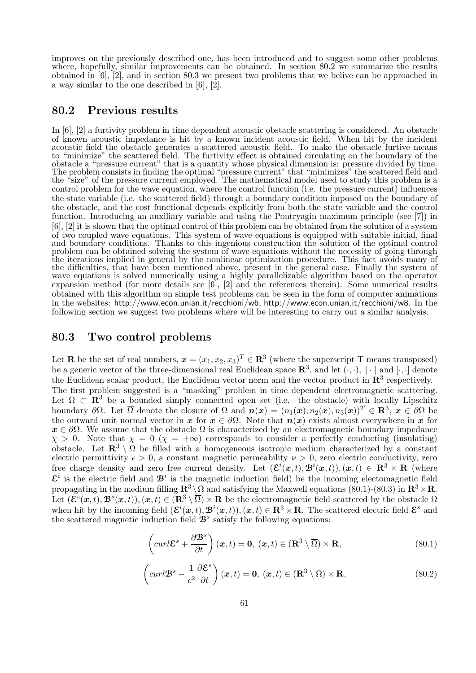improves on the previously described one, has been introduced and to suggest some other problems where, hopefully, similar improvements can be obtained. In section 80.2 we summarize the results obtained in [6], [2], and in section 80.3 we present two problems that we belive can be approached in a way similar to the one described in [6], [2].

### 80.2 Previous results

In [6], [2] a furtivity problem in time dependent acoustic obstacle scattering is considered. An obstacle of known acoustic impedance is hit by a known incident acoustic field. When hit by the incident acoustic field the obstacle generates a scattered acoustic field. To make the obstacle furtive means to "minimize" the scattered field. The furtivity effect is obtained circulating on the boundary of the obstacle a "pressure current" that is a quantity whose physical dimension is: pressure divided by time. The problem consists in finding the optimal "pressure current" that "minimizes" the scattered field and the "size" of the pressure current employed. The mathematical model used to study this problem is a control problem for the wave equation, where the control function (i.e. the pressure current) influences the state variable (i.e. the scattered field) through a boundary condition imposed on the boundary of the obstacle, and the cost functional depends explicitly from both the state variable and the control function. Introducing an auxiliary variable and using the Pontryagin maximum principle (see [7]) in [6], [2] it is shown that the optimal control of this problem can be obtained from the solution of a system of two coupled wave equations. This system of wave equations is equipped with suitable initial, final and boundary conditions. Thanks to this ingenious construction the solution of the optimal control problem can be obtained solving the system of wave equations without the necessity of going through the iterations implied in general by the nonlinear optimization procedure. This fact avoids many of the difficulties, that have been mentioned above, present in the general case. Finally the system of wave equations is solved numerically using a highly parallelizable algorithm based on the operator expansion method (for more details see [6], [2] and the references therein). Some numerical results obtained with this algorithm on simple test problems can be seen in the form of computer animations in the websites: http://www.econ.unian.it/recchioni/w6, http://www.econ.unian.it/recchioni/w8. In the following section we suggest two problems where will be interesting to carry out a similar analysis.

### 80.3 Two control problems

Let **R** be the set of real numbers,  $x = (x_1, x_2, x_3)^T \in \mathbb{R}^3$  (where the superscript T means transposed) be a generic vector of the three-dimensional real Euclidean space  $\mathbb{R}^3$ , and let  $(\cdot, \cdot)$ ,  $\|\cdot\|$  and  $[\cdot, \cdot]$  denote the Euclidean scalar product, the Euclidean vector norm and the vector product in  $\mathbb{R}^3$  respectively. The first problem suggested is a "masking" problem in time dependent electromagnetic scattering. Let  $\Omega \subset \mathbb{R}^3$  be a bounded simply connected open set (i.e. the obstacle) with locally Lipschitz boundary  $\partial\Omega$ . Let  $\overline{\Omega}$  denote the closure of  $\Omega$  and  $n(x) = (n_1(x), n_2(x), n_3(x))^T \in \mathbb{R}^3$ ,  $x \in \partial\Omega$  be the outward unit normal vector in  $x \text{ for } x \in \partial\Omega$ . Note that  $n(x)$  exists almost everywhere in x for  $x \in \partial\Omega$ . We assume that the obstacle  $\Omega$  is characterized by an electromagnetic boundary impedance  $\chi > 0$ . Note that  $\chi = 0$  ( $\chi = +\infty$ ) corresponds to consider a perfectly conducting (insulating) obstacle. Let  $\mathbb{R}^3 \setminus \Omega$  be filled with a homogeneous isotropic medium characterized by a constant electric permittivity  $\epsilon > 0$ , a constant magnetic permeability  $\nu > 0$ , zero electric conductivity, zero free charge density and zero free current density. Let  $(\mathcal{E}^i(\bm{x},t), \mathcal{B}^i(\bm{x},t)),(\bm{x},t) \in \mathbb{R}^3 \times \mathbb{R}$  (where  $\mathcal{E}^i$  is the electric field and  $\mathcal{B}^i$  is the magnetic induction field) be the incoming electomagnetic field propagating in the medium filling  $\mathbb{R}^3 \setminus \Omega$  and satisfying the Maxwell equations (80.1)-(80.3) in  $\mathbb{R}^3 \times \mathbb{R}$ . Let  $(\mathcal{E}^s(\bm{x},t),\mathcal{B}^s(\bm{x},t)),(\bm{x},t) \in (\mathbf{R}^3 \setminus \overline{\Omega}) \times \mathbf{R}$  be the electromagnetic field scattered by the obstacle  $\Omega$ when hit by the incoming field  $(\mathcal{E}^{i}(x,t), \mathcal{B}^{i}(x,t)),(x,t) \in \mathbb{R}^{3} \times \mathbb{R}$ . The scattered electric field  $\mathcal{E}^{s}$  and the scattered magnetic induction field  $\mathbf{B}^s$  satisfy the following equations:

$$
\left(\operatorname{curl} \mathcal{E}^s + \frac{\partial \mathcal{B}^s}{\partial t}\right)(x, t) = \mathbf{0}, (x, t) \in (\mathbf{R}^3 \setminus \overline{\Omega}) \times \mathbf{R}, \tag{80.1}
$$

$$
\left(\operatorname{curl}\mathbf{B}^s - \frac{1}{c^2} \frac{\partial \mathbf{E}^s}{\partial t}\right)(\mathbf{x}, t) = \mathbf{0}, \ (\mathbf{x}, t) \in (\mathbf{R}^3 \setminus \overline{\Omega}) \times \mathbf{R},\tag{80.2}
$$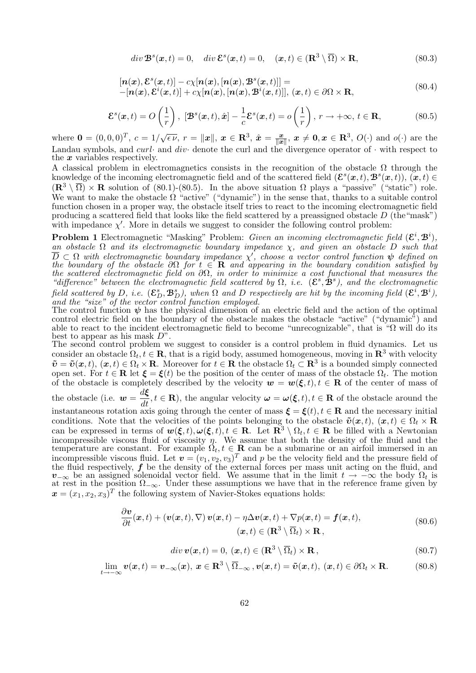$$
div \mathbf{B}^{s}(x,t) = 0, \quad div \mathbf{E}^{s}(x,t) = 0, \quad (x,t) \in (\mathbf{R}^{3} \setminus \overline{\Omega}) \times \mathbf{R}, \tag{80.3}
$$

$$
[\mathbf{n}(\mathbf{x}), \mathcal{E}^s(\mathbf{x}, t)] - c\chi[\mathbf{n}(\mathbf{x}), [\mathbf{n}(\mathbf{x}), \mathbf{B}^s(\mathbf{x}, t)]] = -[\mathbf{n}(\mathbf{x}), \mathcal{E}^i(\mathbf{x}, t)] + c\chi[\mathbf{n}(\mathbf{x}), [\mathbf{n}(\mathbf{x}), \mathbf{B}^i(\mathbf{x}, t)]], (\mathbf{x}, t) \in \partial\Omega \times \mathbf{R},
$$
\n(80.4)

$$
\mathcal{E}^s(\boldsymbol{x},t) = O\left(\frac{1}{r}\right), \ \ [\mathcal{B}^s(\boldsymbol{x},t),\hat{\boldsymbol{x}}] - \frac{1}{c}\mathcal{E}^s(\boldsymbol{x},t) = o\left(\frac{1}{r}\right), \ r \to +\infty, \ t \in \mathbf{R}, \tag{80.5}
$$

where  $\mathbf{0} = (0,0,0)^T$ ,  $c = 1/$  $\sqrt{\epsilon \nu}$ ,  $r = ||x||$ ,  $x \in \mathbb{R}^3$ ,  $\hat{x} = \frac{x}{||x||}$ ,  $x \neq 0$ ,  $x \in \mathbb{R}^3$ ,  $O(\cdot)$  and  $o(\cdot)$  are the Landau symbols, and  $curl\cdot$  and  $div\cdot$  denote the curl and the divergence operator of  $\cdot$  with respect to the  $x$  variables respectively.

A classical problem in electromagnetics consists in the recognition of the obstacle  $\Omega$  through the knowledge of the incoming electromagnetic field and of the scattered field  $(\mathcal{E}^s(\bm{x},t),\mathcal{B}^s(\bm{x},t)), (\vec{\bm{x}},t) \in$  $(\mathbb{R}^3 \setminus \overline{\Omega}) \times \mathbb{R}$  solution of (80.1)-(80.5). In the above situation  $\Omega$  plays a "passive" ("static") role. We want to make the obstacle  $\Omega$  "active" ("dynamic") in the sense that, thanks to a suitable control function chosen in a proper way, the obstacle itself tries to react to the incoming electromagnetic field producing a scattered field that looks like the field scattered by a preassigned obstacle  $D$  (the "mask") with impedance  $\chi'$ . More in details we suggest to consider the following control problem:

**Problem 1** Electromagnetic "Masking" Problem: Given an incoming electromagnetic field  $(\mathcal{E}^i, \mathcal{B}^i)$ , an obstacle  $\Omega$  and its electromagnetic boundary impedance  $\chi$ , and given an obstacle  $D$  such that  $\overline{D} \subset \Omega$  with electromagnetic boundary impedance  $\chi'$ , choose a vector control function  $\psi$  defined on<br>the boundary of the obstacle  $\partial\Omega$  for  $t \in \mathbf{R}$  and appearing in the boundary condition satisfied by the scattered electromagnetic field on  $\partial\Omega$ , in order to minimize a cost functional that measures the "difference" between the electromagnetic field scattered by  $\Omega$ , i.e.  $(\mathcal{E}^s, \mathcal{B}^s)$ , and the electromagnetic field scattered by D, i.e.  $(\mathcal{E}_D^s, \mathcal{B}_D^s)$ , when  $\Omega$  and D respectively are hit by the incoming field  $(\mathcal{E}^i, \mathcal{B}^i)$ , and the "size" of the vector control function employed.

The control function  $\psi$  has the physical dimension of an electric field and the action of the optimal control electric field on the boundary of the obstacle makes the obstacle "active" ("dynamic") and able to react to the incident electromagnetic field to become "unrecognizable", that is " $\Omega$  will do its best to appear as his mask  $D^{\prime\prime}$ .

The second control problem we suggest to consider is a control problem in fluid dynamics. Let us consider an obstacle  $\Omega_t, t \in \mathbf{R}$ , that is a rigid body, assumed homogeneous, moving in  $\mathbf{R}^3$  with velocity  $\tilde{\boldsymbol{v}} = \tilde{\boldsymbol{v}}(\boldsymbol{x}, t), (\boldsymbol{x}, t) \in \Omega_t \times \mathbf{R}$ . Moreover for  $t \in \mathbf{R}$  the obstacle  $\Omega_t \subset \mathbf{R}^3$  is a bounded simply connected open set. For  $t \in \mathbf{R}$  let  $\xi = \xi(t)$  be the position of the center of mass of the obstacle  $\Omega_t$ . The motion of the obstacle is completely described by the velocity  $w = w(\xi, t), t \in \mathbb{R}$  of the center of mass of the obstacle (i.e.  $\mathbf{w} = \frac{d\mathbf{\xi}}{dt}$ ,  $t \in \mathbf{R}$ ), the angular velocity  $\mathbf{\omega} = \mathbf{\omega}(\mathbf{\xi}, t)$ ,  $t \in \mathbf{R}$  of the obstacle around the instantaneous rotation axis going through the center of mass  $\xi = \xi(t)$ ,  $t \in \mathbf{R}$  and the necessary initial conditions. Note that the velocities of the points belonging to the obstacle  $\tilde{\mathbf{v}}(\mathbf{x}, t)$ ,  $(\mathbf{x}, t) \in \Omega_t \times \mathbf{R}$ can be expressed in terms of  $w(\xi, t), \omega(\xi, t), t \in \mathbf{R}$ . Let  $\mathbf{R}^3 \setminus \Omega_t, t \in \mathbf{R}$  be filled with a Newtonian incompressible viscous fluid of viscosity  $\eta$ . We assume that both the density of the fluid and the temperature are constant. For example  $\Omega_t$ ,  $t \in \mathbf{R}$  can be a submarine or an airfoil immersed in an incompressible viscous fluid. Let  $\mathbf{v} = (v_1, v_2, v_3)^T$  and p be the velocity field and the pressure field of the fluid respectively,  $f$  be the density of the external forces per mass unit acting on the fluid, and  $v_{-\infty}$  be an assigned solenoidal vector field. We assume that in the limit  $t \to -\infty$  the body  $\Omega_t$  is at rest in the position  $\Omega_{-\infty}$ . Under these assumptions we have that in the reference frame given by  $\boldsymbol{x} = (x_1, x_2, x_3)^T$  the following system of Navier-Stokes equations holds:

$$
\frac{\partial \boldsymbol{v}}{\partial t}(\boldsymbol{x},t) + (\boldsymbol{v}(\boldsymbol{x},t),\nabla) \boldsymbol{v}(\boldsymbol{x},t) - \eta \Delta \boldsymbol{v}(\boldsymbol{x},t) + \nabla p(\boldsymbol{x},t) = \boldsymbol{f}(\boldsymbol{x},t),
$$
\n
$$
(\boldsymbol{x},t) \in (\mathbf{R}^3 \setminus \overline{\Omega}_t) \times \mathbf{R},
$$
\n(80.6)

$$
div \, \mathbf{v}(\mathbf{x},t) = 0, \ (\mathbf{x},t) \in (\mathbf{R}^3 \setminus \overline{\Omega}_t) \times \mathbf{R}, \tag{80.7}
$$

$$
\lim_{t \to -\infty} \mathbf{v}(\mathbf{x}, t) = \mathbf{v}_{-\infty}(\mathbf{x}), \ \mathbf{x} \in \mathbf{R}^3 \setminus \overline{\Omega}_{-\infty}, \mathbf{v}(\mathbf{x}, t) = \tilde{\mathbf{v}}(\mathbf{x}, t), \ (\mathbf{x}, t) \in \partial \Omega_t \times \mathbf{R}.
$$
 (80.8)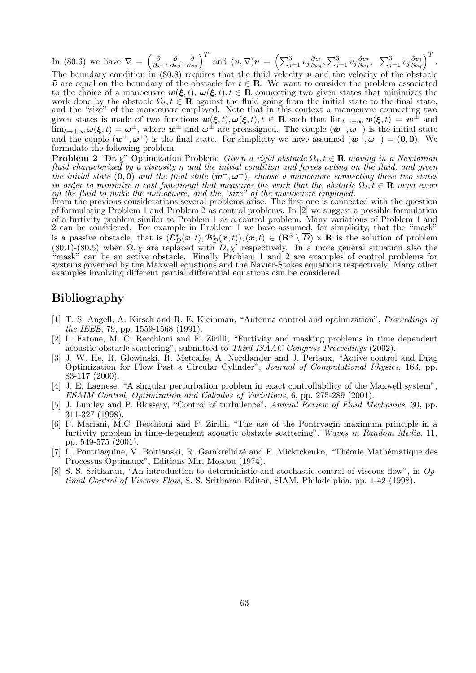In (80.6) we have  $\nabla = \left(\frac{\partial}{\partial x}\right)$  $\frac{\partial}{\partial x_1}, \frac{\partial}{\partial x_2}$  $\frac{\partial}{\partial x_2}, \frac{\partial}{\partial x}$  $\frac{\partial}{\partial x_3}$  and  $(\bm{v}, \nabla)\bm{v} = \left(\sum_{j=1}^3 v_j \frac{\partial v_1}{\partial x_j}\right)$  $\frac{\partial v_1}{\partial x_j}, \sum_{j=1}^3 v_j \frac{\partial v_2}{\partial x_j}$  $\frac{\partial v_2}{\partial x_j}$ ,  $\sum_{j=1}^3 v_j \frac{\partial v_3}{\partial x_j}$  $\frac{\partial v_3}{\partial x_j}\Big)^T$ . The boundary condition in (80.8) requires that the fluid velocity  $\boldsymbol{v}$  and the velocity of the obstacle  $\tilde{v}$  are equal on the boundary of the obstacle for  $t \in \mathbf{R}$ . We want to consider the problem associated to the choice of a manoeuvre  $w(\xi, t)$ ,  $\omega(\xi, t)$ ,  $t \in \mathbb{R}$  connecting two given states that minimizes the work done by the obstacle  $\Omega_t$ ,  $t \in \mathbb{R}$  against the fluid going from the initial state to the final state, and the "size" of the manoeuvre employed. Note that in this context a manoeuvre connecting two given states is made of two functions  $w(\xi, t), \omega(\xi, t), t \in \mathbb{R}$  such that  $\lim_{t\to\pm\infty} w(\xi, t) = w^{\pm}$  and  $\lim_{t\to\pm\infty}\omega(\xi,t)=\omega^{\pm}$ , where  $w^{\pm}$  and  $\omega^{\pm}$  are preassigned. The couple  $(w^-, \omega^-)$  is the initial state and the couple  $(w^+,\omega^+)$  is the final state. For simplicity we have assumed  $(w^-, \omega^-) = (0,0)$ . We formulate the following problem:

**Problem 2** "Drag" Optimization Problem: Given a rigid obstacle  $\Omega_t, t \in \mathbb{R}$  moving in a Newtonian fluid characterized by a viscosity η and the initial condition and forces acting on the fluid, and given the initial state  $(0,0)$  and the final state  $(w^+,\omega^+)$ , choose a manoeuvre connecting these two states in order to minimize a cost functional that measures the work that the obstacle  $\Omega_t, t \in \mathbf{R}$  must exert on the fluid to make the manoeuvre, and the "size" of the manoeuvre employed.

From the previous considerations several problems arise. The first one is connected with the question of formulating Problem 1 and Problem 2 as control problems. In [2] we suggest a possible formulation of a furtivity problem similar to Problem 1 as a control problem. Many variations of Problem 1 and 2 can be considered. For example in Problem 1 we have assumed, for simplicity, that the "mask" is a passive obstacle, that is  $(\mathcal{E}_D^s(\bm{x}, t), \mathcal{B}_D^s(\bm{x}, t)), (\bm{x}, t) \in (\mathbf{R}^3 \setminus \overline{D}) \times \mathbf{R}$  is the solution of problem  $(80.1)-(80.5)$  when  $\Omega$ ,  $\chi$  are replaced with  $D$ ,  $\chi'$  respectively. In a more general situation also the "mask" can be an active obstacle. Finally Problem 1 and 2 are examples of control problems for systems governed by the Maxwell equations and the Navier-Stokes equations respectively. Many other examples involving different partial differential equations can be considered.

- [1] T. S. Angell, A. Kirsch and R. E. Kleinman, "Antenna control and optimization", Proceedings of the IEEE, 79, pp. 1559-1568 (1991).
- [2] L. Fatone, M. C. Recchioni and F. Zirilli, "Furtivity and masking problems in time dependent acoustic obstacle scattering", submitted to Third ISAAC Congress Proceedings (2002).
- [3] J. W. He, R. Glowinski, R. Metcalfe, A. Nordlander and J. Periaux, "Active control and Drag Optimization for Flow Past a Circular Cylinder", Journal of Computational Physics, 163, pp. 83-117 (2000).
- [4] J. E. Lagnese, "A singular perturbation problem in exact controllability of the Maxwell system", ESAIM Control, Optimization and Calculus of Variations, 6, pp. 275-289 (2001).
- [5] J. Luniley and P. Blossery, "Control of turbulence", Annual Review of Fluid Mechanics, 30, pp. 311-327 (1998).
- [6] F. Mariani, M.C. Recchioni and F. Zirilli, "The use of the Pontryagin maximum principle in a furtivity problem in time-dependent acoustic obstacle scattering",  $\bar{W}$ aves in Random Media, 11, pp. 549-575 (2001).
- [7] L. Pontriaguine, V. Boltianski, R. Gamkrélidzé and F. Micktckenko, "Théorie Mathématique des Processus Optimaux", Editions Mir, Moscou (1974).
- [8] S. S. Sritharan, "An introduction to deterministic and stochastic control of viscous flow", in  $Op$ timal Control of Viscous Flow, S. S. Sritharan Editor, SIAM, Philadelphia, pp. 1-42 (1998).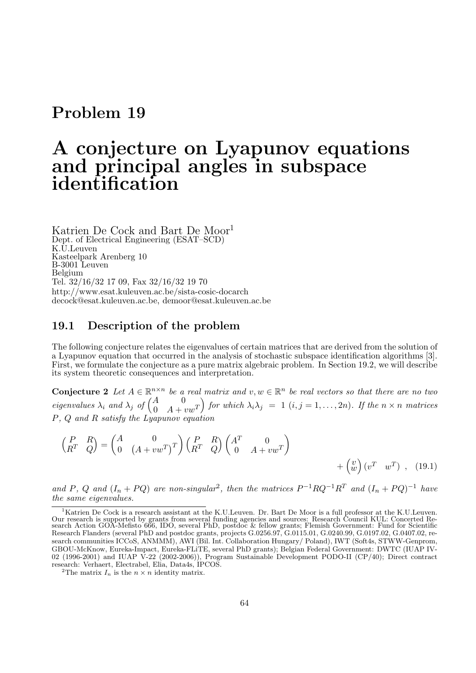# A conjecture on Lyapunov equations and principal angles in subspace identification

Katrien De Cock and Bart De Moor<sup>1</sup> Dept. of Electrical Engineering (ESAT–SCD) K.U.Leuven Kasteelpark Arenberg 10 B-3001 Leuven Belgium Tel. 32/16/32 17 09, Fax 32/16/32 19 70 http://www.esat.kuleuven.ac.be/sista-cosic-docarch decock@esat.kuleuven.ac.be, demoor@esat.kuleuven.ac.be

## 19.1 Description of the problem

The following conjecture relates the eigenvalues of certain matrices that are derived from the solution of a Lyapunov equation that occurred in the analysis of stochastic subspace identification algorithms [3]. First, we formulate the conjecture as a pure matrix algebraic problem. In Section 19.2, we will describe its system theoretic consequences and interpretation.

**Conjecture 2** Let  $A \in \mathbb{R}^{n \times n}$  be a real matrix and  $v, w \in \mathbb{R}^n$  be real vectors so that there are no two eigenvalues  $\lambda_i$  and  $\lambda_j$  of  $\begin{pmatrix} A & 0 \ 0 & A + vw^T \end{pmatrix}$  for which  $\lambda_i \lambda_j = 1$   $(i, j = 1, ..., 2n)$ . If the  $n \times n$  matrices P, Q and R satisfy the Lyapunov equation

$$
\begin{pmatrix}\nP & R \\
R^T & Q\n\end{pmatrix} = \begin{pmatrix}\nA & 0 \\
0 & (A + vw^T)^T\n\end{pmatrix} \begin{pmatrix}\nP & R \\
R^T & Q\n\end{pmatrix} \begin{pmatrix}\nA^T & 0 \\
0 & A + vw^T\n\end{pmatrix} + \begin{pmatrix}\nv \\
w\n\end{pmatrix} (v^T & w^T), (19.1)
$$

and P, Q and  $(I_n + PQ)$  are non-singular<sup>2</sup>, then the matrices  $P^{-1}RQ^{-1}R^T$  and  $(I_n + PQ)^{-1}$  have the same eigenvalues.

<sup>&</sup>lt;sup>1</sup>Katrien De Cock is a research assistant at the K.U.Leuven. Dr. Bart De Moor is a full professor at the K.U.Leuven. Our research is supported by grants from several funding agencies and sources: Research Council KUL: Concerted Research Action GOA-Mefisto 666, IDO, several PhD, postdoc & fellow grants; Flemish Government: Fund for Scientific Research Flanders (several PhD and postdoc grants, projects G.0256.97, G.0115.01, G.0240.99, G.0197.02, G.0407.02, research communities ICCoS, ANMMM), AWI (Bil. Int. Collaboration Hungary/ Poland), IWT (Soft4s, STWW-Genprom, GBOU-McKnow, Eureka-Impact, Eureka-FLiTE, several PhD grants); Belgian Federal Government: DWTC (IUAP IV-02 (1996-2001) and IUAP V-22 (2002-2006)), Program Sustainable Development PODO-II (CP/40); Direct contract research: Verhaert, Electrabel, Elia, Data4s, IPCOS.

<sup>&</sup>lt;sup>2</sup>The matrix  $I_n$  is the  $n \times n$  identity matrix.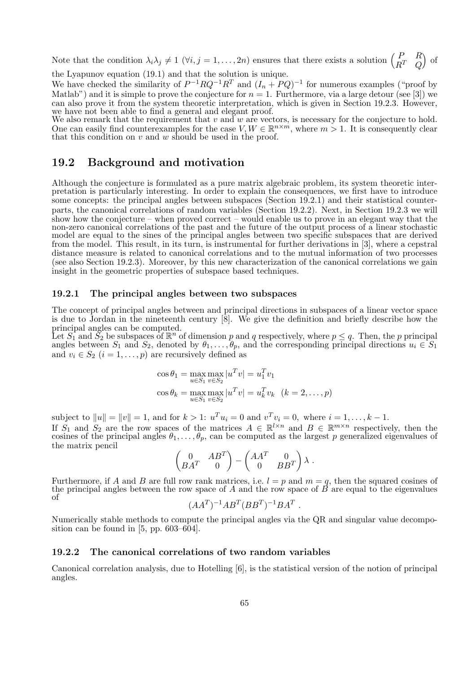Note that the condition  $\lambda_i \lambda_j \neq 1$   $(\forall i, j = 1, ..., 2n)$  ensures that there exists a solution  $\begin{pmatrix} P & R \\ R^T & Q \end{pmatrix}$  $\begin{pmatrix} P & R \\ R^T & Q \end{pmatrix}$  of the Lyapunov equation (19.1) and that the solution is unique.

We have checked the similarity of  $P^{-1}RQ^{-1}R^T$  and  $(I_n+PQ)^{-1}$  for numerous examples ("proof by Matlab") and it is simple to prove the conjecture for  $n = 1$ . Furthermore, via a large detour (see [3]) we can also prove it from the system theoretic interpretation, which is given in Section 19.2.3. However, we have not been able to find a general and elegant proof.

We also remark that the requirement that v and w are vectors, is necessary for the conjecture to hold. One can easily find counterexamples for the case  $V, W \in \mathbb{R}^{n \times m}$ , where  $m > 1$ . It is consequently clear that this condition on  $v$  and  $w$  should be used in the proof.

## 19.2 Background and motivation

Although the conjecture is formulated as a pure matrix algebraic problem, its system theoretic interpretation is particularly interesting. In order to explain the consequences, we first have to introduce some concepts: the principal angles between subspaces (Section 19.2.1) and their statistical counterparts, the canonical correlations of random variables (Section 19.2.2). Next, in Section 19.2.3 we will show how the conjecture – when proved correct – would enable us to prove in an elegant way that the non-zero canonical correlations of the past and the future of the output process of a linear stochastic model are equal to the sines of the principal angles between two specific subspaces that are derived from the model. This result, in its turn, is instrumental for further derivations in [3], where a cepstral distance measure is related to canonical correlations and to the mutual information of two processes (see also Section 19.2.3). Moreover, by this new characterization of the canonical correlations we gain insight in the geometric properties of subspace based techniques.

#### 19.2.1 The principal angles between two subspaces

The concept of principal angles between and principal directions in subspaces of a linear vector space is due to Jordan in the nineteenth century [8]. We give the definition and briefly describe how the principal angles can be computed.

Let  $S_1$  and  $S_2$  be subspaces of  $\mathbb{R}^n$  of dimension p and q respectively, where  $p \leq q$ . Then, the p principal angles between  $S_1$  and  $S_2$ , denoted by  $\theta_1, \ldots, \theta_p$ , and the corresponding principal directions  $u_i \in S_1$ and  $v_i \in S_2$   $(i = 1, \ldots, p)$  are recursively defined as

$$
\cos \theta_1 = \max_{u \in S_1} \max_{v \in S_2} |u^T v| = u_1^T v_1
$$
  
\n
$$
\cos \theta_k = \max_{u \in S_1} \max_{v \in S_2} |u^T v| = u_k^T v_k \quad (k = 2, ..., p)
$$

subject to  $||u|| = ||v|| = 1$ , and for  $k > 1$ :  $u^T u_i = 0$  and  $v^T v_i = 0$ , where  $i = 1, ..., k - 1$ .

If  $S_1$  and  $S_2$  are the row spaces of the matrices  $A \in \mathbb{R}^{l \times n}$  and  $B \in \mathbb{R}^{m \times n}$  respectively, then the cosines of the principal angles  $\theta_1, \ldots, \theta_p$ , can be computed as the largest p generalized eigenvalues of the matrix pencil

$$
\begin{pmatrix} 0 & AB^T \ BA^T & 0 \end{pmatrix} - \begin{pmatrix} AA^T & 0 \ 0 & BB^T \end{pmatrix} \lambda .
$$

Furthermore, if A and B are full row rank matrices, i.e.  $l = p$  and  $m = q$ , then the squared cosines of the principal angles between the row space of A and the row space of  $\vec{B}$  are equal to the eigenvalues of

$$
(AAT)-1ABT(BBT)-1BAT.
$$

Numerically stable methods to compute the principal angles via the QR and singular value decomposition can be found in [5, pp. 603–604].

#### 19.2.2 The canonical correlations of two random variables

Canonical correlation analysis, due to Hotelling [6], is the statistical version of the notion of principal angles.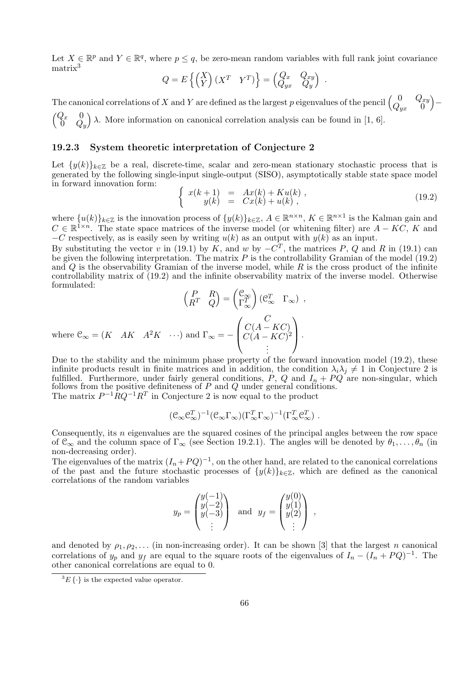Let  $X \in \mathbb{R}^p$  and  $Y \in \mathbb{R}^q$ , where  $p \leq q$ , be zero-mean random variables with full rank joint covariance matrix<sup>3</sup>

$$
Q = E\left\{ \begin{pmatrix} X \\ Y \end{pmatrix} (X^T & Y^T) \right\} = \begin{pmatrix} Q_x & Q_{xy} \\ Q_{yx} & Q_y \end{pmatrix}
$$

The canonical correlations of X and Y are defined as the largest p eigenvalues of the pencil  $\begin{pmatrix} 0 & Q_{xy} \\ O & 0 \end{pmatrix}$  $Q_{yx}$  0  $)$  $\begin{pmatrix} Q_x & 0 \\ 0 & 0 \end{pmatrix}$  $0 \quad Q_y$ )  $\lambda$ . More information on canonical correlation analysis can be found in [1, 6].

#### 19.2.3 System theoretic interpretation of Conjecture 2

Let  $\{y(k)\}_{k\in\mathbb{Z}}$  be a real, discrete-time, scalar and zero-mean stationary stochastic process that is generated by the following single-input single-output (SISO), asymptotically stable state space model in forward innovation form:

$$
\begin{cases}\nx(k+1) = Ax(k) + Ku(k), \\
y(k) = Cx(k) + u(k),\n\end{cases}
$$
\n(19.2)

.

where  $\{u(k)\}_{k\in\mathbb{Z}}$  is the innovation process of  $\{y(k)\}_{k\in\mathbb{Z}}$ ,  $A\in\mathbb{R}^{n\times n}$ ,  $K\in\mathbb{R}^{n\times 1}$  is the Kalman gain and  $C \in \mathbb{R}^{\hat{1} \times \hat{n}}$ . The state space matrices of the inverse model (or whitening filter) are  $A - KC$ , K and  $-C$  respectively, as is easily seen by writing  $u(k)$  as an output with  $y(k)$  as an input.

By substituting the vector v in (19.1) by K, and w by  $-C^T$ , the matrices P, Q and R in (19.1) can be given the following interpretation. The matrix  $P$  is the controllability Gramian of the model (19.2) and  $Q$  is the observability Gramian of the inverse model, while  $R$  is the cross product of the infinite controllability matrix of (19.2) and the infinite observability matrix of the inverse model. Otherwise formulated:

$$
\begin{pmatrix} P & R \\ R^T & Q \end{pmatrix} = \begin{pmatrix} \mathcal{C}_{\infty} \\ \Gamma_{\infty}^T \end{pmatrix} \begin{pmatrix} \mathcal{C}_{\infty}^T & \Gamma_{\infty} \end{pmatrix} ,
$$
  
where  $\mathcal{C}_{\infty} = (K \ AK \ A^2K \ \cdots)$  and  $\Gamma_{\infty} = -\begin{pmatrix} C(A - KC) \\ C(A - KC)^2 \\ \vdots \end{pmatrix}.$ 

Due to the stability and the minimum phase property of the forward innovation model (19.2), these infinite products result in finite matrices and in addition, the condition  $\lambda_i \lambda_j \neq 1$  in Conjecture 2 is fulfilled. Furthermore, under fairly general conditions,  $P$ ,  $Q$  and  $I_n + PQ$  are non-singular, which follows from the positive definiteness of  $P$  and  $Q$  under general conditions. The matrix  $P^{-1}RQ^{-1}R^T$  in Conjecture 2 is now equal to the product

$$
(\mathcal{C}_\infty\mathcal{C}_\infty^T)^{-1}(\mathcal{C}_\infty\Gamma_\infty)(\Gamma_\infty^T\Gamma_\infty)^{-1}(\Gamma_\infty^T\mathcal{C}_\infty^T)\ .
$$

Consequently, its  $n$  eigenvalues are the squared cosines of the principal angles between the row space of  $\mathcal{C}_{\infty}$  and the column space of  $\Gamma_{\infty}$  (see Section 19.2.1). The angles will be denoted by  $\theta_1, \ldots, \theta_n$  (in non-decreasing order).

The eigenvalues of the matrix  $(I_n+PQ)^{-1}$ , on the other hand, are related to the canonical correlations of the past and the future stochastic processes of  $\{y(k)\}_{k\in\mathbb{Z}}$ , which are defined as the canonical correlations of the random variables

$$
y_p = \begin{pmatrix} y(-1) \\ y(-2) \\ y(-3) \\ \vdots \end{pmatrix} \quad \text{and} \quad y_f = \begin{pmatrix} y(0) \\ y(1) \\ y(2) \\ \vdots \end{pmatrix} \;,
$$

and denoted by  $\rho_1, \rho_2, \ldots$  (in non-increasing order). It can be shown [3] that the largest n canonical correlations of  $y_p$  and  $y_f$  are equal to the square roots of the eigenvalues of  $I_n - (I_n + PQ)^{-1}$ . The other canonical correlations are equal to 0.

 ${}^{3}E\left\{ \cdot \right\}$  is the expected value operator.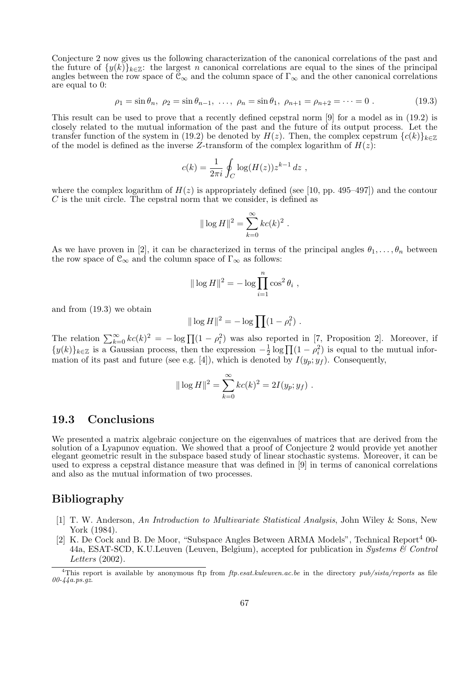Conjecture 2 now gives us the following characterization of the canonical correlations of the past and the future of  $\{y(k)\}_{k\in\mathbb{Z}}$ : the largest n canonical correlations are equal to the sines of the principal angles between the row space of  $\mathfrak{C}_{\infty}$  and the column space of  $\Gamma_{\infty}$  and the other canonical correlations are equal to 0:

$$
\rho_1 = \sin \theta_n, \ \rho_2 = \sin \theta_{n-1}, \ \dots, \ \rho_n = \sin \theta_1, \ \rho_{n+1} = \rho_{n+2} = \dots = 0 \ . \tag{19.3}
$$

This result can be used to prove that a recently defined cepstral norm [9] for a model as in (19.2) is closely related to the mutual information of the past and the future of its output process. Let the transfer function of the system in (19.2) be denoted by  $H(z)$ . Then, the complex cepstrum  ${c(k)}_{k\in\mathbb{Z}}$ of the model is defined as the inverse Z-transform of the complex logarithm of  $H(z)$ :

$$
c(k) = \frac{1}{2\pi i} \oint_C \log(H(z)) z^{k-1} dz ,
$$

where the complex logarithm of  $H(z)$  is appropriately defined (see [10, pp. 495–497]) and the contour  $C$  is the unit circle. The cepstral norm that we consider, is defined as

$$
\|\log H\|^2 = \sum_{k=0}^{\infty} kc(k)^2.
$$

As we have proven in [2], it can be characterized in terms of the principal angles  $\theta_1, \ldots, \theta_n$  between the row space of  $\mathcal{C}_{\infty}$  and the column space of  $\Gamma_{\infty}$  as follows:

$$
\|\log H\|^2 = -\log \prod_{i=1}^n \cos^2 \theta_i ,
$$

and from (19.3) we obtain

$$
\|\log H\|^2 = -\log \prod (1 - \rho_i^2) .
$$

The relation  $\sum_{k=0}^{\infty} kc(k)^2 = -\log \prod_{i=1}^{n} (1 - \rho_i^2)$  was also reported in [7, Proposition 2]. Moreover, if  $\{y(k)\}_{k\in\mathbb{Z}}$  is a Gaussian process, then the expression  $-\frac{1}{2}$  $\frac{1}{2} \log \prod_{i=1}^{n} (1 - \rho_i^2)$  is equal to the mutual information of its past and future (see e.g. [4]), which is denoted by  $I(y_p; y_f)$ . Consequently,

$$
\|\log H\|^2 = \sum_{k=0}^{\infty} kc(k)^2 = 2I(y_p; y_f) .
$$

#### 19.3 Conclusions

We presented a matrix algebraic conjecture on the eigenvalues of matrices that are derived from the solution of a Lyapunov equation. We showed that a proof of Conjecture 2 would provide yet another elegant geometric result in the subspace based study of linear stochastic systems. Moreover, it can be used to express a cepstral distance measure that was defined in [9] in terms of canonical correlations and also as the mutual information of two processes.

- [1] T. W. Anderson, An Introduction to Multivariate Statistical Analysis, John Wiley & Sons, New York (1984).
- [2] K. De Cock and B. De Moor, "Subspace Angles Between ARMA Models", Technical Report<sup>4</sup> 00-44a, ESAT-SCD, K.U.Leuven (Leuven, Belgium), accepted for publication in Systems & Control Letters (2002).

<sup>&</sup>lt;sup>4</sup>This report is available by anonymous ftp from *ftp.esat.kuleuven.ac.be* in the directory  $pub/sista/reports$  as file 00-44a.ps.gz.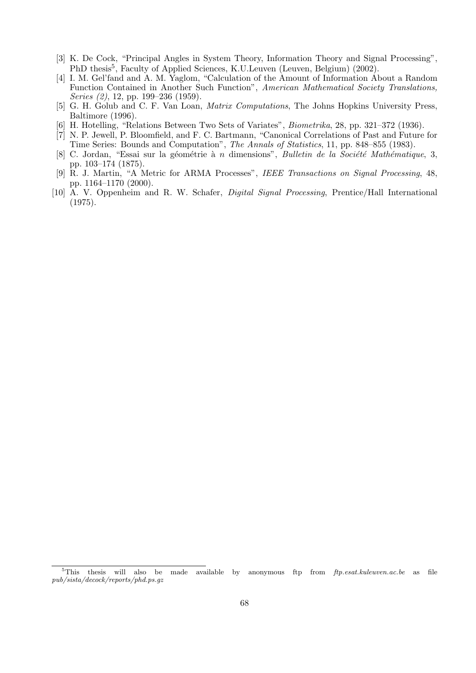- [3] K. De Cock, "Principal Angles in System Theory, Information Theory and Signal Processing", PhD thesis<sup>5</sup>, Faculty of Applied Sciences, K.U.Leuven (Leuven, Belgium) (2002).
- [4] I. M. Gel'fand and A. M. Yaglom, "Calculation of the Amount of Information About a Random Function Contained in Another Such Function", American Mathematical Society Translations, Series (2), 12, pp. 199–236 (1959).
- [5] G. H. Golub and C. F. Van Loan, *Matrix Computations*, The Johns Hopkins University Press, Baltimore (1996).
- [6] H. Hotelling, "Relations Between Two Sets of Variates", Biometrika, 28, pp. 321–372 (1936).
- [7] N. P. Jewell, P. Bloomfield, and F. C. Bartmann, "Canonical Correlations of Past and Future for Time Series: Bounds and Computation", The Annals of Statistics, 11, pp. 848–855 (1983).
- [8] C. Jordan, "Essai sur la géométrie à n dimensions", Bulletin de la Société Mathématique, 3, pp. 103–174 (1875).
- [9] R. J. Martin, "A Metric for ARMA Processes", IEEE Transactions on Signal Processing, 48, pp. 1164–1170 (2000).
- [10] A. V. Oppenheim and R. W. Schafer, *Digital Signal Processing*, Prentice/Hall International (1975).

 $5$ This thesis will also be made available by anonymous ftp from  $ftp. esat. kuleuven.ac.be$  as file pub/sista/decock/reports/phd.ps.gz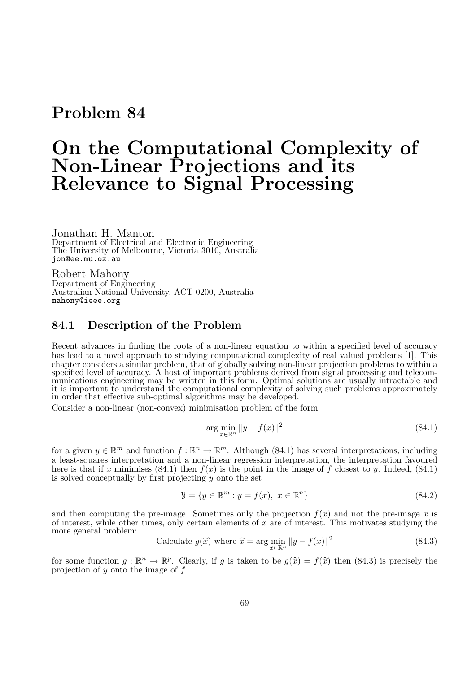## On the Computational Complexity of Non-Linear Projections and its Relevance to Signal Processing

Jonathan H. Manton Department of Electrical and Electronic Engineering The University of Melbourne, Victoria 3010, Australia jon@ee.mu.oz.au

Robert Mahony Department of Engineering Australian National University, ACT 0200, Australia mahony@ieee.org

#### 84.1 Description of the Problem

Recent advances in finding the roots of a non-linear equation to within a specified level of accuracy has lead to a novel approach to studying computational complexity of real valued problems [1]. This chapter considers a similar problem, that of globally solving non-linear projection problems to within a specified level of accuracy. A host of important problems derived from signal processing and telecommunications engineering may be written in this form. Optimal solutions are usually intractable and it is important to understand the computational complexity of solving such problems approximately in order that effective sub-optimal algorithms may be developed.

Consider a non-linear (non-convex) minimisation problem of the form

$$
\arg\min_{x \in \mathbb{R}^n} \|y - f(x)\|^2 \tag{84.1}
$$

for a given  $y \in \mathbb{R}^m$  and function  $f : \mathbb{R}^n \to \mathbb{R}^m$ . Although (84.1) has several interpretations, including a least-squares interpretation and a non-linear regression interpretation, the interpretation favoured here is that if x minimises (84.1) then  $f(x)$  is the point in the image of f closest to y. Indeed, (84.1) is solved conceptually by first projecting  $\hat{y}$  onto the set

$$
\mathcal{Y} = \{ y \in \mathbb{R}^m : y = f(x), \ x \in \mathbb{R}^n \}
$$
\n
$$
(84.2)
$$

and then computing the pre-image. Sometimes only the projection  $f(x)$  and not the pre-image x is of interest, while other times, only certain elements of x are of interest. This motivates studying the more general problem:

Calculate 
$$
g(\hat{x})
$$
 where  $\hat{x} = \arg\min_{x \in \mathbb{R}^n} ||y - f(x)||^2$  (84.3)

for some function  $g : \mathbb{R}^n \to \mathbb{R}^p$ . Clearly, if g is taken to be  $g(\hat{x}) = f(\hat{x})$  then (84.3) is precisely the projection of y onto the image of f. projection of  $y$  onto the image of  $f$ .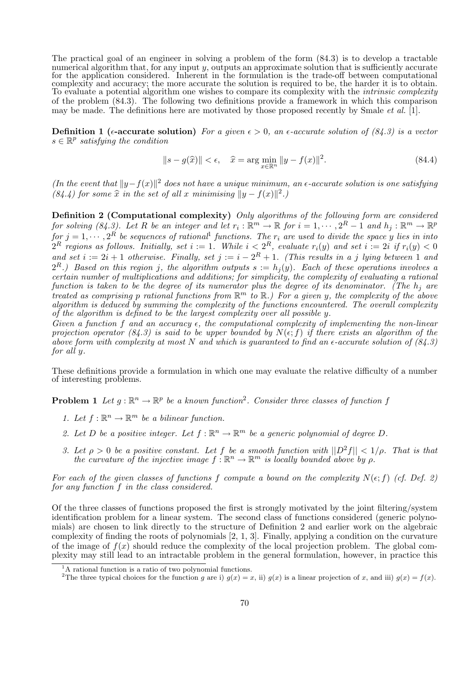The practical goal of an engineer in solving a problem of the form (84.3) is to develop a tractable numerical algorithm that, for any input  $y$ , outputs an approximate solution that is sufficiently accurate for the application considered. Inherent in the formulation is the trade-off between computational complexity and accuracy; the more accurate the solution is required to be, the harder it is to obtain. To evaluate a potential algorithm one wishes to compare its complexity with the intrinsic complexity of the problem (84.3). The following two definitions provide a framework in which this comparison may be made. The definitions here are motivated by those proposed recently by Smale *et al.* [1].

**Definition 1** ( $\epsilon$ -accurate solution) For a given  $\epsilon > 0$ , an  $\epsilon$ -accurate solution of (84.3) is a vector  $s \in \mathbb{R}^p$  satisfying the condition

$$
||s - g(\widehat{x})|| < \epsilon, \quad \widehat{x} = \arg\min_{x \in \mathbb{R}^n} ||y - f(x)||^2.
$$
 (84.4)

(In the event that  $||y-f(x)||^2$  does not have a unique minimum, an  $\epsilon$ -accurate solution is one satisfying (84.4) for some  $\hat{x}$  in the set of all x minimising  $||y - f(x)||^2$ .)

Definition 2 (Computational complexity) Only algorithms of the following form are considered for solving (84.3). Let R be an integer and let  $r_i : \mathbb{R}^m \to \mathbb{R}$  for  $i = 1, \cdots, 2^R - 1$  and  $h_j : \mathbb{R}^m \to \mathbb{R}^p$ for  $j = 1, \dots, 2^R$  be sequences of rational<sup>1</sup> functions. The  $r_i$  are used to divide the space y lies in into  $2^R$  regions as follows. Initially, set  $i := 1$ . While  $i < 2^R$ , evaluate  $r_i(y)$  and set  $i := 2i$  if  $r_i(y) < 0$ and set  $i := 2i + 1$  otherwise. Finally, set  $j := i - 2<sup>R</sup> + 1$ . (This results in a j lying between 1 and  $2<sup>R</sup>$ .) Based on this region j, the algorithm outputs  $s := h_j(y)$ . Each of these operations involves a certain number of multiplications and additions; for simplicity, the complexity of evaluating a rational function is taken to be the degree of its numerator plus the degree of its denominator. (The  $h_j$  are treated as comprising p rational functions from  $\mathbb{R}^m$  to  $\mathbb{R}$ .) For a given y, the complexity of the above algorithm is deduced by summing the complexity of the functions encountered. The overall complexity of the algorithm is defined to be the largest complexity over all possible y.

Given a function f and an accuracy  $\epsilon$ , the computational complexity of implementing the non-linear projection operator (84.3) is said to be upper bounded by  $N(\epsilon, f)$  if there exists an algorithm of the above form with complexity at most N and which is quaranteed to find an  $\epsilon$ -accurate solution of (84.3) for all y.

These definitions provide a formulation in which one may evaluate the relative difficulty of a number of interesting problems.

**Problem 1** Let  $g : \mathbb{R}^n \to \mathbb{R}^p$  be a known function<sup>2</sup>. Consider three classes of function f

- 1. Let  $f: \mathbb{R}^n \to \mathbb{R}^m$  be a bilinear function.
- 2. Let D be a positive integer. Let  $f: \mathbb{R}^n \to \mathbb{R}^m$  be a generic polynomial of degree D.
- 3. Let  $\rho > 0$  be a positive constant. Let f be a smooth function with  $||D^2f|| < 1/\rho$ . That is that the curvature of the injective image  $f : \mathbb{R}^n \to \mathbb{R}^m$  is locally bounded above by  $\rho$ .

For each of the given classes of functions f compute a bound on the complexity  $N(\epsilon; f)$  (cf. Def. 2) for any function f in the class considered.

Of the three classes of functions proposed the first is strongly motivated by the joint filtering/system identification problem for a linear system. The second class of functions considered (generic polynomials) are chosen to link directly to the structure of Definition 2 and earlier work on the algebraic complexity of finding the roots of polynomials [2, 1, 3]. Finally, applying a condition on the curvature of the image of  $f(x)$  should reduce the complexity of the local projection problem. The global complexity may still lead to an intractable problem in the general formulation, however, in practice this

<sup>&</sup>lt;sup>1</sup>A rational function is a ratio of two polynomial functions.

<sup>&</sup>lt;sup>2</sup>The three typical choices for the function g are i)  $g(x) = x$ , ii)  $g(x)$  is a linear projection of x, and iii)  $g(x) = f(x)$ .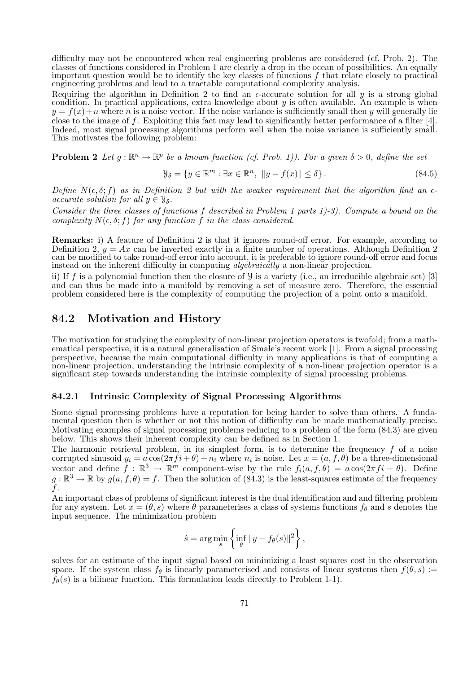difficulty may not be encountered when real engineering problems are considered (cf. Prob. 2). The classes of functions considered in Problem 1 are clearly a drop in the ocean of possibilities. An equally important question would be to identify the key classes of functions  $f$  that relate closely to practical engineering problems and lead to a tractable computational complexity analysis.

Requiring the algorithm in Definition 2 to find an  $\epsilon$ -accurate solution for all y is a strong global condition. In practical applications, extra knowledge about  $y$  is often available. An example is when  $y = f(x) + n$  where n is a noise vector. If the noise variance is sufficiently small then y will generally lie close to the image of f. Exploiting this fact may lead to significantly better performance of a filter [4]. Indeed, most signal processing algorithms perform well when the noise variance is sufficiently small. This motivates the following problem:

**Problem 2** Let  $g : \mathbb{R}^n \to \mathbb{R}^p$  be a known function (cf. Prob. 1)). For a given  $\delta > 0$ , define the set

$$
\mathcal{Y}_{\delta} = \{ y \in \mathbb{R}^m : \exists x \in \mathbb{R}^n, \ \|y - f(x)\| \le \delta \}. \tag{84.5}
$$

Define  $N(\epsilon, \delta; f)$  as in Definition 2 but with the weaker requirement that the algorithm find an  $\epsilon$ accurate solution for all  $y \in \mathcal{Y}_{\delta}$ .

Consider the three classes of functions f described in Problem 1 parts 1)-3). Compute a bound on the complexity  $N(\epsilon, \delta; f)$  for any function f in the class considered.

Remarks: i) A feature of Definition 2 is that it ignores round-off error. For example, according to Definition 2,  $y = Ax$  can be inverted exactly in a finite number of operations. Although Definition 2 can be modified to take round-off error into account, it is preferable to ignore round-off error and focus instead on the inherent difficulty in computing *algebraically* a non-linear projection.

ii) If f is a polynomial function then the closure of  $\mathcal Y$  is a variety (i.e., an irreducible algebraic set) [3] and can thus be made into a manifold by removing a set of measure zero. Therefore, the essential problem considered here is the complexity of computing the projection of a point onto a manifold.

#### 84.2 Motivation and History

The motivation for studying the complexity of non-linear projection operators is twofold; from a mathematical perspective, it is a natural generalisation of Smale's recent work [1]. From a signal processing perspective, because the main computational difficulty in many applications is that of computing a non-linear projection, understanding the intrinsic complexity of a non-linear projection operator is a significant step towards understanding the intrinsic complexity of signal processing problems.

#### 84.2.1 Intrinsic Complexity of Signal Processing Algorithms

Some signal processing problems have a reputation for being harder to solve than others. A fundamental question then is whether or not this notion of difficulty can be made mathematically precise. Motivating examples of signal processing problems reducing to a problem of the form (84.3) are given below. This shows their inherent complexity can be defined as in Section 1.

The harmonic retrieval problem, in its simplest form, is to determine the frequency  $f$  of a noise corrupted sinusoid  $y_i = a \cos(2\pi f i + \theta) + n_i$  where  $n_i$  is noise. Let  $x = (a, f, \theta)$  be a three-dimensional vector and define  $f : \mathbb{R}^3 \to \mathbb{R}^m$  component-wise by the rule  $f_i(a, f, \theta) = a \cos(2\pi f i + \theta)$ . Define  $g: \mathbb{R}^3 \to \mathbb{R}$  by  $g(a, f, \theta) = f$ . Then the solution of (84.3) is the least-squares estimate of the frequency  $\tilde{f}$ .

An important class of problems of significant interest is the dual identification and and filtering problem for any system. Let  $x = (\theta, s)$  where  $\theta$  parameterises a class of systems functions  $f_{\theta}$  and s denotes the input sequence. The minimization problem

$$
\hat{s} = \arg\min_{s} \left\{ \inf_{\theta} \|y - f_{\theta}(s)\|^2 \right\},\,
$$

solves for an estimate of the input signal based on minimizing a least squares cost in the observation space. If the system class  $f_{\theta}$  is linearly parameterised and consists of linear systems then  $f(\theta, s) :=$  $f_{\theta}(s)$  is a bilinear function. This formulation leads directly to Problem 1-1).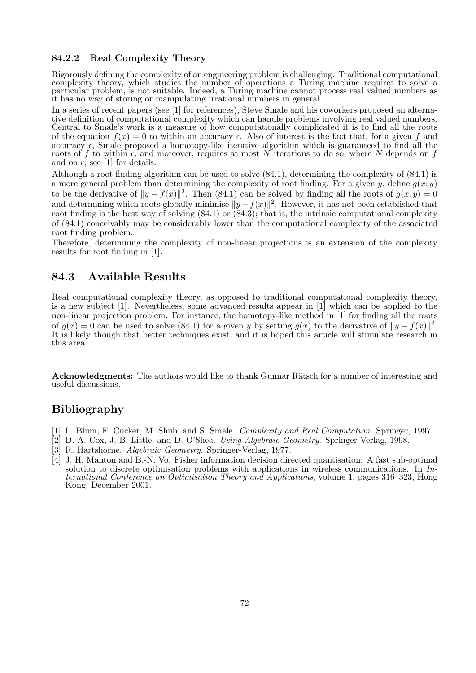#### 84.2.2 Real Complexity Theory

Rigorously defining the complexity of an engineering problem is challenging. Traditional computational complexity theory, which studies the number of operations a Turing machine requires to solve a particular problem, is not suitable. Indeed, a Turing machine cannot process real valued numbers as it has no way of storing or manipulating irrational numbers in general.

In a series of recent papers (see [1] for references), Steve Smale and his coworkers proposed an alternative definition of computational complexity which can handle problems involving real valued numbers. Central to Smale's work is a measure of how computationally complicated it is to find all the roots of the equation  $f(x) = 0$  to within an accuracy  $\epsilon$ . Also of interest is the fact that, for a given f and accuracy  $\epsilon$ , Smale proposed a homotopy-like iterative algorithm which is guaranteed to find all the roots of f to within  $\epsilon$ , and moreover, requires at most N iterations to do so, where N depends on f and on  $\epsilon$ ; see [1] for details.

Although a root finding algorithm can be used to solve (84.1), determining the complexity of (84.1) is a more general problem than determining the complexity of root finding. For a given y, define  $g(x; y)$ to be the derivative of  $||y - f(x)||^2$ . Then (84.1) can be solved by finding all the roots of  $g(x; y) = 0$ and determining which roots globally minimise  $||y - f(x)||^2$ . However, it has not been established that root finding is the best way of solving  $(84.1)$  or  $(84.3)$ ; that is, the intrinsic computational complexity of (84.1) conceivably may be considerably lower than the computational complexity of the associated root finding problem.

Therefore, determining the complexity of non-linear projections is an extension of the complexity results for root finding in [1].

#### 84.3 Available Results

Real computational complexity theory, as opposed to traditional computational complexity theory, is a new subject [1]. Nevertheless, some advanced results appear in [1] which can be applied to the non-linear projection problem. For instance, the homotopy-like method in [1] for finding all the roots of  $g(x) = 0$  can be used to solve (84.1) for a given y by setting  $g(x)$  to the derivative of  $||y - f(x)||^2$ . It is likely though that better techniques exist, and it is hoped this article will stimulate research in this area.

Acknowledgments: The authors would like to thank Gunnar Rätsch for a number of interesting and useful discussions.

- [1] L. Blum, F. Cucker, M. Shub, and S. Smale. Complexity and Real Computation. Springer, 1997.
- [2] D. A. Cox, J. B. Little, and D. O'Shea. Using Algebraic Geometry. Springer-Verlag, 1998.
- [3] R. Hartshorne. *Algebraic Geometry*. Springer-Verlag, 1977.
- [4] J. H. Manton and B.-N. Vo. Fisher information decision directed quantisation: A fast sub-optimal solution to discrete optimisation problems with applications in wireless communications. In  $In$ ternational Conference on Optimisation Theory and Applications, volume 1, pages 316–323, Hong Kong, December 2001.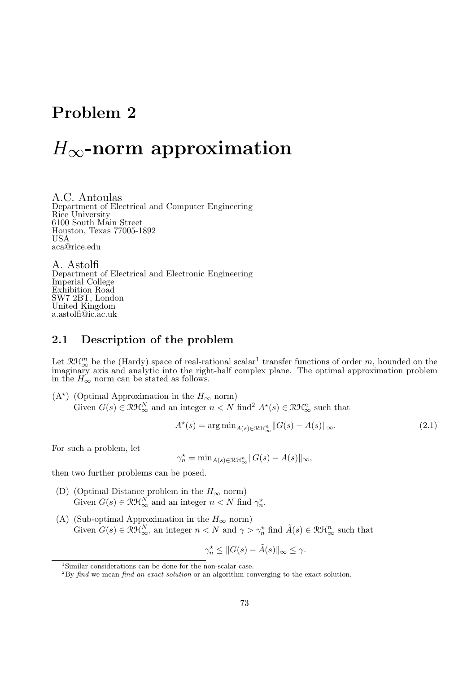# $H_{\infty}$ -norm approximation

A.C. Antoulas Department of Electrical and Computer Engineering Rice University 6100 South Main Street Houston, Texas 77005-1892 USA aca@rice.edu

A. Astolfi Department of Electrical and Electronic Engineering Imperial College Exhibition Road SW7 2BT, London United Kingdom a.astolfi@ic.ac.uk

#### 2.1 Description of the problem

Let  $\mathcal{RH}_{\infty}^m$  be the (Hardy) space of real-rational scalar<sup>1</sup> transfer functions of order m, bounded on the imaginary axis and analytic into the right-half complex plane. The optimal approximation problem in the  $H_{\infty}$  norm can be stated as follows.

 $(A^{\star})$  (Optimal Approximation in the  $H_{\infty}$  norm) Given  $G(s) \in \mathcal{RH}_{\infty}^N$  and an integer  $n < N$  find<sup>2</sup>  $A^*(s) \in \mathcal{RH}_{\infty}^n$  such that

$$
A^*(s) = \arg\min_{A(s)\in\mathcal{RH}_{\infty}^n} \|G(s) - A(s)\|_{\infty}.
$$
\n(2.1)

For such a problem, let

 $\gamma_n^* = \min_{A(s) \in \mathcal{RH}_{\infty}^n} ||G(s) - A(s)||_{\infty},$ 

then two further problems can be posed.

- (D) (Optimal Distance problem in the  $H_{\infty}$  norm) Given  $G(s) \in \mathcal{RH}_{\infty}^N$  and an integer  $n < N$  find  $\gamma_n^*$ .
- (A) (Sub-optimal Approximation in the  $H_{\infty}$  norm) Given  $G(s) \in \mathcal{RH}_{\infty}^N$ , an integer  $n < N$  and  $\gamma > \gamma_n^*$  find  $\tilde{A}(s) \in \mathcal{RH}_{\infty}^n$  such that

$$
\gamma_n^\star \leq \|G(s) - \tilde{A}(s)\|_\infty \leq \gamma.
$$

<sup>1</sup>Similar considerations can be done for the non-scalar case.

 $^{2}$ By find we mean find an exact solution or an algorithm converging to the exact solution.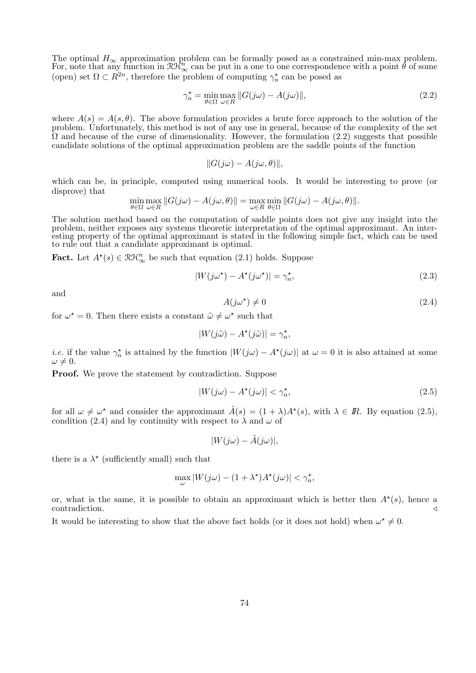The optimal  $H_{\infty}$  approximation problem can be formally posed as a constrained min-max problem.<br>For, note that any function in  $\mathcal{RH}_{\infty}^n$  can be put in a one to one correspondence with a point  $\theta$  of some (open) set  $\Omega \subset \mathbb{R}^{2n}$ , therefore the problem of computing  $\gamma_n^*$  can be posed as

$$
\gamma_n^* = \min_{\theta \in \Omega} \max_{\omega \in R} \|G(j\omega) - A(j\omega)\|,\tag{2.2}
$$

where  $A(s) = A(s, \theta)$ . The above formulation provides a brute force approach to the solution of the problem. Unfortunately, this method is not of any use in general, because of the complexity of the set  $\Omega$  and because of the curse of dimensionality. However, the formulation (2.2) suggests that possible candidate solutions of the optimal approximation problem are the saddle points of the function

$$
||G(j\omega) - A(j\omega, \theta)||,
$$

which can be, in principle, computed using numerical tools. It would be interesting to prove (or disprove) that

$$
\min_{\theta \in \Omega} \max_{\omega \in R} \|G(j\omega) - A(j\omega, \theta)\| = \max_{\omega \in R} \min_{\theta \in \Omega} \|G(j\omega) - A(j\omega, \theta)\|.
$$

The solution method based on the computation of saddle points does not give any insight into the problem, neither exposes any systems theoretic interpretation of the optimal approximant. An interesting property of the optimal approximant is stated in the following simple fact, which can be used to rule out that a candidate approximant is optimal.

**Fact.** Let  $A^*(s) \in \mathbb{RH}_{\infty}^n$  be such that equation (2.1) holds. Suppose

$$
|W(j\omega^*) - A^*(j\omega^*)| = \gamma_n^*,\tag{2.3}
$$

and

$$
A(j\omega^*) \neq 0 \tag{2.4}
$$

for  $\omega^* = 0$ . Then there exists a constant  $\tilde{\omega} \neq \omega^*$  such that

$$
|W(j\tilde{\omega}) - A^*(j\tilde{\omega})| = \gamma_n^*,
$$

*i.e.* if the value  $\gamma_n^*$  is attained by the function  $|W(j\omega) - A^*(j\omega)|$  at  $\omega = 0$  it is also attained at some  $\omega \neq 0.$ 

**Proof.** We prove the statement by contradiction. Suppose

$$
|W(j\omega) - A^*(j\omega)| < \gamma_n^*,\tag{2.5}
$$

for all  $\omega \neq \omega^*$  and consider the approximant  $\tilde{A}(s) = (1 + \lambda)A^*(s)$ , with  $\lambda \in \mathbb{R}$ . By equation (2.5), condition (2.4) and by continuity with respect to  $\lambda$  and  $\omega$  of

$$
|W(j\omega) - \tilde{A}(j\omega)|,
$$

there is a  $\lambda^*$  (sufficiently small) such that

$$
\max_{\omega} |W(j\omega) - (1 + \lambda^{\star})A^{\star}(j\omega)| < \gamma_n^{\star},
$$

or, what is the same, it is possible to obtain an approximant which is better then  $A^*(s)$ , hence a contradiction.

It would be interesting to show that the above fact holds (or it does not hold) when  $\omega^* \neq 0$ .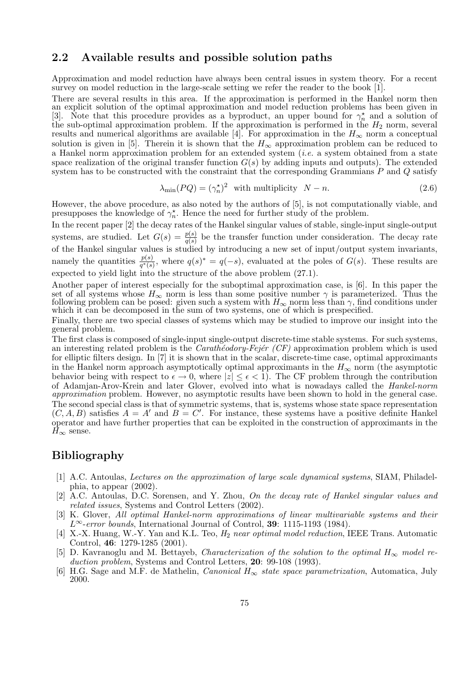#### 2.2 Available results and possible solution paths

Approximation and model reduction have always been central issues in system theory. For a recent survey on model reduction in the large-scale setting we refer the reader to the book [1].

There are several results in this area. If the approximation is performed in the Hankel norm then an explicit solution of the optimal approximation and model reduction problems has been given in [3]. Note that this procedure provides as a byproduct, an upper bound for  $\gamma_n^*$  and a solution of the sub-optimal approximation problem. If the approximation is performed in the  $H_2$  norm, several results and numerical algorithms are available [4]. For approximation in the  $H_{\infty}$  norm a conceptual solution is given in [5]. Therein it is shown that the  $H_{\infty}$  approximation problem can be reduced to a Hankel norm approximation problem for an extended system (i.e. a system obtained from a state space realization of the original transfer function  $G(s)$  by adding inputs and outputs). The extended system has to be constructed with the constraint that the corresponding Grammians  $P$  and  $Q$  satisfy

$$
\lambda_{\min}(PQ) = (\gamma_n^{\star})^2 \text{ with multiplicity } N - n. \tag{2.6}
$$

However, the above procedure, as also noted by the authors of [5], is not computationally viable, and presupposes the knowledge of  $\gamma_n^*$ . Hence the need for further study of the problem.

In the recent paper [2] the decay rates of the Hankel singular values of stable, single-input single-output systems, are studied. Let  $G(s) = \frac{p(s)}{q(s)}$  be the transfer function under consideration. The decay rate of the Hankel singular values is studied by introducing a new set of input/output system invariants, namely the quantities  $\frac{p(s)}{q^*(s)}$ , where  $q(s)^* = q(-s)$ , evaluated at the poles of  $G(s)$ . These results are expected to yield light into the structure of the above problem (27.1).

Another paper of interest especially for the suboptimal approximation case, is [6]. In this paper the set of all systems whose  $H_{\infty}$  norm is less than some positive number  $\gamma$  is parameterized. Thus the following problem can be posed: given such a system with  $H_{\infty}$  norm less than  $\gamma$ , find conditions under which it can be decomposed in the sum of two systems, one of which is prespecified.

Finally, there are two special classes of systems which may be studied to improve our insight into the general problem.

The first class is composed of single-input single-output discrete-time stable systems. For such systems, an interesting related problem is the *Carathéodory-Fejér (CF)* approximation problem which is used for elliptic filters design. In [7] it is shown that in the scalar, discrete-time case, optimal approximants in the Hankel norm approach asymptotically optimal approximants in the  $H_{\infty}$  norm (the asymptotic behavior being with respect to  $\epsilon \to 0$ , where  $|z| \leq \epsilon < 1$ ). The CF problem through the contribution of Adamjan-Arov-Krein and later Glover, evolved into what is nowadays called the Hankel-norm approximation problem. However, no asymptotic results have been shown to hold in the general case. The second special class is that of symmetric systems, that is, systems whose state space representation  $(C, A, B)$  satisfies  $A = A'$  and  $B = C'$ . For instance, these systems have a positive definite Hankel operator and have further properties that can be exploited in the construction of approximants in the  $\hat{H}_{\infty}$  sense.

- [1] A.C. Antoulas, Lectures on the approximation of large scale dynamical systems, SIAM, Philadelphia, to appear (2002).
- [2] A.C. Antoulas, D.C. Sorensen, and Y. Zhou, On the decay rate of Hankel singular values and related issues, Systems and Control Letters (2002).
- [3] K. Glover, All optimal Hankel-norm approximations of linear multivariable systems and their  $L^{\infty}$ -error bounds, International Journal of Control, 39: 1115-1193 (1984).
- [4] X.-X. Huang, W.-Y. Yan and K.L. Teo,  $H_2$  near optimal model reduction, IEEE Trans. Automatic Control, 46: 1279-1285 (2001).
- [5] D. Kavranoglu and M. Bettayeb, *Characterization of the solution to the optimal*  $H_{\infty}$  model reduction problem, Systems and Control Letters, 20: 99-108 (1993).
- [6] H.G. Sage and M.F. de Mathelin, *Canonical*  $H_{\infty}$  state space parametrization, Automatica, July 2000.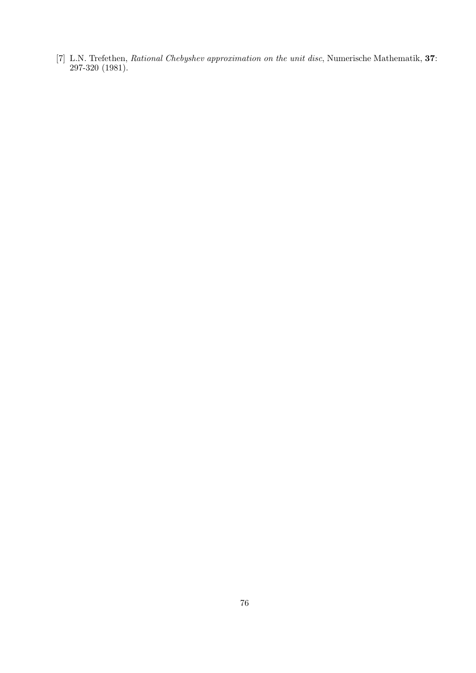[7] L.N. Trefethen, Rational Chebyshev approximation on the unit disc, Numerische Mathematik, 37: 297-320 (1981).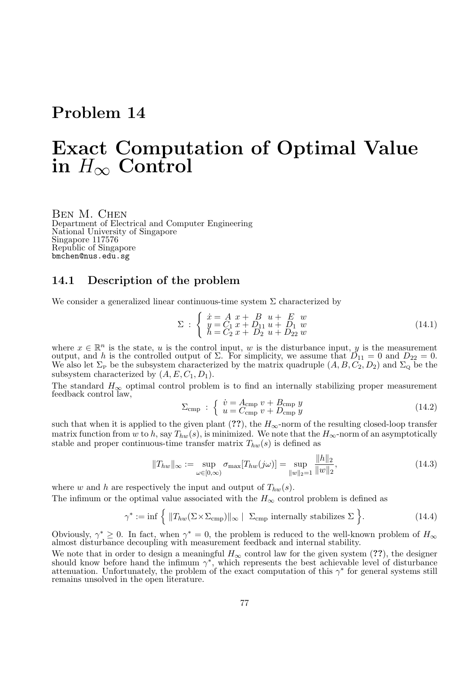## Exact Computation of Optimal Value in  $H_{\infty}$  Control

Ben M. Chen Department of Electrical and Computer Engineering National University of Singapore Singapore 117576 Republic of Singapore bmchen@nus.edu.sg

#### 14.1 Description of the problem

We consider a generalized linear continuous-time system  $\Sigma$  characterized by

$$
\Sigma : \begin{cases} \n\dot{x} = A \, x + B \, u + E \, w \\
y = C_1 \, x + D_{11} \, u + D_1 \, w \\
h = C_2 \, x + D_2 \, u + D_{22} \, w\n\end{cases} \tag{14.1}
$$

where  $x \in \mathbb{R}^n$  is the state, u is the control input, w is the disturbance input, y is the measurement output, and h is the controlled output of  $\Sigma$ . For simplicity, we assume that  $\tilde{D}_{11} = 0$  and  $D_{22} = 0$ . We also let  $\Sigma_{\rm P}$  be the subsystem characterized by the matrix quadruple  $(A, B, C_2, D_2)$  and  $\Sigma_{\rm Q}$  be the subsystem characterized by  $(A, E, C_1, D_1)$ .

The standard  $H_{\infty}$  optimal control problem is to find an internally stabilizing proper measurement feedback control law,

$$
\Sigma_{\rm{cmp}} : \begin{cases} \dot{v} = A_{\rm{cmp}} v + B_{\rm{cmp}} y \\ u = C_{\rm{cmp}} v + D_{\rm{cmp}} y \end{cases}
$$
\n(14.2)

such that when it is applied to the given plant (??), the  $H_{\infty}$ -norm of the resulting closed-loop transfer matrix function from w to h, say  $T_{hw}(s)$ , is minimized. We note that the  $H_{\infty}$ -norm of an asymptotically stable and proper continuous-time transfer matrix  $T_{hw}(s)$  is defined as

$$
||T_{hw}||_{\infty} := \sup_{\omega \in [0,\infty)} \sigma_{\max}[T_{hw}(j\omega)] = \sup_{||w||_2 = 1} \frac{||h||_2}{||w||_2},
$$
\n(14.3)

where w and h are respectively the input and output of  $T_{hw}(s)$ . The infimum or the optimal value associated with the  $H_{\infty}$  control problem is defined as

$$
\gamma^* := \inf \left\{ ||T_{hw}(\Sigma \times \Sigma_{\text{cmp}})||_{\infty} \mid \Sigma_{\text{cmp} } \text{internally stabilizes } \Sigma \right\}.
$$
 (14.4)

Obviously,  $\gamma^* \geq 0$ . In fact, when  $\gamma^* = 0$ , the problem is reduced to the well-known problem of  $H_{\infty}$ almost disturbance decoupling with measurement feedback and internal stability.

We note that in order to design a meaningful  $H_{\infty}$  control law for the given system (??), the designer should know before hand the infimum  $\gamma^*$ , which represents the best achievable level of disturbance attenuation. Unfortunately, the problem of the exact computation of this  $\gamma^*$  for general systems still remains unsolved in the open literature.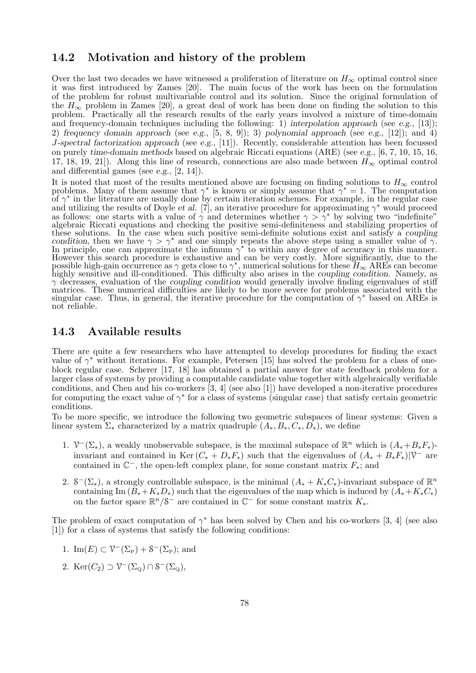#### 14.2 Motivation and history of the problem

Over the last two decades we have witnessed a proliferation of literature on  $H_{\infty}$  optimal control since it was first introduced by Zames [20]. The main focus of the work has been on the formulation of the problem for robust multivariable control and its solution. Since the original formulation of the  $H_{\infty}$  problem in Zames [20], a great deal of work has been done on finding the solution to this problem. Practically all the research results of the early years involved a mixture of time-domain and frequency-domain techniques including the following: 1) interpolation approach (see e.g., [13]); 2) frequency domain approach (see e.g.,  $[5, 8, 9]$ ); 3) polynomial approach (see e.g.,  $[12]$ ); and 4) J-spectral factorization approach (see e.g., [11]). Recently, considerable attention has been focussed on purely time-domain methods based on algebraic Riccati equations (ARE) (see e.g., [6, 7, 10, 15, 16, 17, 18, 19, 21]). Along this line of research, connections are also made between  $H_{\infty}$  optimal control and differential games (see e.g., [2, 14]).

It is noted that most of the results mentioned above are focusing on finding solutions to  $H_{\infty}$  control problems. Many of them assume that  $\gamma^*$  is known or simply assume that  $\gamma^* = 1$ . The computation of  $\gamma^*$  in the literature are usually done by certain iteration schemes. For example, in the regular case and utilizing the results of Doyle *et al.* [7], an iterative procedure for approximating  $\gamma^*$  would proceed as follows: one starts with a value of  $\gamma$  and determines whether  $\gamma > \gamma^*$  by solving two "indefinite" algebraic Riccati equations and checking the positive semi-definiteness and stabilizing properties of these solutions. In the case when such positive semi-definite solutions exist and satisfy a coupling condition, then we have  $\gamma > \gamma^*$  and one simply repeats the above steps using a smaller value of  $\gamma$ . In principle, one can approximate the infimum  $\gamma^*$  to within any degree of accuracy in this manner. However this search procedure is exhaustive and can be very costly. More significantly, due to the possible high-gain occurrence as  $\gamma$  gets close to  $\gamma^*$ , numerical solutions for these  $H_{\infty}$  AREs can become highly sensitive and ill-conditioned. This difficulty also arises in the coupling condition. Namely, as  $\gamma$  decreases, evaluation of the *coupling condition* would generally involve finding eigenvalues of stiff matrices. These numerical difficulties are likely to be more severe for problems associated with the singular case. Thus, in general, the iterative procedure for the computation of  $\gamma^*$  based on AREs is not reliable.

#### 14.3 Available results

There are quite a few researchers who have attempted to develop procedures for finding the exact value of  $\gamma^*$  without iterations. For example, Petersen [15] has solved the problem for a class of oneblock regular case. Scherer [17, 18] has obtained a partial answer for state feedback problem for a larger class of systems by providing a computable candidate value together with algebraically verifiable conditions, and Chen and his co-workers [3, 4] (see also [1]) have developed a non-iterative procedures for computing the exact value of  $\gamma^*$  for a class of systems (singular case) that satisfy certain geometric conditions.

To be more specific, we introduce the following two geometric subspaces of linear systems: Given a linear system  $\Sigma_*$  characterized by a matrix quadruple  $(A_*, B_*, C_*, D_*)$ , we define

- 1.  $V^-(\Sigma_*)$ , a weakly unobservable subspace, is the maximal subspace of  $\mathbb{R}^n$  which is  $(A_*+B_*F_*)$ invariant and contained in Ker  $(C_* + D_*F_*)$  such that the eigenvalues of  $(A_* + B_*F_*)\nu$ <sup>-</sup> are contained in  $\mathbb{C}^-$ , the open-left complex plane, for some constant matrix  $F_*$ ; and
- 2.  $S^{-}(\Sigma_{*})$ , a strongly controllable subspace, is the minimal  $(A_{*} + K_{*}C_{*})$ -invariant subspace of  $\mathbb{R}^{n}$ containing Im  $(B_*+K_*D_*)$  such that the eigenvalues of the map which is induced by  $(A_*+K_*C_*)$ on the factor space  $\mathbb{R}^n/\mathbb{S}^-$  are contained in  $\mathbb{C}^-$  for some constant matrix  $K_*$ .

The problem of exact computation of  $\gamma^*$  has been solved by Chen and his co-workers [3, 4] (see also [1]) for a class of systems that satisfy the following conditions:

- 1. Im(E)  $\subset \mathcal{V}^-(\Sigma_{\rm P}) + \mathcal{S}^-(\Sigma_{\rm P})$ ; and
- 2. Ker $(C_2) \supset \mathcal{V}^-(\Sigma_{\mathbf{Q}}) \cap \mathcal{S}^-(\Sigma_{\mathbf{Q}}),$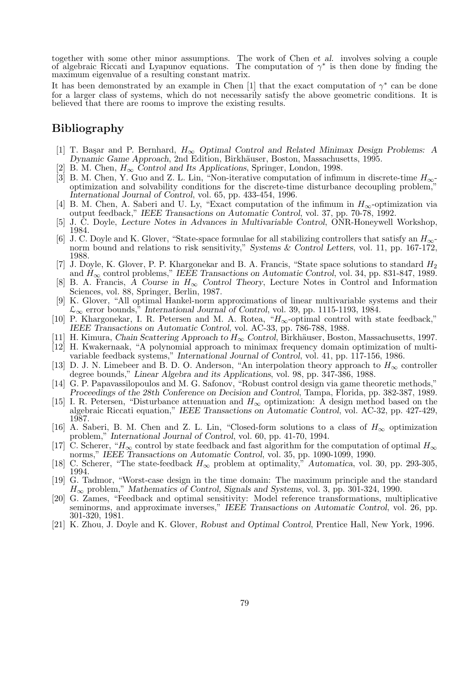together with some other minor assumptions. The work of Chen et al. involves solving a couple of algebraic Riccati and Lyapunov equations. The computation of  $\gamma^*$  is then done by finding the maximum eigenvalue of a resulting constant matrix.

It has been demonstrated by an example in Chen [1] that the exact computation of  $\gamma^*$  can be done for a larger class of systems, which do not necessarily satisfy the above geometric conditions. It is believed that there are rooms to improve the existing results.

- [1] T. Başar and P. Bernhard,  $H_{\infty}$  Optimal Control and Related Minimax Design Problems: A Dynamic Game Approach, 2nd Edition, Birkh¨auser, Boston, Massachusetts, 1995.
- [2] B. M. Chen,  $H_{\infty}$  Control and Its Applications, Springer, London, 1998.
- [3] B. M. Chen, Y. Guo and Z. L. Lin, "Non-iterative computation of infimum in discrete-time  $H_{\infty}$ optimization and solvability conditions for the discrete-time disturbance decoupling problem, International Journal of Control, vol. 65, pp. 433-454, 1996.
- [4] B. M. Chen, A. Saberi and U. Ly, "Exact computation of the infimum in  $H_{\infty}$ -optimization via output feedback," IEEE Transactions on Automatic Control, vol. 37, pp. 70-78, 1992.
- [5] J. C. Doyle, Lecture Notes in Advances in Multivariable Control, ONR-Honeywell Workshop, 1984.
- [6] J. C. Doyle and K. Glover, "State-space formulae for all stabilizing controllers that satisfy an  $H_{\infty}$ norm bound and relations to risk sensitivity," Systems & Control Letters, vol. 11, pp. 167-172, 1988.
- [7] J. Doyle, K. Glover, P. P. Khargonekar and B. A. Francis, "State space solutions to standard  $H_2$ and  $H_{\infty}$  control problems," IEEE Transactions on Automatic Control, vol. 34, pp. 831-847, 1989.
- [8] B. A. Francis, A Course in  $H_{\infty}$  Control Theory, Lecture Notes in Control and Information Sciences, vol. 88, Springer, Berlin, 1987.
- [9] K. Glover, "All optimal Hankel-norm approximations of linear multivariable systems and their  $\mathcal{L}_{\infty}$  error bounds," International Journal of Control, vol. 39, pp. 1115-1193, 1984.
- [10] P. Khargonekar, I. R. Petersen and M. A. Rotea, " $H_{\infty}$ -optimal control with state feedback," IEEE Transactions on Automatic Control, vol. AC-33, pp. 786-788, 1988.
- [11] H. Kimura, Chain Scattering Approach to  $H_{\infty}$  Control, Birkhäuser, Boston, Massachusetts, 1997.
- [12] H. Kwakernaak, "A polynomial approach to minimax frequency domain optimization of multivariable feedback systems," International Journal of Control, vol. 41, pp. 117-156, 1986.
- [13] D. J. N. Limebeer and B. D. O. Anderson, "An interpolation theory approach to  $H_{\infty}$  controller degree bounds," Linear Algebra and its Applications, vol. 98, pp. 347-386, 1988.
- [14] G. P. Papavassilopoulos and M. G. Safonov, "Robust control design via game theoretic methods," Proceedings of the 28th Conference on Decision and Control, Tampa, Florida, pp. 382-387, 1989.
- [15] I. R. Petersen, "Disturbance attenuation and  $H_{\infty}$  optimization: A design method based on the algebraic Riccati equation," IEEE Transactions on Automatic Control, vol. AC-32, pp. 427-429, 1987.
- [16] A. Saberi, B. M. Chen and Z. L. Lin, "Closed-form solutions to a class of  $H_{\infty}$  optimization problem," International Journal of Control, vol. 60, pp. 41-70, 1994.
- [17] C. Scherer, " $H_{\infty}$  control by state feedback and fast algorithm for the computation of optimal  $H_{\infty}$ norms," IEEE Transactions on Automatic Control, vol. 35, pp. 1090-1099, 1990.
- [18] C. Scherer, "The state-feedback  $H_{\infty}$  problem at optimality," Automatica, vol. 30, pp. 293-305, 1994.
- [19] G. Tadmor, "Worst-case design in the time domain: The maximum principle and the standard  $H_{\infty}$  problem," Mathematics of Control, Signals and Systems, vol. 3, pp. 301-324, 1990.
- [20] G. Zames, "Feedback and optimal sensitivity: Model reference transformations, multiplicative seminorms, and approximate inverses," IEEE Transactions on Automatic Control, vol. 26, pp. 301-320, 1981.
- [21] K. Zhou, J. Doyle and K. Glover, Robust and Optimal Control, Prentice Hall, New York, 1996.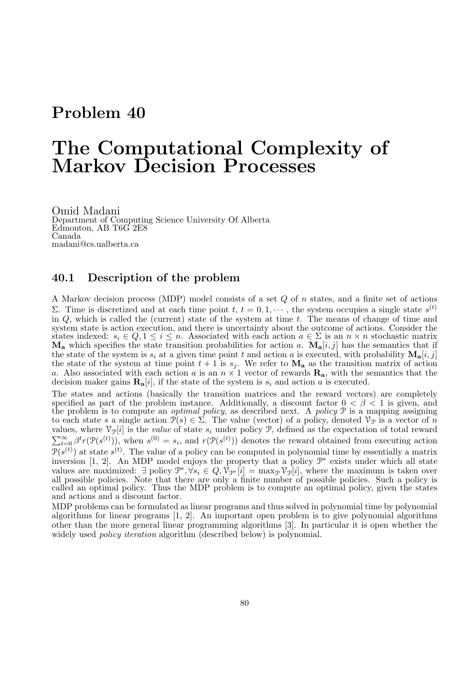## The Computational Complexity of Markov Decision Processes

Omid Madani Department of Computing Science University Of Alberta Edmonton, AB T6G 2E8 Canada madani@cs.ualberta.ca

### 40.1 Description of the problem

A Markov decision process (MDP) model consists of a set Q of n states, and a finite set of actions Σ. Time is discretized and at each time point  $t, t = 0, 1, \cdots$ , the system occupies a single state  $s<sup>(t)</sup>$ in  $Q$ , which is called the (current) state of the system at time t. The means of change of time and system state is action execution, and there is uncertainty about the outcome of actions. Consider the states indexed:  $s_i \in Q$ ,  $1 \leq i \leq n$ . Associated with each action  $a \in \Sigma$  is an  $n \times n$  stochastic matrix  $\mathbf{M}_a$  which specifies the state transition probabilities for action a.  $\mathbf{M}_a[i, j]$  has the semantics that if the state of the system is  $s_i$  at a given time point t and action a is executed, with probability  $\mathbf{M}_a[i, j]$ the state of the system at time point  $t + 1$  is  $s_j$ . We refer to  $\mathbf{M}_a$  as the transition matrix of action a. Also associated with each action a is an  $n \times 1$  vector of rewards  $\mathbf{R}_{a}$ , with the semantics that the decision maker gains  $\mathbf{R}_{a}[i]$ , if the state of the system is  $s_i$  and action a is executed.

The states and actions (basically the transition matrices and the reward vectors) are completely specified as part of the problem instance. Additionally, a discount factor  $0 < \beta < 1$  is given, and the problem is to compute an *optimal policy*, as described next. A *policy*  $\mathcal{P}$  is a mapping assigning to each state s a single action  $\mathcal{P}(s) \in \Sigma$ . The value (vector) of a policy, denoted  $\mathcal{V}_{\mathcal{P}}$  is a vector of  $n$ values, where  $\sum$ lues, where  $\mathcal{V}_{\mathcal{P}}[i]$  is the *value* of state  $s_i$  under policy  $\mathcal{P}$ , defined as the expectation of total reward  $\sum_{t=0}^{\infty} \beta^t r(\mathcal{P}(s^{(t)}))$ , when  $s^{(0)} = s_i$ , and  $r(\mathcal{P}(s^{(t)}))$  denotes the reward obtaine  $P(s^{(t)})$  at state  $s^{(t)}$ . The value of a policy can be computed in polynomial time by essentially a matrix inversion [1, 2]. An MDP model enjoys the property that a policy  $\mathcal{P}^*$  exists under which all state values are maximized:  $\exists$  policy  $\mathcal{P}^*, \forall s_i \in Q, \mathcal{V}_{\mathcal{P}^*}[i] = \max_{\mathcal{P}} \mathcal{V}_{\mathcal{P}}[i]$ , where the maximum is taken over all possible policies. Note that there are only a finite number of possible policies. Such a policy is called an optimal policy. Thus the MDP problem is to compute an optimal policy, given the states and actions and a discount factor.

MDP problems can be formulated as linear programs and thus solved in polynomial time by polynomial algorithms for linear programs [1, 2]. An important open problem is to give polynomial algorithms other than the more general linear programming algorithms [3]. In particular it is open whether the widely used *policy iteration* algorithm (described below) is polynomial.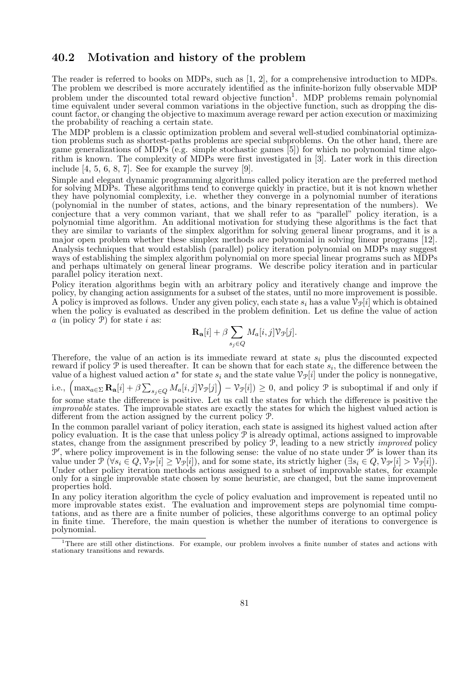#### 40.2 Motivation and history of the problem

The reader is referred to books on MDPs, such as [1, 2], for a comprehensive introduction to MDPs. The problem we described is more accurately identified as the infinite-horizon fully observable MDP problem under the discounted total reward objective function<sup>1</sup>. MDP problems remain polynomial time equivalent under several common variations in the objective function, such as dropping the discount factor, or changing the objective to maximum average reward per action execution or maximizing the probability of reaching a certain state.

The MDP problem is a classic optimization problem and several well-studied combinatorial optimization problems such as shortest-paths problems are special subproblems. On the other hand, there are game generalizations of MDPs (e.g. simple stochastic games [5]) for which no polynomial time algorithm is known. The complexity of MDPs were first investigated in [3]. Later work in this direction include [4, 5, 6, 8, 7]. See for example the survey [9].

Simple and elegant dynamic programming algorithms called policy iteration are the preferred method for solving MDPs. These algorithms tend to converge quickly in practice, but it is not known whether they have polynomial complexity, i.e. whether they converge in a polynomial number of iterations (polynomial in the number of states, actions, and the binary representation of the numbers). We conjecture that a very common variant, that we shall refer to as "parallel" policy iteration, is a polynomial time algorithm. An additional motivation for studying these algorithms is the fact that they are similar to variants of the simplex algorithm for solving general linear programs, and it is a major open problem whether these simplex methods are polynomial in solving linear programs [12]. Analysis techniques that would establish (parallel) policy iteration polynomial on MDPs may suggest ways of establishing the simplex algorithm polynomial on more special linear programs such as MDPs and perhaps ultimately on general linear programs. We describe policy iteration and in particular parallel policy iteration next.

Policy iteration algorithms begin with an arbitrary policy and iteratively change and improve the policy, by changing action assignments for a subset of the states, until no more improvement is possible. A policy is improved as follows. Under any given policy, each state  $s_i$  has a value  $\mathcal{V}_p[i]$  which is obtained when the policy is evaluated as described in the problem definition. Let us define the value of action a (in policy  $P$ ) for state i as:

$$
\mathbf{R}_{\mathbf{a}}[i] + \beta \sum_{s_j \in Q} M_a[i,j] \mathcal{V}_{\mathcal{P}}[j].
$$

Therefore, the value of an action is its immediate reward at state  $s_i$  plus the discounted expected reward if policy  $P$  is used thereafter. It can be shown that for each state  $s_i$ , the difference between the value of a highest valued action  $a^*$  for state  $s_i$  and the state value  $\mathcal{V}_{\mathcal{P}}[i]$  under the policy is nonnegative,

i.e.,  $\left(\max_{a\in\Sigma} \mathbf{R_a}[i] + \beta \sum_{s_j\in Q} M_a[i,j] \mathcal{V}_{\mathcal{P}}[j]\right) - \mathcal{V}_{\mathcal{P}}[i]) \geq 0$ , and policy  $\mathcal P$  is suboptimal if and only if for some state the difference is positive. Let us call the states for which the difference is positive the improvable states. The improvable states are exactly the states for which the highest valued action is different from the action assigned by the current policy P.

In the common parallel variant of policy iteration, each state is assigned its highest valued action after policy evaluation. It is the case that unless policy  $\mathcal P$  is already optimal, actions assigned to improvable states, change from the assignment prescribed by policy P, leading to a new strictly *improved* policy  $\mathcal{P}'$ , where policy improvement is in the following sense: the value of no state under  $\mathcal{P}'$  is lower than its value under  $\mathcal{P}(\forall s_i \in Q, \mathcal{V}_{\mathcal{P}}[i] \geq \mathcal{V}_{\mathcal{P}}[i])$ , and for some state, its strictly higher  $(\exists s_i \in Q, \mathcal{V}_{\mathcal{P}}[i] > \mathcal{V}_{\mathcal{P}}[i])$ . Under other policy iteration methods actions assigned to a subset of improvable states, for example only for a single improvable state chosen by some heuristic, are changed, but the same improvement properties hold.

In any policy iteration algorithm the cycle of policy evaluation and improvement is repeated until no more improvable states exist. The evaluation and improvement steps are polynomial time computations, and as there are a finite number of policies, these algorithms converge to an optimal policy in finite time. Therefore, the main question is whether the number of iterations to convergence is polynomial.

<sup>1</sup>There are still other distinctions. For example, our problem involves a finite number of states and actions with stationary transitions and rewards.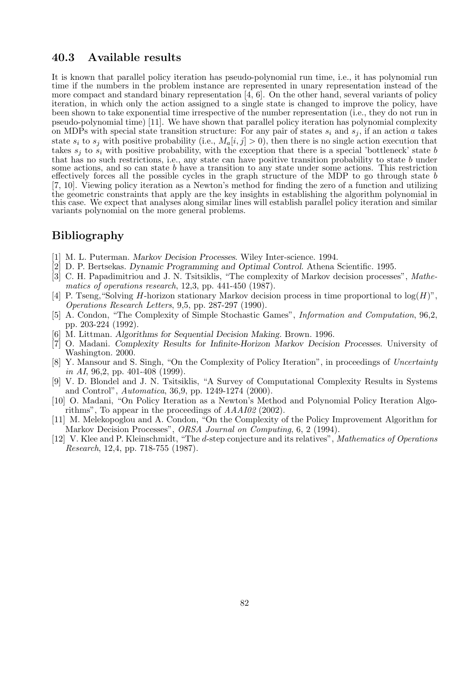#### 40.3 Available results

It is known that parallel policy iteration has pseudo-polynomial run time, i.e., it has polynomial run time if the numbers in the problem instance are represented in unary representation instead of the more compact and standard binary representation [4, 6]. On the other hand, several variants of policy iteration, in which only the action assigned to a single state is changed to improve the policy, have been shown to take exponential time irrespective of the number representation (i.e., they do not run in pseudo-polynomial time) [11]. We have shown that parallel policy iteration has polynomial complexity on MDPs with special state transition structure: For any pair of states  $s_i$  and  $s_j$ , if an action a takes state  $s_i$  to  $s_j$  with positive probability (i.e.,  $M_a[i, j] > 0$ ), then there is no single action execution that takes  $s_i$  to  $s_i$  with positive probability, with the exception that there is a special 'bottleneck' state b that has no such restrictions, i.e., any state can have positive transition probability to state  $b$  under some actions, and so can state b have a transition to any state under some actions. This restriction effectively forces all the possible cycles in the graph structure of the MDP to go through state b [7, 10]. Viewing policy iteration as a Newton's method for finding the zero of a function and utilizing the geometric constraints that apply are the key insights in establishing the algorithm polynomial in this case. We expect that analyses along similar lines will establish parallel policy iteration and similar variants polynomial on the more general problems.

- [1] M. L. Puterman. Markov Decision Processes. Wiley Inter-science. 1994.
- [2] D. P. Bertsekas. Dynamic Programming and Optimal Control. Athena Scientific. 1995.
- [3] C. H. Papadimitriou and J. N. Tsitsiklis, "The complexity of Markov decision processes", Mathematics of operations research, 12,3, pp. 441-450 (1987).
- [4] P. Tseng, "Solving H-horizon stationary Markov decision process in time proportional to  $log(H)$ ", Operations Research Letters, 9,5, pp. 287-297 (1990).
- [5] A. Condon, "The Complexity of Simple Stochastic Games", *Information and Computation*, 96,2, pp. 203-224 (1992).
- [6] M. Littman. Algorithms for Sequential Decision Making. Brown. 1996.
- [7] O. Madani. Complexity Results for Infinite-Horizon Markov Decision Processes. University of Washington. 2000.
- [8] Y. Mansour and S. Singh, "On the Complexity of Policy Iteration", in proceedings of Uncertainty in AI, 96,2, pp. 401-408 (1999).
- [9] V. D. Blondel and J. N. Tsitsiklis, "A Survey of Computational Complexity Results in Systems and Control", Automatica, 36,9, pp. 1249-1274 (2000).
- [10] O. Madani, "On Policy Iteration as a Newton's Method and Polynomial Policy Iteration Algorithms", To appear in the proceedings of AAAI02 (2002).
- [11] M. Melekopoglou and A. Condon, "On the Complexity of the Policy Improvement Algorithm for Markov Decision Processes", ORSA Journal on Computing, 6, 2 (1994).
- [12] V. Klee and P. Kleinschmidt, "The d-step conjecture and its relatives", Mathematics of Operations Research, 12,4, pp. 718-755 (1987).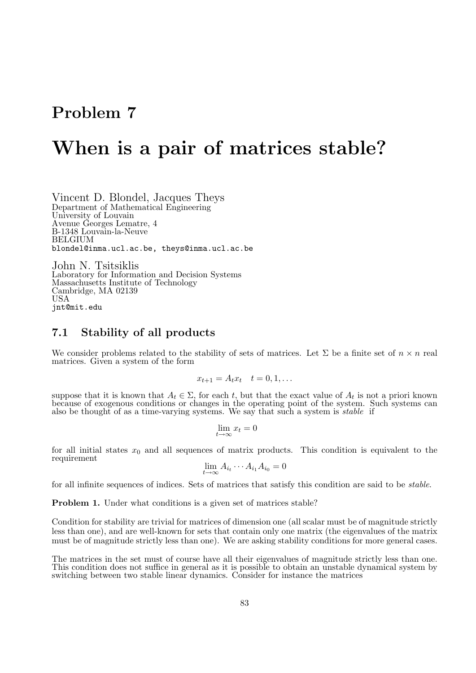## When is a pair of matrices stable?

Vincent D. Blondel, Jacques Theys Department of Mathematical Engineering University of Louvain Avenue Georges Lematre, 4 B-1348 Louvain-la-Neuve BELGIUM blondel@inma.ucl.ac.be, theys@inma.ucl.ac.be

John N. Tsitsiklis Laboratory for Information and Decision Systems Massachusetts Institute of Technology Cambridge, MA 02139 USA jnt@mit.edu

#### 7.1 Stability of all products

We consider problems related to the stability of sets of matrices. Let  $\Sigma$  be a finite set of  $n \times n$  real matrices. Given a system of the form

$$
x_{t+1} = A_t x_t \quad t = 0, 1, \dots
$$

suppose that it is known that  $A_t \in \Sigma$ , for each t, but that the exact value of  $A_t$  is not a priori known because of exogenous conditions or changes in the operating point of the system. Such systems can also be thought of as a time-varying systems. We say that such a system is *stable* if

$$
\lim_{t \to \infty} x_t = 0
$$

for all initial states  $x_0$  and all sequences of matrix products. This condition is equivalent to the requirement

$$
\lim_{t \to \infty} A_{i_t} \cdots A_{i_1} A_{i_0} = 0
$$

for all infinite sequences of indices. Sets of matrices that satisfy this condition are said to be *stable*.

Problem 1. Under what conditions is a given set of matrices stable?

Condition for stability are trivial for matrices of dimension one (all scalar must be of magnitude strictly less than one), and are well-known for sets that contain only one matrix (the eigenvalues of the matrix must be of magnitude strictly less than one). We are asking stability conditions for more general cases.

The matrices in the set must of course have all their eigenvalues of magnitude strictly less than one. This condition does not suffice in general as it is possible to obtain an unstable dynamical system by switching between two stable linear dynamics. Consider for instance the matrices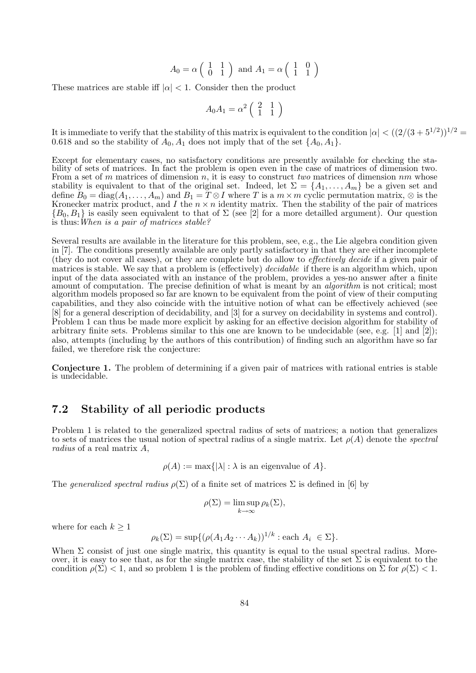$$
A_0 = \alpha \begin{pmatrix} 1 & 1 \\ 0 & 1 \end{pmatrix} \text{ and } A_1 = \alpha \begin{pmatrix} 1 & 0 \\ 1 & 1 \end{pmatrix}
$$

These matrices are stable iff  $|\alpha| < 1$ . Consider then the product

$$
A_0 A_1 = \alpha^2 \begin{pmatrix} 2 & 1 \\ 1 & 1 \end{pmatrix}
$$

It is immediate to verify that the stability of this matrix is equivalent to the condition  $|\alpha| < ((2/(3+5^{1/2}))^{1/2} =$ 0.618 and so the stability of  $A_0$ ,  $A_1$  does not imply that of the set  $\{A_0, A_1\}$ .

Except for elementary cases, no satisfactory conditions are presently available for checking the stability of sets of matrices. In fact the problem is open even in the case of matrices of dimension two. From a set of m matrices of dimension n, it is easy to construct two matrices of dimension nm whose stability is equivalent to that of the original set. Indeed, let  $\Sigma = \{A_1, \ldots, A_m\}$  be a given set and define  $B_0 = \text{diag}(A_1, \ldots, A_m)$  and  $B_1 = T \otimes I$  where T is a  $m \times m$  cyclic permutation matrix,  $\otimes$  is the Kronecker matrix product, and I the  $n \times n$  identity matrix. Then the stability of the pair of matrices  ${B_0, B_1}$  is easily seen equivalent to that of  $\Sigma$  (see [2] for a more detailled argument). Our question is thus: When is a pair of matrices stable?

Several results are available in the literature for this problem, see, e.g., the Lie algebra condition given in [7]. The conditions presently available are only partly satisfactory in that they are either incomplete (they do not cover all cases), or they are complete but do allow to effectively decide if a given pair of matrices is stable. We say that a problem is (effectively) *decidable* if there is an algorithm which, upon input of the data associated with an instance of the problem, provides a yes-no answer after a finite amount of computation. The precise definition of what is meant by an *algorithm* is not critical; most algorithm models proposed so far are known to be equivalent from the point of view of their computing capabilities, and they also coincide with the intuitive notion of what can be effectively achieved (see [8] for a general description of decidability, and [3] for a survey on decidability in systems and control). Problem 1 can thus be made more explicit by asking for an effective decision algorithm for stability of arbitrary finite sets. Problems similar to this one are known to be undecidable (see, e.g. [1] and [2]); also, attempts (including by the authors of this contribution) of finding such an algorithm have so far failed, we therefore risk the conjecture:

Conjecture 1. The problem of determining if a given pair of matrices with rational entries is stable is undecidable.

#### 7.2 Stability of all periodic products

Problem 1 is related to the generalized spectral radius of sets of matrices; a notion that generalizes to sets of matrices the usual notion of spectral radius of a single matrix. Let  $\rho(A)$  denote the spectral radius of a real matrix A,

 $\rho(A) := \max\{|\lambda| : \lambda \text{ is an eigenvalue of } A\}.$ 

The generalized spectral radius  $\rho(\Sigma)$  of a finite set of matrices  $\Sigma$  is defined in [6] by

$$
\rho(\Sigma) = \limsup_{k \to \infty} \rho_k(\Sigma),
$$

where for each  $k \geq 1$ 

$$
\rho_k(\Sigma) = \sup \{ (\rho(A_1 A_2 \cdots A_k))^{1/k} : \text{each } A_i \in \Sigma \}.
$$

When  $\Sigma$  consist of just one single matrix, this quantity is equal to the usual spectral radius. Moreover, it is easy to see that, as for the single matrix case, the stability of the set  $\Sigma$  is equivalent to the condition  $\rho(\Sigma) < 1$ , and so problem 1 is the problem of finding effective conditions on  $\Sigma$  for  $\rho(\Sigma) < 1$ .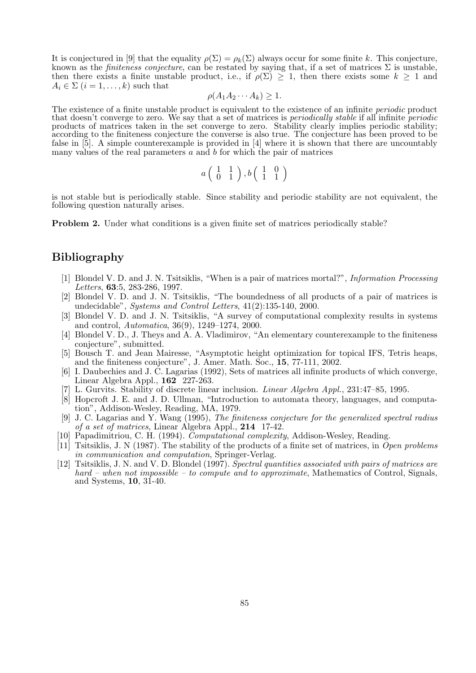It is conjectured in [9] that the equality  $\rho(\Sigma) = \rho_k(\Sigma)$  always occur for some finite k. This conjecture, known as the *finiteness conjecture*, can be restated by saying that, if a set of matrices  $\Sigma$  is unstable, then there exists a finite unstable product, i.e., if  $\rho(\Sigma) > 1$ , then there exists some  $k > 1$  and  $A_i \in \Sigma$   $(i = 1, \ldots, k)$  such that

$$
\rho(A_1 A_2 \cdots A_k) \geq 1.
$$

The existence of a finite unstable product is equivalent to the existence of an infinite *periodic* product that doesn't converge to zero. We say that a set of matrices is *periodically stable* if all infinite *periodic* products of matrices taken in the set converge to zero. Stability clearly implies periodic stability; according to the finiteness conjecture the converse is also true. The conjecture has been proved to be false in [5]. A simple counterexample is provided in [4] where it is shown that there are uncountably many values of the real parameters  $a$  and  $b$  for which the pair of matrices

$$
a\left(\begin{array}{cc}1&1\\0&1\end{array}\right),b\left(\begin{array}{cc}1&0\\1&1\end{array}\right)
$$

is not stable but is periodically stable. Since stability and periodic stability are not equivalent, the following question naturally arises.

Problem 2. Under what conditions is a given finite set of matrices periodically stable?

- [1] Blondel V. D. and J. N. Tsitsiklis, "When is a pair of matrices mortal?", Information Processing Letters, 63:5, 283-286, 1997.
- [2] Blondel V. D. and J. N. Tsitsiklis, "The boundedness of all products of a pair of matrices is undecidable", Systems and Control Letters, 41(2):135-140, 2000.
- [3] Blondel V. D. and J. N. Tsitsiklis, "A survey of computational complexity results in systems and control, Automatica, 36(9), 1249–1274, 2000.
- [4] Blondel V. D., J. Theys and A. A. Vladimirov, "An elementary counterexample to the finiteness conjecture", submitted.
- [5] Bousch T. and Jean Mairesse, "Asymptotic height optimization for topical IFS, Tetris heaps, and the finiteness conjecture", J. Amer. Math. Soc., 15, 77-111, 2002.
- [6] I. Daubechies and J. C. Lagarias (1992), Sets of matrices all infinite products of which converge, Linear Algebra Appl., 162 227-263.
- <sup>[1]</sup> L. Gurvits. Stability of discrete linear inclusion. *Linear Algebra Appl.*, 231:47–85, 1995.
- [8] Hopcroft J. E. and J. D. Ullman, "Introduction to automata theory, languages, and computation", Addison-Wesley, Reading, MA, 1979.
- [9] J. C. Lagarias and Y. Wang (1995), The finiteness conjecture for the generalized spectral radius of a set of matrices, Linear Algebra Appl., 214 17-42.
- [10] Papadimitriou, C. H. (1994). Computational complexity, Addison-Wesley, Reading.
- [11] Tsitsiklis, J. N (1987). The stability of the products of a finite set of matrices, in Open problems in communication and computation, Springer-Verlag.
- [12] Tsitsiklis, J. N. and V. D. Blondel (1997). Spectral quantities associated with pairs of matrices are hard – when not impossible – to compute and to approximate, Mathematics of Control, Signals, and Systems, 10, 31-40.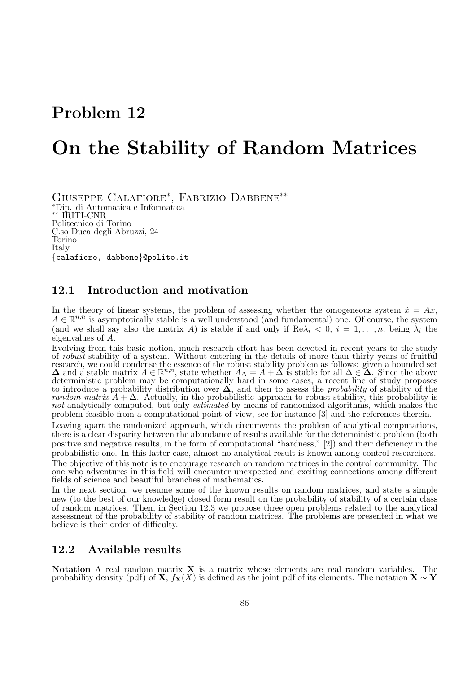## On the Stability of Random Matrices

Giuseppe Calafiore<sup>∗</sup> , Fabrizio Dabbene∗∗ <sup>∗</sup>Dip. di Automatica e Informatica ∗∗ IRITI-CNR Politecnico di Torino C.so Duca degli Abruzzi, 24 Torino Italy {calafiore, dabbene}@polito.it

#### 12.1 Introduction and motivation

In the theory of linear systems, the problem of assessing whether the omogeneous system  $\dot{x} = Ax$ ,  $A \in \mathbb{R}^{n,n}$  is asymptotically stable is a well understood (and fundamental) one. Of course, the system (and we shall say also the matrix A) is stable if and only if  $\text{Re}\lambda_i < 0$ ,  $i = 1, \ldots, n$ , being  $\lambda_i$  the eigenvalues of A.

Evolving from this basic notion, much research effort has been devoted in recent years to the study of robust stability of a system. Without entering in the details of more than thirty years of fruitful research, we could condense the essence of the robust stability problem as follows: given a bounded set  $\Delta$  and a stable matrix  $A \in \mathbb{R}^{n,n}$ , state whether  $A_{\Delta} = A + \Delta$  is stable for all  $\Delta \in \Delta$ . Since the above deterministic problem may be computationally hard in some cases, a recent line of study proposes to introduce a probability distribution over  $\Delta$ , and then to assess the *probability* of stability of the random matrix  $A + \Delta$ . Actually, in the probabilistic approach to robust stability, this probability is not analytically computed, but only *estimated* by means of randomized algorithms, which makes the problem feasible from a computational point of view, see for instance [3] and the references therein.

Leaving apart the randomized approach, which circumvents the problem of analytical computations, there is a clear disparity between the abundance of results available for the deterministic problem (both positive and negative results, in the form of computational "hardness," [2]) and their deficiency in the probabilistic one. In this latter case, almost no analytical result is known among control researchers. The objective of this note is to encourage research on random matrices in the control community. The one who adventures in this field will encounter unexpected and exciting connections among different fields of science and beautiful branches of mathematics.

In the next section, we resume some of the known results on random matrices, and state a simple new (to the best of our knowledge) closed form result on the probability of stability of a certain class of random matrices. Then, in Section 12.3 we propose three open problems related to the analytical assessment of the probability of stability of random matrices. The problems are presented in what we believe is their order of difficulty.

#### 12.2 Available results

**Notation** A real random matrix **X** is a matrix whose elements are real random variables. The probability density (pdf) of **X**,  $f_{\mathbf{X}}(X)$  is defined as the joint pdf of its elements. The notation  $\mathbf{X} \sim \mathbf{Y}$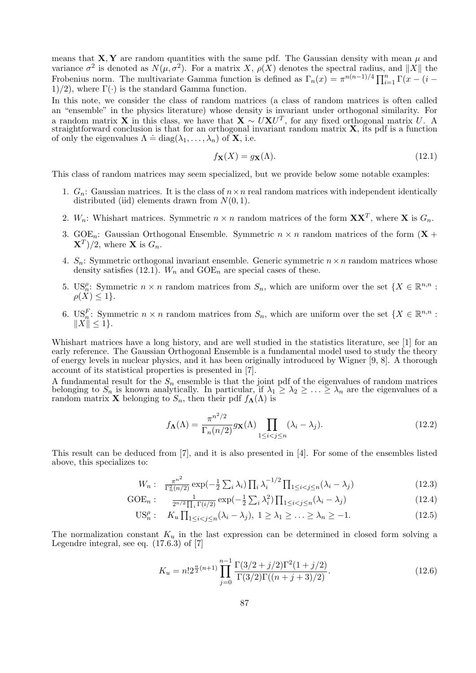means that  $X, Y$  are random quantities with the same pdf. The Gaussian density with mean  $\mu$  and variance  $\sigma^2$  is denoted as  $N(\mu, \sigma^2)$ . For a matrix X,  $\rho(X)$  denotes the spectral radius, and  $||X||$  the Frobenius norm. The multivariate Gamma function is defined as  $\Gamma_n(x) = \pi^{n(n-1)/4} \prod_{i=1}^n \Gamma(x - (i -$ 1)/2), where  $\Gamma(\cdot)$  is the standard Gamma function.

In this note, we consider the class of random matrices (a class of random matrices is often called an "ensemble" in the physics literature) whose density is invariant under orthogonal similarity. For a random matrix **X** in this class, we have that  $\mathbf{X} \sim U\mathbf{X}U^T$ , for any fixed orthogonal matrix U. A straightforward conclusion is that for an orthogonal invariant random matrix  $X$ , its pdf is a function of only the eigenvalues  $\Lambda = \text{diag}(\lambda_1, \ldots, \lambda_n)$  of **X**, i.e.

$$
f_{\mathbf{X}}(X) = g_{\mathbf{X}}(\Lambda). \tag{12.1}
$$

This class of random matrices may seem specialized, but we provide below some notable examples:

- 1.  $G_n$ : Gaussian matrices. It is the class of  $n \times n$  real random matrices with independent identically distributed (iid) elements drawn from  $N(0, 1)$ .
- 2.  $W_n$ : Whishart matrices. Symmetric  $n \times n$  random matrices of the form  $\mathbf{X} \mathbf{X}^T$ , where  $\mathbf{X}$  is  $G_n$ .
- 3. GOE<sub>n</sub>: Gaussian Orthogonal Ensemble. Symmetric  $n \times n$  random matrices of the form  $(X +$  $\mathbf{X}^T)/2$ , where **X** is  $G_n$ .
- 4.  $S_n$ : Symmetric orthogonal invariant ensemble. Generic symmetric  $n \times n$  random matrices whose density satisfies (12.1).  $W_n$  and  $GOE_n$  are special cases of these.
- 5. US<sup>p</sup>: Symmetric  $n \times n$  random matrices from  $S_n$ , which are uniform over the set  $\{X \in \mathbb{R}^{n,n}$ :  $\rho(X) \leq 1$ .
- 6. US<sub>n</sub>: Symmetric  $n \times n$  random matrices from  $S_n$ , which are uniform over the set  $\{X \in \mathbb{R}^{n,n}$ :  $||X|| \leq 1$ .

Whishart matrices have a long history, and are well studied in the statistics literature, see [1] for an early reference. The Gaussian Orthogonal Ensemble is a fundamental model used to study the theory of energy levels in nuclear physics, and it has been originally introduced by Wigner [9, 8]. A thorough account of its statistical properties is presented in [7].

A fundamental result for the  $S_n$  ensemble is that the joint pdf of the eigenvalues of random matrices belonging to  $S_n$  is known analytically. In particular, if  $\lambda_1 \geq \lambda_2 \geq \ldots \geq \lambda_n$  are the eigenvalues of a random matrix **X** belonging to  $S_n$ , then their pdf  $f_{\Lambda}(\Lambda)$  is

$$
f_{\mathbf{\Lambda}}(\Lambda) = \frac{\pi^{n^2/2}}{\Gamma_n(n/2)} g_{\mathbf{X}}(\Lambda) \prod_{1 \le i < j \le n} (\lambda_i - \lambda_j). \tag{12.2}
$$

This result can be deduced from [7], and it is also presented in [4]. For some of the ensembles listed above, this specializes to:

$$
W_n: \ \ \frac{\pi^{n^2}}{\Gamma_n^2(n/2)} \exp\left(-\frac{1}{2}\sum_i \lambda_i\right) \prod_i \lambda_i^{-1/2} \prod_{1 \le i < j \le n} (\lambda_i - \lambda_j) \tag{12.3}
$$

GOE<sub>n</sub>: 
$$
\frac{1}{2^{n/2}\prod_{i}\Gamma(i/2)} \exp\left(-\frac{1}{2}\sum_{i}\lambda_i^2\right) \prod_{1 \le i < j \le n} (\lambda_i - \lambda_j) \tag{12.4}
$$

$$
\text{US}_n^{\rho}: \quad K_u \prod_{1 \le i < j \le n} (\lambda_i - \lambda_j), \ 1 \ge \lambda_1 \ge \ldots \ge \lambda_n \ge -1. \tag{12.5}
$$

The normalization constant  $K_u$  in the last expression can be determined in closed form solving a Legendre integral, see eq. (17.6.3) of [7]

$$
K_u = n! 2^{\frac{n}{2}(n+1)} \prod_{j=0}^{n-1} \frac{\Gamma(3/2 + j/2)\Gamma^2(1 + j/2)}{\Gamma(3/2)\Gamma((n+j+3)/2)}.
$$
 (12.6)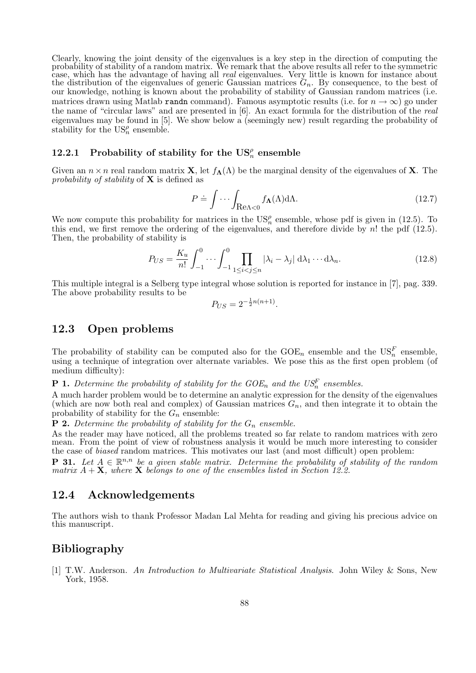Clearly, knowing the joint density of the eigenvalues is a key step in the direction of computing the probability of stability of a random matrix. We remark that the above results all refer to the symmetric case, which has the advantage of having all real eigenvalues. Very little is known for instance about the distribution of the eigenvalues of generic Gaussian matrices  $\check{G}_n$ . By consequence, to the best of our knowledge, nothing is known about the probability of stability of Gaussian random matrices (i.e. matrices drawn using Matlab randn command). Famous asymptotic results (i.e. for  $n \to \infty$ ) go under the name of "circular laws" and are presented in [6]. An exact formula for the distribution of the real eigenvalues may be found in [5]. We show below a (seemingly new) result regarding the probability of stability for the  $\mathrm{US}_n^{\rho}$  ensemble.

### 12.2.1 Probability of stability for the  $\mathrm{US}_n^{\rho}$  ensemble

Given an  $n \times n$  real random matrix **X**, let  $f_{\Lambda}(\Lambda)$  be the marginal density of the eigenvalues of **X**. The probability of stability of  $X$  is defined as

$$
P \doteq \int \cdots \int_{\text{ReA}<0} f_{\mathbf{\Lambda}}(\Lambda) d\Lambda. \tag{12.7}
$$

We now compute this probability for matrices in the  $US_n^{\rho}$  ensemble, whose pdf is given in (12.5). To this end, we first remove the ordering of the eigenvalues, and therefore divide by n! the pdf (12.5). Then, the probability of stability is

$$
P_{US} = \frac{K_u}{n!} \int_{-1}^0 \cdots \int_{-1}^0 \prod_{1 \le i < j \le n} |\lambda_i - \lambda_j| \, d\lambda_1 \cdots d\lambda_n. \tag{12.8}
$$

This multiple integral is a Selberg type integral whose solution is reported for instance in [7], pag. 339. The above probability results to be

$$
P_{US} = 2^{-\frac{1}{2}n(n+1)}.
$$

#### 12.3 Open problems

The probability of stability can be computed also for the  $GOE_n$  ensemble and the  $US_n^F$  ensemble, using a technique of integration over alternate variables. We pose this as the first open problem (of medium difficulty):

**P** 1. Determine the probability of stability for the  $GOE_n$  and the  $US_n^F$  ensembles.

A much harder problem would be to determine an analytic expression for the density of the eigenvalues (which are now both real and complex) of Gaussian matrices  $G_n$ , and then integrate it to obtain the probability of stability for the  $G_n$  ensemble:

**P 2.** Determine the probability of stability for the  $G_n$  ensemble.

As the reader may have noticed, all the problems treated so far relate to random matrices with zero mean. From the point of view of robustness analysis it would be much more interesting to consider the case of biased random matrices. This motivates our last (and most difficult) open problem:

**P** 31. Let  $A \in \mathbb{R}^{n,n}$  be a given stable matrix. Determine the probability of stability of the random matrix  $A + X$ , where X belongs to one of the ensembles listed in Section 12.2.

#### 12.4 Acknowledgements

The authors wish to thank Professor Madan Lal Mehta for reading and giving his precious advice on this manuscript.

#### Bibliography

[1] T.W. Anderson. An Introduction to Multivariate Statistical Analysis. John Wiley & Sons, New York, 1958.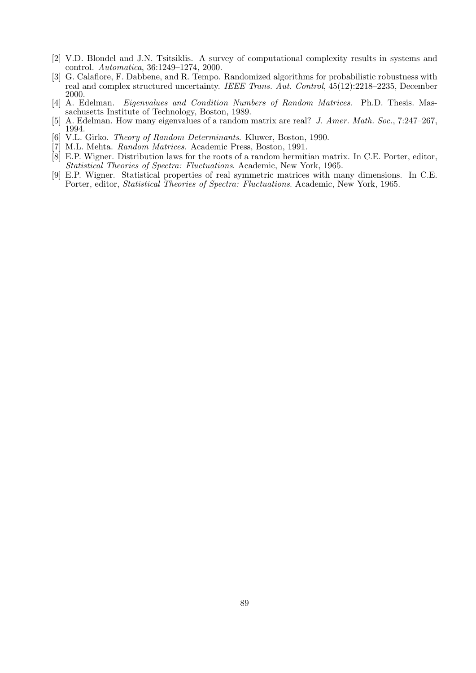- [2] V.D. Blondel and J.N. Tsitsiklis. A survey of computational complexity results in systems and control. Automatica, 36:1249–1274, 2000.
- [3] G. Calafiore, F. Dabbene, and R. Tempo. Randomized algorithms for probabilistic robustness with real and complex structured uncertainty. IEEE Trans. Aut. Control, 45(12):2218–2235, December 2000.
- [4] A. Edelman. Eigenvalues and Condition Numbers of Random Matrices. Ph.D. Thesis. Massachusetts Institute of Technology, Boston, 1989.
- [5] A. Edelman. How many eigenvalues of a random matrix are real? J. Amer. Math. Soc., 7:247–267, 1994.
- [6] V.L. Girko. Theory of Random Determinants. Kluwer, Boston, 1990.
- [7] M.L. Mehta. Random Matrices. Academic Press, Boston, 1991.
- [8] E.P. Wigner. Distribution laws for the roots of a random hermitian matrix. In C.E. Porter, editor, Statistical Theories of Spectra: Fluctuations. Academic, New York, 1965.
- [9] E.P. Wigner. Statistical properties of real symmetric matrices with many dimensions. In C.E. Porter, editor, Statistical Theories of Spectra: Fluctuations. Academic, New York, 1965.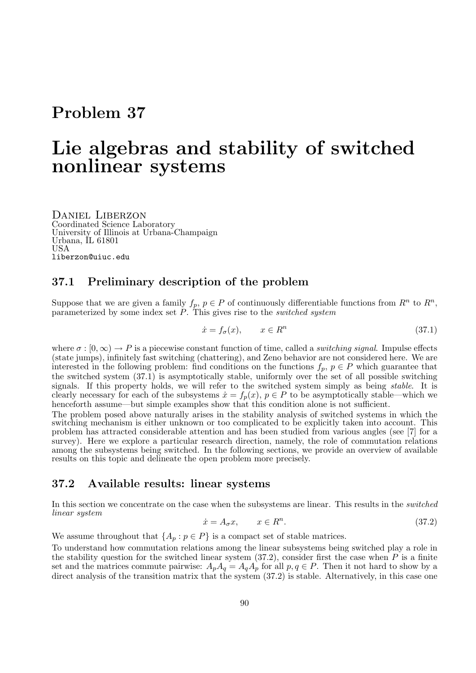## Lie algebras and stability of switched nonlinear systems

Daniel Liberzon Coordinated Science Laboratory University of Illinois at Urbana-Champaign Urbana, IL 61801 USA liberzon@uiuc.edu

#### 37.1 Preliminary description of the problem

Suppose that we are given a family  $f_p, p \in P$  of continuously differentiable functions from  $R^n$  to  $R^n$ , parameterized by some index set  $\tilde{P}$ . This gives rise to the *switched system* 

$$
\dot{x} = f_{\sigma}(x), \qquad x \in R^n \tag{37.1}
$$

where  $\sigma : [0,\infty) \to P$  is a piecewise constant function of time, called a *switching signal*. Impulse effects (state jumps), infinitely fast switching (chattering), and Zeno behavior are not considered here. We are interested in the following problem: find conditions on the functions  $f_p$ ,  $p \in P$  which guarantee that the switched system (37.1) is asymptotically stable, uniformly over the set of all possible switching signals. If this property holds, we will refer to the switched system simply as being stable. It is clearly necessary for each of the subsystems  $\dot{x} = f_p(x)$ ,  $p \in P$  to be asymptotically stable—which we henceforth assume—but simple examples show that this condition alone is not sufficient.

The problem posed above naturally arises in the stability analysis of switched systems in which the switching mechanism is either unknown or too complicated to be explicitly taken into account. This problem has attracted considerable attention and has been studied from various angles (see [7] for a survey). Here we explore a particular research direction, namely, the role of commutation relations among the subsystems being switched. In the following sections, we provide an overview of available results on this topic and delineate the open problem more precisely.

#### 37.2 Available results: linear systems

In this section we concentrate on the case when the subsystems are linear. This results in the *switched* linear system

$$
\dot{x} = A_{\sigma} x, \qquad x \in R^n. \tag{37.2}
$$

We assume throughout that  $\{A_p : p \in P\}$  is a compact set of stable matrices.

To understand how commutation relations among the linear subsystems being switched play a role in the stability question for the switched linear system (37.2), consider first the case when  $P$  is a finite set and the matrices commute pairwise:  $A_p A_q = A_q A_p$  for all  $p, q \in P$ . Then it not hard to show by a direct analysis of the transition matrix that the system  $(37.2)$  is stable. Alternatively, in this case one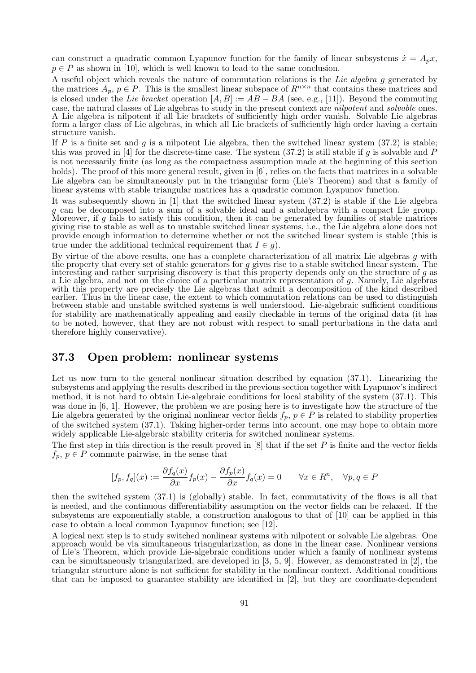can construct a quadratic common Lyapunov function for the family of linear subsystems  $\dot{x} = A_n x$ ,  $p \in P$  as shown in [10], which is well known to lead to the same conclusion.

A useful object which reveals the nature of commutation relations is the Lie algebra g generated by the matrices  $A_p, p \in P$ . This is the smallest linear subspace of  $R^{n \times n}$  that contains these matrices and is closed under the Lie bracket operation  $[A, B] := AB - BA$  (see, e.g., [11]). Beyond the commuting case, the natural classes of Lie algebras to study in the present context are *nilpotent* and *solvable* ones. A Lie algebra is nilpotent if all Lie brackets of sufficiently high order vanish. Solvable Lie algebras form a larger class of Lie algebras, in which all Lie brackets of sufficiently high order having a certain structure vanish.

If P is a finite set and q is a nilpotent Lie algebra, then the switched linear system  $(37.2)$  is stable; this was proved in [4] for the discrete-time case. The system  $(37.2)$  is still stable if g is solvable and P is not necessarily finite (as long as the compactness assumption made at the beginning of this section holds). The proof of this more general result, given in [6], relies on the facts that matrices in a solvable Lie algebra can be simultaneously put in the triangular form (Lie's Theorem) and that a family of linear systems with stable triangular matrices has a quadratic common Lyapunov function.

It was subsequently shown in [1] that the switched linear system (37.2) is stable if the Lie algebra g can be decomposed into a sum of a solvable ideal and a subalgebra with a compact Lie group. Moreover, if g fails to satisfy this condition, then it can be generated by families of stable matrices giving rise to stable as well as to unstable switched linear systems, i.e., the Lie algebra alone does not provide enough information to determine whether or not the switched linear system is stable (this is true under the additional technical requirement that  $I \in g$ ).

By virtue of the above results, one has a complete characterization of all matrix Lie algebras g with the property that every set of stable generators for  $g$  gives rise to a stable switched linear system. The interesting and rather surprising discovery is that this property depends only on the structure of  $g$  as a Lie algebra, and not on the choice of a particular matrix representation of  $g$ . Namely, Lie algebras with this property are precisely the Lie algebras that admit a decomposition of the kind described earlier. Thus in the linear case, the extent to which commutation relations can be used to distinguish between stable and unstable switched systems is well understood. Lie-algebraic sufficient conditions for stability are mathematically appealing and easily checkable in terms of the original data (it has to be noted, however, that they are not robust with respect to small perturbations in the data and therefore highly conservative).

#### 37.3 Open problem: nonlinear systems

Let us now turn to the general nonlinear situation described by equation (37.1). Linearizing the subsystems and applying the results described in the previous section together with Lyapunov's indirect method, it is not hard to obtain Lie-algebraic conditions for local stability of the system (37.1). This was done in [6, 1]. However, the problem we are posing here is to investigate how the structure of the Lie algebra generated by the original nonlinear vector fields  $f_p, p \in P$  is related to stability properties of the switched system (37.1). Taking higher-order terms into account, one may hope to obtain more widely applicable Lie-algebraic stability criteria for switched nonlinear systems.

The first step in this direction is the result proved in  $[8]$  that if the set P is finite and the vector fields  $f_p, p \in P$  commute pairwise, in the sense that

$$
[f_p, f_q](x) := \frac{\partial f_q(x)}{\partial x} f_p(x) - \frac{\partial f_p(x)}{\partial x} f_q(x) = 0 \quad \forall x \in R^n, \quad \forall p, q \in P
$$

then the switched system (37.1) is (globally) stable. In fact, commutativity of the flows is all that is needed, and the continuous differentiability assumption on the vector fields can be relaxed. If the subsystems are exponentially stable, a construction analogous to that of [10] can be applied in this case to obtain a local common Lyapunov function; see [12].

A logical next step is to study switched nonlinear systems with nilpotent or solvable Lie algebras. One approach would be via simultaneous triangularization, as done in the linear case. Nonlinear versions of Lie's Theorem, which provide Lie-algebraic conditions under which a family of nonlinear systems can be simultaneously triangularized, are developed in  $[3, 5, 9]$ . However, as demonstrated in  $[2]$ , the triangular structure alone is not sufficient for stability in the nonlinear context. Additional conditions that can be imposed to guarantee stability are identified in [2], but they are coordinate-dependent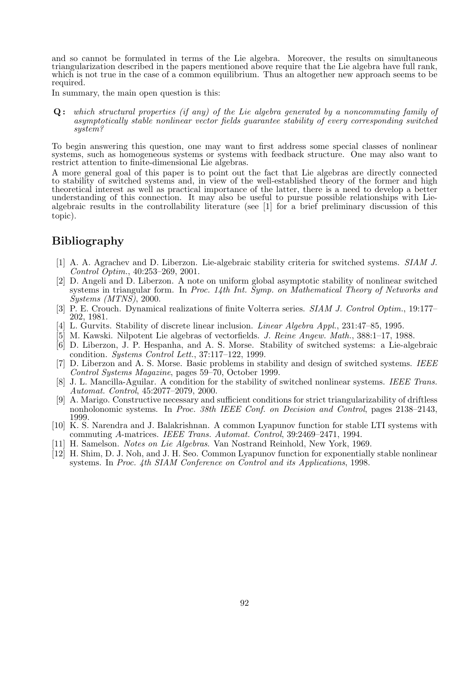and so cannot be formulated in terms of the Lie algebra. Moreover, the results on simultaneous triangularization described in the papers mentioned above require that the Lie algebra have full rank, which is not true in the case of a common equilibrium. Thus an altogether new approach seems to be required.

In summary, the main open question is this:

Q : which structural properties (if any) of the Lie algebra generated by a noncommuting family of asymptotically stable nonlinear vector fields guarantee stability of every corresponding switched system?

To begin answering this question, one may want to first address some special classes of nonlinear systems, such as homogeneous systems or systems with feedback structure. One may also want to restrict attention to finite-dimensional Lie algebras.

A more general goal of this paper is to point out the fact that Lie algebras are directly connected to stability of switched systems and, in view of the well-established theory of the former and high theoretical interest as well as practical importance of the latter, there is a need to develop a better understanding of this connection. It may also be useful to pursue possible relationships with Liealgebraic results in the controllability literature (see [1] for a brief preliminary discussion of this topic).

- [1] A. A. Agrachev and D. Liberzon. Lie-algebraic stability criteria for switched systems. SIAM J. Control Optim., 40:253–269, 2001.
- [2] D. Angeli and D. Liberzon. A note on uniform global asymptotic stability of nonlinear switched systems in triangular form. In Proc. 14th Int.  $\tilde{S}ymp$  on Mathematical Theory of Networks and  $\check{S}$ ustems (MTNS), 2000.
- [3] P. E. Crouch. Dynamical realizations of finite Volterra series. SIAM J. Control Optim., 19:177– 202, 1981.
- [4] L. Gurvits. Stability of discrete linear inclusion. Linear Algebra Appl., 231:47–85, 1995.
- [5] M. Kawski. Nilpotent Lie algebras of vectorfields. J. Reine Angew. Math., 388:1–17, 1988.
- [6] D. Liberzon, J. P. Hespanha, and A. S. Morse. Stability of switched systems: a Lie-algebraic condition. Systems Control Lett., 37:117–122, 1999.
- [7] D. Liberzon and A. S. Morse. Basic problems in stability and design of switched systems. IEEE Control Systems Magazine, pages 59–70, October 1999.
- [8] J. L. Mancilla-Aguilar. A condition for the stability of switched nonlinear systems. IEEE Trans. Automat. Control, 45:2077–2079, 2000.
- [9] A. Marigo. Constructive necessary and sufficient conditions for strict triangularizability of driftless nonholonomic systems. In Proc. 38th IEEE Conf. on Decision and Control, pages 2138–2143, 1999.
- [10] K. S. Narendra and J. Balakrishnan. A common Lyapunov function for stable LTI systems with commuting A-matrices. IEEE Trans. Automat. Control, 39:2469–2471, 1994.
- [11] H. Samelson. Notes on Lie Algebras. Van Nostrand Reinhold, New York, 1969.
- [12] H. Shim, D. J. Noh, and J. H. Seo. Common Lyapunov function for exponentially stable nonlinear systems. In Proc. 4th SIAM Conference on Control and its Applications, 1998.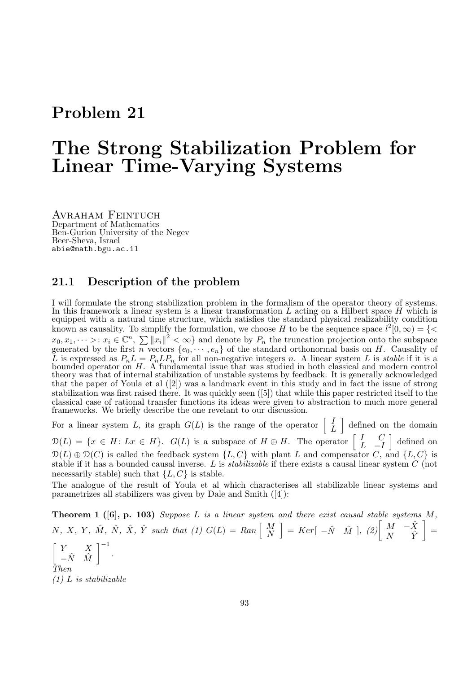# The Strong Stabilization Problem for Linear Time-Varying Systems

Avraham Feintuch Department of Mathematics Ben-Gurion University of the Negev Beer-Sheva, Israel abie@math.bgu.ac.il

#### 21.1 Description of the problem

I will formulate the strong stabilization problem in the formalism of the operator theory of systems. In this framework a linear system is a linear transformation  $L$  acting on a Hilbert space  $H$  which is equipped with a natural time structure, which satisfies the standard physical realizability condition known as causality. To simplify the formulation, we choose H to be the sequence space  $l^2[0,\infty) = \{ \langle \rangle \}$  $x_0, x_1, \dots >: x_i \in \mathbb{C}^n$ ,  $\sum ||x_i||^2 < \infty$  and denote by  $P_n$  the truncation projection onto the subspace generated by the first n vectors  $\{e_0, \dots, e_n\}$  of the standard orthonormal basis on H. Causality of L is expressed as  $P_n L = P_n L P_n$  for all non-negative integers n. A linear system L is stable if it is a bounded operator on H. A fundamental issue that was studied in both classical and modern control theory was that of internal stabilization of unstable systems by feedback. It is generally acknowledged that the paper of Youla et al ([2]) was a landmark event in this study and in fact the issue of strong stabilization was first raised there. It was quickly seen ([5]) that while this paper restricted itself to the classical case of rational transfer functions its ideas were given to abstraction to much more general frameworks. We briefly describe the one revelant to our discussion.

For a linear system L, its graph  $G(L)$  is the range of the operator  $\begin{bmatrix} I & I \end{bmatrix}$ L defined on the domain  $\mathcal{D}(L) = \{x \in H : Lx \in H\}$ .  $G(L)$  is a subspace of  $H \oplus H$ . The operator  $\begin{bmatrix} I & C \\ L & -I \end{bmatrix}$  defined on  $\mathcal{D}(L) \oplus \mathcal{D}(C)$  is called the feedback system  $\{L, C\}$  with plant L and compensator C, and  $\{L, C\}$  is stable if it has a bounded causal inverse. L is stabilizable if there exists a causal linear system C (not necessarily stable) such that  $\{L, C\}$  is stable.

The analogue of the result of Youla et al which characterises all stabilizable linear systems and parametrizes all stabilizers was given by Dale and Smith ([4]):

**Theorem 1** ([6], p. 103) Suppose L is a linear system and there exist causal stable systems  $M$ ,  $N,~X,~Y,~\hat{M},~\hat{N},~\hat{X},~\hat{Y}~\textit{such that}~\textit{(1)}~G(L)~=~Ran\left[\begin{array}{c} M \\ N \end{array}\right]$  $\Big] = Ker \Big[ -\hat{N} \quad \hat{M} \Big], (2) \Big[ \begin{array}{cc} M & -\hat{X} \\ N & \hat{Y} \end{array} \Big]$  $N \quad \hat{Y}$  $\vert =$  $\begin{bmatrix} Y & X \end{bmatrix}$  $-\hat{N}$  *M*  $\Big]^{-1}$ . Then  $(1)$  L is stabilizable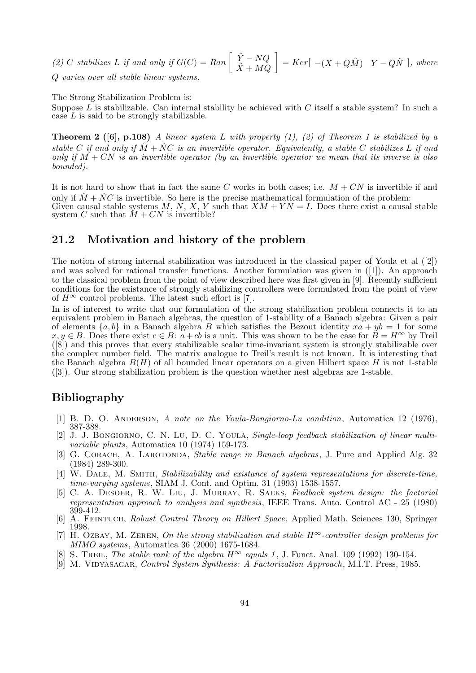(2) C stabilizes L if and only if  $G(C) = Ran \begin{bmatrix} \hat{Y} - NQ \\ \hat{X} + MQ \end{bmatrix} = Ker \begin{bmatrix} -(X + Q\hat{M}) & Y - Q\hat{N} \end{bmatrix}$ , where Q varies over all stable linear systems.

The Strong Stabilization Problem is:

Suppose L is stabilizable. Can internal stability be achieved with C itself a stable system? In such a case  $L$  is said to be strongly stabilizable.

**Theorem 2** ([6], p.108) A linear system L with property (1), (2) of Theorem 1 is stabilized by a stable C if and only if  $\tilde{M} + \tilde{N}C$  is an invertible operator. Equivalently, a stable C stabilizes L if and only if  $M + CN$  is an invertible operator (by an invertible operator we mean that its inverse is also bounded).

It is not hard to show that in fact the same C works in both cases; i.e.  $M + CN$  is invertible if and only if  $\hat{M} + \hat{N}C$  is invertible. So here is the precise mathematical formulation of the problem: Given causal stable systems M, N, X, Y such that  $XM + YN = I$ . Does there exist a causal stable system C such that  $\tilde{M} + CN$  is invertible?

#### 21.2 Motivation and history of the problem

The notion of strong internal stabilization was introduced in the classical paper of Youla et al ([2]) and was solved for rational transfer functions. Another formulation was given in ([1]). An approach to the classical problem from the point of view described here was first given in [9]. Recently sufficient conditions for the existance of strongly stabilizing controllers were formulated from the point of view of  $H^{\infty}$  control problems. The latest such effort is [7].

In is of interest to write that our formulation of the strong stabilization problem connects it to an equivalent problem in Banach algebras, the question of 1-stability of a Banach algebra: Given a pair of elements  $\{a, b\}$  in a Banach algebra B which satisfies the Bezout identity  $xa + yb = 1$  for some  $x, y \in B$ . Does there exist  $c \in B$ :  $a + cb$  is a unit. This was shown to be the case for  $B = H^{\infty}$  by Treil ([8]) and this proves that every stabilizable scalar time-invariant system is strongly stabilizable over the complex number field. The matrix analogue to Treil's result is not known. It is interesting that the Banach algebra  $B(H)$  of all bounded linear operators on a given Hilbert space H is not 1-stable ([3]). Our strong stabilization problem is the question whether nest algebras are 1-stable.

- [1] B. D. O. ANDERSON, A note on the Youla-Bongiorno-Lu condition, Automatica 12 (1976), 387-388.
- [2] J. J. BONGIORNO, C. N. LU, D. C. YOULA, Single-loop feedback stabilization of linear multivariable plants, Automatica 10 (1974) 159-173.
- [3] G. CORACH, A. LAROTONDA, *Stable range in Banach algebras*, J. Pure and Applied Alg. 32 (1984) 289-300.
- [4] W. Dale, M. Smith, Stabilizability and existance of system representations for discrete-time, time-varying systems, SIAM J. Cont. and Optim. 31 (1993) 1538-1557.
- [5] C. A. Desoer, R. W. Liu, J. Murray, R. Saeks, Feedback system design: the factorial representation approach to analysis and synthesis, IEEE Trans. Auto. Control AC - 25 (1980) 399-412.
- [6] A. FEINTUCH, Robust Control Theory on Hilbert Space, Applied Math. Sciences 130, Springer 1998.
- [7] H. OZBAY, M. ZEREN, On the strong stabilization and stable  $H^{\infty}$ -controller design problems for MIMO systems, Automatica 36 (2000) 1675-1684.
- [8] S. TREIL, The stable rank of the algebra  $H^{\infty}$  equals 1, J. Funct. Anal. 109 (1992) 130-154.
- [9] M. VIDYASAGAR, Control System Synthesis: A Factorization Approach, M.I.T. Press, 1985.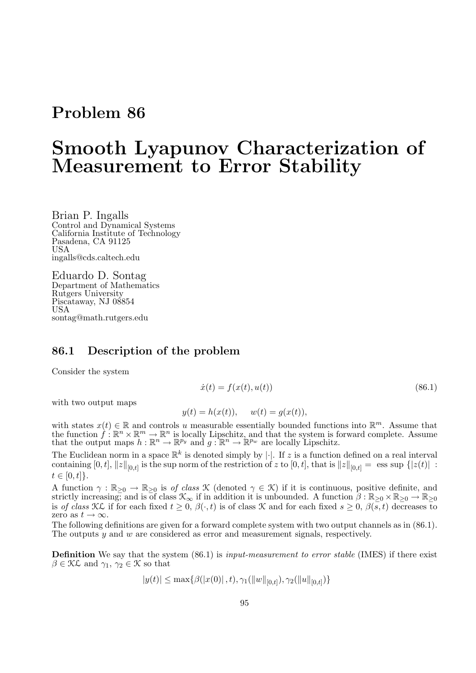## Smooth Lyapunov Characterization of Measurement to Error Stability

Brian P. Ingalls Control and Dynamical Systems California Institute of Technology Pasadena, CA 91125 USA ingalls@cds.caltech.edu

Eduardo D. Sontag Department of Mathematics Rutgers University Piscataway, NJ 08854 USA sontag@math.rutgers.edu

#### 86.1 Description of the problem

Consider the system

$$
\dot{x}(t) = f(x(t), u(t))
$$
\n(86.1)

with two output maps

$$
y(t) = h(x(t)), \quad w(t) = g(x(t)),
$$

with states  $x(t) \in \mathbb{R}$  and controls u measurable essentially bounded functions into  $\mathbb{R}^m$ . Assume that the function  $\hat{f}: \mathbb{R}^n \times \mathbb{R}^m \to \mathbb{R}^n$  is locally Lipschitz, and that the system is forward complete. Assume that the output maps  $h : \mathbb{R}^n \to \mathbb{R}^{p_y}$  and  $g : \mathbb{R}^n \to \mathbb{R}^{p_w}$  are locally Lipschitz.

The Euclidean norm in a space  $\mathbb{R}^k$  is denoted simply by | $\cdot$  |. If z is a function defined on a real interval containing  $[0, t]$ ,  $||z||_{[0,t]}$  is the sup norm of the restriction of z to  $[0, t]$ , that is  $||z||_{[0,t]} =$  ess sup  $\{|z(t)| :$  $t \in [0, t]$ .

A function  $\gamma : \mathbb{R}_{\geq 0} \to \mathbb{R}_{\geq 0}$  is of class  $\mathcal K$  (denoted  $\gamma \in \mathcal K$ ) if it is continuous, positive definite, and strictly increasing; and is  $\overline{\text{of}}$  class  $\mathcal{K}_{\infty}$  if in addition it is unbounded. A function  $\beta : \mathbb{R}_{\geq 0} \times \mathbb{R}_{\geq 0} \to \mathbb{R}_{\geq 0}$ is of class KL if for each fixed  $t \geq 0$ ,  $\beta(\cdot,t)$  is of class K and for each fixed  $s \geq 0$ ,  $\beta(s,t)$  decreases to zero as  $t \to \infty$ .

The following definitions are given for a forward complete system with two output channels as in (86.1). The outputs y and w are considered as error and measurement signals, respectively.

Definition We say that the system (86.1) is *input-measurement to error stable* (IMES) if there exist  $\beta \in \mathcal{KL}$  and  $\gamma_1, \gamma_2 \in \mathcal{K}$  so that

$$
|y(t)| \le \max\{\beta(|x(0)|, t), \gamma_1(\|w\|_{[0,t]}), \gamma_2(\|u\|_{[0,t]})\}
$$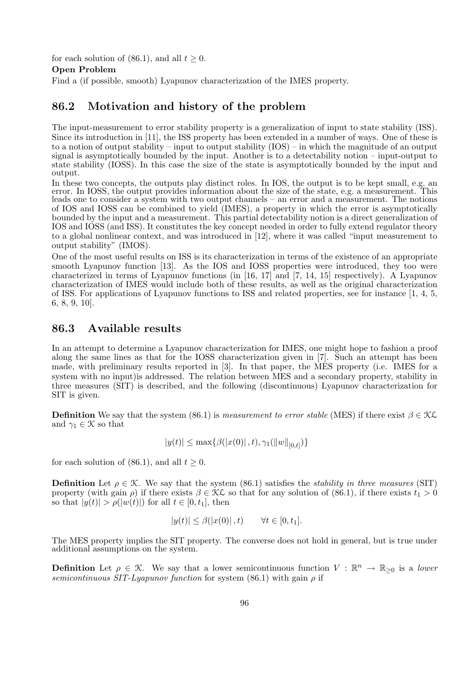for each solution of (86.1), and all  $t \geq 0$ .

#### Open Problem

Find a (if possible, smooth) Lyapunov characterization of the IMES property.

#### 86.2 Motivation and history of the problem

The input-measurement to error stability property is a generalization of input to state stability (ISS). Since its introduction in [11], the ISS property has been extended in a number of ways. One of these is to a notion of output stability – input to output stability (IOS) – in which the magnitude of an output signal is asymptotically bounded by the input. Another is to a detectability notion – input-output to state stability (IOSS). In this case the size of the state is asymptotically bounded by the input and output.

In these two concepts, the outputs play distinct roles. In IOS, the output is to be kept small, e.g. an error. In IOSS, the output provides information about the size of the state, e.g. a measurement. This leads one to consider a system with two output channels – an error and a measurement. The notions of IOS and IOSS can be combined to yield (IMES), a property in which the error is asymptotically bounded by the input and a measurement. This partial detectability notion is a direct generalization of IOS and IOSS (and ISS). It constitutes the key concept needed in order to fully extend regulator theory to a global nonlinear context, and was introduced in [12], where it was called "input measurement to output stability" (IMOS).

One of the most useful results on ISS is its characterization in terms of the existence of an appropriate smooth Lyapunov function [13]. As the IOS and IOSS properties were introduced, they too were characterized in terms of Lyapunov functions (in [16, 17] and [7, 14, 15] respectively). A Lyapunov characterization of IMES would include both of these results, as well as the original characterization of ISS. For applications of Lyapunov functions to ISS and related properties, see for instance [1, 4, 5, 6, 8, 9, 10].

#### 86.3 Available results

In an attempt to determine a Lyapunov characterization for IMES, one might hope to fashion a proof along the same lines as that for the IOSS characterization given in [7]. Such an attempt has been made, with preliminary results reported in [3]. In that paper, the MES property (i.e. IMES for a system with no input)is addressed. The relation between MES and a secondary property, stability in three measures (SIT) is described, and the following (discontinuous) Lyapunov characterization for SIT is given.

**Definition** We say that the system (86.1) is measurement to error stable (MES) if there exist  $\beta \in \mathcal{KL}$ and  $\gamma_1 \in \mathcal{K}$  so that

$$
|y(t)| \le \max\{\beta(|x(0)|, t), \gamma_1(\|w\|_{[0,t]})\}
$$

for each solution of (86.1), and all  $t \geq 0$ .

**Definition** Let  $\rho \in \mathcal{K}$ . We say that the system (86.1) satisfies the *stability in three measures* (SIT) property (with gain  $\rho$ ) if there exists  $\beta \in \mathcal{KL}$  so that for any solution of (86.1), if there exists  $t_1 > 0$ so that  $|y(t)| > \rho(|w(t)|)$  for all  $t \in [0, t_1]$ , then

$$
|y(t)| \leq \beta(|x(0)|, t) \qquad \forall t \in [0, t_1].
$$

The MES property implies the SIT property. The converse does not hold in general, but is true under additional assumptions on the system.

**Definition** Let  $\rho \in \mathcal{K}$ . We say that a lower semicontinuous function  $V : \mathbb{R}^n \to \mathbb{R}_{\geq 0}$  is a lower semicontinuous SIT-Lyapunov function for system  $(86.1)$  with gain  $\rho$  if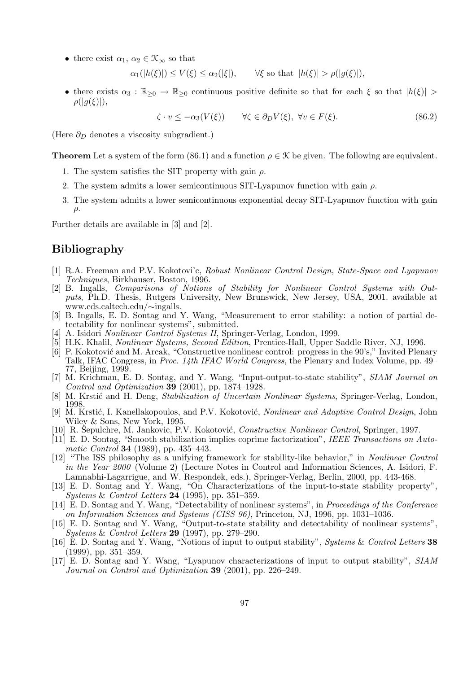• there exist  $\alpha_1, \alpha_2 \in \mathcal{K}_{\infty}$  so that

 $\alpha_1(|h(\xi)|) \le V(\xi) \le \alpha_2(|\xi|), \quad \forall \xi \text{ so that } |h(\xi)| > \rho(|g(\xi)|),$ 

• there exists  $\alpha_3 : \mathbb{R}_{\geq 0} \to \mathbb{R}_{\geq 0}$  continuous positive definite so that for each  $\xi$  so that  $|h(\xi)| >$  $\rho(|g(\xi)|),$ 

 $\zeta \cdot v \le -\alpha_3(V(\xi)) \quad \forall \zeta \in \partial_D V(\xi), \ \forall v \in F(\xi).$  (86.2)

(Here  $\partial_D$  denotes a viscosity subgradient.)

**Theorem** Let a system of the form (86.1) and a function  $\rho \in \mathcal{K}$  be given. The following are equivalent.

- 1. The system satisfies the SIT property with gain  $\rho$ .
- 2. The system admits a lower semicontinuous SIT-Lyapunov function with gain  $\rho$ .
- 3. The system admits a lower semicontinuous exponential decay SIT-Lyapunov function with gain  $\rho$ .

Further details are available in [3] and [2].

- [1] R.A. Freeman and P.V. Kokotovi'c, Robust Nonlinear Control Design, State-Space and Lyapunov Techniques, Birkhauser, Boston, 1996.
- [2] B. Ingalls, Comparisons of Notions of Stability for Nonlinear Control Systems with Outputs, Ph.D. Thesis, Rutgers University, New Brunswick, New Jersey, USA, 2001. available at www.cds.caltech.edu/∼ingalls.
- [3] B. Ingalls, E. D. Sontag and Y. Wang, "Measurement to error stability: a notion of partial detectability for nonlinear systems", submitted.
- [4] A. Isidori Nonlinear Control Systems II, Springer-Verlag, London, 1999.
- [5] H.K. Khalil, Nonlinear Systems, Second Edition, Prentice-Hall, Upper Saddle River, NJ, 1996.
- [6] P. Kokotovi´c and M. Arcak, "Constructive nonlinear control: progress in the 90's," Invited Plenary Talk, IFAC Congress, in *Proc. 14th IFAC World Congress*, the Plenary and Index Volume, pp. 49– 77, Beijing, 1999.
- [7] M. Krichman, E. D. Sontag, and Y. Wang, "Input-output-to-state stability", SIAM Journal on Control and Optimization 39  $(2001)$ , pp. 1874–1928.
- [8] M. Krstić and H. Deng, Stabilization of Uncertain Nonlinear Systems, Springer-Verlag, London, 1998.
- [9] M. Krstić, I. Kanellakopoulos, and P.V. Kokotović, Nonlinear and Adaptive Control Design, John Wiley & Sons, New York, 1995.
- [10] R. Sepulchre, M. Jankovic, P.V. Kokotović, Constructive Nonlinear Control, Springer, 1997.
- [11] E. D. Sontag, "Smooth stabilization implies coprime factorization", IEEE Transactions on Automatic Control 34 (1989), pp. 435–443.
- [12] "The ISS philosophy as a unifying framework for stability-like behavior," in Nonlinear Control in the Year 2000 (Volume 2) (Lecture Notes in Control and Information Sciences, A. Isidori, F. Lamnabhi-Lagarrigue, and W. Respondek, eds.), Springer-Verlag, Berlin, 2000, pp. 443-468.
- [13] E. D. Sontag and Y. Wang, "On Characterizations of the input-to-state stability property",  $Systems \& Control Letters 24 (1995), pp. 351-359.$
- [14] E. D. Sontag and Y. Wang, "Detectability of nonlinear systems", in Proceedings of the Conference on Information Sciences and Systems (CISS 96), Princeton, NJ, 1996, pp. 1031–1036.
- [15] E. D. Sontag and Y. Wang, "Output-to-state stability and detectability of nonlinear systems", Systems & Control Letters  $\overline{29}$  (1997), pp. 279–290.
- [16] E. D. Sontag and Y. Wang, "Notions of input to output stability", Systems & Control Letters 38 (1999), pp. 351–359.
- [17] E. D. Sontag and Y. Wang, "Lyapunov characterizations of input to output stability", SIAM Journal on Control and Optimization 39 (2001), pp. 226–249.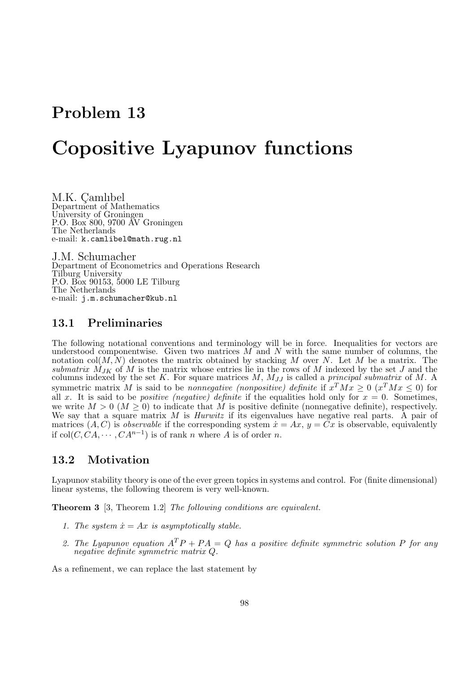# Copositive Lyapunov functions

M.K. Çamlıbel Department of Mathematics University of Groningen P.O. Box 800, 9700 AV Groningen The Netherlands e-mail: k.camlibel@math.rug.nl

J.M. Schumacher Department of Econometrics and Operations Research Tilburg University P.O. Box 90153, 5000 LE Tilburg The Netherlands e-mail: j.m.schumacher@kub.nl

#### 13.1 Preliminaries

The following notational conventions and terminology will be in force. Inequalities for vectors are understood componentwise. Given two matrices  $M$  and  $N$  with the same number of columns, the notation col( $M, N$ ) denotes the matrix obtained by stacking M over N. Let M be a matrix. The submatrix  $M_{JK}$  of M is the matrix whose entries lie in the rows of M indexed by the set J and the columns indexed by the set K. For square matrices  $M$ ,  $M_{JJ}$  is called a principal submatrix of M. A symmetric matrix M is said to be *nonnegative (nonpositive)* definite if  $x^T M x \ge 0$   $(x^T M x \le 0)$  for all x. It is said to be *positive (negative) definite* if the equalities hold only for  $x = 0$ . Sometimes, we write  $M > 0$  ( $M \ge 0$ ) to indicate that M is positive definite (nonnegative definite), respectively. We say that a square matrix  $M$  is *Hurwitz* if its eigenvalues have negative real parts. A pair of matrices  $(A, C)$  is *observable* if the corresponding system  $\dot{x} = Ax, y = Cx$  is observable, equivalently if  $col(C, CA, \cdots, CA^{n-1})$  is of rank n where A is of order n.

#### 13.2 Motivation

Lyapunov stability theory is one of the ever green topics in systems and control. For (finite dimensional) linear systems, the following theorem is very well-known.

**Theorem 3** [3, Theorem 1.2] The following conditions are equivalent.

- 1. The system  $\dot{x} = Ax$  is asymptotically stable.
- 2. The Lyapunov equation  $A^T P + P A = Q$  has a positive definite symmetric solution P for any negative definite symmetric matrix Q.

As a refinement, we can replace the last statement by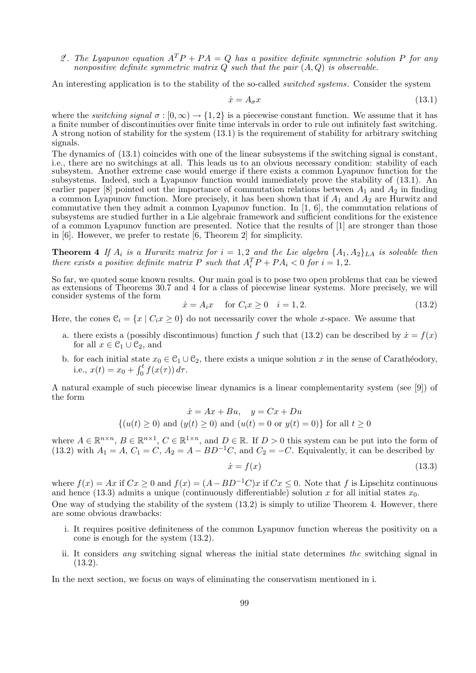2. The Lyapunov equation  $A^T P + P A = Q$  has a positive definite symmetric solution P for any nonpositive definite symmetric matrix  $\tilde{Q}$  such that the pair  $(A, Q)$  is observable.

An interesting application is to the stability of the so-called *switched systems*. Consider the system

$$
\dot{x} = A_{\sigma} x \tag{13.1}
$$

where the *switching signal*  $\sigma : [0, \infty) \to \{1, 2\}$  is a piecewise constant function. We assume that it has a finite number of discontinuities over finite time intervals in order to rule out infinitely fast switching. A strong notion of stability for the system (13.1) is the requirement of stability for arbitrary switching signals.

The dynamics of (13.1) coincides with one of the linear subsystems if the switching signal is constant, i.e., there are no switchings at all. This leads us to an obvious necessary condition: stability of each subsystem. Another extreme case would emerge if there exists a common Lyapunov function for the subsystems. Indeed, such a Lyapunov function would immediately prove the stability of (13.1). An earlier paper [8] pointed out the importance of commutation relations between  $A_1$  and  $A_2$  in finding a common Lyapunov function. More precisely, it has been shown that if  $A_1$  and  $A_2$  are Hurwitz and commutative then they admit a common Lyapunov function. In [1, 6], the commutation relations of subsystems are studied further in a Lie algebraic framework and sufficient conditions for the existence of a common Lyapunov function are presented. Notice that the results of [1] are stronger than those in [6]. However, we prefer to restate [6, Theorem 2] for simplicity.

**Theorem 4** If  $A_i$  is a Hurwitz matrix for  $i = 1, 2$  and the Lie algebra  $\{A_1, A_2\}_{LA}$  is solvable then there exists a positive definite matrix P such that  $A_i^T P + P A_i < 0$  for  $i = 1, 2$ .

So far, we quoted some known results. Our main goal is to pose two open problems that can be viewed as extensions of Theorems 30.7 and 4 for a class of piecewise linear systems. More precisely, we will consider systems of the form

$$
\dot{x} = A_i x
$$
 for  $C_i x \ge 0$   $i = 1, 2.$  (13.2)

Here, the cones  $\mathcal{C}_i = \{x \mid C_i x \geq 0\}$  do not necessarily cover the whole x-space. We assume that

- a. there exists a (possibly discontinuous) function f such that (13.2) can be described by  $\dot{x} = f(x)$ for all  $x \in \mathcal{C}_1 \cup \mathcal{C}_2$ , and
- b. for each initial state  $x_0 \in \mathcal{C}_1 \cup \mathcal{C}_2$ , there exists a unique solution x in the sense of Carathéodory, i.e.,  $x(t) = x_0 + \int_0^t f(x(\tau)) d\tau$ .

A natural example of such piecewise linear dynamics is a linear complementarity system (see [9]) of the form

$$
\begin{aligned}\n\dot{x} &= Ax + Bu, \quad y = Cx + Du \\
\{(u(t) \ge 0) \text{ and } (y(t) \ge 0) \text{ and } (u(t) = 0 \text{ or } y(t) = 0)\}\n\end{aligned}
$$
\nfor all  $t \ge 0$ 

where  $A \in \mathbb{R}^{n \times n}$ ,  $B \in \mathbb{R}^{n \times 1}$ ,  $C \in \mathbb{R}^{1 \times n}$ , and  $D \in \mathbb{R}$ . If  $D > 0$  this system can be put into the form of (13.2) with  $A_1 = A$ ,  $C_1 = C$ ,  $A_2 = A - BD^{-1}C$ , and  $C_2 = -C$ . Equivalently, it can be described by

$$
\dot{x} = f(x) \tag{13.3}
$$

where  $f(x) = Ax$  if  $Cx \ge 0$  and  $f(x) = (A - BD^{-1}C)x$  if  $Cx \le 0$ . Note that f is Lipschitz continuous and hence (13.3) admits a unique (continuously differentiable) solution x for all initial states  $x_0$ . One way of studying the stability of the system (13.2) is simply to utilize Theorem 4. However, there are some obvious drawbacks:

- i. It requires positive definiteness of the common Lyapunov function whereas the positivity on a cone is enough for the system (13.2).
- ii. It considers any switching signal whereas the initial state determines the switching signal in (13.2).

In the next section, we focus on ways of eliminating the conservatism mentioned in i.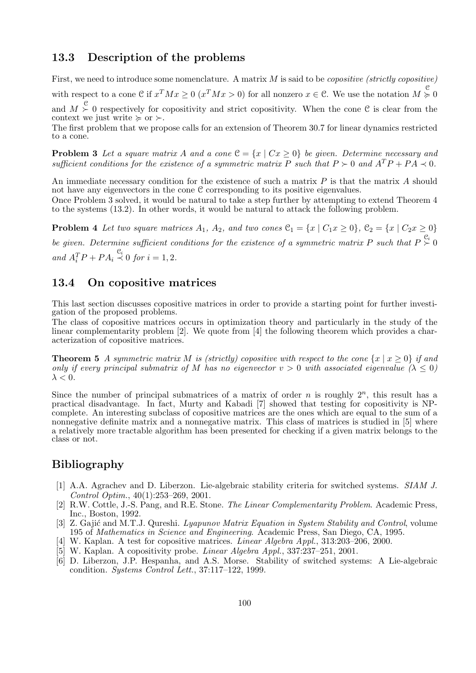#### 13.3 Description of the problems

First, we need to introduce some nomenclature. A matrix  $M$  is said to be *copositive (strictly copositive)* with respect to a cone C if  $x^T M x \ge 0$   $(x^T M x > 0)$  for all nonzero  $x \in \mathcal{C}$ . We use the notation  $M \ge 0$ and  $M \n\stackrel{\mathcal{C}}{\succ} 0$  respectively for copositivity and strict copositivity. When the cone C is clear from the context we just write  $\succcurlyeq$  or  $\succ$ .

The first problem that we propose calls for an extension of Theorem 30.7 for linear dynamics restricted to a cone.

**Problem 3** Let a square matrix A and a cone  $\mathcal{C} = \{x \mid Cx \ge 0\}$  be given. Determine necessary and sufficient conditions for the existence of a symmetric matrix P such that  $P \succ 0$  and  $A^T P + P A \prec 0$ .

An immediate necessary condition for the existence of such a matrix  $P$  is that the matrix  $A$  should not have any eigenvectors in the cone C corresponding to its positive eigenvalues.

Once Problem 3 solved, it would be natural to take a step further by attempting to extend Theorem 4 to the systems (13.2). In other words, it would be natural to attack the following problem.

**Problem 4** Let two square matrices  $A_1$ ,  $A_2$ , and two cones  $\mathcal{C}_1 = \{x \mid C_1 x \geq 0\}$ ,  $\mathcal{C}_2 = \{x \mid C_2 x \geq 0\}$ be given. Determine sufficient conditions for the existence of a symmetric matrix P such that  $P \overset{\mathcal{C}_i}{\succ} 0$ and  $A_i^T P + P A_i \stackrel{\mathcal{C}_i}{\prec} 0$  for  $i = 1, 2$ .

#### 13.4 On copositive matrices

This last section discusses copositive matrices in order to provide a starting point for further investigation of the proposed problems.

The class of copositive matrices occurs in optimization theory and particularly in the study of the linear complementarity problem [2]. We quote from [4] the following theorem which provides a characterization of copositive matrices.

**Theorem 5** A symmetric matrix M is (strictly) copositive with respect to the cone  $\{x \mid x \ge 0\}$  if and only if every principal submatrix of M has no eigenvector  $v > 0$  with associated eigenvalue  $(\lambda \leq 0)$  $\lambda < 0$ .

Since the number of principal submatrices of a matrix of order  $n$  is roughly  $2^n$ , this result has a practical disadvantage. In fact, Murty and Kabadi [7] showed that testing for copositivity is NPcomplete. An interesting subclass of copositive matrices are the ones which are equal to the sum of a nonnegative definite matrix and a nonnegative matrix. This class of matrices is studied in [5] where a relatively more tractable algorithm has been presented for checking if a given matrix belongs to the class or not.

- [1] A.A. Agrachev and D. Liberzon. Lie-algebraic stability criteria for switched systems. SIAM J. Control Optim., 40(1):253–269, 2001.
- [2] R.W. Cottle, J.-S. Pang, and R.E. Stone. The Linear Complementarity Problem. Academic Press, Inc., Boston, 1992.
- [3] Z. Gajić and M.T.J. Qureshi. Lyapunov Matrix Equation in System Stability and Control, volume 195 of Mathematics in Science and Engineering. Academic Press, San Diego, CA, 1995.
- [4] W. Kaplan. A test for copositive matrices. Linear Algebra Appl., 313:203–206, 2000.
- [5] W. Kaplan. A copositivity probe. Linear Algebra Appl., 337:237–251, 2001.
- [6] D. Liberzon, J.P. Hespanha, and A.S. Morse. Stability of switched systems: A Lie-algebraic condition. Systems Control Lett., 37:117–122, 1999.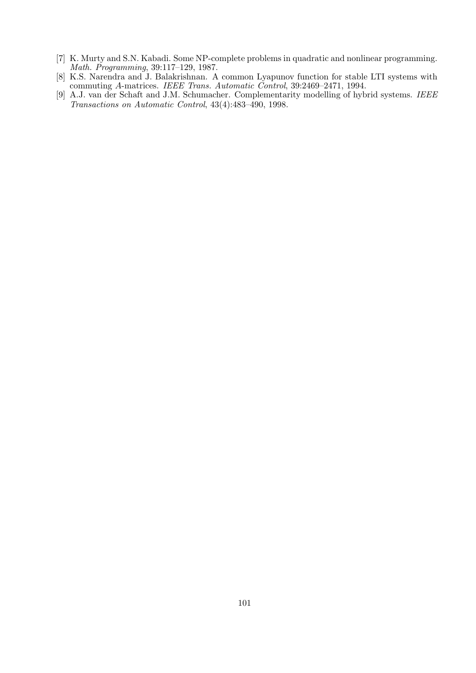- [7] K. Murty and S.N. Kabadi. Some NP-complete problems in quadratic and nonlinear programming. Math. Programming, 39:117–129, 1987.
- [8] K.S. Narendra and J. Balakrishnan. A common Lyapunov function for stable LTI systems with commuting A-matrices. IEEE Trans. Automatic Control, 39:2469-2471, 1994.
- [9] A.J. van der Schaft and J.M. Schumacher. Complementarity modelling of hybrid systems. IEEE Transactions on Automatic Control, 43(4):483–490, 1998.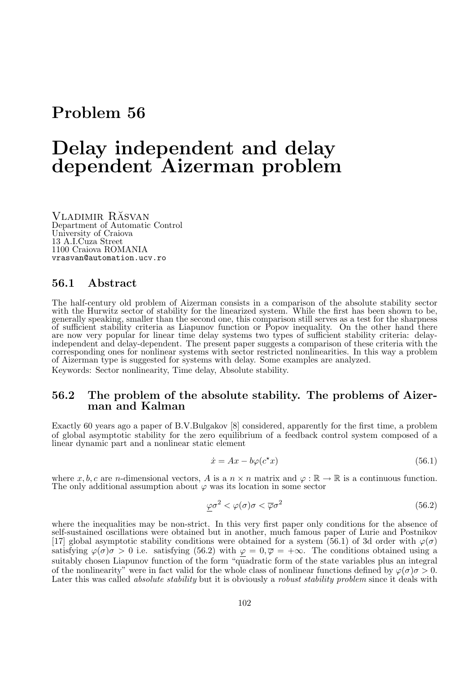## Delay independent and delay dependent Aizerman problem

VLADIMIR RÄSVAN Department of Automatic Control University of Craiova 13 A.I.Cuza Street 1100 Craiova ROMANIA vrasvan@automation.ucv.ro

#### 56.1 Abstract

The half-century old problem of Aizerman consists in a comparison of the absolute stability sector with the Hurwitz sector of stability for the linearized system. While the first has been shown to be, generally speaking, smaller than the second one, this comparison still serves as a test for the sharpness of sufficient stability criteria as Liapunov function or Popov inequality. On the other hand there are now very popular for linear time delay systems two types of sufficient stability criteria: delayindependent and delay-dependent. The present paper suggests a comparison of these criteria with the corresponding ones for nonlinear systems with sector restricted nonlinearities. In this way a problem of Aizerman type is suggested for systems with delay. Some examples are analyzed. Keywords: Sector nonlinearity, Time delay, Absolute stability.

### 56.2 The problem of the absolute stability. The problems of Aizerman and Kalman

Exactly 60 years ago a paper of B.V.Bulgakov [8] considered, apparently for the first time, a problem of global asymptotic stability for the zero equilibrium of a feedback control system composed of a linear dynamic part and a nonlinear static element

$$
\dot{x} = Ax - b\varphi(c^*x) \tag{56.1}
$$

where x, b, c are n-dimensional vectors, A is a  $n \times n$  matrix and  $\varphi : \mathbb{R} \to \mathbb{R}$  is a continuous function. The only additional assumption about  $\varphi$  was its location in some sector

$$
\varphi \sigma^2 < \varphi(\sigma)\sigma < \overline{\varphi}\sigma^2 \tag{56.2}
$$

where the inequalities may be non-strict. In this very first paper only conditions for the absence of self-sustained oscillations were obtained but in another, much famous paper of Lurie and Postnikov [17] global asymptotic stability conditions were obtained for a system (56.1) of 3d order with  $\varphi(\sigma)$ satisfying  $\varphi(\sigma)\sigma > 0$  i.e. satisfying (56.2) with  $\underline{\varphi} = 0, \overline{\varphi} = +\infty$ . The conditions obtained using a suitably chosen Liapunov function of the form "quadratic form of the state variables plus an integral of the nonlinearity" were in fact valid for the whole class of nonlinear functions defined by  $\varphi(\sigma)\sigma > 0$ . Later this was called *absolute stability* but it is obviously a *robust stability problem* since it deals with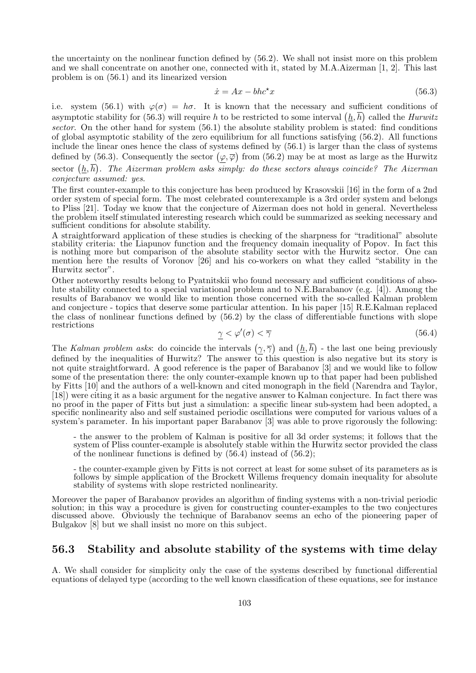the uncertainty on the nonlinear function defined by (56.2). We shall not insist more on this problem and we shall concentrate on another one, connected with it, stated by M.A.Aizerman [1, 2]. This last problem is on (56.1) and its linearized version

$$
\dot{x} = Ax - bhc^*x \tag{56.3}
$$

i.e. system (56.1) with  $\varphi(\sigma) = h\sigma$ . It is known that the necessary and sufficient conditions of asymptotic stability for (56.3) will require h to be restricted to some interval  $(h, \overline{h})$  called the Hurwitz sector. On the other hand for system (56.1) the absolute stability problem is stated: find conditions of global asymptotic stability of the zero equilibrium for all functions satisfying (56.2). All functions include the linear ones hence the class of systems defined by (56.1) is larger than the class of systems defined by (56.3). Consequently the sector  $(\varphi, \overline{\varphi})$  from (56.2) may be at most as large as the Hurwitz sector  $(\underline{h}, \overline{h})$ . The Aizerman problem asks simply: do these sectors always coincide? The Aizerman conjecture assumed: yes.

The first counter-example to this conjecture has been produced by Krasovskii [16] in the form of a 2nd order system of special form. The most celebrated counterexample is a 3rd order system and belongs to Pliss [21]. Today we know that the conjecture of Aizerman does not hold in general. Nevertheless the problem itself stimulated interesting research which could be summarized as seeking necessary and sufficient conditions for absolute stability.

A straightforward application of these studies is checking of the sharpness for "traditional" absolute stability criteria: the Liapunov function and the frequency domain inequality of Popov. In fact this is nothing more but comparison of the absolute stability sector with the Hurwitz sector. One can mention here the results of Voronov [26] and his co-workers on what they called "stability in the Hurwitz sector".

Other noteworthy results belong to Pyatnitskii who found necessary and sufficient conditions of absolute stability connected to a special variational problem and to N.E.Barabanov (e.g. [4]). Among the results of Barabanov we would like to mention those concerned with the so-called Kalman problem and conjecture - topics that deserve some particular attention. In his paper [15] R.E.Kalman replaced the class of nonlinear functions defined by (56.2) by the class of differentiable functions with slope restrictions

$$
\gamma < \varphi'(\sigma) < \overline{\gamma} \tag{56.4}
$$

The Kalman problem asks: do coincide the intervals  $(\gamma, \overline{\gamma})$  and  $(\underline{h}, \overline{h})$  - the last one being previously defined by the inequalities of Hurwitz? The answer to this question is also negative but its story is not quite straightforward. A good reference is the paper of Barabanov [3] and we would like to follow some of the presentation there: the only counter-example known up to that paper had been published by Fitts [10] and the authors of a well-known and cited monograph in the field (Narendra and Taylor, [18]) were citing it as a basic argument for the negative answer to Kalman conjecture. In fact there was no proof in the paper of Fitts but just a simulation: a specific linear sub-system had been adopted, a specific nonlinearity also and self sustained periodic oscillations were computed for various values of a system's parameter. In his important paper Barabanov [3] was able to prove rigorously the following:

- the answer to the problem of Kalman is positive for all 3d order systems; it follows that the system of Pliss counter-example is absolutely stable within the Hurwitz sector provided the class of the nonlinear functions is defined by (56.4) instead of (56.2);

- the counter-example given by Fitts is not correct at least for some subset of its parameters as is follows by simple application of the Brockett Willems frequency domain inequality for absolute stability of systems with slope restricted nonlinearity.

Moreover the paper of Barabanov provides an algorithm of finding systems with a non-trivial periodic solution; in this way a procedure is given for constructing counter-examples to the two conjectures discussed above. Obviously the technique of Barabanov seems an echo of the pioneering paper of Bulgakov [8] but we shall insist no more on this subject.

#### 56.3 Stability and absolute stability of the systems with time delay

A. We shall consider for simplicity only the case of the systems described by functional differential equations of delayed type (according to the well known classification of these equations, see for instance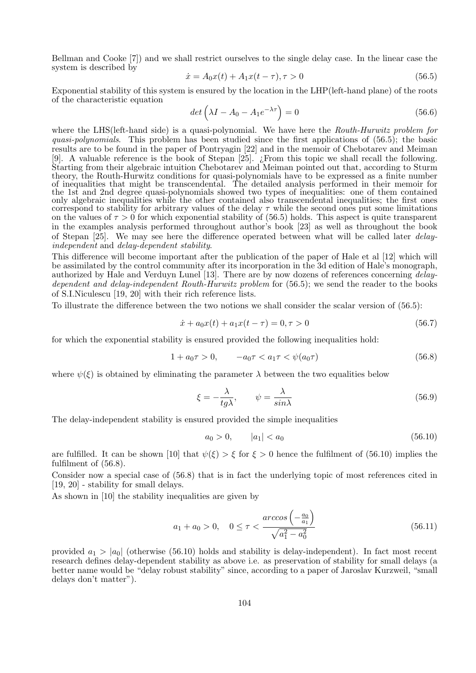Bellman and Cooke [7]) and we shall restrict ourselves to the single delay case. In the linear case the system is described by

$$
\dot{x} = A_0 x(t) + A_1 x(t - \tau), \tau > 0 \tag{56.5}
$$

Exponential stability of this system is ensured by the location in the LHP(left-hand plane) of the roots of the characteristic equation

$$
\det\left(\lambda I - A_0 - A_1 e^{-\lambda \tau}\right) = 0\tag{56.6}
$$

where the LHS(left-hand side) is a quasi-polynomial. We have here the Routh-Hurwitz problem for quasi-polynomials. This problem has been studied since the first applications of (56.5); the basic results are to be found in the paper of Pontryagin [22] and in the memoir of Chebotarev and Meiman [9]. A valuable reference is the book of Stepan [25]. ¿From this topic we shall recall the following. Starting from their algebraic intuition Chebotarev and Meiman pointed out that, according to Sturm theory, the Routh-Hurwitz conditions for quasi-polynomials have to be expressed as a finite number of inequalities that might be transcendental. The detailed analysis performed in their memoir for the 1st and 2nd degree quasi-polynomials showed two types of inequalities: one of them contained only algebraic inequalities while the other contained also transcendental inequalities; the first ones correspond to stability for arbitrary values of the delay  $\tau$  while the second ones put some limitations on the values of  $\tau > 0$  for which exponential stability of (56.5) holds. This aspect is quite transparent in the examples analysis performed throughout author's book [23] as well as throughout the book of Stepan [25]. We may see here the difference operated between what will be called later delayindependent and delay-dependent stability.

This difference will become important after the publication of the paper of Hale et al [12] which will be assimilated by the control community after its incorporation in the 3d edition of Hale's monograph, authorized by Hale and Verduyn Lunel [13]. There are by now dozens of references concerning delaydependent and delay-independent Routh-Hurwitz problem for (56.5); we send the reader to the books of S.I.Niculescu [19, 20] with their rich reference lists.

To illustrate the difference between the two notions we shall consider the scalar version of (56.5):

$$
\dot{x} + a_0 x(t) + a_1 x(t - \tau) = 0, \tau > 0 \tag{56.7}
$$

for which the exponential stability is ensured provided the following inequalities hold:

$$
1 + a_0 \tau > 0, \qquad -a_0 \tau < a_1 \tau < \psi(a_0 \tau) \tag{56.8}
$$

where  $\psi(\xi)$  is obtained by eliminating the parameter  $\lambda$  between the two equalities below

$$
\xi = -\frac{\lambda}{tg\lambda}, \qquad \psi = \frac{\lambda}{\sin\lambda} \tag{56.9}
$$

The delay-independent stability is ensured provided the simple inequalities

$$
a_0 > 0, \qquad |a_1| < a_0 \tag{56.10}
$$

are fulfilled. It can be shown [10] that  $\psi(\xi) > \xi$  for  $\xi > 0$  hence the fulfilment of (56.10) implies the fulfilment of (56.8).

Consider now a special case of (56.8) that is in fact the underlying topic of most references cited in [19, 20] - stability for small delays.

As shown in [10] the stability inequalities are given by

$$
a_1 + a_0 > 0, \quad 0 \le \tau < \frac{\arccos\left(-\frac{a_0}{a_1}\right)}{\sqrt{a_1^2 - a_0^2}} \tag{56.11}
$$

provided  $a_1 > |a_0|$  (otherwise (56.10) holds and stability is delay-independent). In fact most recent research defines delay-dependent stability as above i.e. as preservation of stability for small delays (a better name would be "delay robust stability" since, according to a paper of Jaroslav Kurzweil, "small delays don't matter").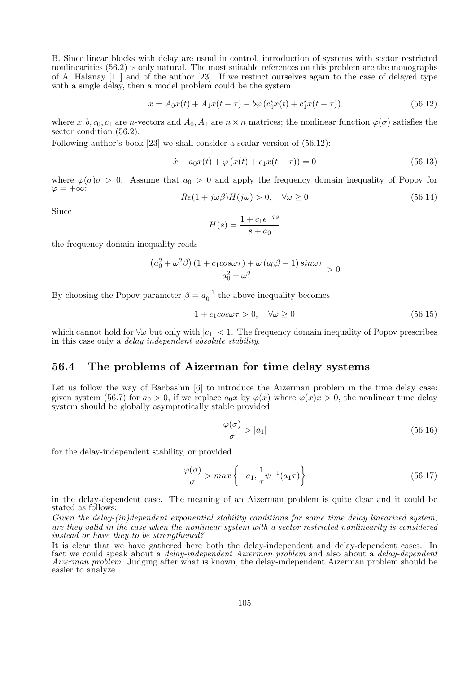B. Since linear blocks with delay are usual in control, introduction of systems with sector restricted nonlinearities (56.2) is only natural. The most suitable references on this problem are the monographs of A. Halanay [11] and of the author [23]. If we restrict ourselves again to the case of delayed type with a single delay, then a model problem could be the system

$$
\dot{x} = A_0 x(t) + A_1 x(t - \tau) - b\varphi (c_0^* x(t) + c_1^* x(t - \tau))
$$
\n(56.12)

where x, b, c<sub>0</sub>, c<sub>1</sub> are n-vectors and  $A_0$ ,  $A_1$  are  $n \times n$  matrices; the nonlinear function  $\varphi(\sigma)$  satisfies the sector condition (56.2).

Following author's book [23] we shall consider a scalar version of (56.12):

$$
\dot{x} + a_0 x(t) + \varphi (x(t) + c_1 x(t - \tau)) = 0 \tag{56.13}
$$

where  $\varphi(\sigma)\sigma > 0$ . Assume that  $a_0 > 0$  and apply the frequency domain inequality of Popov for  $\overline{\varphi} = +\dot{\infty}$ :

$$
Re(1 + j\omega\beta)H(j\omega) > 0, \quad \forall \omega \ge 0
$$
\n(56.14)

Since

$$
H(s) = \frac{1 + c_1 e^{-\tau s}}{s + a_0}
$$

the frequency domain inequality reads

$$
\frac{\left(a_0^2 + \omega^2 \beta\right) \left(1 + c_1 \cos \omega \tau\right) + \omega \left(a_0 \beta - 1\right) \sin \omega \tau}{a_0^2 + \omega^2} > 0
$$

By choosing the Popov parameter  $\beta = a_0^{-1}$  the above inequality becomes

$$
1 + c_1 \cos \omega \tau > 0, \quad \forall \omega \ge 0 \tag{56.15}
$$

which cannot hold for  $\forall \omega$  but only with  $|c_1| < 1$ . The frequency domain inequality of Popov prescribes in this case only a delay independent absolute stability.

#### 56.4 The problems of Aizerman for time delay systems

Let us follow the way of Barbashin [6] to introduce the Aizerman problem in the time delay case: given system (56.7) for  $a_0 > 0$ , if we replace  $a_0x$  by  $\varphi(x)$  where  $\varphi(x)x > 0$ , the nonlinear time delay system should be globally asymptotically stable provided

$$
\frac{\varphi(\sigma)}{\sigma} > |a_1| \tag{56.16}
$$

for the delay-independent stability, or provided

$$
\frac{\varphi(\sigma)}{\sigma} > \max\left\{-a_1, \frac{1}{\tau}\psi^{-1}(a_1\tau)\right\} \tag{56.17}
$$

in the delay-dependent case. The meaning of an Aizerman problem is quite clear and it could be stated as follows:

Given the delay-(in)dependent exponential stability conditions for some time delay linearized system, are they valid in the case when the nonlinear system with a sector restricted nonlinearity is considered instead or have they to be strengthened?

It is clear that we have gathered here both the delay-independent and delay-dependent cases. In fact we could speak about a *delay-independent Aizerman problem* and also about a *delay-dependent* Aizerman problem. Judging after what is known, the delay-independent Aizerman problem should be easier to analyze.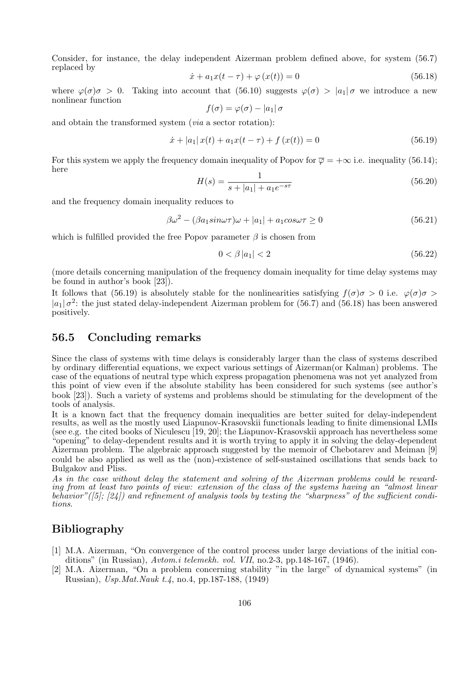Consider, for instance, the delay independent Aizerman problem defined above, for system (56.7) replaced by

$$
\dot{x} + a_1 x(t - \tau) + \varphi(x(t)) = 0 \tag{56.18}
$$

where  $\varphi(\sigma)\sigma > 0$ . Taking into account that (56.10) suggests  $\varphi(\sigma) > |a_1|\sigma$  we introduce a new nonlinear function

$$
f(\sigma) = \varphi(\sigma) - |a_1| \sigma
$$

and obtain the transformed system (via a sector rotation):

$$
\dot{x} + |a_1| x(t) + a_1 x(t - \tau) + f(x(t)) = 0 \tag{56.19}
$$

For this system we apply the frequency domain inequality of Popov for  $\overline{\varphi} = +\infty$  i.e. inequality (56.14); here

$$
H(s) = \frac{1}{s + |a_1| + a_1 e^{-s\tau}}
$$
\n(56.20)

and the frequency domain inequality reduces to

$$
\beta \omega^2 - (\beta a_1 \sin \omega \tau) \omega + |a_1| + a_1 \cos \omega \tau \ge 0 \tag{56.21}
$$

which is fulfilled provided the free Popov parameter  $\beta$  is chosen from

$$
0 < \beta \left| a_1 \right| < 2 \tag{56.22}
$$

(more details concerning manipulation of the frequency domain inequality for time delay systems may be found in author's book [23]).

It follows that (56.19) is absolutely stable for the nonlinearities satisfying  $f(\sigma)\sigma > 0$  i.e.  $\varphi(\sigma)\sigma > 0$  $|a_1|\sigma^2$ : the just stated delay-independent Aizerman problem for (56.7) and (56.18) has been answered positively.

#### 56.5 Concluding remarks

Since the class of systems with time delays is considerably larger than the class of systems described by ordinary differential equations, we expect various settings of Aizerman(or Kalman) problems. The case of the equations of neutral type which express propagation phenomena was not yet analyzed from this point of view even if the absolute stability has been considered for such systems (see author's book [23]). Such a variety of systems and problems should be stimulating for the development of the tools of analysis.

It is a known fact that the frequency domain inequalities are better suited for delay-independent results, as well as the mostly used Liapunov-Krasovskii functionals leading to finite dimensional LMIs (see e.g. the cited books of Niculescu [19, 20]; the Liapunov-Krasovskii approach has nevertheless some "opening" to delay-dependent results and it is worth trying to apply it in solving the delay-dependent Aizerman problem. The algebraic approach suggested by the memoir of Chebotarev and Meiman [9] could be also applied as well as the (non)-existence of self-sustained oscillations that sends back to Bulgakov and Pliss.

As in the case without delay the statement and solving of the Aizerman problems could be rewarding from at least two points of view: extension of the class of the systems having an "almost linear behavior"([5]; [24]) and refinement of analysis tools by testing the "sharpness" of the sufficient conditions.

- [1] M.A. Aizerman, "On convergence of the control process under large deviations of the initial conditions" (in Russian), Avtom.i telemekh. vol. VII, no.2-3, pp.148-167, (1946).
- [2] M.A. Aizerman, "On a problem concerning stability "in the large" of dynamical systems" (in Russian), Usp.Mat.Nauk t.4, no.4, pp.187-188, (1949)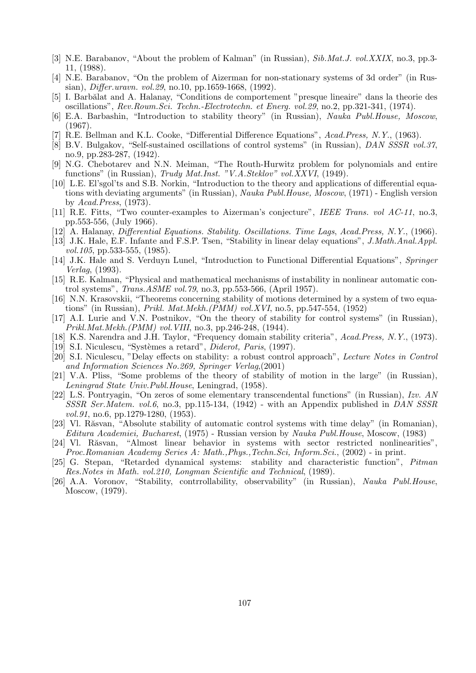- [3] N.E. Barabanov, "About the problem of Kalman" (in Russian), Sib.Mat.J. vol.XXIX, no.3, pp.3-11, (1988).
- [4] N.E. Barabanov, "On the problem of Aizerman for non-stationary systems of 3d order" (in Russian), Differ.uravn. vol.29, no.10, pp.1659-1668, (1992).
- [5] I. Barb˘alat and A. Halanay, "Conditions de comportement "presque lineaire" dans la theorie des oscillations", Rev.Roum.Sci. Techn.-Electrotechn. et Energ. vol.29, no.2, pp.321-341, (1974).
- [6] E.A. Barbashin, "Introduction to stability theory" (in Russian), Nauka Publ.House, Moscow, (1967).
- [7] R.E. Bellman and K.L. Cooke, "Differential Difference Equations", Acad. Press, N.Y., (1963).
- [8] B.V. Bulgakov, "Self-sustained oscillations of control systems" (in Russian), DAN SSSR vol.37, no.9, pp.283-287, (1942).
- [9] N.G. Chebotarev and N.N. Meiman, "The Routh-Hurwitz problem for polynomials and entire functions" (in Russian), Trudy Mat.Inst. "V.A.Steklov" vol.XXVI, (1949).
- [10] L.E. El'sgol'ts and S.B. Norkin, "Introduction to the theory and applications of differential equations with deviating arguments" (in Russian), Nauka Publ.House, Moscow, (1971) - English version by Acad.Press, (1973).
- [11] R.E. Fitts, "Two counter-examples to Aizerman's conjecture", IEEE Trans. vol AC-11, no.3, pp.553-556, (July 1966).
- [12] A. Halanay, *Differential Equations. Stability. Oscillations. Time Lags, Acad.Press, N.Y.*, (1966).
- [13] J.K. Hale, E.F. Infante and F.S.P. Tsen, "Stability in linear delay equations", J.Math.Anal.Appl.  $vol.105$ , pp.533-555,  $(1985)$ .
- [14] J.K. Hale and S. Verduyn Lunel, "Introduction to Functional Differential Equations", Springer Verlag, (1993).
- [15] R.E. Kalman, "Physical and mathematical mechanisms of instability in nonlinear automatic control systems", Trans.ASME vol.79, no.3, pp.553-566, (April 1957).
- [16] N.N. Krasovskii, "Theorems concerning stability of motions determined by a system of two equations" (in Russian), *Prikl. Mat.Mekh.(PMM) vol.XVI*, no.5, pp.547-554,  $(1952)$
- [17] A.I. Lurie and V.N. Postnikov, "On the theory of stability for control systems" (in Russian), Prikl.Mat.Mekh.(PMM) vol.VIII, no.3, pp.246-248, (1944).
- [18] K.S. Narendra and J.H. Taylor, "Frequency domain stability criteria", Acad.Press, N.Y., (1973).
- [19] S.I. Niculescu, "Systèmes a retard", *Diderot, Paris*, (1997).
- [20] S.I. Niculescu, "Delay effects on stability: a robust control approach", Lecture Notes in Control and Information Sciences No.269, Springer Verlag,(2001)
- [21] V.A. Pliss, "Some problems of the theory of stability of motion in the large" (in Russian), Leningrad State Univ.Publ.House, Leningrad, (1958).
- [22] L.S. Pontryagin, "On zeros of some elementary transcendental functions" (in Russian), Izv. AN SSSR Ser.Matem. vol.6, no.3, pp.115-134, (1942) - with an Appendix published in DAN SSSR vol.91, no.6, pp.1279-1280, (1953).
- [23] Vl. Răsvan, "Absolute stability of automatic control systems with time delay" (in Romanian), Editura Academiei, Bucharest, (1975) - Russian version by Nauka Publ.House, Moscow, (1983)
- [24] Vl. Răsvan, "Almost linear behavior in systems with sector restricted nonlinearities". Proc.Romanian Academy Series A: Math.,Phys.,Techn.Sci, Inform.Sci., (2002) - in print.
- [25] G. Stepan, "Retarded dynamical systems: stability and characteristic function", Pitman Res.Notes in Math. vol.210, Longman Scientific and Technical, (1989).
- [26] A.A. Voronov, "Stability, contrrollability, observability" (in Russian), Nauka Publ.House, Moscow, (1979).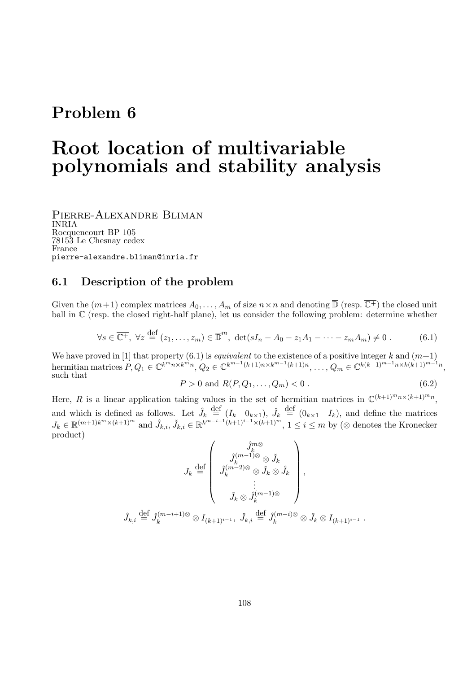# Root location of multivariable polynomials and stability analysis

Pierre-Alexandre Bliman INRIA Rocquencourt BP 105 78153 Le Chesnay cedex France pierre-alexandre.bliman@inria.fr

#### 6.1 Description of the problem

Given the  $(m+1)$  complex matrices  $A_0, \ldots, A_m$  of size  $n \times n$  and denoting  $\overline{D}$  (resp.  $\overline{C^+}$ ) the closed unit ball in C (resp. the closed right-half plane), let us consider the following problem: determine whether

$$
\forall s \in \overline{\mathbb{C}^+}, \ \forall z \stackrel{\text{def}}{=} (z_1, \dots, z_m) \in \overline{\mathbb{D}}^m, \ \det(sI_n - A_0 - z_1A_1 - \dots - z_mA_m) \neq 0 \ . \tag{6.1}
$$

We have proved in [1] that property  $(6.1)$  is *equivalent* to the existence of a positive integer k and  $(m+1)$  $\text{hermitian matrices } P, Q_1 \in \mathbb{C}^{\tilde{k}^m n \times \tilde{k}^m n}, Q_2 \in \mathbb{C}^{\tilde{k}^{m-1}(k+1)n \times \tilde{k}^{m-1}(k+1)n}, \ldots, Q_m \in \mathbb{C}^{k(k+1)^{m-1} n \times k(k+1)^{m-1} n},$ such that

$$
P > 0 \text{ and } R(P, Q_1, \dots, Q_m) < 0. \tag{6.2}
$$

Here, R is a linear application taking values in the set of hermitian matrices in  $\mathbb{C}^{(k+1)^m n \times (k+1)^m n}$ , and which is defined as follows. Let  $\hat{J}_k \stackrel{\text{def}}{=} (I_k \ 0_{k \times 1}), \ \check{J}_k \stackrel{\text{def}}{=} (0_{k \times 1} \ I_k)$ , and define the matrices  $J_k \in \mathbb{R}^{(m+1)k^m \times (k+1)^m}$  and  $\hat{J}_{k,i}, \check{J}_{k,i} \in \mathbb{R}^{k^{m-i+1}(k+1)^{i-1} \times (k+1)^m}$ ,  $1 \leq i \leq m$  by  $(\otimes$  denotes the Kronecker product)

$$
J_k \stackrel{\text{def}}{=} \begin{pmatrix} \hat{J}_k^{m\otimes} \\ \hat{J}_k^{(m-1)\otimes} \otimes \check{J}_k \\ \hat{J}_k^{(m-2)\otimes} \otimes \check{J}_k \otimes \hat{J}_k \\ \vdots \\ \check{J}_k \otimes \hat{J}_k^{(m-1)\otimes} \end{pmatrix},
$$

$$
\hat{J}_{k,i} \stackrel{\text{def}}{=} \hat{J}_k^{(m-i+1)\otimes} \otimes I_{(k+1)^{i-1}}, \ \check{J}_{k,i} \stackrel{\text{def}}{=} \hat{J}_k^{(m-i)\otimes} \otimes \check{J}_k \otimes I_{(k+1)^{i-1}}.
$$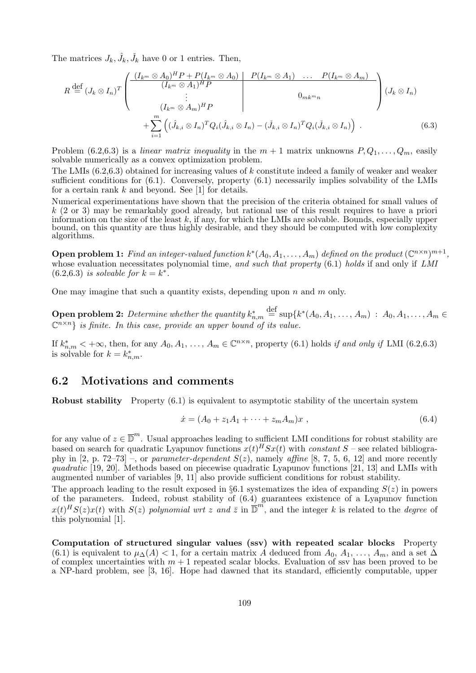The matrices  $J_k$ ,  $\tilde{J}_k$ ,  $\tilde{J}_k$  have 0 or 1 entries. Then,

$$
R \stackrel{\text{def}}{=} (J_k \otimes I_n)^T \left( \begin{array}{c|c} \frac{(I_{k^m} \otimes A_0)^H P + P(I_{k^m} \otimes A_0)}{(I_{k^m} \otimes A_1)^H P} & \cdots & P(I_{k^m} \otimes A_m)}{(I_{k^m} \otimes A_m)^H P} \\ \vdots & \vdots & \vdots \\ (I_{k^m} \otimes A_m)^H P & \cdots \\ + \sum_{i=1}^m \left( (\hat{J}_{k,i} \otimes I_n)^T Q_i (\hat{J}_{k,i} \otimes I_n) - (\check{J}_{k,i} \otimes I_n)^T Q_i (\check{J}_{k,i} \otimes I_n) \right) \end{array} \right) (J_k \otimes I_n)
$$
\n
$$
(6.3)
$$

Problem (6.2,6.3) is a linear matrix inequality in the  $m + 1$  matrix unknowns  $P, Q_1, \ldots, Q_m$ , easily solvable numerically as a convex optimization problem.

The LMIs  $(6.2, 6.3)$  obtained for increasing values of k constitute indeed a family of weaker and weaker sufficient conditions for (6.1). Conversely, property (6.1) necessarily implies solvability of the LMIs for a certain rank  $k$  and beyond. See [1] for details.

Numerical experimentations have shown that the precision of the criteria obtained for small values of k (2 or 3) may be remarkably good already, but rational use of this result requires to have a priori information on the size of the least  $k$ , if any, for which the LMIs are solvable. Bounds, especially upper bound, on this quantity are thus highly desirable, and they should be computed with low complexity algorithms.

**Open problem 1:** Find an integer-valued function  $k^*(A_0, A_1, \ldots, A_m)$  defined on the product  $(\mathbb{C}^{n \times n})^{m+1}$ , whose evaluation necessitates polynomial time, and such that property  $(6.1)$  holds if and only if LMI  $(6.2, 6.3)$  is solvable for  $k = k^*$ .

One may imagine that such a quantity exists, depending upon  $n$  and  $m$  only.

**Open problem 2:** Determine whether the quantity  $k_n^*$ n,m  $\det^{\text{def}}_{\equiv} \sup \{k^*(A_0, A_1, \ldots, A_m) : A_0, A_1, \ldots, A_m \in$  $\mathbb{C}^{n \times n}$  is finite. In this case, provide an upper bound of its value.

If  $k_{n,m}^* < +\infty$ , then, for any  $A_0, A_1, \ldots, A_m \in \mathbb{C}^{n \times n}$ , property (6.1) holds if and only if LMI (6.2,6.3) is solvable for  $k = k_{n,m}^*$ .

#### 6.2 Motivations and comments

Robust stability Property (6.1) is equivalent to asymptotic stability of the uncertain system

$$
\dot{x} = (A_0 + z_1 A_1 + \dots + z_m A_m)x \tag{6.4}
$$

for any value of  $z \in \overline{\mathbb{D}}^m$ . Usual approaches leading to sufficient LMI conditions for robust stability are based on search for quadratic Lyapunov functions  $x(t)^H S x(t)$  with constant S – see related bibliography in [2, p. 72–73] –, or parameter-dependent  $S(z)$ , namely affine [8, 7, 5, 6, 12] and more recently quadratic [19, 20]. Methods based on piecewise quadratic Lyapunov functions [21, 13] and LMIs with augmented number of variables [9, 11] also provide sufficient conditions for robust stability.

The approach leading to the result exposed in §6.1 systematizes the idea of expanding  $S(z)$  in powers of the parameters. Indeed, robust stability of (6.4) guarantees existence of a Lyapunov function  $x(t)^H S(z) x(t)$  with  $S(z)$  polynomial wrt z and  $\overline{z}$  in  $\overline{\mathbb{D}}^m$ , and the integer k is related to the degree of this polynomial [1].

Computation of structured singular values (ssv) with repeated scalar blocks Property (6.1) is equivalent to  $\mu_{\Delta}(A) < 1$ , for a certain matrix A deduced from  $A_0, A_1, \ldots, A_m$ , and a set  $\Delta$ of complex uncertainties with  $m + 1$  repeated scalar blocks. Evaluation of ssv has been proved to be a NP-hard problem, see [3, 16]. Hope had dawned that its standard, efficiently computable, upper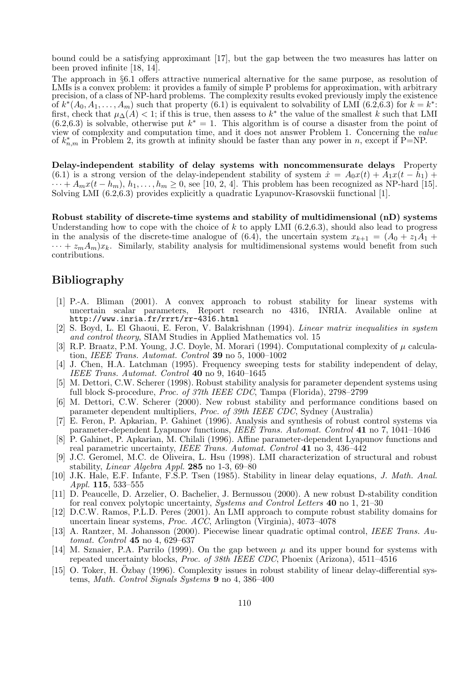bound could be a satisfying approximant [17], but the gap between the two measures has latter on been proved infinite [18, 14].

The approach in §6.1 offers attractive numerical alternative for the same purpose, as resolution of LMIs is a convex problem: it provides a family of simple P problems for approximation, with arbitrary precision, of a class of NP-hard problems. The complexity results evoked previously imply the existence of  $k^*(A_0, A_1, \ldots, A_m)$  such that property (6.1) is equivalent to solvability of LMI (6.2,6.3) for  $k = k^*$ : first, check that  $\mu_{\Delta}(A) < 1$ ; if this is true, then assess to k<sup>\*</sup> the value of the smallest k such that LMI  $(6.2, 6.3)$  is solvable, otherwise put  $k^* = 1$ . This algorithm is of course a disaster from the point of view of complexity and computation time, and it does not answer Problem 1. Concerning the value of  $k_{n,m}^*$  in Problem 2, its growth at infinity should be faster than any power in n, except if P=NP.

Delay-independent stability of delay systems with noncommensurate delays Property (6.1) is a strong version of the delay-independent stability of system  $\dot{x} = A_0x(t) + A_1x(t - h_1) +$  $\cdots + A_m x(t - h_m), h_1, \ldots, h_m \ge 0$ , see [10, 2, 4]. This problem has been recognized as NP-hard [15]. Solving LMI (6.2,6.3) provides explicitly a quadratic Lyapunov-Krasovskii functional [1].

Robust stability of discrete-time systems and stability of multidimensional (nD) systems Understanding how to cope with the choice of  $k$  to apply LMI (6.2,6.3), should also lead to progress in the analysis of the discrete-time analogue of (6.4), the uncertain system  $x_{k+1} = (A_0 + z_1A_1 +$  $\cdots + z_m A_m x_k$ . Similarly, stability analysis for multidimensional systems would benefit from such contributions.

- [1] P.-A. Bliman (2001). A convex approach to robust stability for linear systems with uncertain scalar parameters, Report research no 4316, INRIA. Available online at http://www.inria.fr/rrrt/rr-4316.html
- [2] S. Boyd, L. El Ghaoui, E. Feron, V. Balakrishnan (1994). Linear matrix inequalities in system and control theory, SIAM Studies in Applied Mathematics vol. 15
- [3] R.P. Braatz, P.M. Young, J.C. Doyle, M. Morari (1994). Computational complexity of  $\mu$  calculation, IEEE Trans. Automat. Control 39 no 5, 1000–1002
- [4] J. Chen, H.A. Latchman (1995). Frequency sweeping tests for stability independent of delay, IEEE Trans. Automat. Control 40 no 9, 1640–1645
- [5] M. Dettori, C.W. Scherer (1998). Robust stability analysis for parameter dependent systems using full block S-procedure, Proc. of 37th IEEE CDC, Tampa (Florida), 2798–2799
- [6] M. Dettori, C.W. Scherer (2000). New robust stability and performance conditions based on parameter dependent multipliers, Proc. of 39th IEEE CDC, Sydney (Australia)
- [7] E. Feron, P. Apkarian, P. Gahinet (1996). Analysis and synthesis of robust control systems via parameter-dependent Lyapunov functions, IEEE Trans. Automat. Control 41 no 7, 1041–1046
- [8] P. Gahinet, P. Apkarian, M. Chilali (1996). Affine parameter-dependent Lyapunov functions and real parametric uncertainty, IEEE Trans. Automat. Control 41 no 3, 436–442
- [9] J.C. Geromel, M.C. de Oliveira, L. Hsu (1998). LMI characterization of structural and robust stability, Linear Algebra Appl. 285 no 1-3, 69–80
- [10] J.K. Hale, E.F. Infante, F.S.P. Tsen (1985). Stability in linear delay equations, J. Math. Anal. Appl. 115, 533–555
- [11] D. Peaucelle, D. Arzelier, O. Bachelier, J. Bernussou (2000). A new robust D-stability condition for real convex polytopic uncertainty, Systems and Control Letters 40 no 1, 21–30
- [12] D.C.W. Ramos, P.L.D. Peres (2001). An LMI approach to compute robust stability domains for uncertain linear systems, Proc. ACC, Arlington (Virginia), 4073–4078
- [13] A. Rantzer, M. Johansson (2000). Piecewise linear quadratic optimal control, IEEE Trans. Automat. Control 45 no 4, 629–637
- [14] M. Sznaier, P.A. Parrilo (1999). On the gap between  $\mu$  and its upper bound for systems with repeated uncertainty blocks, Proc. of 38th IEEE CDC, Phoenix (Arizona), 4511–4516
- [15] O. Toker, H. Ozbay (1996). Complexity issues in robust stability of linear delay-differential sys- ¨ tems, Math. Control Signals Systems 9 no 4, 386–400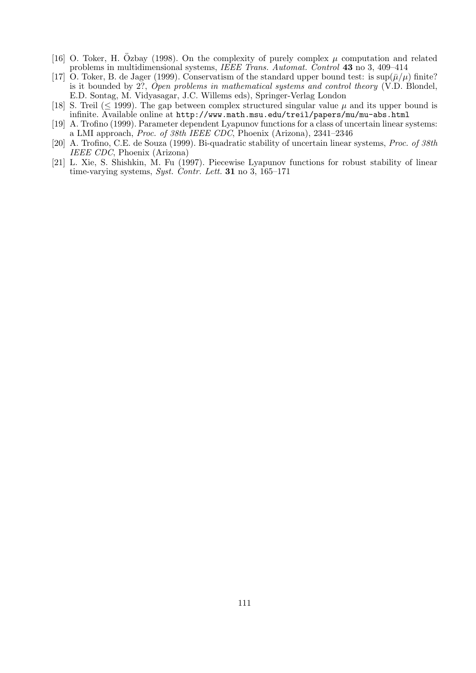- [16] O. Toker, H. Özbay (1998). On the complexity of purely complex  $\mu$  computation and related problems in multidimensional systems, IEEE Trans. Automat. Control 43 no 3, 409–414
- [17] O. Toker, B. de Jager (1999). Conservatism of the standard upper bound test: is  $\sup(\bar{\mu}/\mu)$  finite? is it bounded by 2?, Open problems in mathematical systems and control theory (V.D. Blondel, E.D. Sontag, M. Vidyasagar, J.C. Willems eds), Springer-Verlag London
- [18] S. Treil ( $\leq$  1999). The gap between complex structured singular value  $\mu$  and its upper bound is infinite. Available online at http://www.math.msu.edu/treil/papers/mu/mu-abs.html
- [19] A. Trofino (1999). Parameter dependent Lyapunov functions for a class of uncertain linear systems: a LMI approach, Proc. of 38th IEEE CDC, Phoenix (Arizona), 2341–2346
- [20] A. Trofino, C.E. de Souza (1999). Bi-quadratic stability of uncertain linear systems, Proc. of 38th IEEE CDC, Phoenix (Arizona)
- [21] L. Xie, S. Shishkin, M. Fu (1997). Piecewise Lyapunov functions for robust stability of linear time-varying systems, Syst. Contr. Lett. 31 no 3,  $165-171$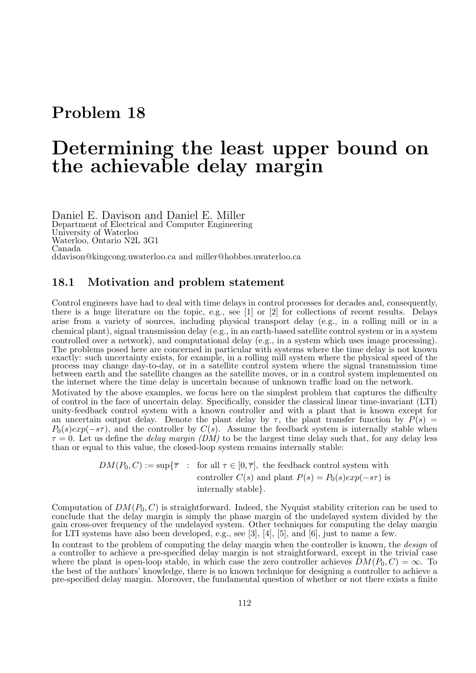# Determining the least upper bound on the achievable delay margin

Daniel E. Davison and Daniel E. Miller Department of Electrical and Computer Engineering University of Waterloo Waterloo, Ontario N2L 3G1 Canada ddavison@kingcong.uwaterloo.ca and miller@hobbes.uwaterloo.ca

### 18.1 Motivation and problem statement

Control engineers have had to deal with time delays in control processes for decades and, consequently, there is a huge literature on the topic, e.g., see [1] or [2] for collections of recent results. Delays arise from a variety of sources, including physical transport delay (e.g., in a rolling mill or in a chemical plant), signal transmission delay (e.g., in an earth-based satellite control system or in a system controlled over a network), and computational delay (e.g., in a system which uses image processing). The problems posed here are concerned in particular with systems where the time delay is not known exactly: such uncertainty exists, for example, in a rolling mill system where the physical speed of the process may change day-to-day, or in a satellite control system where the signal transmission time between earth and the satellite changes as the satellite moves, or in a control system implemented on the internet where the time delay is uncertain because of unknown traffic load on the network.

Motivated by the above examples, we focus here on the simplest problem that captures the difficulty of control in the face of uncertain delay. Specifically, consider the classical linear time-invariant (LTI) unity-feedback control system with a known controller and with a plant that is known except for an uncertain output delay. Denote the plant delay by  $\tau$ , the plant transfer function by  $P(s)$  =  $P_0(s)exp(-s\tau)$ , and the controller by  $C(s)$ . Assume the feedback system is internally stable when  $\tau = 0$ . Let us define the *delay margin (DM)* to be the largest time delay such that, for any delay less than or equal to this value, the closed-loop system remains internally stable:

> $DM(P_0, C) := \sup \{ \overline{\tau} : \text{ for all } \tau \in [0, \overline{\tau}], \text{ the feedback control system with }$ controller  $C(s)$  and plant  $P(s) = P_0(s) exp(-s\tau)$  is internally stable}.

Computation of  $DM(P_0, C)$  is straightforward. Indeed, the Nyquist stability criterion can be used to conclude that the delay margin is simply the phase margin of the undelayed system divided by the gain cross-over frequency of the undelayed system. Other techniques for computing the delay margin for LTI systems have also been developed, e.g., see [3], [4], [5], and [6], just to name a few.

In contrast to the problem of computing the delay margin when the controller is known, the *design* of a controller to achieve a pre-specified delay margin is not straightforward, except in the trivial case where the plant is open-loop stable, in which case the zero controller achieves  $DM(P_0, C) = \infty$ . To the best of the authors' knowledge, there is no known technique for designing a controller to achieve a pre-specified delay margin. Moreover, the fundamental question of whether or not there exists a finite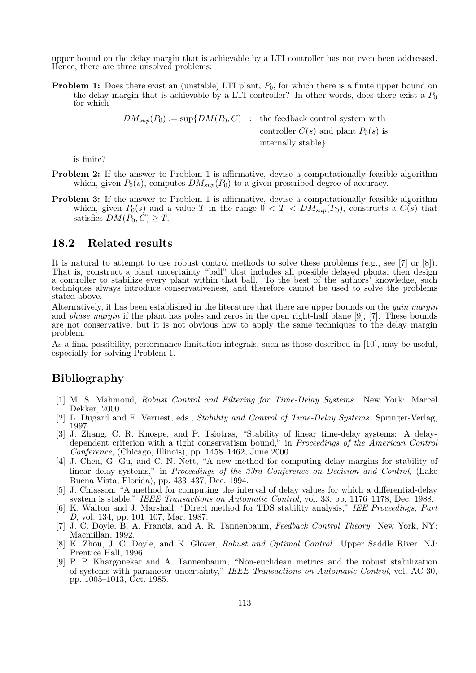upper bound on the delay margin that is achievable by a LTI controller has not even been addressed. Hence, there are three unsolved problems:

**Problem 1:** Does there exist an (unstable) LTI plant,  $P_0$ , for which there is a finite upper bound on the delay margin that is achievable by a LTI controller? In other words, does there exist a  $P_0$ for which

> $DM_{sup}(P_0) := \sup \{DM(P_0, C)$  : the feedback control system with controller  $C(s)$  and plant  $P_0(s)$  is internally stable}

is finite?

- **Problem 2:** If the answer to Problem 1 is affirmative, devise a computationally feasible algorithm which, given  $P_0(s)$ , computes  $DM_{sup}(P_0)$  to a given prescribed degree of accuracy.
- Problem 3: If the answer to Problem 1 is affirmative, devise a computationally feasible algorithm which, given  $P_0(s)$  and a value T in the range  $0 < T < DM_{sun}(P_0)$ , constructs a  $C(s)$  that satisfies  $DM(P_0, C) \geq T$ .

#### 18.2 Related results

It is natural to attempt to use robust control methods to solve these problems (e.g., see [7] or [8]). That is, construct a plant uncertainty "ball" that includes all possible delayed plants, then design a controller to stabilize every plant within that ball. To the best of the authors' knowledge, such techniques always introduce conservativeness, and therefore cannot be used to solve the problems stated above.

Alternatively, it has been established in the literature that there are upper bounds on the *gain margin* and *phase margin* if the plant has poles and zeros in the open right-half plane [9], [7]. These bounds are not conservative, but it is not obvious how to apply the same techniques to the delay margin problem.

As a final possibility, performance limitation integrals, such as those described in [10], may be useful, especially for solving Problem 1.

- [1] M. S. Mahmoud, Robust Control and Filtering for Time-Delay Systems. New York: Marcel Dekker, 2000.
- [2] L. Dugard and E. Verriest, eds., Stability and Control of Time-Delay Systems. Springer-Verlag, 1997.
- [3] J. Zhang, C. R. Knospe, and P. Tsiotras, "Stability of linear time-delay systems: A delaydependent criterion with a tight conservatism bound," in *Proceedings of the American Control* Conference, (Chicago, Illinois), pp. 1458–1462, June 2000.
- [4] J. Chen, G. Gu, and C. N. Nett, "A new method for computing delay margins for stability of linear delay systems," in Proceedings of the 33rd Conference on Decision and Control, (Lake Buena Vista, Florida), pp. 433–437, Dec. 1994.
- [5] J. Chiasson, "A method for computing the interval of delay values for which a differential-delay system is stable," IEEE Transactions on Automatic Control, vol. 33, pp. 1176–1178, Dec. 1988.
- [6] K. Walton and J. Marshall, "Direct method for TDS stability analysis," IEE Proceedings, Part D, vol. 134, pp. 101–107, Mar. 1987.
- [7] J. C. Doyle, B. A. Francis, and A. R. Tannenbaum, Feedback Control Theory. New York, NY: Macmillan, 1992.
- [8] K. Zhou, J. C. Doyle, and K. Glover, Robust and Optimal Control. Upper Saddle River, NJ: Prentice Hall, 1996.
- [9] P. P. Khargonekar and A. Tannenbaum, "Non-euclidean metrics and the robust stabilization of systems with parameter uncertainty," IEEE Transactions on Automatic Control, vol. AC-30, pp. 1005–1013, Oct. 1985.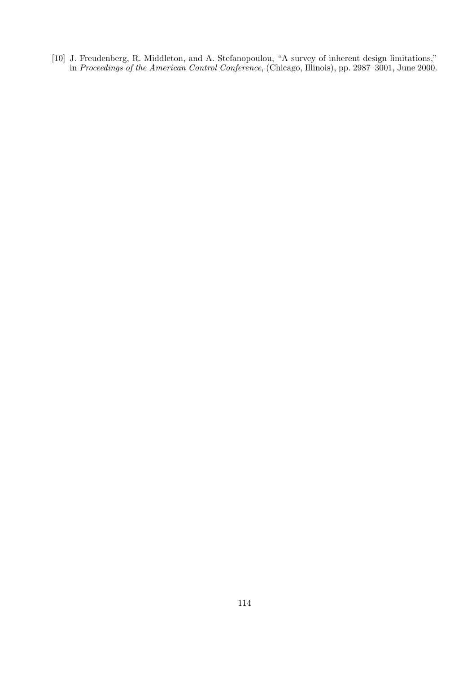[10] J. Freudenberg, R. Middleton, and A. Stefanopoulou, "A survey of inherent design limitations," in Proceedings of the American Control Conference, (Chicago, Illinois), pp. 2987–3001, June 2000.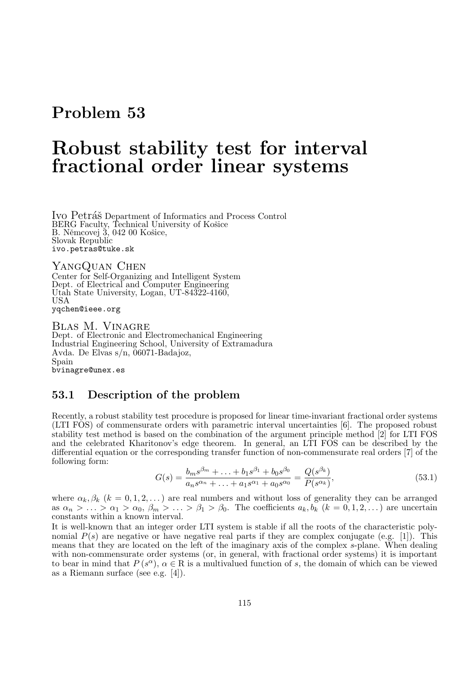# Robust stability test for interval fractional order linear systems

Ivo Petráš Department of Informatics and Process Control BERG Faculty, Technical University of Košice B. Němcovej 3, 042 00 Košice, Slovak Republic ivo.petras@tuke.sk

YANGQUAN CHEN Center for Self-Organizing and Intelligent System Dept. of Electrical and Computer Engineering Utah State University, Logan, UT-84322-4160, USA yqchen@ieee.org

Blas M. Vinagre Dept. of Electronic and Electromechanical Engineering Industrial Engineering School, University of Extramadura Avda. De Elvas s/n, 06071-Badajoz, Spain bvinagre@unex.es

### 53.1 Description of the problem

Recently, a robust stability test procedure is proposed for linear time-invariant fractional order systems (LTI FOS) of commensurate orders with parametric interval uncertainties [6]. The proposed robust stability test method is based on the combination of the argument principle method [2] for LTI FOS and the celebrated Kharitonov's edge theorem. In general, an LTI FOS can be described by the differential equation or the corresponding transfer function of non-commensurate real orders [7] of the following form:

$$
G(s) = \frac{b_m s^{\beta_m} + \ldots + b_1 s^{\beta_1} + b_0 s^{\beta_0}}{a_n s^{\alpha_n} + \ldots + a_1 s^{\alpha_1} + a_0 s^{\alpha_0}} = \frac{Q(s^{\beta_k})}{P(s^{\alpha_k})},
$$
\n(53.1)

where  $\alpha_k, \beta_k$  ( $k = 0, 1, 2, \ldots$ ) are real numbers and without loss of generality they can be arranged as  $\alpha_n > \ldots > \alpha_1 > \alpha_0$ ,  $\beta_m > \ldots > \beta_1 > \beta_0$ . The coefficients  $a_k, b_k$   $(k = 0, 1, 2, \ldots)$  are uncertain constants within a known interval.

It is well-known that an integer order LTI system is stable if all the roots of the characteristic polynomial  $P(s)$  are negative or have negative real parts if they are complex conjugate (e.g. [1]). This means that they are located on the left of the imaginary axis of the complex s-plane. When dealing with non-commensurate order systems (or, in general, with fractional order systems) it is important to bear in mind that  $P(s^{\alpha}), \alpha \in \mathbb{R}$  is a multivalued function of s, the domain of which can be viewed as a Riemann surface (see e.g. [4]).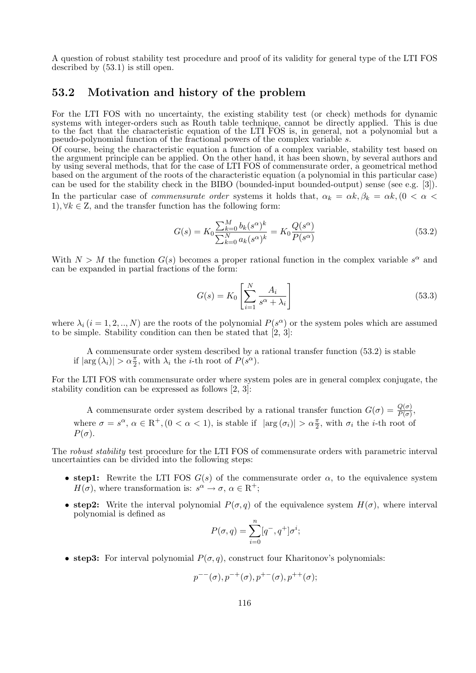A question of robust stability test procedure and proof of its validity for general type of the LTI FOS described by (53.1) is still open.

#### 53.2 Motivation and history of the problem

For the LTI FOS with no uncertainty, the existing stability test (or check) methods for dynamic systems with integer-orders such as Routh table technique, cannot be directly applied. This is due to the fact that the characteristic equation of the LTI FOS is, in general, not a polynomial but a pseudo-polynomial function of the fractional powers of the complex variable s.

Of course, being the characteristic equation a function of a complex variable, stability test based on the argument principle can be applied. On the other hand, it has been shown, by several authors and by using several methods, that for the case of LTI FOS of commensurate order, a geometrical method based on the argument of the roots of the characteristic equation (a polynomial in this particular case) can be used for the stability check in the BIBO (bounded-input bounded-output) sense (see e.g. [3]). In the particular case of *commensurate order* systems it holds that,  $\alpha_k = \alpha k, \beta_k = \alpha k, (0 \le \alpha \le k)$ 1),  $\forall k \in \mathbb{Z}$ , and the transfer function has the following form:

$$
G(s) = K_0 \frac{\sum_{k=0}^{M} b_k (s^{\alpha})^k}{\sum_{k=0}^{N} a_k (s^{\alpha})^k} = K_0 \frac{Q(s^{\alpha})}{P(s^{\alpha})}
$$
(53.2)

With  $N > M$  the function  $G(s)$  becomes a proper rational function in the complex variable  $s^{\alpha}$  and can be expanded in partial fractions of the form:

$$
G(s) = K_0 \left[ \sum_{i=1}^{N} \frac{A_i}{s^{\alpha} + \lambda_i} \right]
$$
\n(53.3)

where  $\lambda_i$  (i = 1, 2, .., N) are the roots of the polynomial  $P(s^{\alpha})$  or the system poles which are assumed to be simple. Stability condition can then be stated that [2, 3]:

A commensurate order system described by a rational transfer function (53.2) is stable if  $|\arg(\lambda_i)| > \alpha \frac{\pi}{2}$ , with  $\lambda_i$  the *i*-th root of  $P(s^{\alpha})$ .

For the LTI FOS with commensurate order where system poles are in general complex conjugate, the stability condition can be expressed as follows [2, 3]:

A commensurate order system described by a rational transfer function  $G(\sigma) = \frac{Q(\sigma)}{P(\sigma)}$ , where  $\sigma = s^{\alpha}, \, \alpha \in \mathbb{R}^+, \, (0 < \alpha < 1)$ , is stable if  $|\arg(\sigma_i)| > \alpha \frac{\pi}{2}$ , with  $\sigma_i$  the *i*-th root of  $P(\sigma)$ .

The robust stability test procedure for the LTI FOS of commensurate orders with parametric interval uncertainties can be divided into the following steps:

- step1: Rewrite the LTI FOS  $G(s)$  of the commensurate order  $\alpha$ , to the equivalence system  $H(\sigma)$ , where transformation is:  $s^{\alpha} \to \sigma$ ,  $\alpha \in \mathbb{R}^+$ ;
- step2: Write the interval polynomial  $P(\sigma, q)$  of the equivalence system  $H(\sigma)$ , where interval polynomial is defined as

$$
P(\sigma, q) = \sum_{i=0}^{n} [q^-, q^+] \sigma^i;
$$

• step3: For interval polynomial  $P(\sigma, q)$ , construct four Kharitonov's polynomials:

$$
p^{--}(\sigma), p^{-+}(\sigma), p^{+-}(\sigma), p^{++}(\sigma);
$$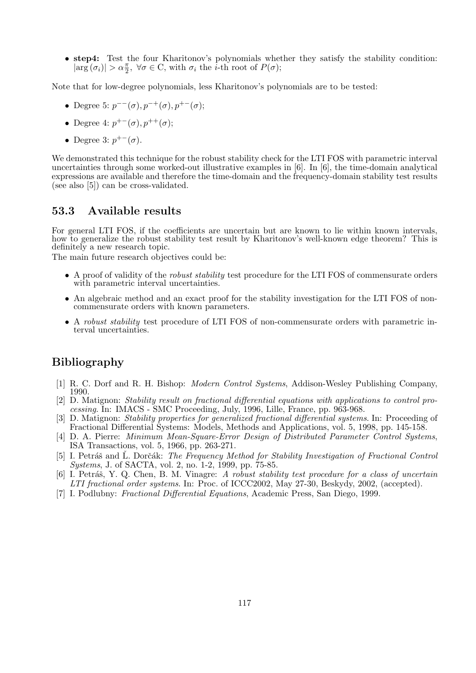• step4: Test the four Kharitonov's polynomials whether they satisfy the stability condition:  $|\arg(\sigma_i)| > \alpha \frac{\pi}{2}, \ \forall \sigma \in \mathcal{C}, \text{ with } \sigma_i \text{ the } i\text{-th root of } P(\sigma);$ 

Note that for low-degree polynomials, less Kharitonov's polynomials are to be tested:

- Degree 5:  $p^{--}(\sigma)$ ,  $p^{-+}(\sigma)$ ,  $p^{+-}(\sigma)$ ;
- Degree 4:  $p^{+-}(\sigma), p^{++}(\sigma);$
- Degree 3:  $p^{+-}(\sigma)$ .

We demonstrated this technique for the robust stability check for the LTI FOS with parametric interval uncertainties through some worked-out illustrative examples in [6]. In [6], the time-domain analytical expressions are available and therefore the time-domain and the frequency-domain stability test results (see also [5]) can be cross-validated.

#### 53.3 Available results

For general LTI FOS, if the coefficients are uncertain but are known to lie within known intervals, how to generalize the robust stability test result by Kharitonov's well-known edge theorem? This is definitely a new research topic.

The main future research objectives could be:

- A proof of validity of the *robust stability* test procedure for the LTI FOS of commensurate orders with parametric interval uncertainties.
- An algebraic method and an exact proof for the stability investigation for the LTI FOS of noncommensurate orders with known parameters.
- A robust stability test procedure of LTI FOS of non-commensurate orders with parametric interval uncertainties.

- [1] R. C. Dorf and R. H. Bishop: Modern Control Systems, Addison-Wesley Publishing Company, 1990.
- [2] D. Matignon: Stability result on fractional differential equations with applications to control processing. In: IMACS - SMC Proceeding, July, 1996, Lille, France, pp. 963-968.
- [3] D. Matignon: Stability properties for generalized fractional differential systems. In: Proceeding of Fractional Differential Systems: Models, Methods and Applications, vol. 5, 1998, pp. 145-158.
- [4] D. A. Pierre: Minimum Mean-Square-Error Design of Distributed Parameter Control Systems, ISA Transactions, vol. 5, 1966, pp. 263-271.
- [5] I. Petráš and Ľ. Dorčák: The Frequency Method for Stability Investigation of Fractional Control Systems, J. of SACTA, vol. 2, no. 1-2, 1999, pp. 75-85.
- [6] I. Petráš, Y. Q. Chen, B. M. Vinagre: A robust stability test procedure for a class of uncertain LTI fractional order systems. In: Proc. of ICCC2002, May 27-30, Beskydy, 2002, (accepted).
- [7] I. Podlubny: Fractional Differential Equations, Academic Press, San Diego, 1999.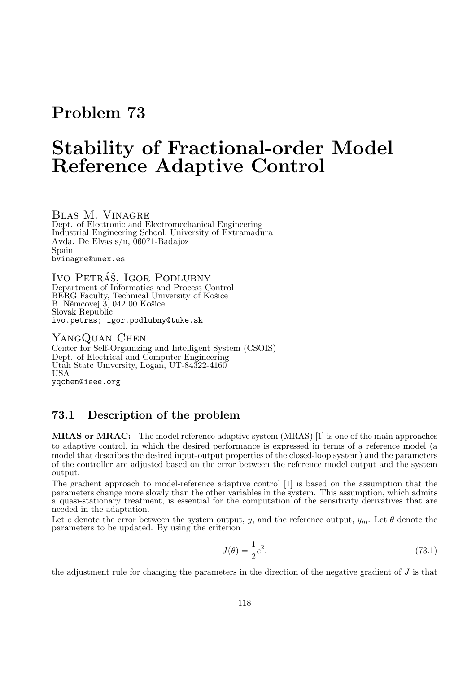# Stability of Fractional-order Model Reference Adaptive Control

Blas M. Vinagre Dept. of Electronic and Electromechanical Engineering Industrial Engineering School, University of Extramadura Avda. De Elvas s/n, 06071-Badajoz Spain bvinagre@unex.es

IVO PETRÁŠ, IGOR PODLUBNY

Department of Informatics and Process Control BERG Faculty, Technical University of Košice B. Němcovej 3, 042 00 Košice Slovak Republic ivo.petras; igor.podlubny@tuke.sk

YANGQUAN CHEN Center for Self-Organizing and Intelligent System (CSOIS) Dept. of Electrical and Computer Engineering Utah State University, Logan, UT-84322-4160 USA yqchen@ieee.org

### 73.1 Description of the problem

MRAS or MRAC: The model reference adaptive system (MRAS) [1] is one of the main approaches to adaptive control, in which the desired performance is expressed in terms of a reference model (a model that describes the desired input-output properties of the closed-loop system) and the parameters of the controller are adjusted based on the error between the reference model output and the system output.

The gradient approach to model-reference adaptive control [1] is based on the assumption that the parameters change more slowly than the other variables in the system. This assumption, which admits a quasi-stationary treatment, is essential for the computation of the sensitivity derivatives that are needed in the adaptation.

Let e denote the error between the system output, y, and the reference output,  $y_m$ . Let  $\theta$  denote the parameters to be updated. By using the criterion

$$
J(\theta) = \frac{1}{2}e^2,
$$
\n(73.1)

the adjustment rule for changing the parameters in the direction of the negative gradient of  $J$  is that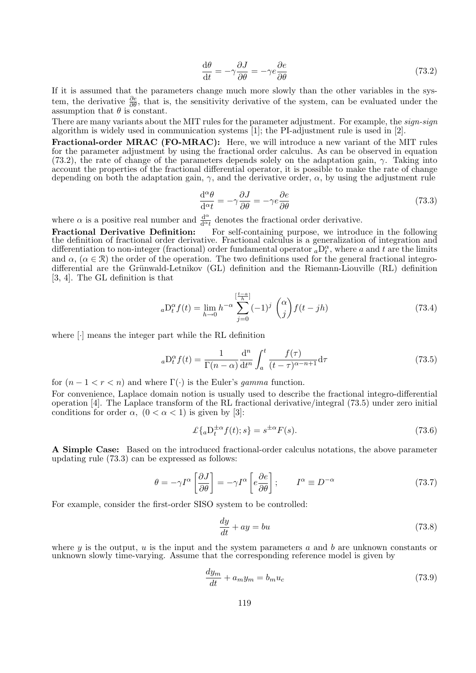$$
\frac{\mathrm{d}\theta}{\mathrm{d}t} = -\gamma \frac{\partial J}{\partial \theta} = -\gamma e \frac{\partial e}{\partial \theta} \tag{73.2}
$$

If it is assumed that the parameters change much more slowly than the other variables in the system, the derivative  $\frac{\partial e}{\partial \theta}$ , that is, the sensitivity derivative of the system, can be evaluated under the assumption that  $\theta$  is constant.

There are many variants about the MIT rules for the parameter adjustment. For example, the *sign-sign* algorithm is widely used in communication systems [1]; the PI-adjustment rule is used in [2].

Fractional-order MRAC (FO-MRAC): Here, we will introduce a new variant of the MIT rules for the parameter adjustment by using the fractional order calculus. As can be observed in equation (73.2), the rate of change of the parameters depends solely on the adaptation gain,  $\gamma$ . Taking into account the properties of the fractional differential operator, it is possible to make the rate of change depending on both the adaptation gain,  $\gamma$ , and the derivative order,  $\alpha$ , by using the adjustment rule

$$
\frac{\mathrm{d}^{\alpha}\theta}{\mathrm{d}^{\alpha}t} = -\gamma \frac{\partial J}{\partial \theta} = -\gamma e \frac{\partial e}{\partial \theta}
$$
\n(73.3)

where  $\alpha$  is a positive real number and  $\frac{d^{\alpha}}{d^{\alpha}}$  $rac{d^{a}}{d^{\alpha}t}$  denotes the fractional order derivative.

Fractional Derivative Definition: For self-containing purpose, we introduce in the following the definition of fractional order derivative. Fractional calculus is a generalization of integration and differentiation to non-integer (fractional) order fundamental operator  $_a^D D_t^{\alpha}$ , where a and t are the limits and  $\alpha$ ,  $(\alpha \in \mathcal{R})$  the order of the operation. The two definitions used for the general fractional integrodifferential are the Grünwald-Letnikov (GL) definition and the Riemann-Liouville (RL) definition [3, 4]. The GL definition is that

$$
{}_{a}D_{t}^{\alpha}f(t) = \lim_{h \to 0} h^{-\alpha} \sum_{j=0}^{\left[\frac{t-a}{h}\right]} (-1)^{j} \binom{\alpha}{j} f(t-jh)
$$
 (73.4)

where [·] means the integer part while the RL definition

$$
{}_{a}\mathcal{D}_{t}^{\alpha}f(t) = \frac{1}{\Gamma(n-\alpha)}\frac{\mathrm{d}^{n}}{\mathrm{d}t^{n}}\int_{a}^{t}\frac{f(\tau)}{(t-\tau)^{\alpha-n+1}}\mathrm{d}\tau\tag{73.5}
$$

for  $(n - 1 < r < n)$  and where  $\Gamma(\cdot)$  is the Euler's gamma function.

For convenience, Laplace domain notion is usually used to describe the fractional integro-differential operation [4]. The Laplace transform of the RL fractional derivative/integral (73.5) under zero initial conditions for order  $\alpha$ ,  $(0 < \alpha < 1)$  is given by [3]:

$$
\mathcal{L}\left\{ _{a}\mathcal{D}_{t}^{\pm\alpha}f(t);s\right\} =s^{\pm\alpha}F(s). \tag{73.6}
$$

A Simple Case: Based on the introduced fractional-order calculus notations, the above parameter updating rule (73.3) can be expressed as follows:

$$
\theta = -\gamma I^{\alpha} \left[ \frac{\partial J}{\partial \theta} \right] = -\gamma I^{\alpha} \left[ e \frac{\partial e}{\partial \theta} \right]; \qquad I^{\alpha} \equiv D^{-\alpha} \tag{73.7}
$$

For example, consider the first-order SISO system to be controlled:

$$
\frac{dy}{dt} + ay = bu \tag{73.8}
$$

where y is the output, u is the input and the system parameters a and b are unknown constants or unknown slowly time-varying. Assume that the corresponding reference model is given by

$$
\frac{dy_m}{dt} + a_m y_m = b_m u_c \tag{73.9}
$$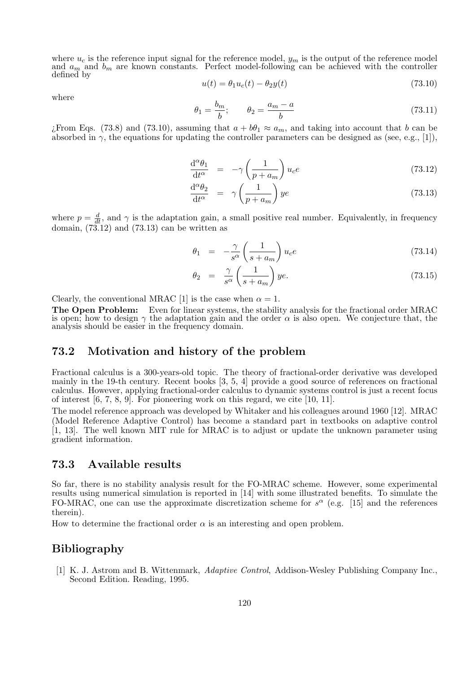where  $u_c$  is the reference input signal for the reference model,  $y_m$  is the output of the reference model and  $a_m$  and  $b_m$  are known constants. Perfect model-following can be achieved with the controller defined by

$$
u(t) = \theta_1 u_c(t) - \theta_2 y(t)
$$
\n(73.10)

where

$$
\theta_1 = \frac{b_m}{b}; \qquad \theta_2 = \frac{a_m - a}{b} \tag{73.11}
$$

¿From Eqs. (73.8) and (73.10), assuming that  $a + b\theta_1 \approx a_m$ , and taking into account that b can be absorbed in  $\gamma$ , the equations for updating the controller parameters can be designed as (see, e.g., [1]),

$$
\frac{\mathrm{d}^{\alpha}\theta_1}{\mathrm{d}t^{\alpha}} = -\gamma \left(\frac{1}{p+a_m}\right) u_c e \tag{73.12}
$$

$$
\frac{\mathrm{d}^{\alpha}\theta_2}{\mathrm{d}t^{\alpha}} = \gamma \left(\frac{1}{p + a_m}\right) y_e \tag{73.13}
$$

where  $p = \frac{d}{dt}$ , and  $\gamma$  is the adaptation gain, a small positive real number. Equivalently, in frequency domain,  $(73.12)$  and  $(73.13)$  can be written as

$$
\theta_1 = -\frac{\gamma}{s^{\alpha}} \left( \frac{1}{s + a_m} \right) u_c e \tag{73.14}
$$

$$
\theta_2 = \frac{\gamma}{s^{\alpha}} \left( \frac{1}{s + a_m} \right) ye. \tag{73.15}
$$

Clearly, the conventional MRAC [1] is the case when  $\alpha = 1$ .

The Open Problem: Even for linear systems, the stability analysis for the fractional order MRAC is open; how to design  $\gamma$  the adaptation gain and the order  $\alpha$  is also open. We conjecture that, the analysis should be easier in the frequency domain.

#### 73.2 Motivation and history of the problem

Fractional calculus is a 300-years-old topic. The theory of fractional-order derivative was developed mainly in the 19-th century. Recent books [3, 5, 4] provide a good source of references on fractional calculus. However, applying fractional-order calculus to dynamic systems control is just a recent focus of interest [6, 7, 8, 9]. For pioneering work on this regard, we cite [10, 11].

The model reference approach was developed by Whitaker and his colleagues around 1960 [12]. MRAC (Model Reference Adaptive Control) has become a standard part in textbooks on adaptive control [1, 13]. The well known MIT rule for MRAC is to adjust or update the unknown parameter using gradient information.

#### 73.3 Available results

So far, there is no stability analysis result for the FO-MRAC scheme. However, some experimental results using numerical simulation is reported in [14] with some illustrated benefits. To simulate the FO-MRAC, one can use the approximate discretization scheme for  $s^{\alpha}$  (e.g. [15] and the references therein).

How to determine the fractional order  $\alpha$  is an interesting and open problem.

### Bibliography

[1] K. J. Astrom and B. Wittenmark, Adaptive Control, Addison-Wesley Publishing Company Inc., Second Edition. Reading, 1995.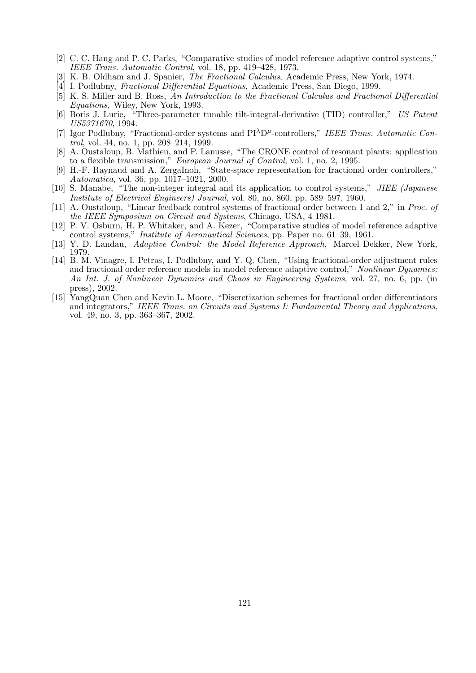- [2] C. C. Hang and P. C. Parks, "Comparative studies of model reference adaptive control systems," IEEE Trans. Automatic Control, vol. 18, pp. 419–428, 1973.
- [3] K. B. Oldham and J. Spanier, *The Fractional Calculus*, Academic Press, New York, 1974.
- [4] I. Podlubny, Fractional Differential Equations, Academic Press, San Diego, 1999.
- [5] K. S. Miller and B. Ross, An Introduction to the Fractional Calculus and Fractional Differential Equations, Wiley, New York, 1993.
- [6] Boris J. Lurie, "Three-parameter tunable tilt-integral-derivative (TID) controller," US Patent US5371670, 1994.
- [7] Igor Podlubny, "Fractional-order systems and  $PI^{\lambda}D^{\mu}$ -controllers," IEEE Trans. Automatic Control, vol. 44, no. 1, pp. 208–214, 1999.
- [8] A. Oustaloup, B. Mathieu, and P. Lanusse, "The CRONE control of resonant plants: application to a flexible transmission," *European Journal of Control*, vol. 1, no. 2, 1995.
- [9] H.-F. Raynaud and A. ZergaInoh, "State-space representation for fractional order controllers," Automatica, vol. 36, pp. 1017–1021, 2000.
- [10] S. Manabe, "The non-integer integral and its application to control systems," JIEE (Japanese Institute of Electrical Engineers) Journal, vol. 80, no. 860, pp. 589–597, 1960.
- [11] A. Oustaloup, "Linear feedback control systems of fractional order between 1 and 2," in Proc. of the IEEE Symposium on Circuit and Systems, Chicago, USA, 4 1981.
- [12] P. V. Osburn, H. P. Whitaker, and A. Kezer, "Comparative studies of model reference adaptive control systems," Institute of Aeronautical Sciences, pp. Paper no. 61–39, 1961.
- [13] Y. D. Landau, Adaptive Control: the Model Reference Approach, Marcel Dekker, New York, 1979.
- [14] B. M. Vinagre, I. Petras, I. Podlubny, and Y. Q. Chen, "Using fractional-order adjustment rules and fractional order reference models in model reference adaptive control," Nonlinear Dynamics: An Int. J. of Nonlinear Dynamics and Chaos in Engineering Systems, vol. 27, no. 6, pp. (in press), 2002.
- [15] YangQuan Chen and Kevin L. Moore, "Discretization schemes for fractional order differentiators and integrators," IEEE Trans. on Circuits and Systems I: Fundamental Theory and Applications, vol. 49, no. 3, pp. 363–367, 2002.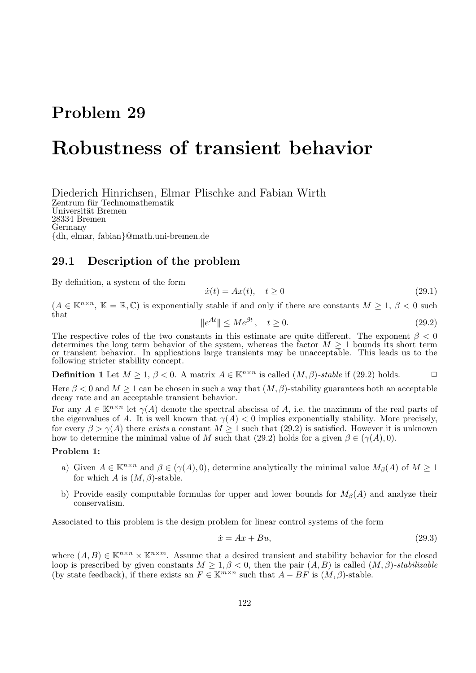# Robustness of transient behavior

Diederich Hinrichsen, Elmar Plischke and Fabian Wirth Zentrum für Technomathematik Universität Bremen 28334 Bremen Germany {dh, elmar, fabian}@math.uni-bremen.de

#### 29.1 Description of the problem

By definition, a system of the form

$$
\dot{x}(t) = Ax(t), \quad t \ge 0 \tag{29.1}
$$

 $(A \in \mathbb{K}^{n \times n}, \mathbb{K} = \mathbb{R}, \mathbb{C})$  is exponentially stable if and only if there are constants  $M \geq 1, \beta < 0$  such that

$$
||e^{At}|| \le Me^{\beta t}, \quad t \ge 0. \tag{29.2}
$$

The respective roles of the two constants in this estimate are quite different. The exponent  $\beta < 0$  determines the long term behavior of the system, whereas the factor  $M \ge 1$  bounds its short term or transient behavior. In applications large transients may be unacceptable. This leads us to the following stricter stability concept.

**Definition 1** Let  $M \geq 1, \beta < 0$ . A matrix  $A \in \mathbb{K}^{n \times n}$  is called  $(M, \beta)$ -stable if (29.2) holds.

Here  $\beta$  < 0 and  $M \ge 1$  can be chosen in such a way that  $(M, \beta)$ -stability guarantees both an acceptable decay rate and an acceptable transient behavior.

For any  $A \in \mathbb{K}^{n \times n}$  let  $\gamma(A)$  denote the spectral abscissa of A, i.e. the maximum of the real parts of the eigenvalues of A. It is well known that  $\gamma(A) < 0$  implies exponentially stability. More precisely, for every  $\beta > \gamma(A)$  there exists a constant  $M \geq 1$  such that (29.2) is satisfied. However it is unknown how to determine the minimal value of M such that (29.2) holds for a given  $\beta \in (\gamma(A), 0)$ .

#### Problem 1:

- a) Given  $A \in \mathbb{K}^{n \times n}$  and  $\beta \in (\gamma(A), 0)$ , determine analytically the minimal value  $M_{\beta}(A)$  of  $M \geq 1$ for which A is  $(M, \beta)$ -stable.
- b) Provide easily computable formulas for upper and lower bounds for  $M_{\beta}(A)$  and analyze their conservatism.

Associated to this problem is the design problem for linear control systems of the form

$$
\dot{x} = Ax + Bu,\tag{29.3}
$$

where  $(A, B) \in \mathbb{K}^{n \times n} \times \mathbb{K}^{n \times m}$ . Assume that a desired transient and stability behavior for the closed loop is prescribed by given constants  $M \geq 1, \beta < 0$ , then the pair  $(A, B)$  is called  $(M, \beta)$ -stabilizable (by state feedback), if there exists an  $F \in \mathbb{K}^{m \times n}$  such that  $A - BF$  is  $(M, \beta)$ -stable.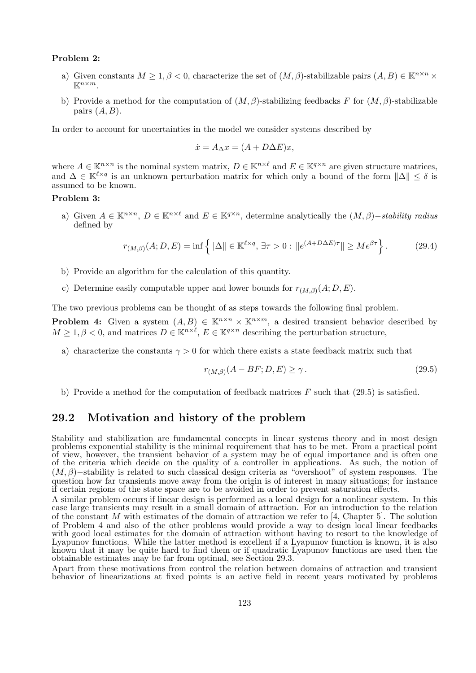#### Problem 2:

- a) Given constants  $M \geq 1, \beta < 0$ , characterize the set of  $(M, \beta)$ -stabilizable pairs  $(A, B) \in \mathbb{K}^{n \times n} \times$  $K^{n \times m}$
- b) Provide a method for the computation of  $(M, \beta)$ -stabilizing feedbacks F for  $(M, \beta)$ -stabilizable pairs  $(A, B)$ .

In order to account for uncertainties in the model we consider systems described by

$$
\dot{x} = A_{\Delta} x = (A + D\Delta E)x,
$$

where  $A \in \mathbb{K}^{n \times n}$  is the nominal system matrix,  $D \in \mathbb{K}^{n \times \ell}$  and  $E \in \mathbb{K}^{q \times n}$  are given structure matrices, and  $\Delta \in \mathbb{K}^{\ell \times q}$  is an unknown perturbation matrix for which only a bound of the form  $\|\Delta\| \leq \delta$  is assumed to be known.

#### Problem 3:

a) Given  $A \in \mathbb{K}^{n \times n}$ ,  $D \in \mathbb{K}^{n \times \ell}$  and  $E \in \mathbb{K}^{q \times n}$ , determine analytically the  $(M, \beta)$ -stability radius defined by

$$
r_{(M,\beta)}(A;D,E) = \inf \left\{ \|\Delta\| \in \mathbb{K}^{\ell \times q}, \exists \tau > 0 : \|e^{(A+D\Delta E)\tau}\| \ge Me^{\beta \tau} \right\}.
$$
 (29.4)

- b) Provide an algorithm for the calculation of this quantity.
- c) Determine easily computable upper and lower bounds for  $r_{(M,\beta)}(A;D,E)$ .

The two previous problems can be thought of as steps towards the following final problem.

**Problem 4:** Given a system  $(A, B) \in \mathbb{K}^{n \times n} \times \mathbb{K}^{n \times m}$ , a desired transient behavior described by  $M \geq 1, \beta < 0$ , and matrices  $D \in \mathbb{K}^{n \times \ell}$ ,  $E \in \mathbb{K}^{q \times n}$  describing the perturbation structure,

a) characterize the constants  $\gamma > 0$  for which there exists a state feedback matrix such that

$$
r_{(M,\beta)}(A - BF; D, E) \ge \gamma.
$$
\n(29.5)

b) Provide a method for the computation of feedback matrices  $F$  such that (29.5) is satisfied.

### 29.2 Motivation and history of the problem

Stability and stabilization are fundamental concepts in linear systems theory and in most design problems exponential stability is the minimal requirement that has to be met. From a practical point of view, however, the transient behavior of a system may be of equal importance and is often one of the criteria which decide on the quality of a controller in applications. As such, the notion of  $(M, \beta)$ −stability is related to such classical design criteria as "overshoot" of system responses. The question how far transients move away from the origin is of interest in many situations; for instance if certain regions of the state space are to be avoided in order to prevent saturation effects.

A similar problem occurs if linear design is performed as a local design for a nonlinear system. In this case large transients may result in a small domain of attraction. For an introduction to the relation of the constant M with estimates of the domain of attraction we refer to  $[4,$  Chapter 5. The solution of Problem 4 and also of the other problems would provide a way to design local linear feedbacks with good local estimates for the domain of attraction without having to resort to the knowledge of Lyapunov functions. While the latter method is excellent if a Lyapunov function is known, it is also known that it may be quite hard to find them or if quadratic Lyapunov functions are used then the obtainable estimates may be far from optimal, see Section 29.3.

Apart from these motivations from control the relation between domains of attraction and transient behavior of linearizations at fixed points is an active field in recent years motivated by problems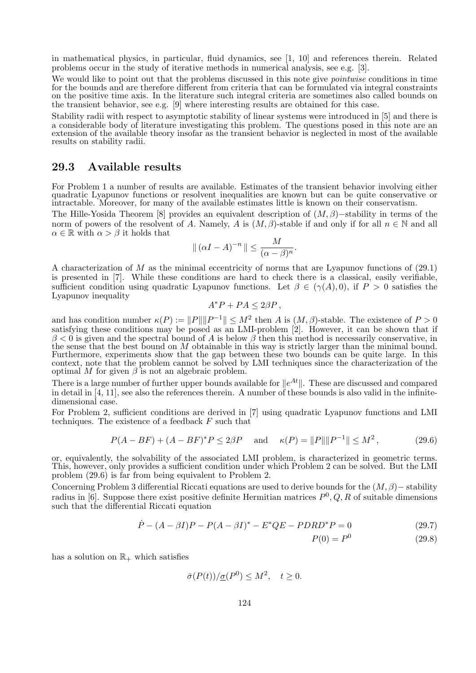in mathematical physics, in particular, fluid dynamics, see [1, 10] and references therein. Related problems occur in the study of iterative methods in numerical analysis, see e.g. [3].

We would like to point out that the problems discussed in this note give *pointwise* conditions in time for the bounds and are therefore different from criteria that can be formulated via integral constraints on the positive time axis. In the literature such integral criteria are sometimes also called bounds on the transient behavior, see e.g. [9] where interesting results are obtained for this case.

Stability radii with respect to asymptotic stability of linear systems were introduced in [5] and there is a considerable body of literature investigating this problem. The questions posed in this note are an extension of the available theory insofar as the transient behavior is neglected in most of the available results on stability radii.

#### 29.3 Available results

For Problem 1 a number of results are available. Estimates of the transient behavior involving either quadratic Lyapunov functions or resolvent inequalities are known but can be quite conservative or intractable. Moreover, for many of the available estimates little is known on their conservatism.

The Hille-Yosida Theorem [8] provides an equivalent description of  $(M, \beta)$ –stability in terms of the norm of powers of the resolvent of A. Namely, A is  $(M, \beta)$ -stable if and only if for all  $n \in \mathbb{N}$  and all  $\alpha \in \mathbb{R}$  with  $\alpha > \beta$  it holds that

$$
\| (\alpha I - A)^{-n} \| \le \frac{M}{(\alpha - \beta)^n}.
$$

A characterization of M as the minimal eccentricity of norms that are Lyapunov functions of (29.1) is presented in [7]. While these conditions are hard to check there is a classical, easily verifiable, sufficient condition using quadratic Lyapunov functions. Let  $\beta \in (\gamma(A), 0)$ , if  $P > 0$  satisfies the Lyapunov inequality

$$
A^*P + PA \leq 2\beta P\,,
$$

and has condition number  $\kappa(P) := ||P|| ||P^{-1}|| \leq M^2$  then A is  $(M, \beta)$ -stable. The existence of  $P > 0$ satisfying these conditions may be posed as an LMI-problem [2]. However, it can be shown that if  $\beta$  < 0 is given and the spectral bound of A is below  $\beta$  then this method is necessarily conservative, in the sense that the best bound on M obtainable in this way is strictly larger than the minimal bound. Furthermore, experiments show that the gap between these two bounds can be quite large. In this context, note that the problem cannot be solved by LMI techniques since the characterization of the optimal M for given  $\beta$  is not an algebraic problem.

There is a large number of further upper bounds available for  $||e^{At}||$ . These are discussed and compared in detail in [4, 11], see also the references therein. A number of these bounds is also valid in the infinitedimensional case.

For Problem 2, sufficient conditions are derived in [7] using quadratic Lyapunov functions and LMI techniques. The existence of a feedback F such that

$$
P(A - BF) + (A - BF)^* P \le 2\beta P
$$
 and  $\kappa(P) = ||P|| ||P^{-1}|| \le M^2$ , (29.6)

or, equivalently, the solvability of the associated LMI problem, is characterized in geometric terms. This, however, only provides a sufficient condition under which Problem 2 can be solved. But the LMI problem (29.6) is far from being equivalent to Problem 2.

Concerning Problem 3 differential Riccati equations are used to derive bounds for the  $(M, \beta)$ − stability radius in [6]. Suppose there exist positive definite Hermitian matrices  $P^0, Q, R$  of suitable dimensions such that the differential Riccati equation

$$
\dot{P} - (A - \beta I)P - P(A - \beta I)^{*} - E^{*}QE - PDRD^{*}P = 0
$$
\n(29.7)

$$
P(0) = P^0 \tag{29.8}
$$

has a solution on  $\mathbb{R}_+$  which satisfies

$$
\bar{\sigma}(P(t))/\underline{\sigma}(P^0) \le M^2, \quad t \ge 0.
$$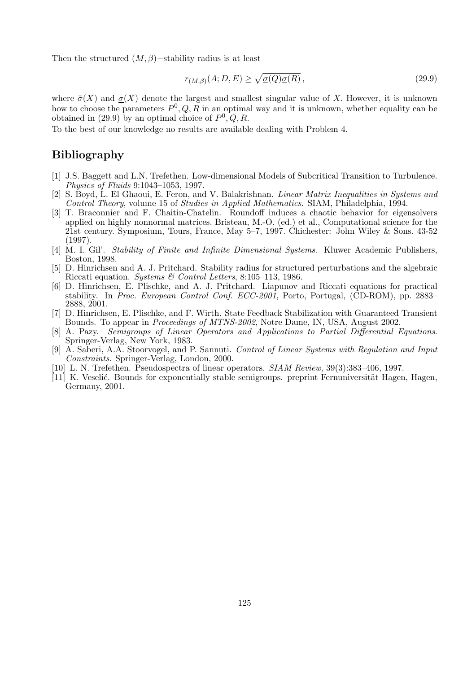Then the structured  $(M, \beta)$ −stability radius is at least

$$
r_{(M,\beta)}(A;D,E) \ge \sqrt{\underline{\sigma}(Q)\underline{\sigma}(R)},\tag{29.9}
$$

where  $\bar{\sigma}(X)$  and  $\underline{\sigma}(X)$  denote the largest and smallest singular value of X. However, it is unknown how to choose the parameters  $P^0$ , Q, R in an optimal way and it is unknown, whether equality can be obtained in (29.9) by an optimal choice of  $P^0, Q, R$ .

To the best of our knowledge no results are available dealing with Problem 4.

- [1] J.S. Baggett and L.N. Trefethen. Low-dimensional Models of Subcritical Transition to Turbulence. Physics of Fluids 9:1043–1053, 1997.
- [2] S. Boyd, L. El Ghaoui, E. Feron, and V. Balakrishnan. Linear Matrix Inequalities in Systems and Control Theory, volume 15 of Studies in Applied Mathematics. SIAM, Philadelphia, 1994.
- [3] T. Braconnier and F. Chaitin-Chatelin. Roundoff induces a chaotic behavior for eigensolvers applied on highly nonnormal matrices. Bristeau, M.-O. (ed.) et al., Computational science for the 21st century. Symposium, Tours, France, May 5–7, 1997. Chichester: John Wiley & Sons. 43-52 (1997).
- [4] M. I. Gil'. Stability of Finite and Infinite Dimensional Systems. Kluwer Academic Publishers, Boston, 1998.
- [5] D. Hinrichsen and A. J. Pritchard. Stability radius for structured perturbations and the algebraic Riccati equation. Systems & Control Letters, 8:105–113, 1986.
- [6] D. Hinrichsen, E. Plischke, and A. J. Pritchard. Liapunov and Riccati equations for practical stability. In Proc. European Control Conf. ECC-2001, Porto, Portugal, (CD-ROM), pp. 2883– 2888, 2001.
- [7] D. Hinrichsen, E. Plischke, and F. Wirth. State Feedback Stabilization with Guaranteed Transient Bounds. To appear in Proceedings of MTNS-2002, Notre Dame, IN, USA, August 2002.
- [8] A. Pazy. Semigroups of Linear Operators and Applications to Partial Differential Equations. Springer-Verlag, New York, 1983.
- [9] A. Saberi, A.A. Stoorvogel, and P. Sannuti. Control of Linear Systems with Regulation and Input Constraints. Springer-Verlag, London, 2000.
- [10] L. N. Trefethen. Pseudospectra of linear operators. SIAM Review, 39(3):383–406, 1997.
- [11] K. Veselić. Bounds for exponentially stable semigroups. preprint Fernuniversität Hagen, Hagen, Germany, 2001.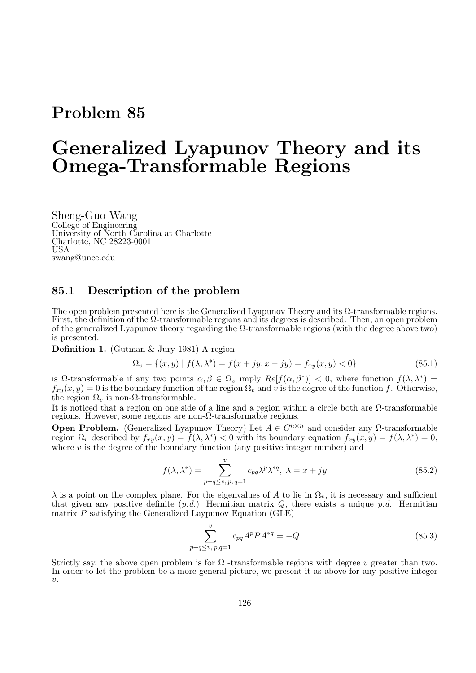# Generalized Lyapunov Theory and its Omega-Transformable Regions

Sheng-Guo Wang College of Engineering University of North Carolina at Charlotte Charlotte, NC 28223-0001 USA swang@uncc.edu

#### 85.1 Description of the problem

The open problem presented here is the Generalized Lyapunov Theory and its Ω-transformable regions. First, the definition of the Ω-transformable regions and its degrees is described. Then, an open problem of the generalized Lyapunov theory regarding the  $\Omega$ -transformable regions (with the degree above two) is presented.

Definition 1. (Gutman & Jury 1981) A region

$$
\Omega_v = \{(x, y) \mid f(\lambda, \lambda^*) = f(x + jy, x - jy) = f_{xy}(x, y) < 0\} \tag{85.1}
$$

is  $\Omega$ -transformable if any two points  $\alpha, \beta \in \Omega_v$  imply  $Re[f(\alpha, \beta^*)] < 0$ , where function  $f(\lambda, \lambda^*)$  $f_{xy}(x, y) = 0$  is the boundary function of the region  $\Omega_v$  and v is the degree of the function f. Otherwise, the region  $\Omega_v$  is non- $\Omega$ -transformable.

It is noticed that a region on one side of a line and a region within a circle both are  $\Omega$ -transformable regions. However, some regions are non-Ω-transformable regions.

**Open Problem.** (Generalized Lyapunov Theory) Let  $A \in C^{n \times n}$  and consider any Ω-transformable region  $\Omega_v$  described by  $f_{xy}(x, y) = f(\lambda, \lambda^*) < 0$  with its boundary equation  $f_{xy}(x, y) = f(\lambda, \lambda^*) = 0$ , where  $v$  is the degree of the boundary function (any positive integer number) and

$$
f(\lambda, \lambda^*) = \sum_{p+q \le v, p, q=1}^{v} c_{pq} \lambda^p \lambda^{*q}, \ \lambda = x + jy \tag{85.2}
$$

 $\lambda$  is a point on the complex plane. For the eigenvalues of A to lie in  $\Omega_v$ , it is necessary and sufficient that given any positive definite  $(p.d.)$  Hermitian matrix Q, there exists a unique  $p.d.$  Hermitian matrix  $P$  satisfying the Generalized Laypunov Equation (GLE)

$$
\sum_{p+q\leq v,\ p,q=1}^{v} c_{pq} A^p P A^{*q} = -Q \tag{85.3}
$$

Strictly say, the above open problem is for  $\Omega$  -transformable regions with degree v greater than two. In order to let the problem be a more general picture, we present it as above for any positive integer  $\overline{v}$ .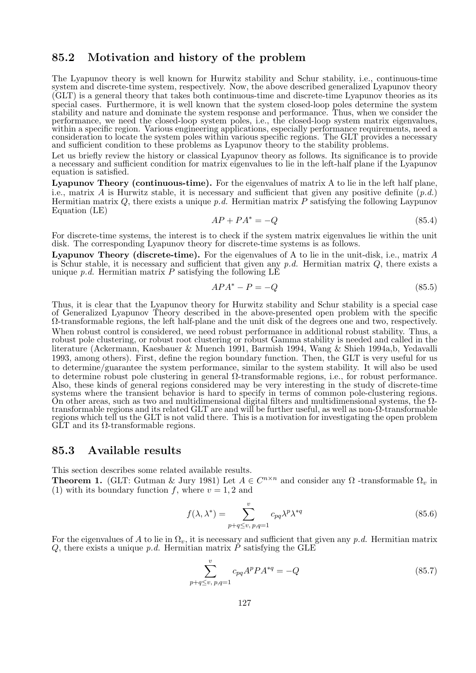### 85.2 Motivation and history of the problem

The Lyapunov theory is well known for Hurwitz stability and Schur stability, i.e., continuous-time system and discrete-time system, respectively. Now, the above described generalized Lyapunov theory (GLT) is a general theory that takes both continuous-time and discrete-time Lyapunov theories as its special cases. Furthermore, it is well known that the system closed-loop poles determine the system stability and nature and dominate the system response and performance. Thus, when we consider the performance, we need the closed-loop system poles, i.e., the closed-loop system matrix eigenvalues, within a specific region. Various engineering applications, especially performance requirements, need a consideration to locate the system poles within various specific regions. The GLT provides a necessary and sufficient condition to these problems as Lyapunov theory to the stability problems.

Let us briefly review the history or classical Lyapunov theory as follows. Its significance is to provide a necessary and sufficient condition for matrix eigenvalues to lie in the left-half plane if the Lyapunov equation is satisfied.

Lyapunov Theory (continuous-time). For the eigenvalues of matrix A to lie in the left half plane, i.e., matrix A is Hurwitz stable, it is necessary and sufficient that given any positive definite  $(p.d.)$ Hermitian matrix Q, there exists a unique p.d. Hermitian matrix  $P$  satisfying the following Laypunov Equation (LE)

$$
AP + PA^* = -Q \tag{85.4}
$$

For discrete-time systems, the interest is to check if the system matrix eigenvalues lie within the unit disk. The corresponding Lyapunov theory for discrete-time systems is as follows.

**Lyapunov Theory (discrete-time).** For the eigenvalues of A to lie in the unit-disk, i.e., matrix  $A$ is Schur stable, it is necessary and sufficient that given any  $p.d.$  Hermitian matrix  $Q$ , there exists a unique p.d. Hermitian matrix  $P$  satisfying the following LE

$$
APA^* - P = -Q \tag{85.5}
$$

Thus, it is clear that the Lyapunov theory for Hurwitz stability and Schur stability is a special case of Generalized Lyapunov Theory described in the above-presented open problem with the specific Ω-transformable regions, the left half-plane and the unit disk of the degrees one and two, respectively. When robust control is considered, we need robust performance in additional robust stability. Thus, a robust pole clustering, or robust root clustering or robust Gamma stability is needed and called in the literature (Ackermann, Kaesbauer & Muench 1991, Barmish 1994, Wang & Shieh 1994a,b, Yedavalli 1993, among others). First, define the region boundary function. Then, the GLT is very useful for us to determine/guarantee the system performance, similar to the system stability. It will also be used to determine robust pole clustering in general  $\Omega$ -transformable regions, i.e., for robust performance. Also, these kinds of general regions considered may be very interesting in the study of discrete-time systems where the transient behavior is hard to specify in terms of common pole-clustering regions. On other areas, such as two and multidimensional digital filters and multidimensional systems, the Ωtransformable regions and its related GLT are and will be further useful, as well as non- $\Omega$ -transformable regions which tell us the GLT is not valid there. This is a motivation for investigating the open problem  $GLT$  and its  $\Omega$ -transformable regions.

#### 85.3 Available results

This section describes some related available results.

**Theorem 1.** (GLT: Gutman & Jury 1981) Let  $A \in C^{n \times n}$  and consider any  $\Omega$  -transformable  $\Omega_v$  in (1) with its boundary function f, where  $v = 1, 2$  and

$$
f(\lambda, \lambda^*) = \sum_{p+q \le v, \, p,q=1}^{v} c_{pq} \lambda^p \lambda^{*q}
$$
\n(85.6)

For the eigenvalues of A to lie in  $\Omega_v$ , it is necessary and sufficient that given any p.d. Hermitian matrix Q, there exists a unique p.d. Hermitian matrix  $\check{P}$  satisfying the GLE

$$
\sum_{p+q\leq v,\ p,q=1}^{v} c_{pq} A^p P A^{*q} = -Q \tag{85.7}
$$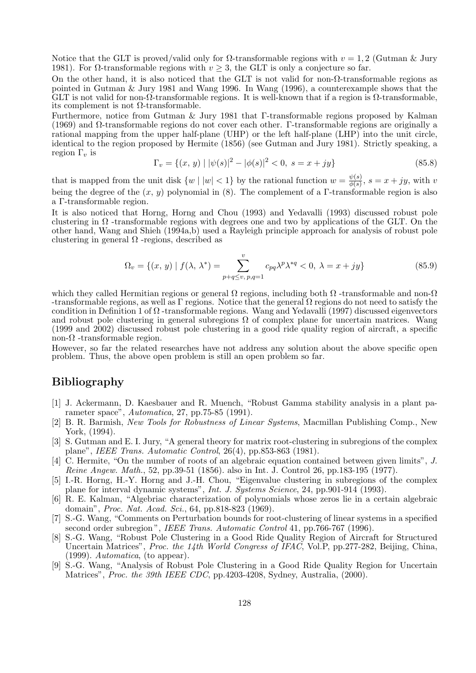Notice that the GLT is proved/valid only for  $\Omega$ -transformable regions with  $v = 1, 2$  (Gutman & Jury 1981). For  $\Omega$ -transformable regions with  $v > 3$ , the GLT is only a conjecture so far.

On the other hand, it is also noticed that the GLT is not valid for non- $\Omega$ -transformable regions as pointed in Gutman & Jury 1981 and Wang 1996. In Wang (1996), a counterexample shows that the GLT is not valid for non- $\Omega$ -transformable regions. It is well-known that if a region is  $\Omega$ -transformable, its complement is not  $\Omega$ -transformable.

Furthermore, notice from Gutman & Jury 1981 that Γ-transformable regions proposed by Kalman (1969) and Ω-transformable regions do not cover each other. Γ-transformable regions are originally a rational mapping from the upper half-plane (UHP) or the left half-plane (LHP) into the unit circle, identical to the region proposed by Hermite (1856) (see Gutman and Jury 1981). Strictly speaking, a region  $\Gamma_v$  is

$$
\Gamma_v = \{(x, y) \mid |\psi(s)|^2 - |\phi(s)|^2 < 0, \ s = x + jy\} \tag{85.8}
$$

that is mapped from the unit disk  $\{w \mid |w| < 1\}$  by the rational function  $w = \frac{\psi(s)}{\phi(s)}$  $\frac{\psi(s)}{\phi(s)}, s = x + jy$ , with v being the degree of the  $(x, y)$  polynomial in (8). The complement of a Γ-transformable region is also a Γ-transformable region.

It is also noticed that Horng, Horng and Chou (1993) and Yedavalli (1993) discussed robust pole clustering in  $\Omega$  -transformable regions with degrees one and two by applications of the GLT. On the other hand, Wang and Shieh (1994a,b) used a Rayleigh principle approach for analysis of robust pole clustering in general  $\Omega$  -regions, described as

$$
\Omega_v = \{(x, y) \mid f(\lambda, \lambda^*) = \sum_{p+q \le v, p,q=1}^v c_{pq} \lambda^p \lambda^{*q} < 0, \ \lambda = x + jy\} \tag{85.9}
$$

which they called Hermitian regions or general  $\Omega$  regions, including both  $\Omega$  -transformable and non- $\Omega$ -transformable regions, as well as Γ regions. Notice that the general  $\Omega$  regions do not need to satisfy the condition in Definition 1 of  $\Omega$  -transformable regions. Wang and Yedavalli (1997) discussed eigenvectors and robust pole clustering in general subregions  $\Omega$  of complex plane for uncertain matrices. Wang (1999 and 2002) discussed robust pole clustering in a good ride quality region of aircraft, a specific non- $\Omega$  -transformable region.

However, so far the related researches have not address any solution about the above specific open problem. Thus, the above open problem is still an open problem so far.

- [1] J. Ackermann, D. Kaesbauer and R. Muench, "Robust Gamma stability analysis in a plant parameter space", Automatica, 27, pp.75-85 (1991).
- [2] B. R. Barmish, New Tools for Robustness of Linear Systems, Macmillan Publishing Comp., New York, (1994).
- [3] S. Gutman and E. I. Jury, "A general theory for matrix root-clustering in subregions of the complex plane", IEEE Trans. Automatic Control, 26(4), pp.853-863 (1981).
- [4] C. Hermite, "On the number of roots of an algebraic equation contained between given limits", J. Reine Angew. Math., 52, pp.39-51 (1856). also in Int. J. Control 26, pp.183-195 (1977).
- [5] I.-R. Horng, H.-Y. Horng and J.-H. Chou, "Eigenvalue clustering in subregions of the complex plane for interval dynamic systems", Int. J. Systems Science, 24, pp.901-914 (1993).
- [6] R. E. Kalman, "Algebriac characterization of polynomials whose zeros lie in a certain algebraic domain", Proc. Nat. Acad. Sci., 64, pp.818-823 (1969).
- [7] S.-G. Wang, "Comments on Perturbation bounds for root-clustering of linear systems in a specified second order subregion", IEEE Trans. Automatic Control 41, pp.766-767 (1996).
- [8] S.-G. Wang, "Robust Pole Clustering in a Good Ride Quality Region of Aircraft for Structured Uncertain Matrices", Proc. the 14th World Congress of IFAC, Vol.P, pp.277-282, Beijing, China, (1999). Automatica, (to appear).
- [9] S.-G. Wang, "Analysis of Robust Pole Clustering in a Good Ride Quality Region for Uncertain Matrices", Proc. the 39th IEEE CDC, pp.4203-4208, Sydney, Australia, (2000).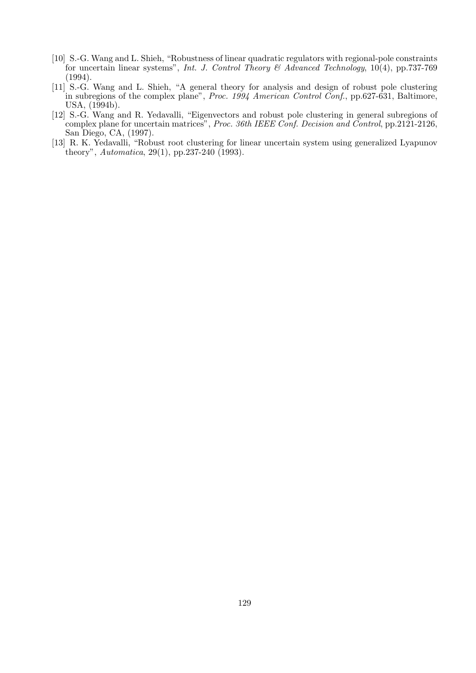- [10] S.-G. Wang and L. Shieh, "Robustness of linear quadratic regulators with regional-pole constraints for uncertain linear systems", Int. J. Control Theory & Advanced Technology,  $10(4)$ , pp.737-769 (1994).
- [11] S.-G. Wang and L. Shieh, "A general theory for analysis and design of robust pole clustering in subregions of the complex plane", Proc. 1994 American Control Conf., pp.627-631, Baltimore, USA, (1994b).
- [12] S.-G. Wang and R. Yedavalli, "Eigenvectors and robust pole clustering in general subregions of complex plane for uncertain matrices", Proc. 36th IEEE Conf. Decision and Control, pp.2121-2126, San Diego, CA, (1997).
- [13] R. K. Yedavalli, "Robust root clustering for linear uncertain system using generalized Lyapunov theory", Automatica, 29(1), pp.237-240 (1993).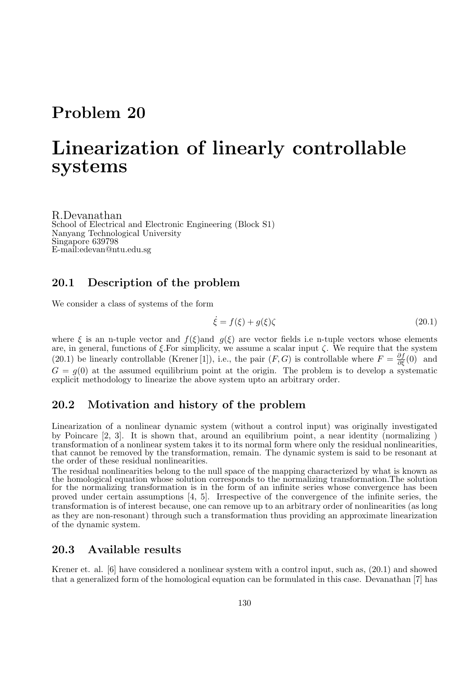# Linearization of linearly controllable systems

R.Devanathan School of Electrical and Electronic Engineering (Block S1) Nanyang Technological University Singapore 639798 E-mail:edevan@ntu.edu.sg

### 20.1 Description of the problem

We consider a class of systems of the form

$$
\dot{\xi} = f(\xi) + g(\xi)\zeta \tag{20.1}
$$

where  $\xi$  is an n-tuple vector and  $f(\xi)$  and  $g(\xi)$  are vector fields i.e n-tuple vectors whose elements are, in general, functions of  $\xi$ . For simplicity, we assume a scalar input  $\zeta$ . We require that the system (20.1) be linearly controllable (Krener [1]), i.e., the pair  $(F, G)$  is controllable where  $F = \frac{\partial f}{\partial \xi}(0)$  and  $G = g(0)$  at the assumed equilibrium point at the origin. The problem is to develop a systematic explicit methodology to linearize the above system upto an arbitrary order.

### 20.2 Motivation and history of the problem

Linearization of a nonlinear dynamic system (without a control input) was originally investigated by Poincare [2, 3]. It is shown that, around an equilibrium point, a near identity (normalizing ) transformation of a nonlinear system takes it to its normal form where only the residual nonlinearities, that cannot be removed by the transformation, remain. The dynamic system is said to be resonant at the order of these residual nonlinearities.

The residual nonlinearities belong to the null space of the mapping characterized by what is known as the homological equation whose solution corresponds to the normalizing transformation.The solution for the normalizing transformation is in the form of an infinite series whose convergence has been proved under certain assumptions [4, 5]. Irrespective of the convergence of the infinite series, the transformation is of interest because, one can remove up to an arbitrary order of nonlinearities (as long as they are non-resonant) through such a transformation thus providing an approximate linearization of the dynamic system.

### 20.3 Available results

Krener et. al. [6] have considered a nonlinear system with a control input, such as, (20.1) and showed that a generalized form of the homological equation can be formulated in this case. Devanathan [7] has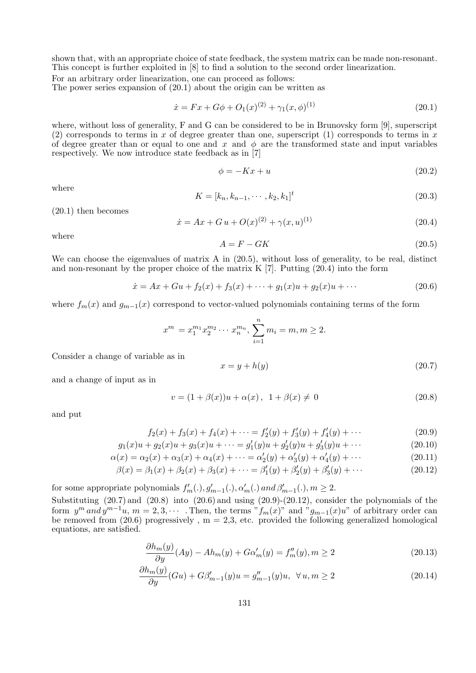shown that, with an appropriate choice of state feedback, the system matrix can be made non-resonant. This concept is further exploited in [8] to find a solution to the second order linearization.

For an arbitrary order linearization, one can proceed as follows:

The power series expansion of (20.1) about the origin can be written as

$$
\dot{x} = Fx + G\phi + O_1(x)^{(2)} + \gamma_1(x, \phi)^{(1)}
$$
\n(20.1)

where, without loss of generality, F and G can be considered to be in Brunovsky form [9], superscript (2) corresponds to terms in x of degree greater than one, superscript (1) corresponds to terms in x of degree greater than or equal to one and x and  $\phi$  are the transformed state and input variables respectively. We now introduce state feedback as in [7]

$$
\phi = -Kx + u \tag{20.2}
$$

where

$$
K = [k_n, k_{n-1}, \cdots, k_2, k_1]^t
$$
\n(20.3)

(20.1) then becomes

$$
\dot{x} = Ax + Gu + O(x)^{(2)} + \gamma(x, u)^{(1)}
$$
\n(20.4)

where

$$
A = F - GK \tag{20.5}
$$

We can choose the eigenvalues of matrix A in  $(20.5)$ , without loss of generality, to be real, distinct and non-resonant by the proper choice of the matrix  $K$  [7]. Putting (20.4) into the form

$$
\dot{x} = Ax + Gu + f_2(x) + f_3(x) + \dots + g_1(x)u + g_2(x)u + \dots \tag{20.6}
$$

where  $f_m(x)$  and  $g_{m-1}(x)$  correspond to vector-valued polynomials containing terms of the form

$$
x^{m} = x_{1}^{m_{1}} x_{2}^{m_{2}} \cdots x_{n}^{m_{n}}, \sum_{i=1}^{n} m_{i} = m, m \ge 2.
$$

Consider a change of variable as in

$$
x = y + h(y) \tag{20.7}
$$

and a change of input as in

$$
v = (1 + \beta(x))u + \alpha(x), \ \ 1 + \beta(x) \neq 0 \tag{20.8}
$$

and put

$$
f_2(x) + f_3(x) + f_4(x) + \dots = f'_2(y) + f'_3(y) + f'_4(y) + \dots
$$
\n(20.9)

$$
g_1(x)u + g_2(x)u + g_3(x)u + \dots = g'_1(y)u + g'_2(y)u + g'_3(y)u + \dots
$$
\n(20.10)

$$
g_1(x)u + g_2(x)u + g_3(x)u + \dots = g'_1(y)u + g'_2(y)u + g'_3(y)u + \dots
$$
  
\n
$$
\alpha(x) = \alpha_2(x) + \alpha_3(x) + \alpha_4(x) + \dots = \alpha'_2(y) + \alpha'_3(y) + \alpha'_4(y) + \dots
$$
\n(20.10)

$$
\beta(x) = \beta_1(x) + \beta_2(x) + \beta_3(x) + \dots = \beta'_1(y) + \beta'_2(y) + \beta'_3(y) + \dots
$$
\n(20.12)

for some appropriate polynomials  $f'_m(.)$ ,  $g'_{m-1}(.)$ ,  $\alpha'_m(.)$  and  $\beta'_{m-1}(.)$ ,  $m \ge 2$ .

Substituting (20.7) and (20.8) into (20.6) and using (20.9)-(20.12), consider the polynomials of the form  $y^m$  and  $y^{m-1}u$ ,  $m=2,3,\cdots$  Then, the terms " $f_m(x)$ " and " $g_{m-1}(x)u$ " of arbitrary order can be removed from  $(20.6)$  progressively,  $m = 2.3$ , etc. provided the following generalized homological equations, are satisfied.

$$
\frac{\partial h_m(y)}{\partial y}(Ay) - Ah_m(y) + G\alpha_m'(y) = f_m''(y), m \ge 2
$$
\n(20.13)

$$
\frac{\partial h_m(y)}{\partial y}(Gu) + G\beta'_{m-1}(y)u = g''_{m-1}(y)u, \quad \forall u, m \ge 2
$$
\n(20.14)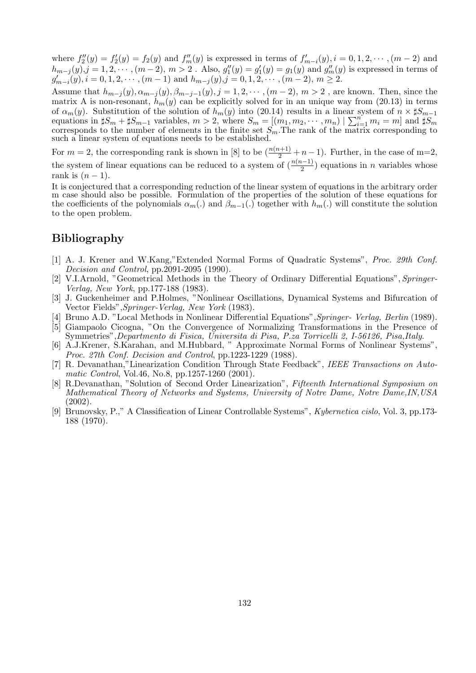where  $f_2''$  $f''_2(y) = f'_2$  $f'_{2}(y) = f_{2}(y)$  and  $f''_{m}(y)$  is expressed in terms of  $f'_{m-i}(y), i = 0, 1, 2, \cdots, (m-2)$  and  $h_{m-j}(y), j = 1, 2, \cdots, (m-2), m > 2$ . Also,  $g_1''$  $y''_1(y) = g'_1$  $g_1'(y) = g_1(y)$  and  $g_m''(y)$  is expressed in terms of  $g'_{m-i}(y), i = 0, 1, 2, \cdots, (m-1)$  and  $h_{m-j}(y), j = 0, 1, 2, \cdots, (m-2), m \ge 2$ .

Assume that  $h_{m-j}(y), \alpha_{m-j}(y), \beta_{m-j-1}(y), j=1,2,\cdots, (m-2), m>2$ , are known. Then, since the matrix A is non-resonant,  $h_m(y)$  can be explicitly solved for in an unique way from (20.13) in terms of  $\alpha_m(y)$ . Substitution of the solution of  $h_m(y)$  into (20.14) results in a linear system of  $n \times \sharp S_{m-1}$ equations in  $\sharp S_m + \sharp S_{m-1}$  variables,  $m > 2$ , where  $S_m = [(m_1, m_2, \cdots, m_n) | \sum_{i=1}^n m_i = m]$  and  $\sharp S_m$ corresponds to the number of elements in the finite set  $S_m$ . The rank of the matrix corresponding to such a linear system of equations needs to be established.

For  $m = 2$ , the corresponding rank is shown in [8] to be  $(\frac{n(n+1)}{2} + n - 1)$ . Further, in the case of m=2, the system of linear equations can be reduced to a system of  $(\frac{n(n-1)}{2})$  equations in *n* variables whose rank is  $(n-1)$ .

It is conjectured that a corresponding reduction of the linear system of equations in the arbitrary order m case should also be possible. Formulation of the properties of the solution of these equations for the coefficients of the polynomials  $\alpha_m(.)$  and  $\beta_{m-1}(.)$  together with  $h_m(.)$  will constitute the solution to the open problem.

- [1] A. J. Krener and W.Kang,"Extended Normal Forms of Quadratic Systems", Proc. 29th Conf. Decision and Control, pp.2091-2095 (1990).
- [2] V.I.Arnold, "Geometrical Methods in the Theory of Ordinary Differential Equations", Springer-Verlag, New York, pp.177-188 (1983).
- [3] J. Guckenheimer and P.Holmes, "Nonlinear Oscillations, Dynamical Systems and Bifurcation of Vector Fields",Springer-Verlag, New York (1983).
- [4] Bruno A.D. "Local Methods in Nonlinear Differential Equations", Springer- Verlag, Berlin (1989).
- [5] Giampaolo Cicogna, "On the Convergence of Normalizing Transformations in the Presence of Symmetries",Departmento di Fisica, Universita di Pisa, P.za Torricelli 2, I-56126, Pisa,Italy.
- [6] A.J.Krener, S.Karahan, and M.Hubbard, " Approximate Normal Forms of Nonlinear Systems", Proc. 27th Conf. Decision and Control, pp.1223-1229 (1988).
- [7] R. Devanathan,"Linearization Condition Through State Feedback", IEEE Transactions on Automatic Control, Vol.46, No.8, pp.1257-1260 (2001).
- [8] R.Devanathan, "Solution of Second Order Linearization", Fifteenth International Symposium on Mathematical Theory of Networks and Systems, University of Notre Dame, Notre Dame,IN,USA (2002).
- [9] Brunovsky, P.," A Classification of Linear Controllable Systems", Kybernetica cislo, Vol. 3, pp.173- 188 (1970).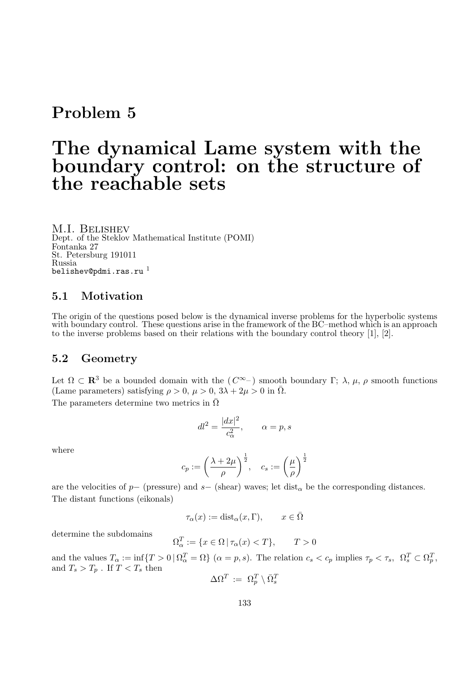# The dynamical Lame system with the boundary control: on the structure of the reachable sets

M.I. Belishev Dept. of the Steklov Mathematical Institute (POMI) Fontanka 27 St. Petersburg 191011 Russia belishev@pdmi.ras.ru $^{\rm l}$ 

#### 5.1 Motivation

The origin of the questions posed below is the dynamical inverse problems for the hyperbolic systems with boundary control. These questions arise in the framework of the BC–method which is an approach to the inverse problems based on their relations with the boundary control theory [1], [2].

### 5.2 Geometry

Let  $\Omega \subset \mathbf{R}^3$  be a bounded domain with the  $(C^{\infty-})$  smooth boundary  $\Gamma$ ;  $\lambda$ ,  $\mu$ ,  $\rho$  smooth functions (Lame parameters) satisfying  $\rho > 0$ ,  $\mu > 0$ ,  $3\lambda + 2\mu > 0$  in  $\overline{\Omega}$ . The parameters determine two metrics in  $\bar{\Omega}$ 

$$
dl^2=\frac{|dx|^2}{c_\alpha^2},\qquad \alpha=p,s
$$

where

$$
c_p := \left(\frac{\lambda + 2\mu}{\rho}\right)^{\frac{1}{2}}, \quad c_s := \left(\frac{\mu}{\rho}\right)^{\frac{1}{2}}
$$

are the velocities of p− (pressure) and s− (shear) waves; let dist<sub>α</sub> be the corresponding distances. The distant functions (eikonals)

$$
\tau_{\alpha}(x) := \text{dist}_{\alpha}(x, \Gamma), \qquad x \in \overline{\Omega}
$$

determine the subdomains

$$
\Omega^T_{\alpha} := \{ x \in \Omega \, | \, \tau_{\alpha}(x) < T \}, \qquad T > 0
$$

and the values  $T_{\alpha} := \inf\{T > 0 | \Omega_{\alpha}^T = \Omega\}$   $(\alpha = p, s)$ . The relation  $c_s < c_p$  implies  $\tau_p < \tau_s$ ,  $\Omega_s^T \subset \Omega_p^T$ , and  $T_s > T_p$ . If  $T < T_s$  then

$$
\Delta \Omega^T \;:=\; \Omega^T_p \setminus \bar{\Omega}^T_s
$$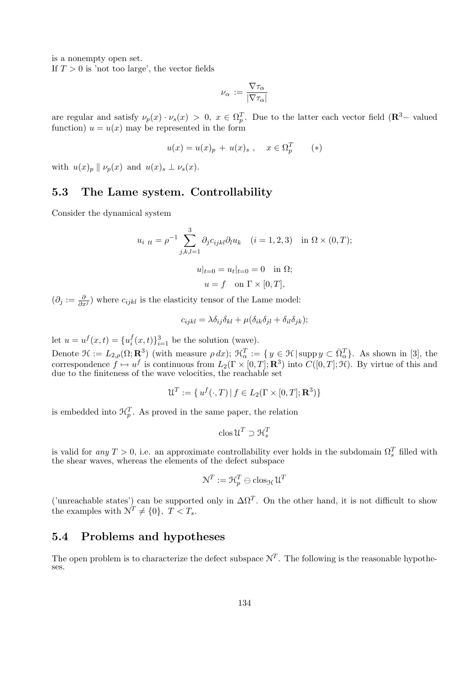is a nonempty open set.

If  $T > 0$  is 'not too large', the vector fields

$$
\nu_\alpha \,:=\, \frac{\nabla \tau_\alpha}{|\nabla \tau_\alpha|}
$$

are regular and satisfy  $\nu_p(x) \cdot \nu_s(x) > 0$ ,  $x \in \Omega_p^T$ . Due to the latter each vector field (**R**<sup>3</sup>– valued function)  $u = u(x)$  may be represented in the form

$$
u(x) = u(x)_p + u(x)_s , \quad x \in \Omega_p^T \qquad (*)
$$

with  $u(x)_p \parallel \nu_p(x)$  and  $u(x)_s \perp \nu_s(x)$ .

### 5.3 The Lame system. Controllability

Consider the dynamical system

$$
u_{i \ t} = \rho^{-1} \sum_{j,k,l=1}^{3} \partial_j c_{ijkl} \partial_l u_k \quad (i = 1, 2, 3) \quad \text{in } \Omega \times (0, T);
$$

$$
u|_{t=0} = u_t|_{t=0} = 0 \quad \text{in } \Omega;
$$

$$
u = f \quad \text{on } \Gamma \times [0, T],
$$

 $(\partial_j := \frac{\partial}{\partial x^j})$  where  $c_{ijkl}$  is the elasticity tensor of the Lame model:

$$
c_{ijkl} = \lambda \delta_{ij} \delta_{kl} + \mu (\delta_{ik} \delta_{jl} + \delta_{il} \delta_{jk});
$$

let  $u = u^f(x,t) = \{u^f_i\}$  $\{f_i(x,t)\}_{i=1}^3$  be the solution (wave). Denote  $\mathcal{H} := L_{2,\rho}(\Omega; \mathbf{R}^3)$  (with measure  $\rho dx$ );  $\mathcal{H}_{\alpha}^T := \{ y \in \mathcal{H} \mid \text{supp } y \subset \overline{\Omega}_{\alpha}^T \}.$  As shown in [3], the correspondence  $\tilde{f} \mapsto u^f$  is continuous from  $L_2(\Gamma \times [0,T]; \mathbf{R}^3)$  into  $C([0,T]; \mathcal{H})$ . By virtue of this and due to the finiteness of the wave velocities, the reachable set

$$
\mathcal{U}^T := \{ u^f(\cdot, T) \mid f \in L_2(\Gamma \times [0, T]; \mathbf{R}^3) \}
$$

is embedded into  $\mathcal{H}_p^T$ . As proved in the same paper, the relation

$$
\operatorname{clos} \mathfrak{U}^T \supset \mathcal{H}_s^T
$$

is valid for any  $T > 0$ , i.e. an approximate controllability ever holds in the subdomain  $\Omega_s^T$  filled with the shear waves, whereas the elements of the defect subspace

$$
\operatorname{\mathcal{N}}^T:=\operatorname{\mathcal{H}}^T_p\ominus\operatorname{clos}_{\operatorname{\mathcal{H}}}\operatorname{\mathcal{U}}^T
$$

('unreachable states') can be supported only in  $\Delta \Omega^T$ . On the other hand, it is not difficult to show the examples with  $\mathcal{N}^T \neq \{0\}, T < T_s$ .

#### 5.4 Problems and hypotheses

The open problem is to characterize the defect subspace  $\mathcal{N}^T$ . The following is the reasonable hypotheses.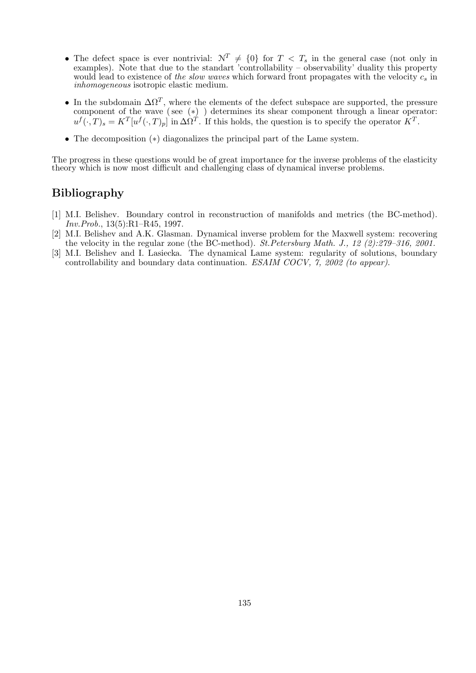- The defect space is ever nontrivial:  $\mathcal{N}^T \neq \{0\}$  for  $T < T_s$  in the general case (not only in examples). Note that due to the standart 'controllability – observability' duality this property would lead to existence of the slow waves which forward front propagates with the velocity  $c_s$  in inhomogeneous isotropic elastic medium.
- In the subdomain  $\Delta \Omega^T$ , where the elements of the defect subspace are supported, the pressure component of the wave ( see (∗) ) determines its shear component through a linear operator:  $u^f(\cdot,T)_s = K^T[u^f(\cdot,T)_p]$  in  $\Delta\Omega^T$ . If this holds, the question is to specify the operator  $K^T$ .
- The decomposition (∗) diagonalizes the principal part of the Lame system.

The progress in these questions would be of great importance for the inverse problems of the elasticity theory which is now most difficult and challenging class of dynamical inverse problems.

- [1] M.I. Belishev. Boundary control in reconstruction of manifolds and metrics (the BC-method). Inv.Prob., 13(5):R1–R45, 1997.
- [2] M.I. Belishev and A.K. Glasman. Dynamical inverse problem for the Maxwell system: recovering the velocity in the regular zone (the BC-method). St.Petersburg Math. J., 12 (2):279-316, 2001.
- [3] M.I. Belishev and I. Lasiecka. The dynamical Lame system: regularity of solutions, boundary controllability and boundary data continuation. ESAIM COCV, 7, 2002 (to appear).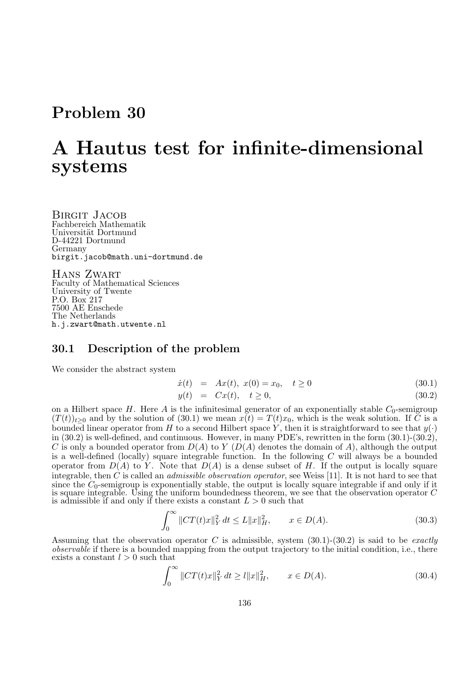# A Hautus test for infinite-dimensional systems

BIRGIT JACOB Fachbereich Mathematik Universität Dortmund D-44221 Dortmund Germany birgit.jacob@math.uni-dortmund.de

Hans Zwart Faculty of Mathematical Sciences University of Twente P.O. Box 217 7500 AE Enschede The Netherlands h.j.zwart@math.utwente.nl

#### 30.1 Description of the problem

We consider the abstract system

$$
\dot{x}(t) = Ax(t), \ x(0) = x_0, \quad t \ge 0 \tag{30.1}
$$

$$
y(t) = Cx(t), \quad t \ge 0,\tag{30.2}
$$

on a Hilbert space H. Here A is the infinitesimal generator of an exponentially stable  $C_0$ -semigroup  $(T(t))_{t>0}$  and by the solution of (30.1) we mean  $x(t) = T(t)x_0$ , which is the weak solution. If C is a bounded linear operator from H to a second Hilbert space Y, then it is straightforward to see that  $y(\cdot)$ in (30.2) is well-defined, and continuous. However, in many PDE's, rewritten in the form (30.1)-(30.2), C is only a bounded operator from  $D(A)$  to Y  $(D(A)$  denotes the domain of A), although the output is a well-defined (locally) square integrable function. In the following  $C$  will always be a bounded operator from  $D(A)$  to Y. Note that  $D(A)$  is a dense subset of H. If the output is locally square integrable, then  $\hat{C}$  is called an *admissible observation operator*, see Weiss [11]. It is not hard to see that since the  $C_0$ -semigroup is exponentially stable, the output is locally square integrable if and only if it is square integrable. Using the uniform boundedness theorem, we see that the observation operator  $C$ is admissible if and only if there exists a constant  $L > 0$  such that

$$
\int_0^\infty \|CT(t)x\|_Y^2 dt \le L\|x\|_H^2, \qquad x \in D(A). \tag{30.3}
$$

Assuming that the observation operator C is admissible, system  $(30.1)-(30.2)$  is said to be *exactly* observable if there is a bounded mapping from the output trajectory to the initial condition, i.e., there exists a constant  $l > 0$  such that

$$
\int_0^\infty \|CT(t)x\|_Y^2 dt \ge l\|x\|_H^2, \qquad x \in D(A). \tag{30.4}
$$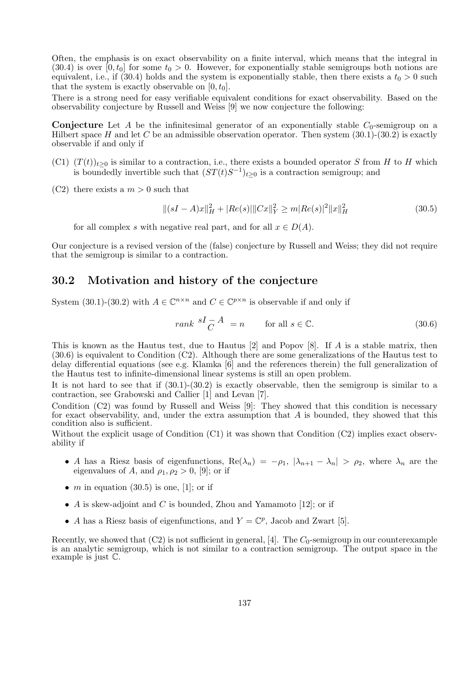Often, the emphasis is on exact observability on a finite interval, which means that the integral in (30.4) is over  $[0, t_0]$  for some  $t_0 > 0$ . However, for exponentially stable semigroups both notions are equivalent, i.e., if (30.4) holds and the system is exponentially stable, then there exists a  $t_0 > 0$  such that the system is exactly observable on  $[0, t_0]$ .

There is a strong need for easy verifiable equivalent conditions for exact observability. Based on the observability conjecture by Russell and Weiss [9] we now conjecture the following:

**Conjecture** Let A be the infinitesimal generator of an exponentially stable  $C_0$ -semigroup on a Hilbert space H and let C be an admissible observation operator. Then system  $(30.1)-(30.2)$  is exactly observable if and only if

- (C1)  $(T(t))_{t>0}$  is similar to a contraction, i.e., there exists a bounded operator S from H to H which is boundedly invertible such that  $(ST(t)S^{-1})_{t\geq0}$  is a contraction semigroup; and
- (C2) there exists a  $m > 0$  such that

$$
\|(sI - A)x\|_H^2 + |Re(s)| \|Cx\|_Y^2 \ge m |Re(s)|^2 \|x\|_H^2
$$
\n(30.5)

for all complex s with negative real part, and for all  $x \in D(A)$ .

Our conjecture is a revised version of the (false) conjecture by Russell and Weiss; they did not require that the semigroup is similar to a contraction.

#### 30.2 Motivation and history of the conjecture

System (30.1)-(30.2) with  $A \in \mathbb{C}^{n \times n}$  and  $C \in \mathbb{C}^{p \times n}$  is observable if and only if

$$
rank \, S\, \frac{S\, I - A}{C} = n \qquad \text{for all } s \in \mathbb{C}.\tag{30.6}
$$

This is known as the Hautus test, due to Hautus [2] and Popov [8]. If A is a stable matrix, then (30.6) is equivalent to Condition (C2). Although there are some generalizations of the Hautus test to delay differential equations (see e.g. Klamka [6] and the references therein) the full generalization of the Hautus test to infinite-dimensional linear systems is still an open problem.

It is not hard to see that if (30.1)-(30.2) is exactly observable, then the semigroup is similar to a contraction, see Grabowski and Callier [1] and Levan [7].

Condition (C2) was found by Russell and Weiss [9]: They showed that this condition is necessary for exact observability, and, under the extra assumption that A is bounded, they showed that this condition also is sufficient.

Without the explicit usage of Condition (C1) it was shown that Condition (C2) implies exact observability if

- A has a Riesz basis of eigenfunctions,  $\text{Re}(\lambda_n) = -\rho_1$ ,  $|\lambda_{n+1} \lambda_n| > \rho_2$ , where  $\lambda_n$  are the eigenvalues of A, and  $\rho_1, \rho_2 > 0$ , [9]; or if
- *m* in equation (30.5) is one, [1]; or if
- A is skew-adjoint and C is bounded, Zhou and Yamamoto [12]; or if
- A has a Riesz basis of eigenfunctions, and  $Y = \mathbb{C}^p$ , Jacob and Zwart [5].

Recently, we showed that  $(C2)$  is not sufficient in general, [4]. The  $C_0$ -semigroup in our counterexample is an analytic semigroup, which is not similar to a contraction semigroup. The output space in the example is just C.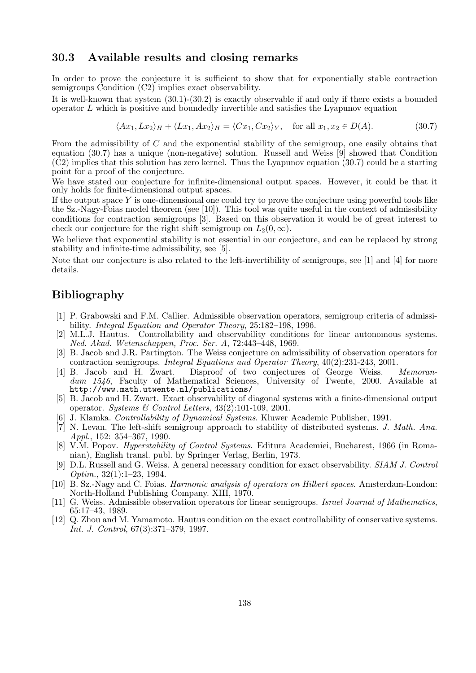#### 30.3 Available results and closing remarks

In order to prove the conjecture it is sufficient to show that for exponentially stable contraction semigroups Condition (C2) implies exact observability.

It is well-known that system (30.1)-(30.2) is exactly observable if and only if there exists a bounded operator L which is positive and boundedly invertible and satisfies the Lyapunov equation

$$
\langle Ax_1, Lx_2 \rangle_H + \langle Lx_1, Ax_2 \rangle_H = \langle Cx_1, Cx_2 \rangle_Y, \quad \text{for all } x_1, x_2 \in D(A). \tag{30.7}
$$

From the admissibility of C and the exponential stability of the semigroup, one easily obtains that equation (30.7) has a unique (non-negative) solution. Russell and Weiss [9] showed that Condition (C2) implies that this solution has zero kernel. Thus the Lyapunov equation (30.7) could be a starting point for a proof of the conjecture.

We have stated our conjecture for infinite-dimensional output spaces. However, it could be that it only holds for finite-dimensional output spaces.

If the output space  $Y$  is one-dimensional one could try to prove the conjecture using powerful tools like the Sz.-Nagy-Foias model theorem (see [10]). This tool was quite useful in the context of admissibility conditions for contraction semigroups [3]. Based on this observation it would be of great interest to check our conjecture for the right shift semigroup on  $L_2(0,\infty)$ .

We believe that exponential stability is not essential in our conjecture, and can be replaced by strong stability and infinite-time admissibility, see [5].

Note that our conjecture is also related to the left-invertibility of semigroups, see [1] and [4] for more details.

- [1] P. Grabowski and F.M. Callier. Admissible observation operators, semigroup criteria of admissibility. Integral Equation and Operator Theory, 25:182–198, 1996.
- [2] M.L.J. Hautus. Controllability and observability conditions for linear autonomous systems. Ned. Akad. Wetenschappen, Proc. Ser. A, 72:443–448, 1969.
- [3] B. Jacob and J.R. Partington. The Weiss conjecture on admissibility of observation operators for contraction semigroups. *Integral Equations and Operator Theory*, 40(2):231-243, 2001.<br>[4] B. Jacob and H. Zwart. Disproof of two conjectures of George Weiss.
- Disproof of two conjectures of George Weiss. Memorandum 1546. Faculty of Mathematical Sciences, University of Twente, 2000. Available at http://www.math.utwente.nl/publications/
- [5] B. Jacob and H. Zwart. Exact observability of diagonal systems with a finite-dimensional output operator. Systems  $\mathcal C$  Control Letters, 43(2):101-109, 2001.
- [6] J. Klamka. Controllability of Dynamical Systems. Kluwer Academic Publisher, 1991.
- [7] N. Levan. The left-shift semigroup approach to stability of distributed systems. J. Math. Ana. Appl., 152: 354–367, 1990.
- [8] V.M. Popov. Hyperstability of Control Systems. Editura Academiei, Bucharest, 1966 (in Romanian), English transl. publ. by Springer Verlag, Berlin, 1973.
- [9] D.L. Russell and G. Weiss. A general necessary condition for exact observability. SIAM J. Control Optim., 32(1):1–23, 1994.
- [10] B. Sz.-Nagy and C. Foias. Harmonic analysis of operators on Hilbert spaces. Amsterdam-London: North-Holland Publishing Company. XIII, 1970.
- [11] G. Weiss. Admissible observation operators for linear semigroups. Israel Journal of Mathematics, 65:17–43, 1989.
- [12] Q. Zhou and M. Yamamoto. Hautus condition on the exact controllability of conservative systems. Int. J. Control, 67(3):371–379, 1997.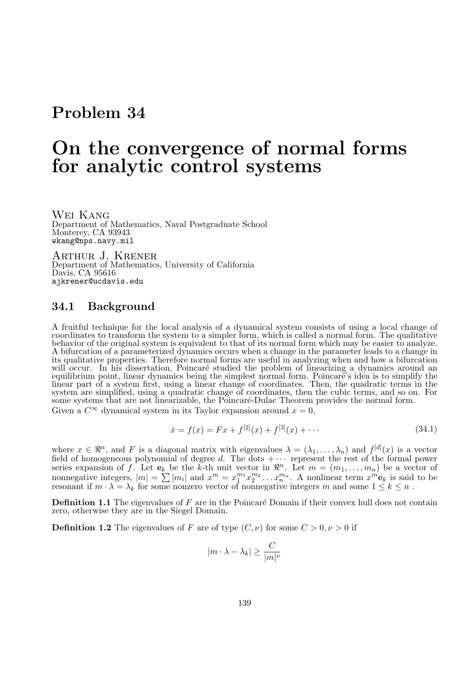## Problem 34

# On the convergence of normal forms for analytic control systems

Wei Kang Department of Mathematics, Naval Postgraduate School Monterey, CA 93943 wkang@nps.navy.mil

Arthur J. Krener Department of Mathematics, University of California Davis, CA 95616 ajkrener@ucdavis.edu

## 34.1 Background

A fruitful technique for the local analysis of a dynamical system consists of using a local change of coordinates to transform the system to a simpler form, which is called a normal form. The qualitative behavior of the original system is equivalent to that of its normal form which may be easier to analyze. A bifurcation of a parameterized dynamics occurs when a change in the parameter leads to a change in its qualitative properties. Therefore normal forms are useful in analyzing when and how a bifurcation will occur. In his dissertation, Poincaré studied the problem of linearizing a dynamics around an equilibrium point, linear dynamics being the simplest normal form. Poincaré's idea is to simplify the linear part of a system first, using a linear change of coordinates. Then, the quadratic terms in the system are simplified, using a quadratic change of coordinates, then the cubic terms, and so on. For some systems that are not linearizable, the Poincaré-Dulac Theorem provides the normal form. Given a  $C^{\infty}$  dynamical system in its Taylor expansion around  $x = 0$ ,

$$
\dot{x} = f(x) = Fx + f^{[2]}(x) + f^{[3]}(x) + \cdots \tag{34.1}
$$

where  $x \in \mathbb{R}^n$ , and F is a diagonal matrix with eigenvalues  $\lambda = (\lambda_1, \ldots, \lambda_n)$  and  $f^{[d]}(x)$  is a vector field of homogeneous polynomial of degree d. The dots  $+\cdots$  represent the rest of the formal power series expansion of f. Let  $e_k$  be the k-th unit vector in  $\mathbb{R}^n$ . Let  $m = (m_1, \ldots, m_n)$  be a vector of nonnegative integers,  $|m| = \sum_{i=1}^{\infty} |m_i|$  and  $x^m = x_1^{m_1} x_2^{m_2} \dots x_n^{m_n}$ . A nonlinear term  $x^m \mathbf{e}_k$  is said to be resonant if  $m \cdot \lambda = \lambda_k$  for some nonzero vector of nonnegative integers m and some  $1 \leq k \leq n$ .

**Definition 1.1** The eigenvalues of  $F$  are in the Poincaré Domain if their convex hull does not contain zero, otherwise they are in the Siegel Domain.

**Definition 1.2** The eigenvalues of F are of type  $(C, \nu)$  for some  $C > 0, \nu > 0$  if

$$
|m \cdot \lambda - \lambda_k| \ge \frac{C}{|m|^{\nu}}
$$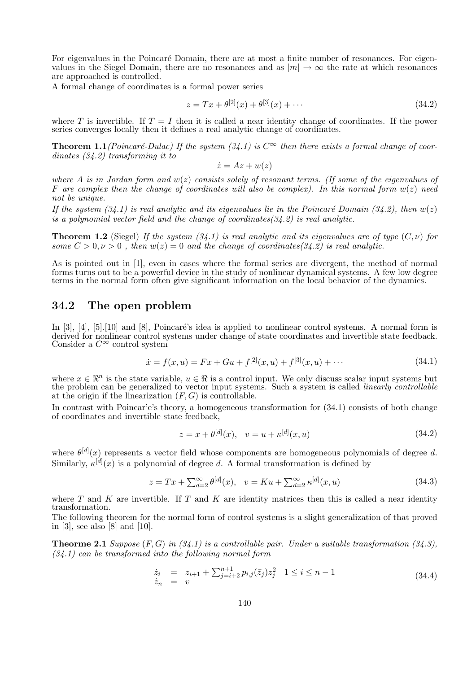For eigenvalues in the Poincaré Domain, there are at most a finite number of resonances. For eigenvalues in the Siegel Domain, there are no resonances and as  $|m| \to \infty$  the rate at which resonances are approached is controlled.

A formal change of coordinates is a formal power series

$$
z = Tx + \theta^{[2]}(x) + \theta^{[3]}(x) + \cdots \tag{34.2}
$$

where T is invertible. If  $T = I$  then it is called a near identity change of coordinates. If the power series converges locally then it defines a real analytic change of coordinates.

**Theorem 1.1**(Poincaré-Dulac) If the system (34.1) is  $C^{\infty}$  then there exists a formal change of coordinates (34.2) transforming it to

$$
\dot{z} = Az + w(z)
$$

where A is in Jordan form and  $w(z)$  consists solely of resonant terms. (If some of the eigenvalues of F are complex then the change of coordinates will also be complex). In this normal form  $w(z)$  need not be unique.

If the system  $(34.1)$  is real analytic and its eigenvalues lie in the Poincaré Domain  $(34.2)$ , then  $w(z)$ is a polynomial vector field and the change of coordinates  $(34.2)$  is real analytic.

**Theorem 1.2** (Siegel) If the system  $(34.1)$  is real analytic and its eigenvalues are of type  $(C, \nu)$  for some  $C > 0, \nu > 0$ , then  $w(z) = 0$  and the change of coordinates(34.2) is real analytic.

As is pointed out in [1], even in cases where the formal series are divergent, the method of normal forms turns out to be a powerful device in the study of nonlinear dynamical systems. A few low degree terms in the normal form often give significant information on the local behavior of the dynamics.

### 34.2 The open problem

In  $[3]$ ,  $[4]$ ,  $[5]$ . $[10]$  and  $[8]$ , Poincaré's idea is applied to nonlinear control systems. A normal form is derived for nonlinear control systems under change of state coordinates and invertible state feedback. Consider a  $C^{\infty}$  control system

$$
\dot{x} = f(x, u) = Fx + Gu + f^{[2]}(x, u) + f^{[3]}(x, u) + \cdots
$$
\n(34.1)

where  $x \in \mathbb{R}^n$  is the state variable,  $u \in \mathbb{R}$  is a control input. We only discuss scalar input systems but the problem can be generalized to vector input systems. Such a system is called *linearly controllable* at the origin if the linearization  $(F, G)$  is controllable.

In contrast with Poincar'e's theory, a homogeneous transformation for (34.1) consists of both change of coordinates and invertible state feedback,

$$
z = x + \theta^{[d]}(x), \quad v = u + \kappa^{[d]}(x, u)
$$
\n(34.2)

where  $\theta^{[d]}(x)$  represents a vector field whose components are homogeneous polynomials of degree d. Similarly,  $\kappa^{[d]}(x)$  is a polynomial of degree d. A formal transformation is defined by

$$
z = Tx + \sum_{d=2}^{\infty} \theta^{[d]}(x), \quad v = Ku + \sum_{d=2}^{\infty} \kappa^{[d]}(x, u)
$$
\n(34.3)

where T and K are invertible. If T and K are identity matrices then this is called a near identity transformation.

The following theorem for the normal form of control systems is a slight generalization of that proved in [3], see also [8] and [10].

**Theorme 2.1** Suppose  $(F, G)$  in  $(34.1)$  is a controllable pair. Under a suitable transformation  $(34.3)$ ,  $(34.1)$  can be transformed into the following normal form

$$
\begin{array}{rcl}\n\dot{z}_i & = & z_{i+1} + \sum_{j=i+2}^{n+1} p_{i,j}(\bar{z}_j) z_j^2 \quad 1 \le i \le n-1 \\
\dot{z}_n & = & v\n\end{array} \tag{34.4}
$$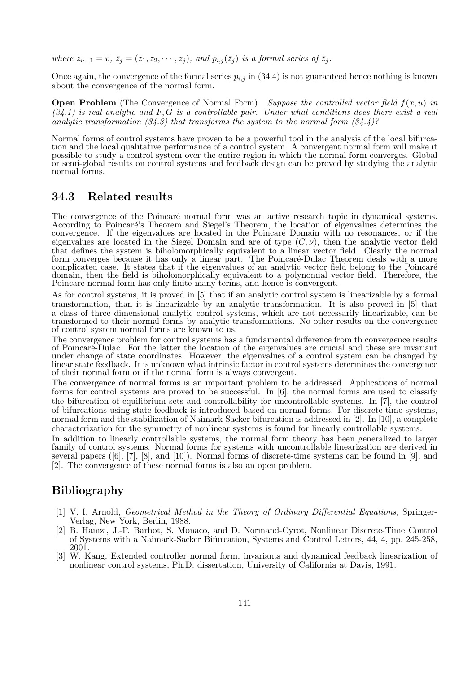where  $z_{n+1} = v$ ,  $\bar{z}_j = (z_1, z_2, \cdots, z_j)$ , and  $p_{i,j}(\bar{z}_j)$  is a formal series of  $\bar{z}_j$ .

Once again, the convergence of the formal series  $p_{i,j}$  in (34.4) is not guaranteed hence nothing is known about the convergence of the normal form.

**Open Problem** (The Convergence of Normal Form) Suppose the controlled vector field  $f(x, u)$  in  $(34.1)$  is real analytic and F, G is a controllable pair. Under what conditions does there exist a real analytic transformation (34.3) that transforms the system to the normal form  $(34.4)$ ?

Normal forms of control systems have proven to be a powerful tool in the analysis of the local bifurcation and the local qualitative performance of a control system. A convergent normal form will make it possible to study a control system over the entire region in which the normal form converges. Global or semi-global results on control systems and feedback design can be proved by studying the analytic normal forms.

## 34.3 Related results

The convergence of the Poincaré normal form was an active research topic in dynamical systems. According to Poincaré's Theorem and Siegel's Theorem, the location of eigenvalues determines the convergence. If the eigenvalues are located in the Poincar´e Domain with no resonances, or if the eigenvalues are located in the Siegel Domain and are of type  $(C, \nu)$ , then the analytic vector field that defines the system is biholomorphically equivalent to a linear vector field. Clearly the normal form converges because it has only a linear part. The Poincaré-Dulac Theorem deals with a more complicated case. It states that if the eigenvalues of an analytic vector field belong to the Poincaré domain, then the field is biholomorphically equivalent to a polynomial vector field. Therefore, the Poincaré normal form has only finite many terms, and hence is convergent.

As for control systems, it is proved in [5] that if an analytic control system is linearizable by a formal transformation, than it is linearizable by an analytic transformation. It is also proved in [5] that a class of three dimensional analytic control systems, which are not necessarily linearizable, can be transformed to their normal forms by analytic transformations. No other results on the convergence of control system normal forms are known to us.

The convergence problem for control systems has a fundamental difference from th convergence results of Poincar´e-Dulac. For the latter the location of the eigenvalues are crucial and these are invariant under change of state coordinates. However, the eigenvalues of a control system can be changed by linear state feedback. It is unknown what intrinsic factor in control systems determines the convergence of their normal form or if the normal form is always convergent.

The convergence of normal forms is an important problem to be addressed. Applications of normal forms for control systems are proved to be successful. In [6], the normal forms are used to classify the bifurcation of equilibrium sets and controllability for uncontrollable systems. In [7], the control of bifurcations using state feedback is introduced based on normal forms. For discrete-time systems, normal form and the stabilization of Naimark-Sacker bifurcation is addressed in [2]. In [10], a complete characterization for the symmetry of nonlinear systems is found for linearly controllable systems.

In addition to linearly controllable systems, the normal form theory has been generalized to larger family of control systems. Normal forms for systems with uncontrollable linearization are derived in several papers ([6], [7], [8], and [10]). Normal forms of discrete-time systems can be found in [9], and [2]. The convergence of these normal forms is also an open problem.

## Bibliography

- [1] V. I. Arnold, Geometrical Method in the Theory of Ordinary Differential Equations, Springer-Verlag, New York, Berlin, 1988.
- [2] B. Hamzi, J.-P. Barbot, S. Monaco, and D. Normand-Cyrot, Nonlinear Discrete-Time Control of Systems with a Naimark-Sacker Bifurcation, Systems and Control Letters, 44, 4, pp. 245-258, 2001.
- [3] W. Kang, Extended controller normal form, invariants and dynamical feedback linearization of nonlinear control systems, Ph.D. dissertation, University of California at Davis, 1991.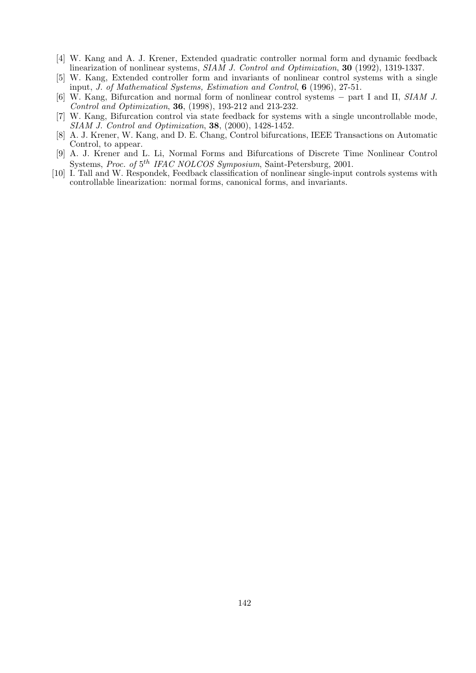- [4] W. Kang and A. J. Krener, Extended quadratic controller normal form and dynamic feedback linearization of nonlinear systems, SIAM J. Control and Optimization, 30 (1992), 1319-1337.
- [5] W. Kang, Extended controller form and invariants of nonlinear control systems with a single input, J. of Mathematical Systems, Estimation and Control, 6 (1996), 27-51.
- [6] W. Kang, Bifurcation and normal form of nonlinear control systems − part I and II, SIAM J. Control and Optimization, 36, (1998), 193-212 and 213-232.
- [7] W. Kang, Bifurcation control via state feedback for systems with a single uncontrollable mode, SIAM J. Control and Optimization, 38, (2000), 1428-1452.
- [8] A. J. Krener, W. Kang, and D. E. Chang, Control bifurcations, IEEE Transactions on Automatic Control, to appear.
- [9] A. J. Krener and L. Li, Normal Forms and Bifurcations of Discrete Time Nonlinear Control Systems, Proc. of 5<sup>th</sup> IFAC NOLCOS Symposium, Saint-Petersburg, 2001.
- [10] I. Tall and W. Respondek, Feedback classification of nonlinear single-input controls systems with controllable linearization: normal forms, canonical forms, and invariants.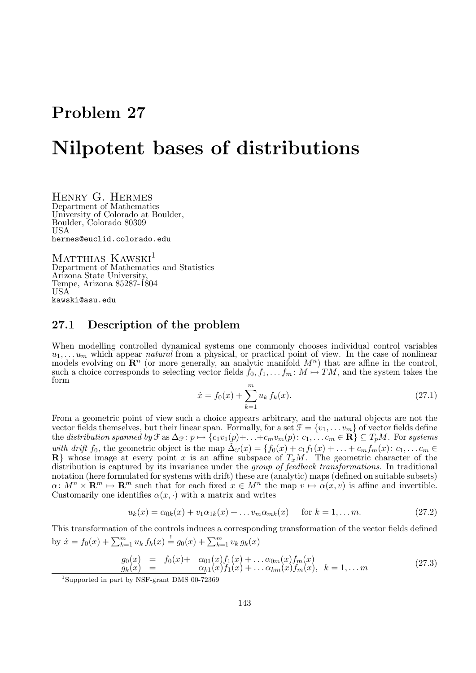## Problem 27

# Nilpotent bases of distributions

Henry G. Hermes Department of Mathematics University of Colorado at Boulder, Boulder, Colorado 80309 USA hermes@euclid.colorado.edu

 $M$ ATTHIAS  $K$ AWSKI<sup>1</sup> Department of Mathematics and Statistics Arizona State University, Tempe, Arizona 85287-1804 USA kawski@asu.edu

## 27.1 Description of the problem

When modelling controlled dynamical systems one commonly chooses individual control variables  $u_1, \ldots u_m$  which appear *natural* from a physical, or practical point of view. In the case of nonlinear models evolving on  $\mathbb{R}^n$  (or more generally, an analytic manifold  $M^n$ ) that are affine in the control, such a choice corresponds to selecting vector fields  $f_0, f_1, \ldots, f_m \colon M \mapsto TM$ , and the system takes the form

$$
\dot{x} = f_0(x) + \sum_{k=1}^{m} u_k f_k(x). \tag{27.1}
$$

From a geometric point of view such a choice appears arbitrary, and the natural objects are not the vector fields themselves, but their linear span. Formally, for a set  $\mathcal{F} = \{v_1, \ldots v_m\}$  of vector fields define the distribution spanned by  $\mathcal F$  as  $\Delta_{\mathcal F}: p \mapsto \{c_1v_1(p)+\ldots+c_mv_m(p): c_1,\ldots c_m \in \mathbf{R}\}\subseteq T_pM$ . For systems with drift  $f_0$ , the geometric object is the map  $\tilde{\Delta}_{\mathcal{F}}(x) = \{f_0(x) + c_1f_1(x) + \ldots + c_mf_m(x): c_1, \ldots c_m \in$  $\mathbb{R}$  whose image at every point x is an affine subspace of  $T_xM$ . The geometric character of the distribution is captured by its invariance under the *group of feedback transformations*. In traditional notation (here formulated for systems with drift) these are (analytic) maps (defined on suitable subsets)  $\alpha\colon M^n\times{\mathbf R}^m\mapsto{\mathbf R}^m$  such that for each fixed  $x\in M^n$  the map  $v\mapsto \alpha(x,v)$  is affine and invertible. Customarily one identifies  $\alpha(x, \cdot)$  with a matrix and writes

$$
u_k(x) = \alpha_{0k}(x) + v_1 \alpha_{1k}(x) + \dots v_m \alpha_{mk}(x) \quad \text{for } k = 1, \dots m. \tag{27.2}
$$

This transformation of the controls induces a corresponding transformation of the vector fields defined by  $\dot{x} = f_0(x) + \sum_{k=1}^m u_k f_k(x) \stackrel{!}{=} g_0(x) + \sum_{k=1}^m v_k g_k(x)$ 

$$
g_0(x) = f_0(x) + \alpha_{01}(x) f_1(x) + \dots \alpha_{0m}(x) f_m(x) g_k(x) = \alpha_{k1}(x) f_1(x) + \dots \alpha_{km}(x) f_m(x), \quad k = 1, \dots m
$$
 (27.3)

<sup>1</sup>Supported in part by NSF-grant DMS 00-72369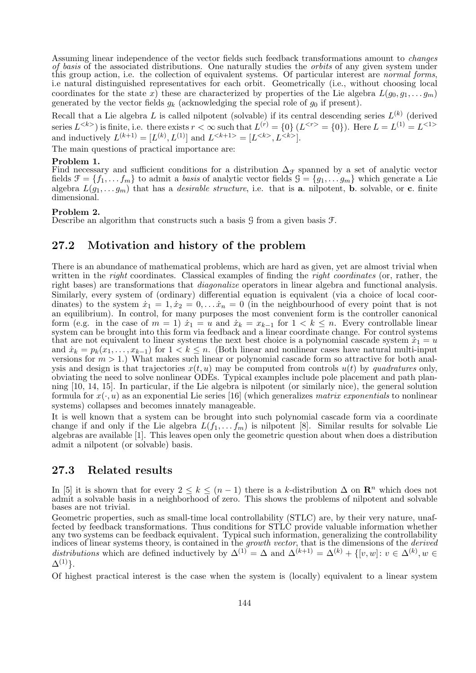Assuming linear independence of the vector fields such feedback transformations amount to *changes* of basis of the associated distributions. One naturally studies the orbits of any given system under this group action, i.e. the collection of equivalent systems. Of particular interest are *normal forms*, i.e natural distinguished representatives for each orbit. Geometrically (i.e., without choosing local coordinates for the state x) these are characterized by properties of the Lie algebra  $L(q_0, q_1, \ldots, q_m)$ generated by the vector fields  $q_k$  (acknowledging the special role of  $q_0$  if present).

Recall that a Lie algebra L is called nilpotent (solvable) if its central descending series  $L^{(k)}$  (derived series  $L^{}$ ) is finite, i.e. there exists  $r < \infty$  such that  $L^{(r)} = \{0\}$   $(L^{} = \{0\})$ . Here  $L = L^{(1)} = L^{<1>}$ and inductively  $L^{(k+1)} = [L^{(k)}, L^{(1)}]$  and  $L^{} = [L^{} , L^{}].$ 

The main questions of practical importance are:

#### Problem 1.

Find necessary and sufficient conditions for a distribution  $\Delta_f$  spanned by a set of analytic vector fields  $\mathcal{F} = \{f_1, \ldots, f_m\}$  to admit a basis of analytic vector fields  $\mathcal{G} = \{g_1, \ldots, g_m\}$  which generate a Lie algebra  $L(g_1, \ldots g_m)$  that has a *desirable structure*, i.e. that is **a**. nilpotent, **b**. solvable, or **c**. finite dimensional.

#### Problem 2.

Describe an algorithm that constructs such a basis G from a given basis F.

## 27.2 Motivation and history of the problem

There is an abundance of mathematical problems, which are hard as given, yet are almost trivial when written in the *right* coordinates. Classical examples of finding the *right coordinates* (or, rather, the right bases) are transformations that *diagonalize* operators in linear algebra and functional analysis. Similarly, every system of (ordinary) differential equation is equivalent (via a choice of local coordinates) to the system  $\dot{x}_1 = 1, \dot{x}_2 = 0, \dots \dot{x}_n = 0$  (in the neighbourhood of every point that is not an equilibrium). In control, for many purposes the most convenient form is the controller canonical form (e.g. in the case of  $m = 1$ )  $\dot{x}_1 = u$  and  $\dot{x}_k = x_{k-1}$  for  $1 < k \leq n$ . Every controllable linear system can be brought into this form via feedback and a linear coordinate change. For control systems that are not equivalent to linear systems the next best choice is a polynomial cascade system  $\ddot{x}_1 = u$ and  $\dot{x}_k = p_k(x_1, \ldots, x_{k-1})$  for  $1 < k \leq n$ . (Both linear and nonlinear cases have natural multi-input versions for  $m > 1$ .) What makes such linear or polynomial cascade form so attractive for both analysis and design is that trajectories  $x(t, u)$  may be computed from controls  $u(t)$  by quadratures only, obviating the need to solve nonlinear ODEs. Typical examples include pole placement and path planning [10, 14, 15]. In particular, if the Lie algebra is nilpotent (or similarly nice), the general solution formula for  $x(\cdot, u)$  as an exponential Lie series [16] (which generalizes matrix exponentials to nonlinear systems) collapses and becomes innately manageable.

It is well known that a system can be brought into such polynomial cascade form via a coordinate change if and only if the Lie algebra  $L(f_1, \ldots, f_m)$  is nilpotent [8]. Similar results for solvable Lie algebras are available [1]. This leaves open only the geometric question about when does a distribution admit a nilpotent (or solvable) basis.

## 27.3 Related results

In [5] it is shown that for every  $2 \leq k \leq (n-1)$  there is a k-distribution  $\Delta$  on  $\mathbb{R}^n$  which does not admit a solvable basis in a neighborhood of zero. This shows the problems of nilpotent and solvable bases are not trivial.

Geometric properties, such as small-time local controllability (STLC) are, by their very nature, unaffected by feedback transformations. Thus conditions for STLC provide valuable information whether any two systems can be feedback equivalent. Typical such information, generalizing the controllability indices of linear systems theory, is contained in the *growth vector*, that is the dimensions of the *derived* distributions which are defined inductively by  $\Delta^{(1)} = \Delta$  and  $\Delta^{(k+1)} = \Delta^{(k)} + \{[v, w]: v \in \Delta^{(k)}, w \in \Delta^{(k)}\}$  $\Delta^{(1)}$ .

Of highest practical interest is the case when the system is (locally) equivalent to a linear system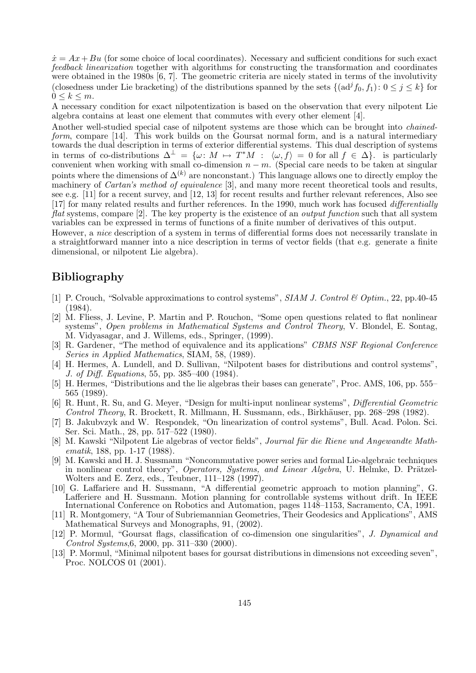$\dot{x} = Ax + Bu$  (for some choice of local coordinates). Necessary and sufficient conditions for such exact feedback linearization together with algorithms for constructing the transformation and coordinates were obtained in the 1980s [6, 7]. The geometric criteria are nicely stated in terms of the involutivity (closedness under Lie bracketing) of the distributions spanned by the sets  $\{(\mathrm{ad}^j f_0, f_1): 0 \leq j \leq k\}$  for  $0 \leq k \leq m$ .

A necessary condition for exact nilpotentization is based on the observation that every nilpotent Lie algebra contains at least one element that commutes with every other element [4].

Another well-studied special case of nilpotent systems are those which can be brought into chainedform, compare [14]. This work builds on the Goursat normal form, and is a natural intermediary towards the dual description in terms of exterior differential systems. This dual description of systems in terms of co-distributions  $\Delta^{\perp} = {\omega \colon M \mapsto T^*M : \langle \omega, f \rangle = 0 \text{ for all } f \in \Delta}.$  is particularly convenient when working with small co-dimension  $n - m$ . (Special care needs to be taken at singular points where the dimensions of  $\Delta^{(k)}$  are nonconstant.) This language allows one to directly employ the machinery of *Cartan's method of equivalence* [3], and many more recent theoretical tools and results, see e.g. [11] for a recent survey, and [12, 13] for recent results and further relevant references, Also see [17] for many related results and further references. In the 1990, much work has focused *differentially* flat systems, compare [2]. The key property is the existence of an *output function* such that all system variables can be expressed in terms of functions of a finite number of derivatives of this output.

However, a nice description of a system in terms of differential forms does not necessarily translate in a straightforward manner into a nice description in terms of vector fields (that e.g. generate a finite dimensional, or nilpotent Lie algebra).

## Bibliography

- [1] P. Crouch, "Solvable approximations to control systems",  $SIAMJ$ , Control & Optim., 22, pp.40-45 (1984).
- [2] M. Fliess, J. Levine, P. Martin and P. Rouchon, "Some open questions related to flat nonlinear systems", Open problems in Mathematical Systems and Control Theory, V. Blondel, E. Sontag, M. Vidyasagar, and J. Willems, eds., Springer, (1999).
- [3] R. Gardener, "The method of equivalence and its applications" CBMS NSF Regional Conference Series in Applied Mathematics, SIAM, 58, (1989).
- [4] H. Hermes, A. Lundell, and D. Sullivan, "Nilpotent bases for distributions and control systems", J. of Diff. Equations, 55, pp. 385–400 (1984).
- [5] H. Hermes, "Distributions and the lie algebras their bases can generate", Proc. AMS, 106, pp. 555– 565 (1989).
- [6] R. Hunt, R. Su, and G. Meyer, "Design for multi-input nonlinear systems", Differential Geometric Control Theory, R. Brockett, R. Millmann, H. Sussmann, eds., Birkhäuser, pp. 268–298 (1982).
- [7] B. Jakubvzyk and W. Respondek, "On linearization of control systems", Bull. Acad. Polon. Sci. Ser. Sci. Math., 28, pp. 517–522 (1980).
- [8] M. Kawski "Nilpotent Lie algebras of vector fields", Journal für die Riene und Angewandte Mathematik, 188, pp. 1-17 (1988).
- [9] M. Kawski and H. J. Sussmann "Noncommutative power series and formal Lie-algebraic techniques in nonlinear control theory", Operators, Systems, and Linear Algebra, U. Helmke, D. Prätzel-Wolters and E. Zerz, eds., Teubner, 111–128 (1997).
- [10] G. Laffariere and H. Sussmann, "A differential geometric approach to motion planning", G. Lafferiere and H. Sussmann. Motion planning for controllable systems without drift. In IEEE International Conference on Robotics and Automation, pages 1148–1153, Sacramento, CA, 1991.
- [11] R. Montgomery, "A Tour of Subriemannian Geometries, Their Geodesics and Applications", AMS Mathematical Surveys and Monographs, 91, (2002).
- [12] P. Mormul, "Goursat flags, classification of co-dimension one singularities", J. Dynamical and Control Systems,6, 2000, pp. 311–330 (2000).
- [13] P. Mormul, "Minimal nilpotent bases for goursat distributions in dimensions not exceeding seven", Proc. NOLCOS 01 (2001).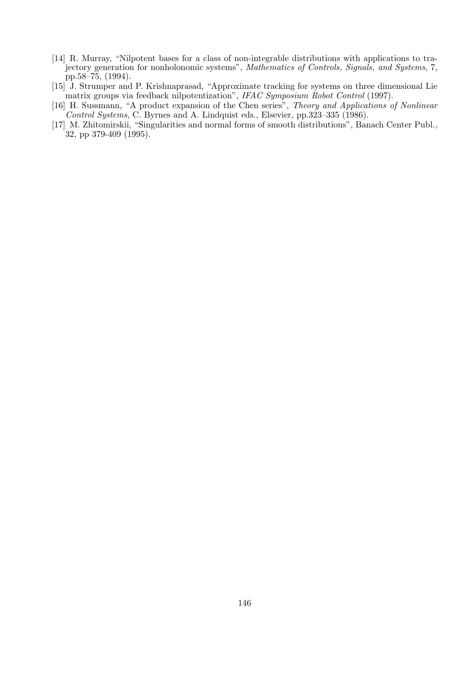- [14] R. Murray, "Nilpotent bases for a class of non-integrable distributions with applications to trajectory generation for nonholonomic systems", Mathematics of Controls, Signals, and Systems, 7,  $pp.58-75, (1994).$
- [15] J. Strumper and P. Krishnaprasad, "Approximate tracking for systems on three dimensional Lie matrix groups via feedback nilpotentization", IFAC Symposium Robot Control (1997).
- [16] H. Sussmann, "A product expansion of the Chen series", Theory and Applications of Nonlinear Control Systems, C. Byrnes and A. Lindquist eds., Elsevier, pp.323–335 (1986).
- [17] M. Zhitomirskii, "Singularities and normal forms of smooth distributions", Banach Center Publ., 32, pp 379-409 (1995).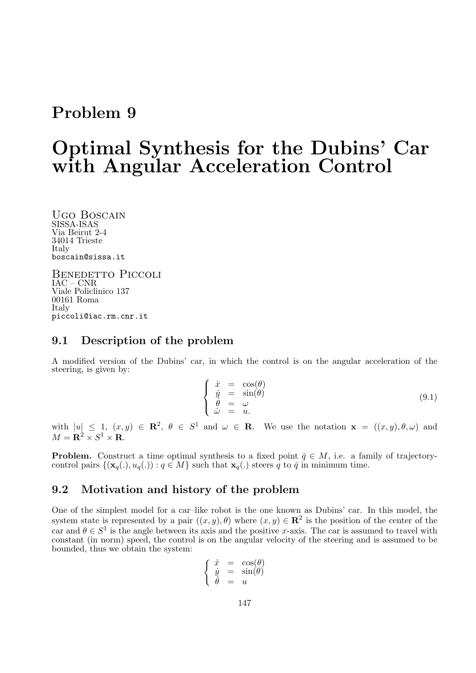## Problem 9

# Optimal Synthesis for the Dubins' Car with Angular Acceleration Control

Ugo Boscain SISSA-ISAS Via Beirut 2-4 34014 Trieste Italy boscain@sissa.it

BENEDETTO PICCOLI IAC – CNR Viale Policlinico 137 00161 Roma Italy piccoli@iac.rm.cnr.it

### 9.1 Description of the problem

A modified version of the Dubins' car, in which the control is on the angular acceleration of the steering, is given by:

$$
\begin{cases}\n\dot{x} = \cos(\theta) \\
\dot{y} = \sin(\theta) \\
\dot{\theta} = \omega \\
\dot{\omega} = u.\n\end{cases}
$$
\n(9.1)

with  $|u| \leq 1$ ,  $(x, y) \in \mathbb{R}^2$ ,  $\theta \in S^1$  and  $\omega \in \mathbb{R}$ . We use the notation  $\mathbf{x} = ((x, y), \theta, \omega)$  and  $M = \mathbf{R}^2 \times S^1 \times \mathbf{R}.$ 

**Problem.** Construct a time optimal synthesis to a fixed point  $\bar{q} \in M$ , i.e. a family of trajectorycontrol pairs  $\{(\mathbf{x}_q(.), u_q(.)): q \in M\}$  such that  $\mathbf{x}_q(.)$  steers  $\tilde{q}$  to  $\overline{q}$  in minimum time.

## 9.2 Motivation and history of the problem

One of the simplest model for a car–like robot is the one known as Dubins' car. In this model, the system state is represented by a pair  $((x, y), \theta)$  where  $(x, y) \in \mathbb{R}^2$  is the position of the center of the car and  $\theta \in S^1$  is the angle between its axis and the positive x-axis. The car is assumed to travel with constant (in norm) speed, the control is on the angular velocity of the steering and is assumed to be bounded, thus we obtain the system:

$$
\left\{ \begin{array}{rcl} \dot{x} &=& \cos(\theta) \\ \dot{y} &=& \sin(\theta) \\ \dot{\theta} &=& u \end{array} \right.
$$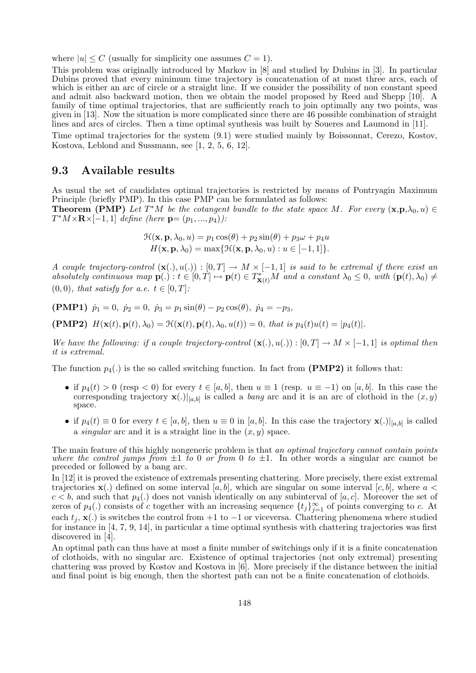where  $|u| \leq C$  (usually for simplicity one assumes  $C = 1$ ).

This problem was originally introduced by Markov in [8] and studied by Dubins in [3]. In particular Dubins proved that every minimum time trajectory is concatenation of at most three arcs, each of which is either an arc of circle or a straight line. If we consider the possibility of non constant speed and admit also backward motion, then we obtain the model proposed by Reed and Shepp [10]. A family of time optimal trajectories, that are sufficiently reach to join optimally any two points, was given in [13]. Now the situation is more complicated since there are 46 possible combination of straight lines and arcs of circles. Then a time optimal synthesis was built by Soueres and Laumond in [11].

Time optimal trajectories for the system (9.1) were studied mainly by Boissonnat, Cerezo, Kostov, Kostova, Leblond and Sussmann, see [1, 2, 5, 6, 12].

## 9.3 Available results

As usual the set of candidates optimal trajectories is restricted by means of Pontryagin Maximum Principle (briefly PMP). In this case PMP can be formulated as follows: **Theorem** (PMP) Let  $T^*M$  be the cotangent bundle to the state space M. For every  $(x,p,\lambda_0, u) \in$ 

 $T^*M\times{\bf R}\times[-1,1]$  define (here  ${\bf p}=(p_1,...,p_4)$ ):

$$
\mathcal{H}(\mathbf{x}, \mathbf{p}, \lambda_0, u) = p_1 \cos(\theta) + p_2 \sin(\theta) + p_3 \omega + p_4 u
$$

$$
H(\mathbf{x}, \mathbf{p}, \lambda_0) = \max \{ \mathcal{H}(\mathbf{x}, \mathbf{p}, \lambda_0, u) : u \in [-1, 1] \}.
$$

A couple trajectory-control  $(\mathbf{x}(.), u(.)) : [0, T] \to M \times [-1, 1]$  is said to be extremal if there exist an absolutely continuous map  $\mathbf{p}(.) : t \in [0, T] \mapsto \mathbf{p}(t) \in T^*_{\mathbf{x}(t)}M$  and a constant  $\lambda_0 \leq 0$ , with  $(\mathbf{p}(t), \lambda_0) \neq 0$  $(0, 0)$ , that satisfy for a.e.  $t \in [0, T]$ :

(PMP1)  $\dot{p}_1 = 0$ ,  $\dot{p}_2 = 0$ ,  $\dot{p}_3 = p_1 \sin(\theta) - p_2 \cos(\theta)$ ,  $\dot{p}_4 = -p_3$ , (PMP2)  $H(\mathbf{x}(t), \mathbf{p}(t), \lambda_0) = \mathcal{H}(\mathbf{x}(t), \mathbf{p}(t), \lambda_0, u(t)) = 0$ , that is  $p_4(t)u(t) = |p_4(t)|$ .

We have the following: if a couple trajectory-control  $(\mathbf{x}(.), u(.)) : [0,T] \to M \times [-1,1]$  is optimal then it is extremal.

The function  $p_4(.)$  is the so called switching function. In fact from (PMP2) it follows that:

- if  $p_4(t) > 0$  (resp < 0) for every  $t \in [a, b]$ , then  $u \equiv 1$  (resp.  $u \equiv -1$ ) on  $[a, b]$ . In this case the corresponding trajectory  $\mathbf{x}(.)|_{[a,b]}$  is called a *bang* arc and it is an arc of clothoid in the  $(x, y)$ space.
- if  $p_4(t) \equiv 0$  for every  $t \in [a, b]$ , then  $u \equiv 0$  in  $[a, b]$ . In this case the trajectory  $\mathbf{x}(.)|_{[a, b]}$  is called a *singular* arc and it is a straight line in the  $(x, y)$  space.

The main feature of this highly nongeneric problem is that an optimal trajectory cannot contain points where the control jumps from  $\pm 1$  to 0 or from 0 to  $\pm 1$ . In other words a singular arc cannot be preceded or followed by a bang arc.

In [12] it is proved the existence of extremals presenting chattering. More precisely, there exist extremal trajectories  $\mathbf{x}$ .) defined on some interval [a, b], which are singular on some interval [c, b], where  $a <$  $c < b$ , and such that  $p_4(.)$  does not vanish identically on any subinterval of [a, c]. Moreover the set of zeros of  $p_4(.)$  consists of c together with an increasing sequence  $\{t_j\}_{j=1}^{\infty}$  of points converging to c. At each  $t_i$ ,  $\mathbf{x}(.)$  is switches the control from +1 to -1 or viceversa. Chattering phenomena where studied for instance in [4, 7, 9, 14], in particular a time optimal synthesis with chattering trajectories was first discovered in [4].

An optimal path can thus have at most a finite number of switchings only if it is a finite concatenation of clothoids, with no singular arc. Existence of optimal trajectories (not only extremal) presenting chattering was proved by Kostov and Kostova in [6]. More precisely if the distance between the initial and final point is big enough, then the shortest path can not be a finite concatenation of clothoids.